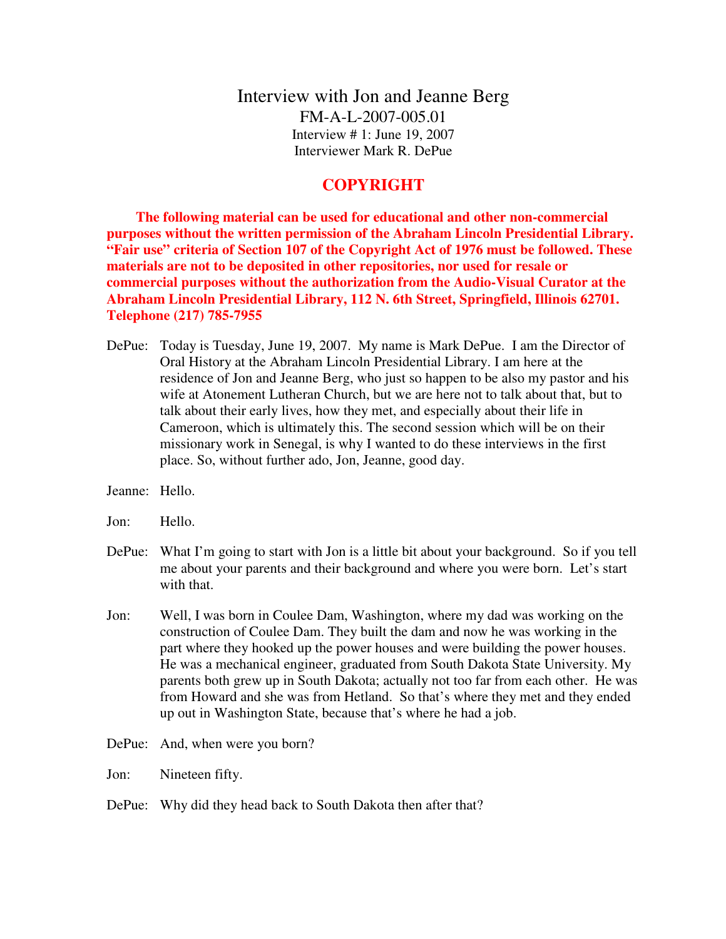Interview with Jon and Jeanne Berg FM-A-L-2007-005.01 Interview # 1: June 19, 2007 Interviewer Mark R. DePue

## **COPYRIGHT**

 **The following material can be used for educational and other non-commercial purposes without the written permission of the Abraham Lincoln Presidential Library. "Fair use" criteria of Section 107 of the Copyright Act of 1976 must be followed. These materials are not to be deposited in other repositories, nor used for resale or commercial purposes without the authorization from the Audio-Visual Curator at the Abraham Lincoln Presidential Library, 112 N. 6th Street, Springfield, Illinois 62701. Telephone (217) 785-7955**

- DePue: Today is Tuesday, June 19, 2007. My name is Mark DePue. I am the Director of Oral History at the Abraham Lincoln Presidential Library. I am here at the residence of Jon and Jeanne Berg, who just so happen to be also my pastor and his wife at Atonement Lutheran Church, but we are here not to talk about that, but to talk about their early lives, how they met, and especially about their life in Cameroon, which is ultimately this. The second session which will be on their missionary work in Senegal, is why I wanted to do these interviews in the first place. So, without further ado, Jon, Jeanne, good day.
- Jeanne: Hello.
- Jon: Hello.
- DePue: What I'm going to start with Jon is a little bit about your background. So if you tell me about your parents and their background and where you were born. Let's start with that.
- Jon: Well, I was born in Coulee Dam, Washington, where my dad was working on the construction of Coulee Dam. They built the dam and now he was working in the part where they hooked up the power houses and were building the power houses. He was a mechanical engineer, graduated from South Dakota State University. My parents both grew up in South Dakota; actually not too far from each other. He was from Howard and she was from Hetland. So that's where they met and they ended up out in Washington State, because that's where he had a job.
- DePue: And, when were you born?
- Jon: Nineteen fifty.
- DePue: Why did they head back to South Dakota then after that?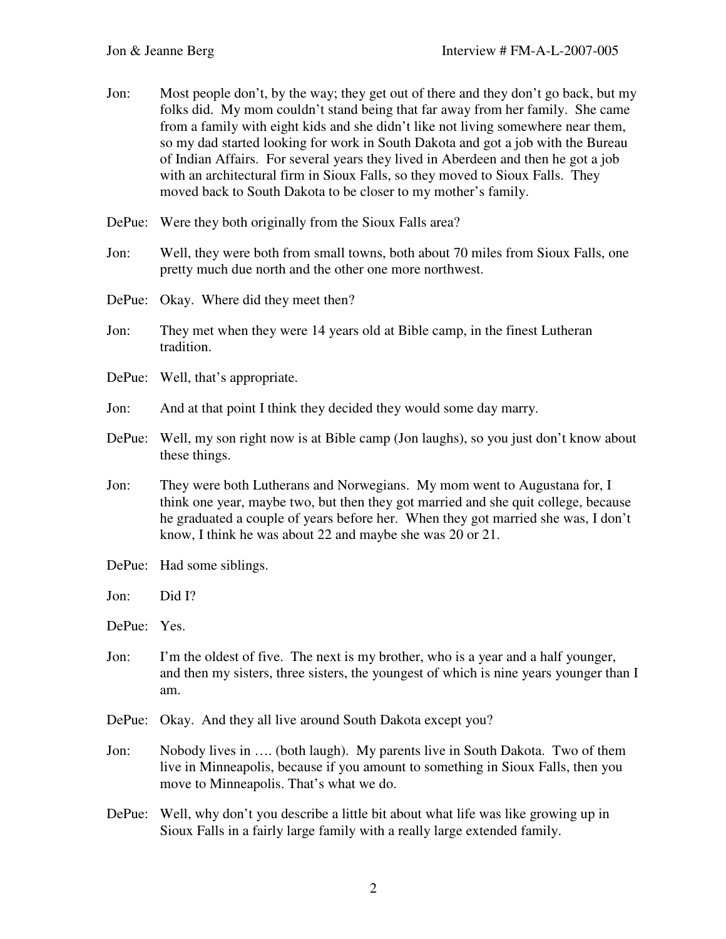- Jon: Most people don't, by the way; they get out of there and they don't go back, but my folks did. My mom couldn't stand being that far away from her family. She came from a family with eight kids and she didn't like not living somewhere near them, so my dad started looking for work in South Dakota and got a job with the Bureau of Indian Affairs. For several years they lived in Aberdeen and then he got a job with an architectural firm in Sioux Falls, so they moved to Sioux Falls. They moved back to South Dakota to be closer to my mother's family.
- DePue: Were they both originally from the Sioux Falls area?
- Jon: Well, they were both from small towns, both about 70 miles from Sioux Falls, one pretty much due north and the other one more northwest.
- DePue: Okay. Where did they meet then?
- Jon: They met when they were 14 years old at Bible camp, in the finest Lutheran tradition.
- DePue: Well, that's appropriate.
- Jon: And at that point I think they decided they would some day marry.
- DePue: Well, my son right now is at Bible camp (Jon laughs), so you just don't know about these things.
- Jon: They were both Lutherans and Norwegians. My mom went to Augustana for, I think one year, maybe two, but then they got married and she quit college, because he graduated a couple of years before her. When they got married she was, I don't know, I think he was about 22 and maybe she was 20 or 21.
- DePue: Had some siblings.
- Jon: Did I?

DePue: Yes.

- Jon: I'm the oldest of five. The next is my brother, who is a year and a half younger, and then my sisters, three sisters, the youngest of which is nine years younger than I am.
- DePue: Okay. And they all live around South Dakota except you?
- Jon: Nobody lives in …. (both laugh). My parents live in South Dakota. Two of them live in Minneapolis, because if you amount to something in Sioux Falls, then you move to Minneapolis. That's what we do.
- DePue: Well, why don't you describe a little bit about what life was like growing up in Sioux Falls in a fairly large family with a really large extended family.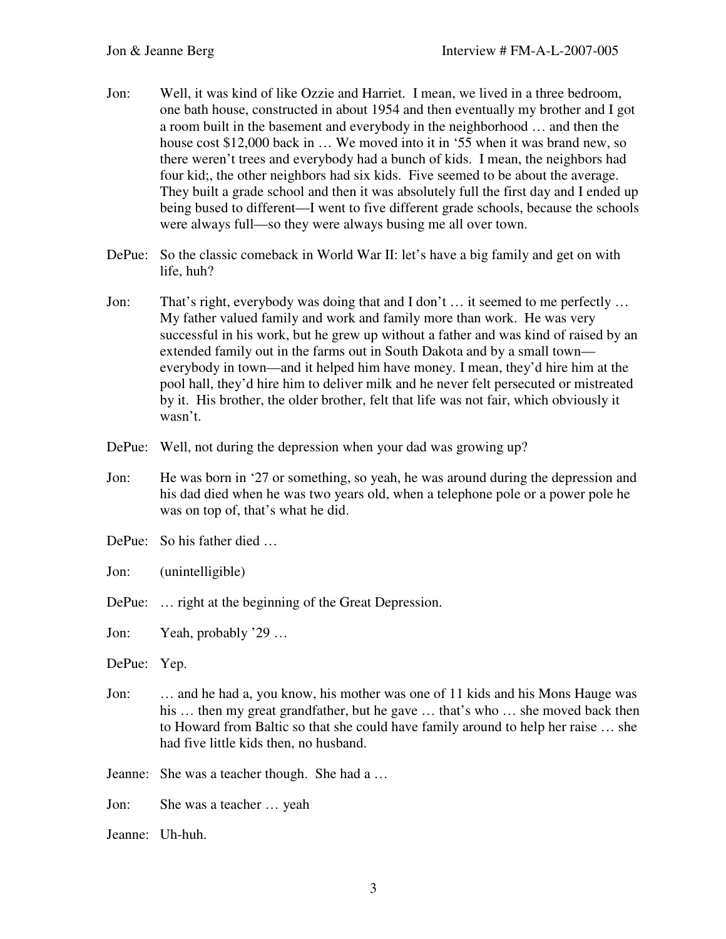- Jon: Well, it was kind of like Ozzie and Harriet. I mean, we lived in a three bedroom, one bath house, constructed in about 1954 and then eventually my brother and I got a room built in the basement and everybody in the neighborhood … and then the house cost \$12,000 back in ... We moved into it in '55 when it was brand new, so there weren't trees and everybody had a bunch of kids. I mean, the neighbors had four kid;, the other neighbors had six kids. Five seemed to be about the average. They built a grade school and then it was absolutely full the first day and I ended up being bused to different—I went to five different grade schools, because the schools were always full—so they were always busing me all over town.
- DePue: So the classic comeback in World War II: let's have a big family and get on with life, huh?
- Jon: That's right, everybody was doing that and I don't … it seemed to me perfectly … My father valued family and work and family more than work. He was very successful in his work, but he grew up without a father and was kind of raised by an extended family out in the farms out in South Dakota and by a small town everybody in town—and it helped him have money. I mean, they'd hire him at the pool hall, they'd hire him to deliver milk and he never felt persecuted or mistreated by it. His brother, the older brother, felt that life was not fair, which obviously it wasn't.
- DePue: Well, not during the depression when your dad was growing up?
- Jon: He was born in '27 or something, so yeah, he was around during the depression and his dad died when he was two years old, when a telephone pole or a power pole he was on top of, that's what he did.
- DePue: So his father died …
- Jon: (unintelligible)
- DePue: ... right at the beginning of the Great Depression.

Jon: Yeah, probably '29 …

- DePue: Yep.
- Jon: … and he had a, you know, his mother was one of 11 kids and his Mons Hauge was his ... then my great grandfather, but he gave ... that's who ... she moved back then to Howard from Baltic so that she could have family around to help her raise … she had five little kids then, no husband.

Jeanne: She was a teacher though. She had a …

Jon: She was a teacher … yeah

Jeanne: Uh-huh.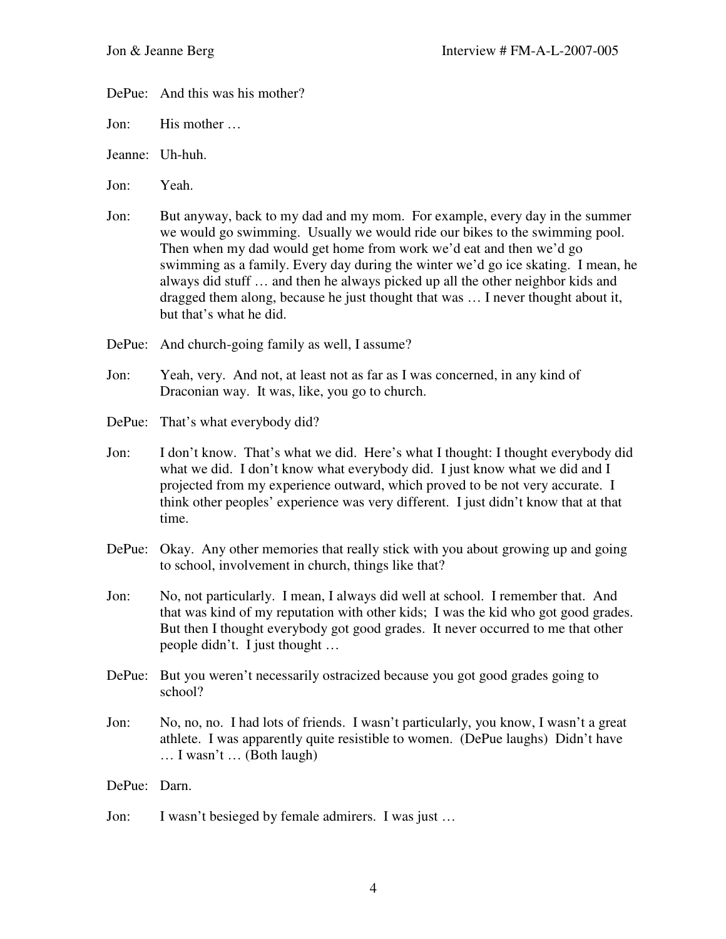DePue: And this was his mother?

Jon: His mother …

- Jeanne: Uh-huh.
- Jon: Yeah.
- Jon: But anyway, back to my dad and my mom. For example, every day in the summer we would go swimming. Usually we would ride our bikes to the swimming pool. Then when my dad would get home from work we'd eat and then we'd go swimming as a family. Every day during the winter we'd go ice skating. I mean, he always did stuff … and then he always picked up all the other neighbor kids and dragged them along, because he just thought that was … I never thought about it, but that's what he did.
- DePue: And church-going family as well, I assume?
- Jon: Yeah, very. And not, at least not as far as I was concerned, in any kind of Draconian way. It was, like, you go to church.
- DePue: That's what everybody did?
- Jon: I don't know. That's what we did. Here's what I thought: I thought everybody did what we did. I don't know what everybody did. I just know what we did and I projected from my experience outward, which proved to be not very accurate. I think other peoples' experience was very different. I just didn't know that at that time.
- DePue: Okay. Any other memories that really stick with you about growing up and going to school, involvement in church, things like that?
- Jon: No, not particularly. I mean, I always did well at school. I remember that. And that was kind of my reputation with other kids; I was the kid who got good grades. But then I thought everybody got good grades. It never occurred to me that other people didn't. I just thought …
- DePue: But you weren't necessarily ostracized because you got good grades going to school?
- Jon: No, no, no. I had lots of friends. I wasn't particularly, you know, I wasn't a great athlete. I was apparently quite resistible to women. (DePue laughs) Didn't have … I wasn't … (Both laugh)
- DePue: Darn.
- Jon: I wasn't besieged by female admirers. I was just …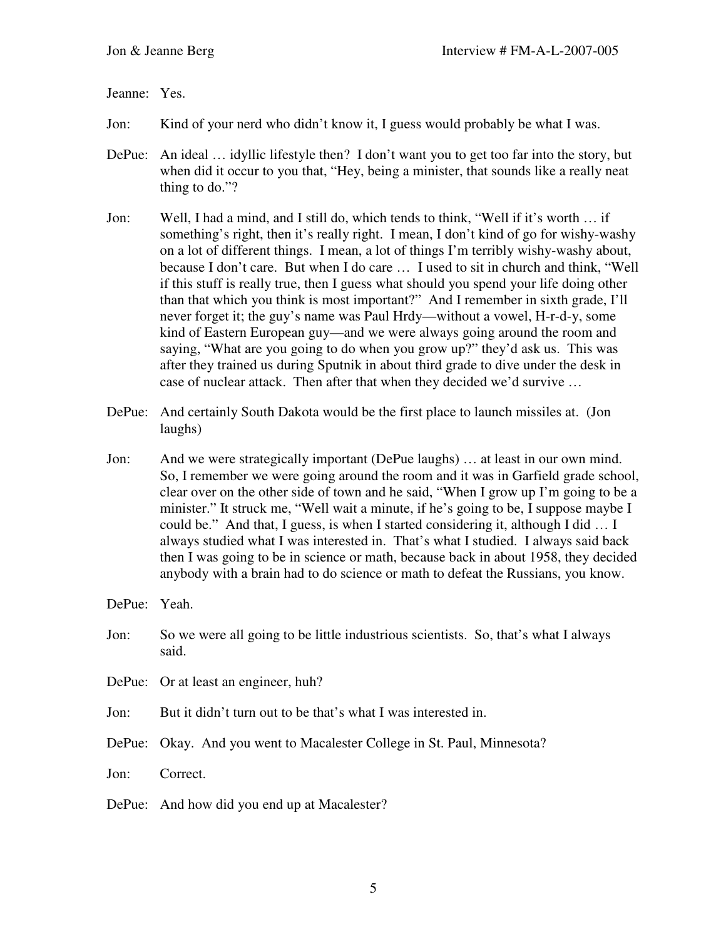Jeanne: Yes.

- Jon: Kind of your nerd who didn't know it, I guess would probably be what I was.
- DePue: An ideal ... idyllic lifestyle then? I don't want you to get too far into the story, but when did it occur to you that, "Hey, being a minister, that sounds like a really neat thing to do."?
- Jon: Well, I had a mind, and I still do, which tends to think, "Well if it's worth … if something's right, then it's really right. I mean, I don't kind of go for wishy-washy on a lot of different things. I mean, a lot of things I'm terribly wishy-washy about, because I don't care. But when I do care … I used to sit in church and think, "Well if this stuff is really true, then I guess what should you spend your life doing other than that which you think is most important?" And I remember in sixth grade, I'll never forget it; the guy's name was Paul Hrdy—without a vowel, H-r-d-y, some kind of Eastern European guy—and we were always going around the room and saying, "What are you going to do when you grow up?" they'd ask us. This was after they trained us during Sputnik in about third grade to dive under the desk in case of nuclear attack. Then after that when they decided we'd survive …
- DePue: And certainly South Dakota would be the first place to launch missiles at. (Jon laughs)
- Jon: And we were strategically important (DePue laughs) … at least in our own mind. So, I remember we were going around the room and it was in Garfield grade school, clear over on the other side of town and he said, "When I grow up I'm going to be a minister." It struck me, "Well wait a minute, if he's going to be, I suppose maybe I could be." And that, I guess, is when I started considering it, although I did … I always studied what I was interested in. That's what I studied. I always said back then I was going to be in science or math, because back in about 1958, they decided anybody with a brain had to do science or math to defeat the Russians, you know.

DePue: Yeah.

- Jon: So we were all going to be little industrious scientists. So, that's what I always said.
- DePue: Or at least an engineer, huh?
- Jon: But it didn't turn out to be that's what I was interested in.
- DePue: Okay. And you went to Macalester College in St. Paul, Minnesota?

Jon: Correct.

DePue: And how did you end up at Macalester?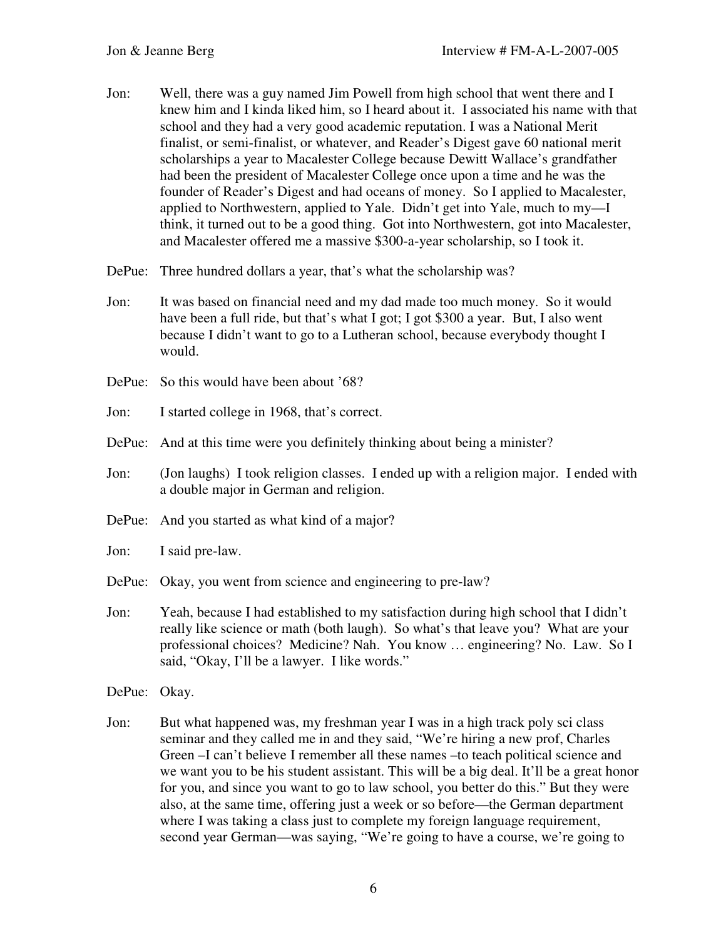- Jon: Well, there was a guy named Jim Powell from high school that went there and I knew him and I kinda liked him, so I heard about it. I associated his name with that school and they had a very good academic reputation. I was a National Merit finalist, or semi-finalist, or whatever, and Reader's Digest gave 60 national merit scholarships a year to Macalester College because Dewitt Wallace's grandfather had been the president of Macalester College once upon a time and he was the founder of Reader's Digest and had oceans of money. So I applied to Macalester, applied to Northwestern, applied to Yale. Didn't get into Yale, much to my—I think, it turned out to be a good thing. Got into Northwestern, got into Macalester, and Macalester offered me a massive \$300-a-year scholarship, so I took it.
- DePue: Three hundred dollars a year, that's what the scholarship was?
- Jon: It was based on financial need and my dad made too much money. So it would have been a full ride, but that's what I got; I got \$300 a year. But, I also went because I didn't want to go to a Lutheran school, because everybody thought I would.
- DePue: So this would have been about '68?
- Jon: I started college in 1968, that's correct.
- DePue: And at this time were you definitely thinking about being a minister?
- Jon: (Jon laughs) I took religion classes. I ended up with a religion major. I ended with a double major in German and religion.
- DePue: And you started as what kind of a major?
- Jon: I said pre-law.
- DePue: Okay, you went from science and engineering to pre-law?
- Jon: Yeah, because I had established to my satisfaction during high school that I didn't really like science or math (both laugh). So what's that leave you? What are your professional choices? Medicine? Nah. You know … engineering? No. Law. So I said, "Okay, I'll be a lawyer. I like words."
- DePue: Okay.
- Jon: But what happened was, my freshman year I was in a high track poly sci class seminar and they called me in and they said, "We're hiring a new prof, Charles Green –I can't believe I remember all these names –to teach political science and we want you to be his student assistant. This will be a big deal. It'll be a great honor for you, and since you want to go to law school, you better do this." But they were also, at the same time, offering just a week or so before—the German department where I was taking a class just to complete my foreign language requirement, second year German—was saying, "We're going to have a course, we're going to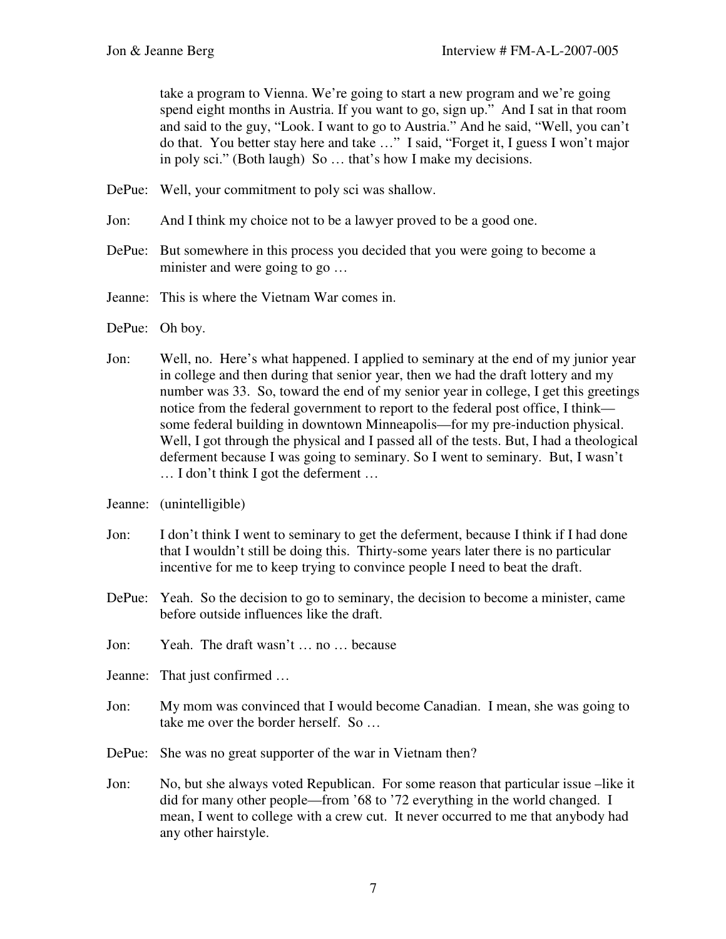take a program to Vienna. We're going to start a new program and we're going spend eight months in Austria. If you want to go, sign up." And I sat in that room and said to the guy, "Look. I want to go to Austria." And he said, "Well, you can't do that. You better stay here and take …" I said, "Forget it, I guess I won't major in poly sci." (Both laugh) So … that's how I make my decisions.

- DePue: Well, your commitment to poly sci was shallow.
- Jon: And I think my choice not to be a lawyer proved to be a good one.
- DePue: But somewhere in this process you decided that you were going to become a minister and were going to go …
- Jeanne: This is where the Vietnam War comes in.
- DePue: Oh boy.
- Jon: Well, no. Here's what happened. I applied to seminary at the end of my junior year in college and then during that senior year, then we had the draft lottery and my number was 33. So, toward the end of my senior year in college, I get this greetings notice from the federal government to report to the federal post office, I think some federal building in downtown Minneapolis—for my pre-induction physical. Well, I got through the physical and I passed all of the tests. But, I had a theological deferment because I was going to seminary. So I went to seminary. But, I wasn't … I don't think I got the deferment …
- Jeanne: (unintelligible)
- Jon: I don't think I went to seminary to get the deferment, because I think if I had done that I wouldn't still be doing this. Thirty-some years later there is no particular incentive for me to keep trying to convince people I need to beat the draft.
- DePue: Yeah. So the decision to go to seminary, the decision to become a minister, came before outside influences like the draft.
- Jon: Yeah. The draft wasn't … no … because
- Jeanne: That just confirmed …
- Jon: My mom was convinced that I would become Canadian. I mean, she was going to take me over the border herself. So …
- DePue: She was no great supporter of the war in Vietnam then?
- Jon: No, but she always voted Republican. For some reason that particular issue –like it did for many other people—from '68 to '72 everything in the world changed. I mean, I went to college with a crew cut. It never occurred to me that anybody had any other hairstyle.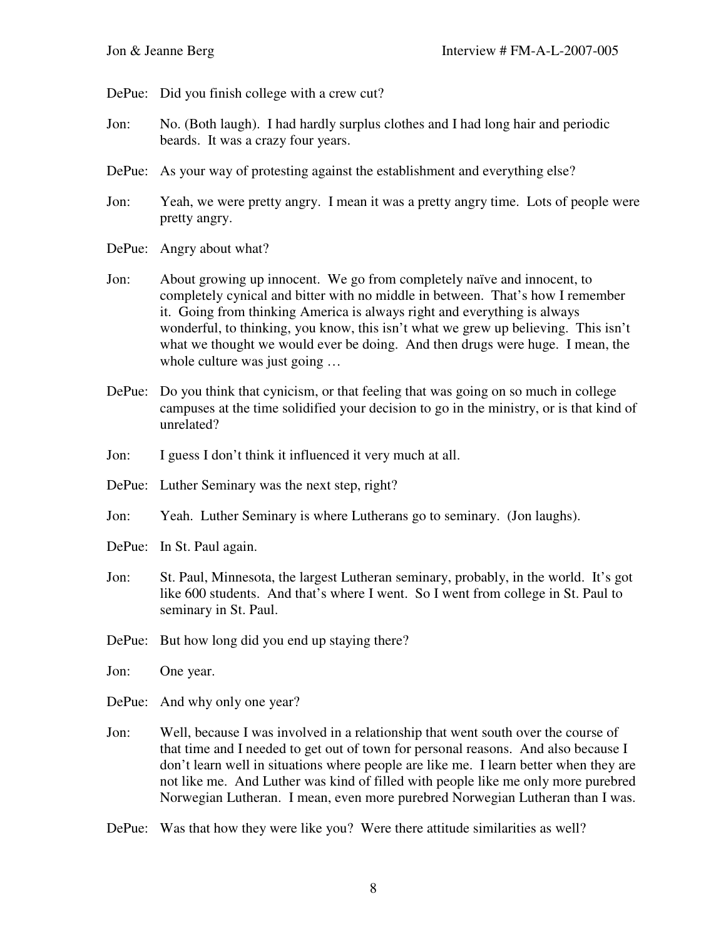DePue: Did you finish college with a crew cut?

- Jon: No. (Both laugh). I had hardly surplus clothes and I had long hair and periodic beards. It was a crazy four years.
- DePue: As your way of protesting against the establishment and everything else?
- Jon: Yeah, we were pretty angry. I mean it was a pretty angry time. Lots of people were pretty angry.
- DePue: Angry about what?
- Jon: About growing up innocent. We go from completely naïve and innocent, to completely cynical and bitter with no middle in between. That's how I remember it. Going from thinking America is always right and everything is always wonderful, to thinking, you know, this isn't what we grew up believing. This isn't what we thought we would ever be doing. And then drugs were huge. I mean, the whole culture was just going ...
- DePue: Do you think that cynicism, or that feeling that was going on so much in college campuses at the time solidified your decision to go in the ministry, or is that kind of unrelated?
- Jon: I guess I don't think it influenced it very much at all.
- DePue: Luther Seminary was the next step, right?
- Jon: Yeah. Luther Seminary is where Lutherans go to seminary. (Jon laughs).
- DePue: In St. Paul again.
- Jon: St. Paul, Minnesota, the largest Lutheran seminary, probably, in the world. It's got like 600 students. And that's where I went. So I went from college in St. Paul to seminary in St. Paul.
- DePue: But how long did you end up staying there?
- Jon: One year.
- DePue: And why only one year?
- Jon: Well, because I was involved in a relationship that went south over the course of that time and I needed to get out of town for personal reasons. And also because I don't learn well in situations where people are like me. I learn better when they are not like me. And Luther was kind of filled with people like me only more purebred Norwegian Lutheran. I mean, even more purebred Norwegian Lutheran than I was.
- DePue: Was that how they were like you? Were there attitude similarities as well?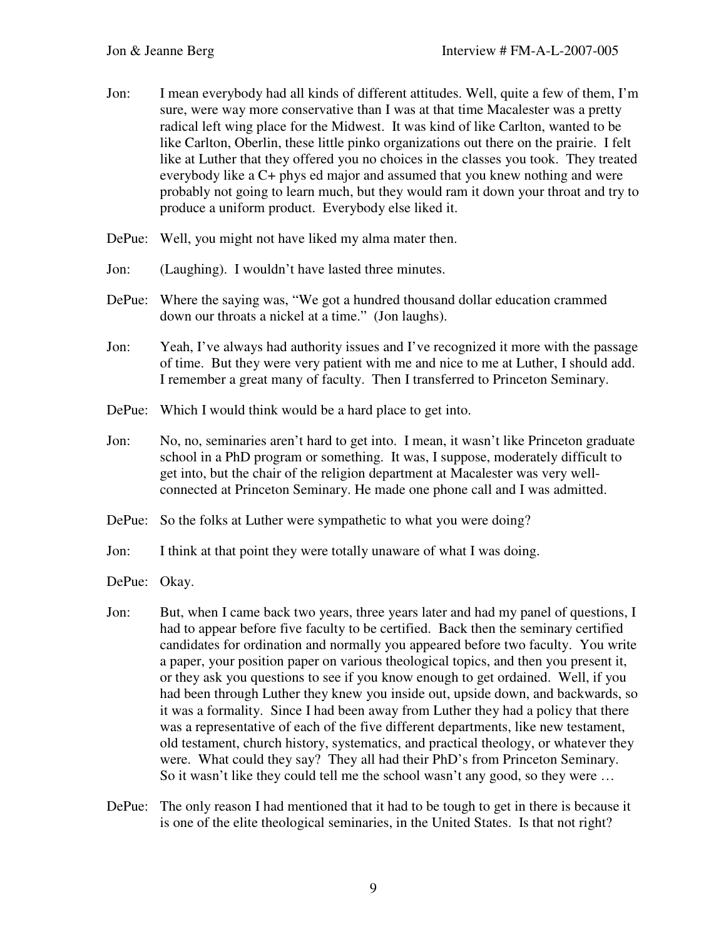- Jon: I mean everybody had all kinds of different attitudes. Well, quite a few of them, I'm sure, were way more conservative than I was at that time Macalester was a pretty radical left wing place for the Midwest. It was kind of like Carlton, wanted to be like Carlton, Oberlin, these little pinko organizations out there on the prairie. I felt like at Luther that they offered you no choices in the classes you took. They treated everybody like a C+ phys ed major and assumed that you knew nothing and were probably not going to learn much, but they would ram it down your throat and try to produce a uniform product. Everybody else liked it.
- DePue: Well, you might not have liked my alma mater then.
- Jon: (Laughing). I wouldn't have lasted three minutes.
- DePue: Where the saying was, "We got a hundred thousand dollar education crammed down our throats a nickel at a time." (Jon laughs).
- Jon: Yeah, I've always had authority issues and I've recognized it more with the passage of time. But they were very patient with me and nice to me at Luther, I should add. I remember a great many of faculty. Then I transferred to Princeton Seminary.
- DePue: Which I would think would be a hard place to get into.
- Jon: No, no, seminaries aren't hard to get into. I mean, it wasn't like Princeton graduate school in a PhD program or something. It was, I suppose, moderately difficult to get into, but the chair of the religion department at Macalester was very wellconnected at Princeton Seminary. He made one phone call and I was admitted.
- DePue: So the folks at Luther were sympathetic to what you were doing?
- Jon: I think at that point they were totally unaware of what I was doing.
- DePue: Okay.
- Jon: But, when I came back two years, three years later and had my panel of questions, I had to appear before five faculty to be certified. Back then the seminary certified candidates for ordination and normally you appeared before two faculty. You write a paper, your position paper on various theological topics, and then you present it, or they ask you questions to see if you know enough to get ordained. Well, if you had been through Luther they knew you inside out, upside down, and backwards, so it was a formality. Since I had been away from Luther they had a policy that there was a representative of each of the five different departments, like new testament, old testament, church history, systematics, and practical theology, or whatever they were. What could they say? They all had their PhD's from Princeton Seminary. So it wasn't like they could tell me the school wasn't any good, so they were …
- DePue: The only reason I had mentioned that it had to be tough to get in there is because it is one of the elite theological seminaries, in the United States. Is that not right?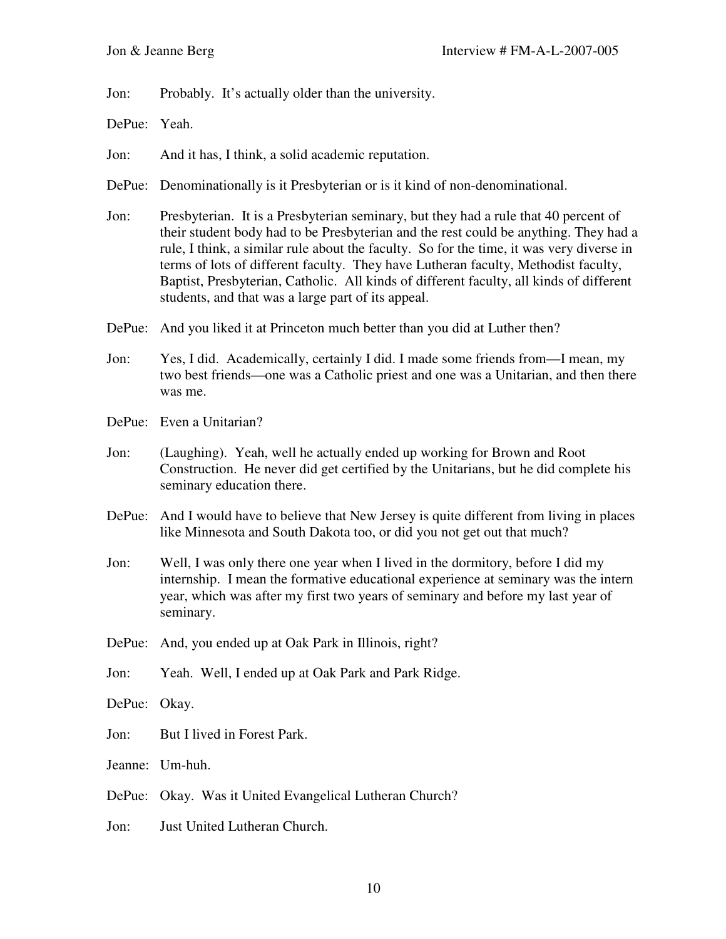Jon: Probably. It's actually older than the university.

DePue: Yeah.

Jon: And it has, I think, a solid academic reputation.

DePue: Denominationally is it Presbyterian or is it kind of non-denominational.

Jon: Presbyterian. It is a Presbyterian seminary, but they had a rule that 40 percent of their student body had to be Presbyterian and the rest could be anything. They had a rule, I think, a similar rule about the faculty. So for the time, it was very diverse in terms of lots of different faculty. They have Lutheran faculty, Methodist faculty, Baptist, Presbyterian, Catholic. All kinds of different faculty, all kinds of different students, and that was a large part of its appeal.

DePue: And you liked it at Princeton much better than you did at Luther then?

- Jon: Yes, I did. Academically, certainly I did. I made some friends from—I mean, my two best friends—one was a Catholic priest and one was a Unitarian, and then there was me.
- DePue: Even a Unitarian?
- Jon: (Laughing). Yeah, well he actually ended up working for Brown and Root Construction. He never did get certified by the Unitarians, but he did complete his seminary education there.
- DePue: And I would have to believe that New Jersey is quite different from living in places like Minnesota and South Dakota too, or did you not get out that much?
- Jon: Well, I was only there one year when I lived in the dormitory, before I did my internship. I mean the formative educational experience at seminary was the intern year, which was after my first two years of seminary and before my last year of seminary.
- DePue: And, you ended up at Oak Park in Illinois, right?
- Jon: Yeah. Well, I ended up at Oak Park and Park Ridge.
- DePue: Okay.
- Jon: But I lived in Forest Park.
- Jeanne: Um-huh.
- DePue: Okay. Was it United Evangelical Lutheran Church?
- Jon: Just United Lutheran Church.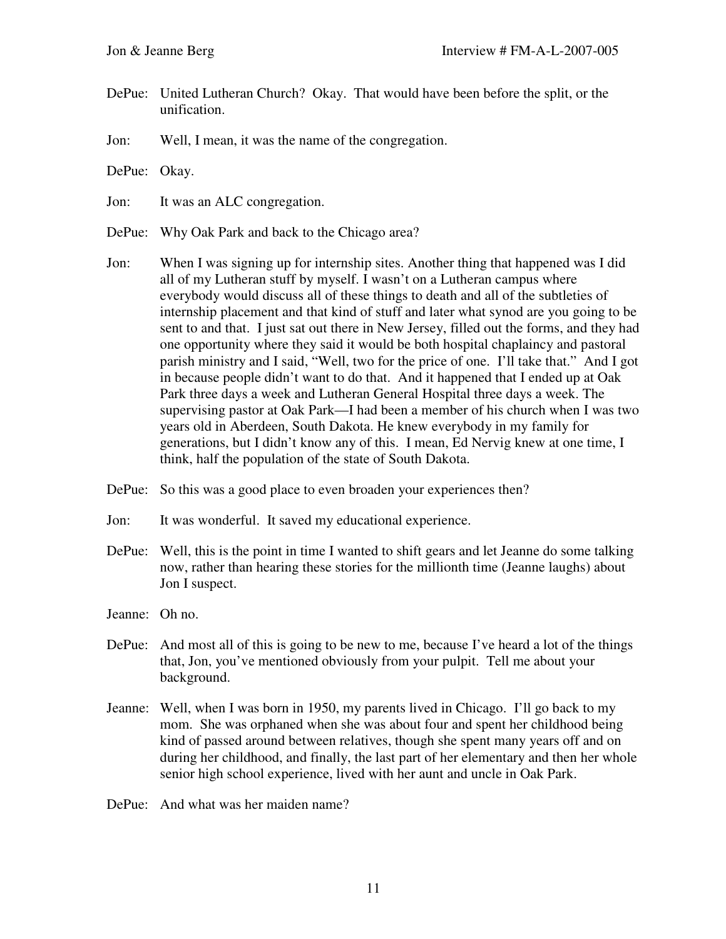- DePue: United Lutheran Church? Okay. That would have been before the split, or the unification.
- Jon: Well, I mean, it was the name of the congregation.
- DePue: Okay.
- Jon: It was an ALC congregation.
- DePue: Why Oak Park and back to the Chicago area?
- Jon: When I was signing up for internship sites. Another thing that happened was I did all of my Lutheran stuff by myself. I wasn't on a Lutheran campus where everybody would discuss all of these things to death and all of the subtleties of internship placement and that kind of stuff and later what synod are you going to be sent to and that. I just sat out there in New Jersey, filled out the forms, and they had one opportunity where they said it would be both hospital chaplaincy and pastoral parish ministry and I said, "Well, two for the price of one. I'll take that." And I got in because people didn't want to do that. And it happened that I ended up at Oak Park three days a week and Lutheran General Hospital three days a week. The supervising pastor at Oak Park—I had been a member of his church when I was two years old in Aberdeen, South Dakota. He knew everybody in my family for generations, but I didn't know any of this. I mean, Ed Nervig knew at one time, I think, half the population of the state of South Dakota.
- DePue: So this was a good place to even broaden your experiences then?
- Jon: It was wonderful. It saved my educational experience.
- DePue: Well, this is the point in time I wanted to shift gears and let Jeanne do some talking now, rather than hearing these stories for the millionth time (Jeanne laughs) about Jon I suspect.
- Jeanne: Oh no.
- DePue: And most all of this is going to be new to me, because I've heard a lot of the things that, Jon, you've mentioned obviously from your pulpit. Tell me about your background.
- Jeanne: Well, when I was born in 1950, my parents lived in Chicago. I'll go back to my mom. She was orphaned when she was about four and spent her childhood being kind of passed around between relatives, though she spent many years off and on during her childhood, and finally, the last part of her elementary and then her whole senior high school experience, lived with her aunt and uncle in Oak Park.
- DePue: And what was her maiden name?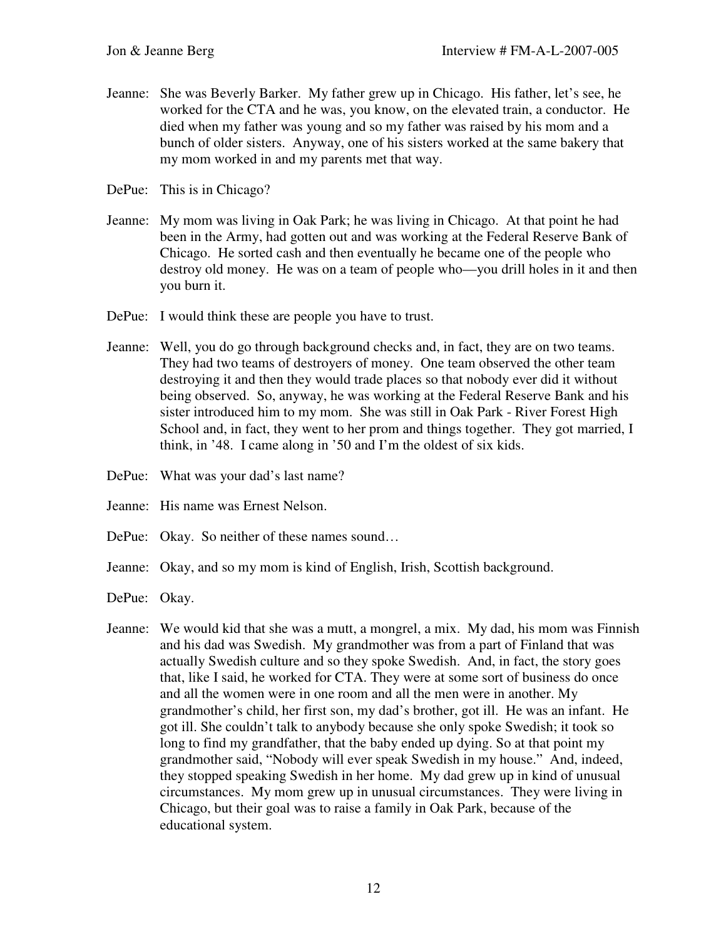Jeanne: She was Beverly Barker. My father grew up in Chicago. His father, let's see, he worked for the CTA and he was, you know, on the elevated train, a conductor. He died when my father was young and so my father was raised by his mom and a bunch of older sisters. Anyway, one of his sisters worked at the same bakery that my mom worked in and my parents met that way.

DePue: This is in Chicago?

- Jeanne: My mom was living in Oak Park; he was living in Chicago. At that point he had been in the Army, had gotten out and was working at the Federal Reserve Bank of Chicago. He sorted cash and then eventually he became one of the people who destroy old money. He was on a team of people who—you drill holes in it and then you burn it.
- DePue: I would think these are people you have to trust.
- Jeanne: Well, you do go through background checks and, in fact, they are on two teams. They had two teams of destroyers of money. One team observed the other team destroying it and then they would trade places so that nobody ever did it without being observed. So, anyway, he was working at the Federal Reserve Bank and his sister introduced him to my mom. She was still in Oak Park - River Forest High School and, in fact, they went to her prom and things together. They got married, I think, in '48. I came along in '50 and I'm the oldest of six kids.
- DePue: What was your dad's last name?
- Jeanne: His name was Ernest Nelson.
- DePue: Okay. So neither of these names sound…
- Jeanne: Okay, and so my mom is kind of English, Irish, Scottish background.
- DePue: Okay.
- Jeanne: We would kid that she was a mutt, a mongrel, a mix. My dad, his mom was Finnish and his dad was Swedish. My grandmother was from a part of Finland that was actually Swedish culture and so they spoke Swedish. And, in fact, the story goes that, like I said, he worked for CTA. They were at some sort of business do once and all the women were in one room and all the men were in another. My grandmother's child, her first son, my dad's brother, got ill. He was an infant. He got ill. She couldn't talk to anybody because she only spoke Swedish; it took so long to find my grandfather, that the baby ended up dying. So at that point my grandmother said, "Nobody will ever speak Swedish in my house." And, indeed, they stopped speaking Swedish in her home. My dad grew up in kind of unusual circumstances. My mom grew up in unusual circumstances. They were living in Chicago, but their goal was to raise a family in Oak Park, because of the educational system.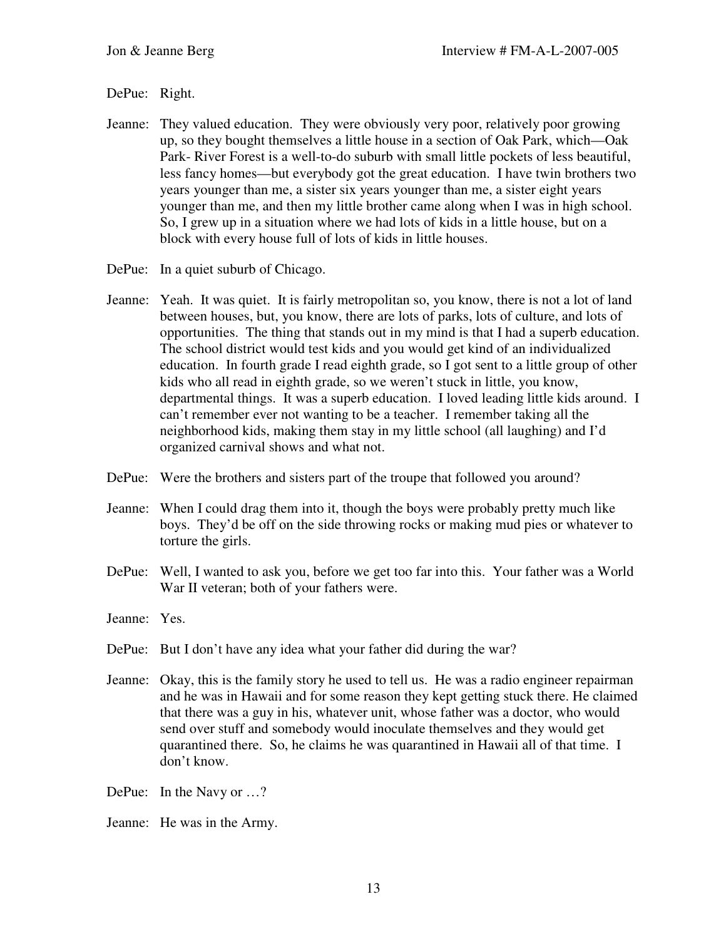## DePue: Right.

- Jeanne: They valued education. They were obviously very poor, relatively poor growing up, so they bought themselves a little house in a section of Oak Park, which—Oak Park- River Forest is a well-to-do suburb with small little pockets of less beautiful, less fancy homes—but everybody got the great education. I have twin brothers two years younger than me, a sister six years younger than me, a sister eight years younger than me, and then my little brother came along when I was in high school. So, I grew up in a situation where we had lots of kids in a little house, but on a block with every house full of lots of kids in little houses.
- DePue: In a quiet suburb of Chicago.
- Jeanne: Yeah. It was quiet. It is fairly metropolitan so, you know, there is not a lot of land between houses, but, you know, there are lots of parks, lots of culture, and lots of opportunities. The thing that stands out in my mind is that I had a superb education. The school district would test kids and you would get kind of an individualized education. In fourth grade I read eighth grade, so I got sent to a little group of other kids who all read in eighth grade, so we weren't stuck in little, you know, departmental things. It was a superb education. I loved leading little kids around. I can't remember ever not wanting to be a teacher. I remember taking all the neighborhood kids, making them stay in my little school (all laughing) and I'd organized carnival shows and what not.
- DePue: Were the brothers and sisters part of the troupe that followed you around?
- Jeanne: When I could drag them into it, though the boys were probably pretty much like boys. They'd be off on the side throwing rocks or making mud pies or whatever to torture the girls.
- DePue: Well, I wanted to ask you, before we get too far into this. Your father was a World War II veteran; both of your fathers were.
- Jeanne: Yes.
- DePue: But I don't have any idea what your father did during the war?
- Jeanne: Okay, this is the family story he used to tell us. He was a radio engineer repairman and he was in Hawaii and for some reason they kept getting stuck there. He claimed that there was a guy in his, whatever unit, whose father was a doctor, who would send over stuff and somebody would inoculate themselves and they would get quarantined there. So, he claims he was quarantined in Hawaii all of that time. I don't know.
- DePue: In the Navy or …?
- Jeanne: He was in the Army.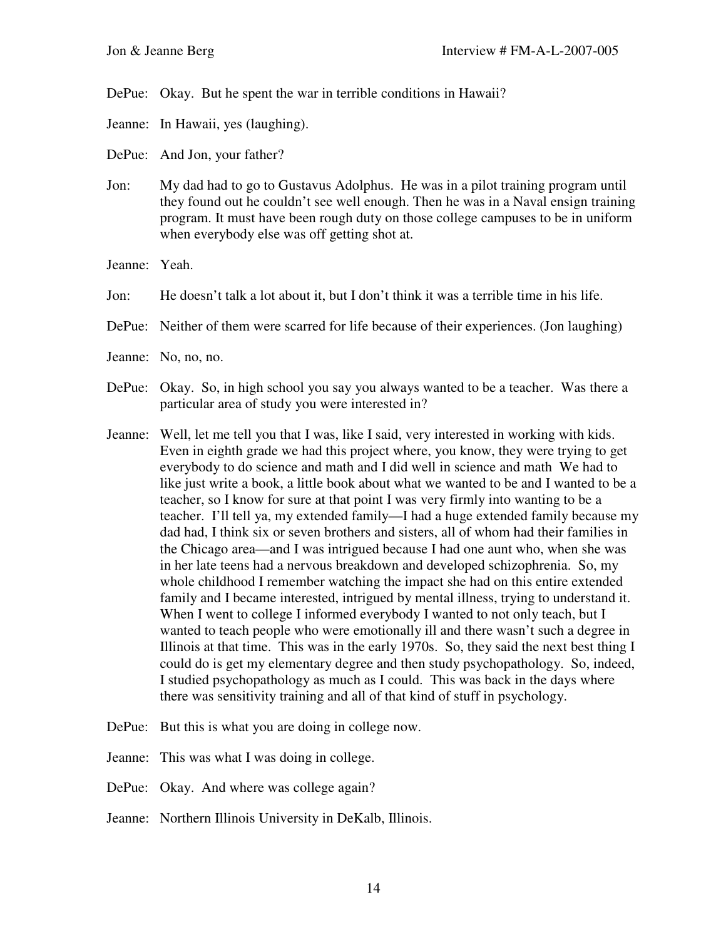DePue: Okay. But he spent the war in terrible conditions in Hawaii?

- Jeanne: In Hawaii, yes (laughing).
- DePue: And Jon, your father?
- Jon: My dad had to go to Gustavus Adolphus. He was in a pilot training program until they found out he couldn't see well enough. Then he was in a Naval ensign training program. It must have been rough duty on those college campuses to be in uniform when everybody else was off getting shot at.
- Jeanne: Yeah.
- Jon: He doesn't talk a lot about it, but I don't think it was a terrible time in his life.
- DePue: Neither of them were scarred for life because of their experiences. (Jon laughing)
- Jeanne: No, no, no.
- DePue: Okay. So, in high school you say you always wanted to be a teacher. Was there a particular area of study you were interested in?
- Jeanne: Well, let me tell you that I was, like I said, very interested in working with kids. Even in eighth grade we had this project where, you know, they were trying to get everybody to do science and math and I did well in science and math We had to like just write a book, a little book about what we wanted to be and I wanted to be a teacher, so I know for sure at that point I was very firmly into wanting to be a teacher. I'll tell ya, my extended family—I had a huge extended family because my dad had, I think six or seven brothers and sisters, all of whom had their families in the Chicago area—and I was intrigued because I had one aunt who, when she was in her late teens had a nervous breakdown and developed schizophrenia. So, my whole childhood I remember watching the impact she had on this entire extended family and I became interested, intrigued by mental illness, trying to understand it. When I went to college I informed everybody I wanted to not only teach, but I wanted to teach people who were emotionally ill and there wasn't such a degree in Illinois at that time. This was in the early 1970s. So, they said the next best thing I could do is get my elementary degree and then study psychopathology. So, indeed, I studied psychopathology as much as I could. This was back in the days where there was sensitivity training and all of that kind of stuff in psychology.
- DePue: But this is what you are doing in college now.
- Jeanne: This was what I was doing in college.
- DePue: Okay. And where was college again?
- Jeanne: Northern Illinois University in DeKalb, Illinois.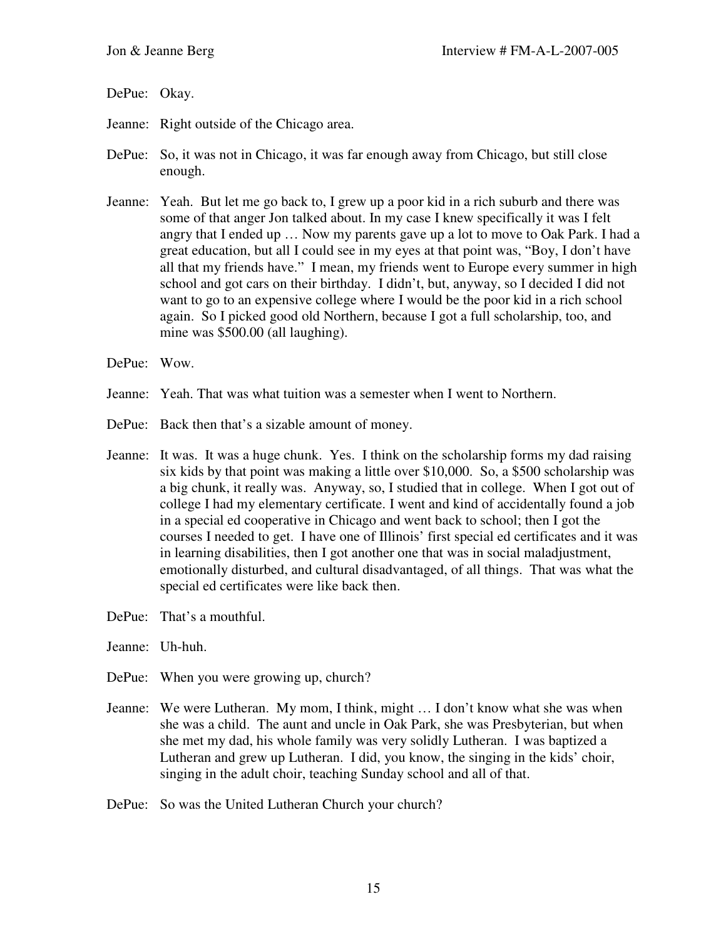DePue: Okay.

- Jeanne: Right outside of the Chicago area.
- DePue: So, it was not in Chicago, it was far enough away from Chicago, but still close enough.
- Jeanne: Yeah. But let me go back to, I grew up a poor kid in a rich suburb and there was some of that anger Jon talked about. In my case I knew specifically it was I felt angry that I ended up … Now my parents gave up a lot to move to Oak Park. I had a great education, but all I could see in my eyes at that point was, "Boy, I don't have all that my friends have." I mean, my friends went to Europe every summer in high school and got cars on their birthday. I didn't, but, anyway, so I decided I did not want to go to an expensive college where I would be the poor kid in a rich school again. So I picked good old Northern, because I got a full scholarship, too, and mine was \$500.00 (all laughing).
- DePue: Wow.
- Jeanne: Yeah. That was what tuition was a semester when I went to Northern.
- DePue: Back then that's a sizable amount of money.
- Jeanne: It was. It was a huge chunk. Yes. I think on the scholarship forms my dad raising six kids by that point was making a little over \$10,000. So, a \$500 scholarship was a big chunk, it really was. Anyway, so, I studied that in college. When I got out of college I had my elementary certificate. I went and kind of accidentally found a job in a special ed cooperative in Chicago and went back to school; then I got the courses I needed to get. I have one of Illinois' first special ed certificates and it was in learning disabilities, then I got another one that was in social maladjustment, emotionally disturbed, and cultural disadvantaged, of all things. That was what the special ed certificates were like back then.
- DePue: That's a mouthful.
- Jeanne: Uh-huh.
- DePue: When you were growing up, church?
- Jeanne: We were Lutheran. My mom, I think, might … I don't know what she was when she was a child. The aunt and uncle in Oak Park, she was Presbyterian, but when she met my dad, his whole family was very solidly Lutheran. I was baptized a Lutheran and grew up Lutheran. I did, you know, the singing in the kids' choir, singing in the adult choir, teaching Sunday school and all of that.
- DePue: So was the United Lutheran Church your church?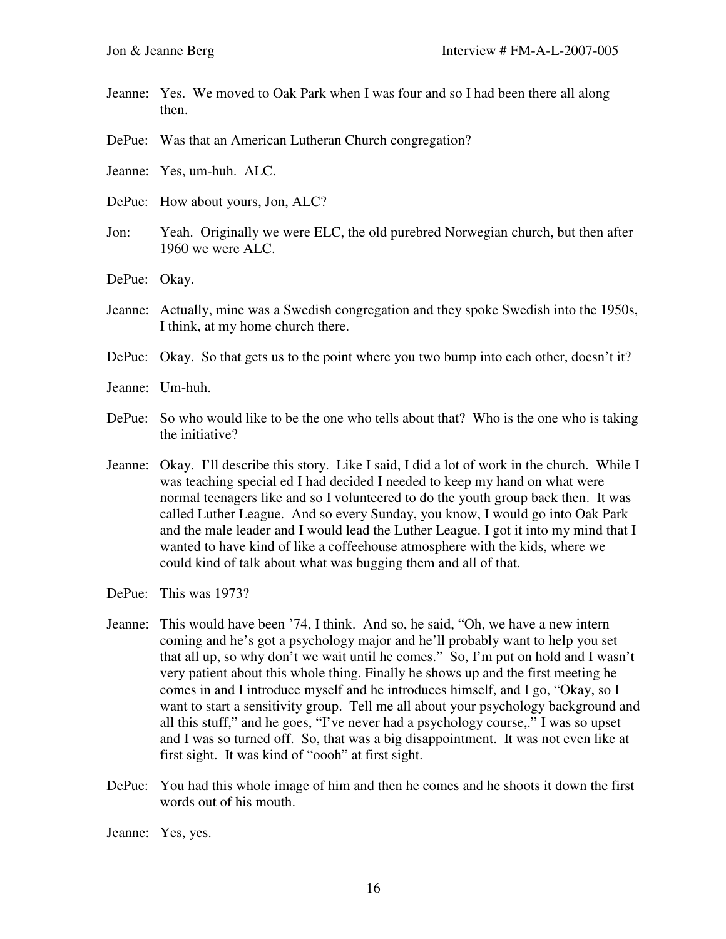- Jeanne: Yes. We moved to Oak Park when I was four and so I had been there all along then.
- DePue: Was that an American Lutheran Church congregation?
- Jeanne: Yes, um-huh. ALC.
- DePue: How about yours, Jon, ALC?
- Jon: Yeah. Originally we were ELC, the old purebred Norwegian church, but then after 1960 we were ALC.
- DePue: Okay.
- Jeanne: Actually, mine was a Swedish congregation and they spoke Swedish into the 1950s, I think, at my home church there.
- DePue: Okay. So that gets us to the point where you two bump into each other, doesn't it?
- Jeanne: Um-huh.
- DePue: So who would like to be the one who tells about that? Who is the one who is taking the initiative?
- Jeanne: Okay. I'll describe this story. Like I said, I did a lot of work in the church. While I was teaching special ed I had decided I needed to keep my hand on what were normal teenagers like and so I volunteered to do the youth group back then. It was called Luther League. And so every Sunday, you know, I would go into Oak Park and the male leader and I would lead the Luther League. I got it into my mind that I wanted to have kind of like a coffeehouse atmosphere with the kids, where we could kind of talk about what was bugging them and all of that.
- DePue: This was 1973?
- Jeanne: This would have been '74, I think. And so, he said, "Oh, we have a new intern coming and he's got a psychology major and he'll probably want to help you set that all up, so why don't we wait until he comes." So, I'm put on hold and I wasn't very patient about this whole thing. Finally he shows up and the first meeting he comes in and I introduce myself and he introduces himself, and I go, "Okay, so I want to start a sensitivity group. Tell me all about your psychology background and all this stuff," and he goes, "I've never had a psychology course,." I was so upset and I was so turned off. So, that was a big disappointment. It was not even like at first sight. It was kind of "oooh" at first sight.
- DePue: You had this whole image of him and then he comes and he shoots it down the first words out of his mouth.
- Jeanne: Yes, yes.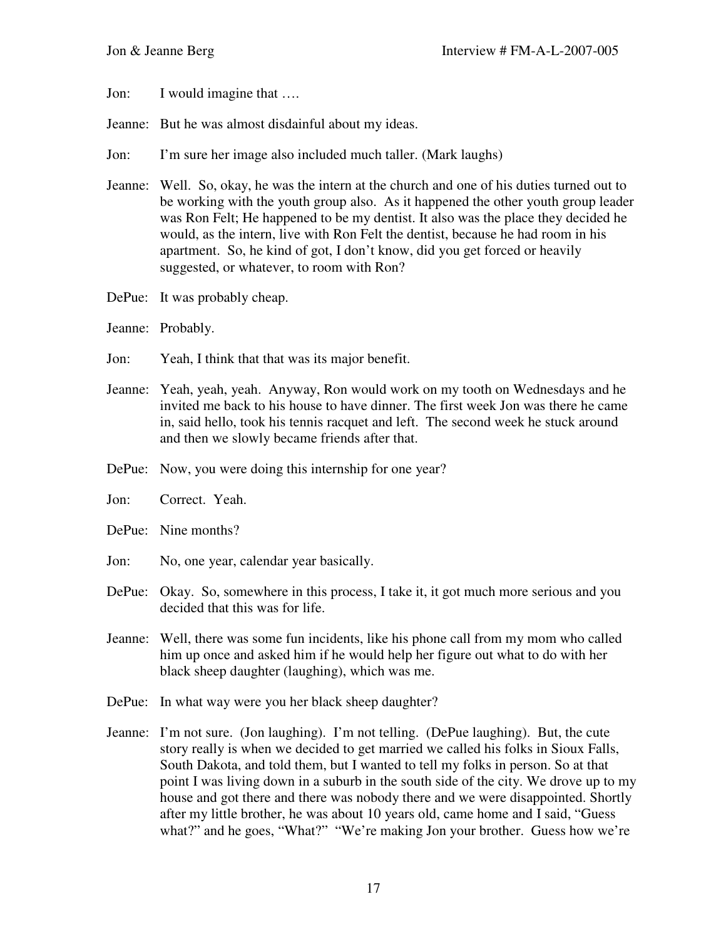Jon: I would imagine that ….

Jeanne: But he was almost disdainful about my ideas.

- Jon: I'm sure her image also included much taller. (Mark laughs)
- Jeanne: Well. So, okay, he was the intern at the church and one of his duties turned out to be working with the youth group also. As it happened the other youth group leader was Ron Felt; He happened to be my dentist. It also was the place they decided he would, as the intern, live with Ron Felt the dentist, because he had room in his apartment. So, he kind of got, I don't know, did you get forced or heavily suggested, or whatever, to room with Ron?
- DePue: It was probably cheap.
- Jeanne: Probably.
- Jon: Yeah, I think that that was its major benefit.
- Jeanne: Yeah, yeah, yeah. Anyway, Ron would work on my tooth on Wednesdays and he invited me back to his house to have dinner. The first week Jon was there he came in, said hello, took his tennis racquet and left. The second week he stuck around and then we slowly became friends after that.
- DePue: Now, you were doing this internship for one year?
- Jon: Correct. Yeah.
- DePue: Nine months?
- Jon: No, one year, calendar year basically.
- DePue: Okay. So, somewhere in this process, I take it, it got much more serious and you decided that this was for life.
- Jeanne: Well, there was some fun incidents, like his phone call from my mom who called him up once and asked him if he would help her figure out what to do with her black sheep daughter (laughing), which was me.
- DePue: In what way were you her black sheep daughter?
- Jeanne: I'm not sure. (Jon laughing). I'm not telling. (DePue laughing). But, the cute story really is when we decided to get married we called his folks in Sioux Falls, South Dakota, and told them, but I wanted to tell my folks in person. So at that point I was living down in a suburb in the south side of the city. We drove up to my house and got there and there was nobody there and we were disappointed. Shortly after my little brother, he was about 10 years old, came home and I said, "Guess what?" and he goes, "What?" "We're making Jon your brother. Guess how we're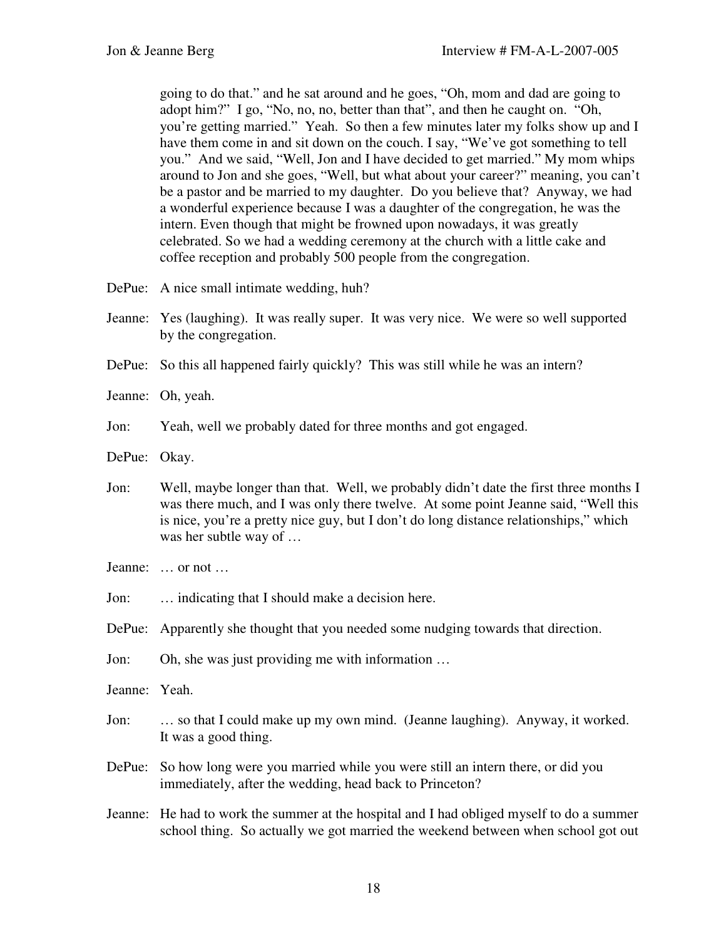going to do that." and he sat around and he goes, "Oh, mom and dad are going to adopt him?" I go, "No, no, no, better than that", and then he caught on. "Oh, you're getting married." Yeah. So then a few minutes later my folks show up and I have them come in and sit down on the couch. I say, "We've got something to tell you." And we said, "Well, Jon and I have decided to get married." My mom whips around to Jon and she goes, "Well, but what about your career?" meaning, you can't be a pastor and be married to my daughter. Do you believe that? Anyway, we had a wonderful experience because I was a daughter of the congregation, he was the intern. Even though that might be frowned upon nowadays, it was greatly celebrated. So we had a wedding ceremony at the church with a little cake and coffee reception and probably 500 people from the congregation.

- DePue: A nice small intimate wedding, huh?
- Jeanne: Yes (laughing). It was really super. It was very nice. We were so well supported by the congregation.
- DePue: So this all happened fairly quickly? This was still while he was an intern?
- Jeanne: Oh, yeah.
- Jon: Yeah, well we probably dated for three months and got engaged.
- DePue: Okay.
- Jon: Well, maybe longer than that. Well, we probably didn't date the first three months I was there much, and I was only there twelve. At some point Jeanne said, "Well this is nice, you're a pretty nice guy, but I don't do long distance relationships," which was her subtle way of …
- Jeanne: … or not …
- Jon: ... indicating that I should make a decision here.
- DePue: Apparently she thought that you needed some nudging towards that direction.
- Jon: Oh, she was just providing me with information …
- Jeanne: Yeah.
- Jon: … so that I could make up my own mind. (Jeanne laughing). Anyway, it worked. It was a good thing.
- DePue: So how long were you married while you were still an intern there, or did you immediately, after the wedding, head back to Princeton?
- Jeanne: He had to work the summer at the hospital and I had obliged myself to do a summer school thing. So actually we got married the weekend between when school got out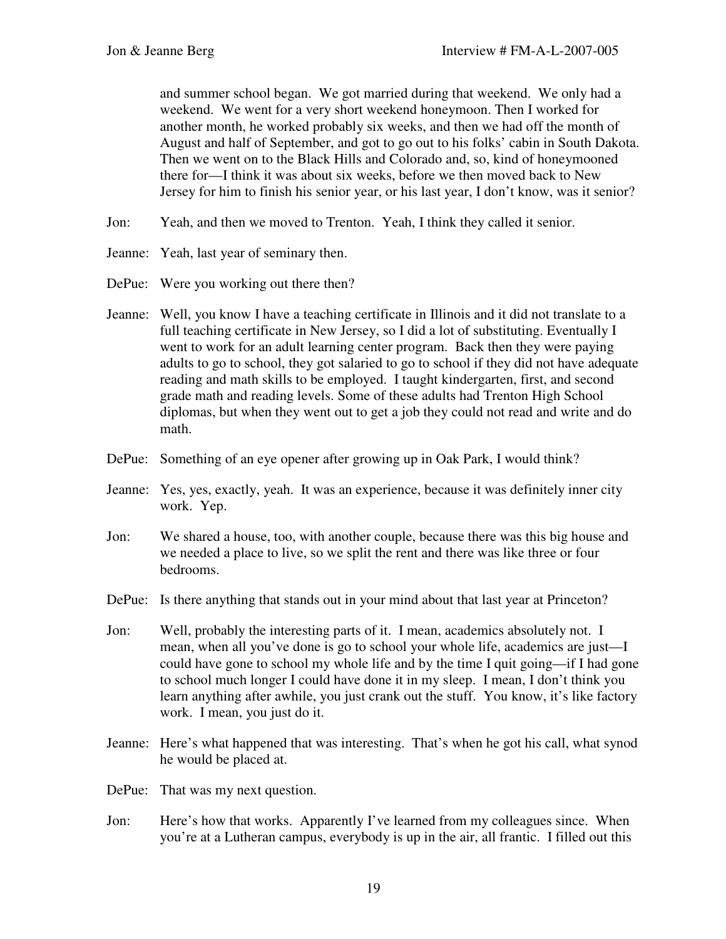and summer school began. We got married during that weekend. We only had a weekend. We went for a very short weekend honeymoon. Then I worked for another month, he worked probably six weeks, and then we had off the month of August and half of September, and got to go out to his folks' cabin in South Dakota. Then we went on to the Black Hills and Colorado and, so, kind of honeymooned there for—I think it was about six weeks, before we then moved back to New Jersey for him to finish his senior year, or his last year, I don't know, was it senior?

- Jon: Yeah, and then we moved to Trenton. Yeah, I think they called it senior.
- Jeanne: Yeah, last year of seminary then.
- DePue: Were you working out there then?
- Jeanne: Well, you know I have a teaching certificate in Illinois and it did not translate to a full teaching certificate in New Jersey, so I did a lot of substituting. Eventually I went to work for an adult learning center program. Back then they were paying adults to go to school, they got salaried to go to school if they did not have adequate reading and math skills to be employed. I taught kindergarten, first, and second grade math and reading levels. Some of these adults had Trenton High School diplomas, but when they went out to get a job they could not read and write and do math.
- DePue: Something of an eye opener after growing up in Oak Park, I would think?
- Jeanne: Yes, yes, exactly, yeah. It was an experience, because it was definitely inner city work. Yep.
- Jon: We shared a house, too, with another couple, because there was this big house and we needed a place to live, so we split the rent and there was like three or four bedrooms.
- DePue: Is there anything that stands out in your mind about that last year at Princeton?
- Jon: Well, probably the interesting parts of it. I mean, academics absolutely not. I mean, when all you've done is go to school your whole life, academics are just—I could have gone to school my whole life and by the time I quit going—if I had gone to school much longer I could have done it in my sleep. I mean, I don't think you learn anything after awhile, you just crank out the stuff. You know, it's like factory work. I mean, you just do it.
- Jeanne: Here's what happened that was interesting. That's when he got his call, what synod he would be placed at.
- DePue: That was my next question.
- Jon: Here's how that works. Apparently I've learned from my colleagues since. When you're at a Lutheran campus, everybody is up in the air, all frantic. I filled out this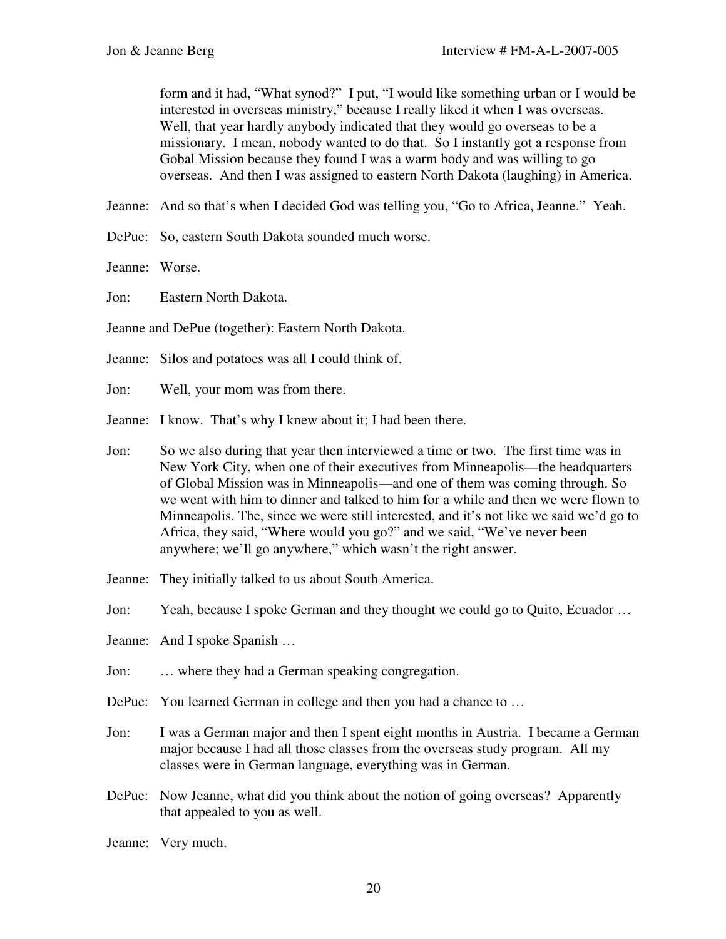form and it had, "What synod?" I put, "I would like something urban or I would be interested in overseas ministry," because I really liked it when I was overseas. Well, that year hardly anybody indicated that they would go overseas to be a missionary. I mean, nobody wanted to do that. So I instantly got a response from Gobal Mission because they found I was a warm body and was willing to go overseas. And then I was assigned to eastern North Dakota (laughing) in America.

Jeanne: And so that's when I decided God was telling you, "Go to Africa, Jeanne." Yeah.

DePue: So, eastern South Dakota sounded much worse.

Jeanne: Worse.

Jon: Eastern North Dakota.

Jeanne and DePue (together): Eastern North Dakota.

Jeanne: Silos and potatoes was all I could think of.

- Jon: Well, your mom was from there.
- Jeanne: I know. That's why I knew about it; I had been there.
- Jon: So we also during that year then interviewed a time or two. The first time was in New York City, when one of their executives from Minneapolis—the headquarters of Global Mission was in Minneapolis—and one of them was coming through. So we went with him to dinner and talked to him for a while and then we were flown to Minneapolis. The, since we were still interested, and it's not like we said we'd go to Africa, they said, "Where would you go?" and we said, "We've never been anywhere; we'll go anywhere," which wasn't the right answer.
- Jeanne: They initially talked to us about South America.
- Jon: Yeah, because I spoke German and they thought we could go to Quito, Ecuador …
- Jeanne: And I spoke Spanish …
- Jon: … where they had a German speaking congregation.
- DePue: You learned German in college and then you had a chance to ...
- Jon: I was a German major and then I spent eight months in Austria. I became a German major because I had all those classes from the overseas study program. All my classes were in German language, everything was in German.
- DePue: Now Jeanne, what did you think about the notion of going overseas? Apparently that appealed to you as well.
- Jeanne: Very much.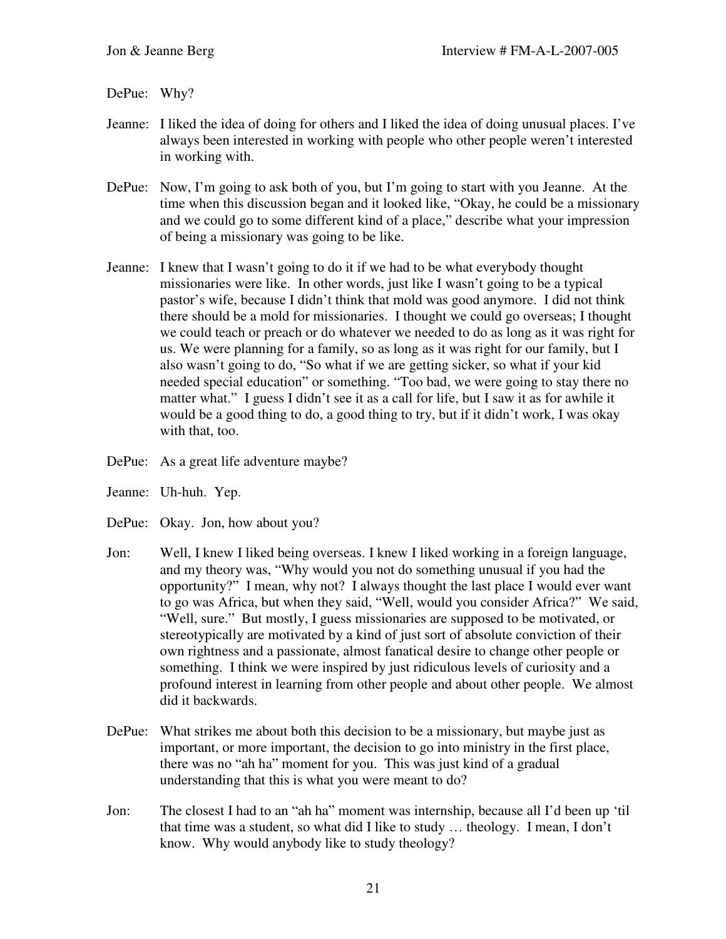DePue: Why?

- Jeanne: I liked the idea of doing for others and I liked the idea of doing unusual places. I've always been interested in working with people who other people weren't interested in working with.
- DePue: Now, I'm going to ask both of you, but I'm going to start with you Jeanne. At the time when this discussion began and it looked like, "Okay, he could be a missionary and we could go to some different kind of a place," describe what your impression of being a missionary was going to be like.
- Jeanne: I knew that I wasn't going to do it if we had to be what everybody thought missionaries were like. In other words, just like I wasn't going to be a typical pastor's wife, because I didn't think that mold was good anymore. I did not think there should be a mold for missionaries. I thought we could go overseas; I thought we could teach or preach or do whatever we needed to do as long as it was right for us. We were planning for a family, so as long as it was right for our family, but I also wasn't going to do, "So what if we are getting sicker, so what if your kid needed special education" or something. "Too bad, we were going to stay there no matter what." I guess I didn't see it as a call for life, but I saw it as for awhile it would be a good thing to do, a good thing to try, but if it didn't work, I was okay with that, too.
- DePue: As a great life adventure maybe?
- Jeanne: Uh-huh. Yep.
- DePue: Okay. Jon, how about you?
- Jon: Well, I knew I liked being overseas. I knew I liked working in a foreign language, and my theory was, "Why would you not do something unusual if you had the opportunity?" I mean, why not? I always thought the last place I would ever want to go was Africa, but when they said, "Well, would you consider Africa?" We said, "Well, sure." But mostly, I guess missionaries are supposed to be motivated, or stereotypically are motivated by a kind of just sort of absolute conviction of their own rightness and a passionate, almost fanatical desire to change other people or something. I think we were inspired by just ridiculous levels of curiosity and a profound interest in learning from other people and about other people. We almost did it backwards.
- DePue: What strikes me about both this decision to be a missionary, but maybe just as important, or more important, the decision to go into ministry in the first place, there was no "ah ha" moment for you. This was just kind of a gradual understanding that this is what you were meant to do?
- Jon: The closest I had to an "ah ha" moment was internship, because all I'd been up 'til that time was a student, so what did I like to study … theology. I mean, I don't know. Why would anybody like to study theology?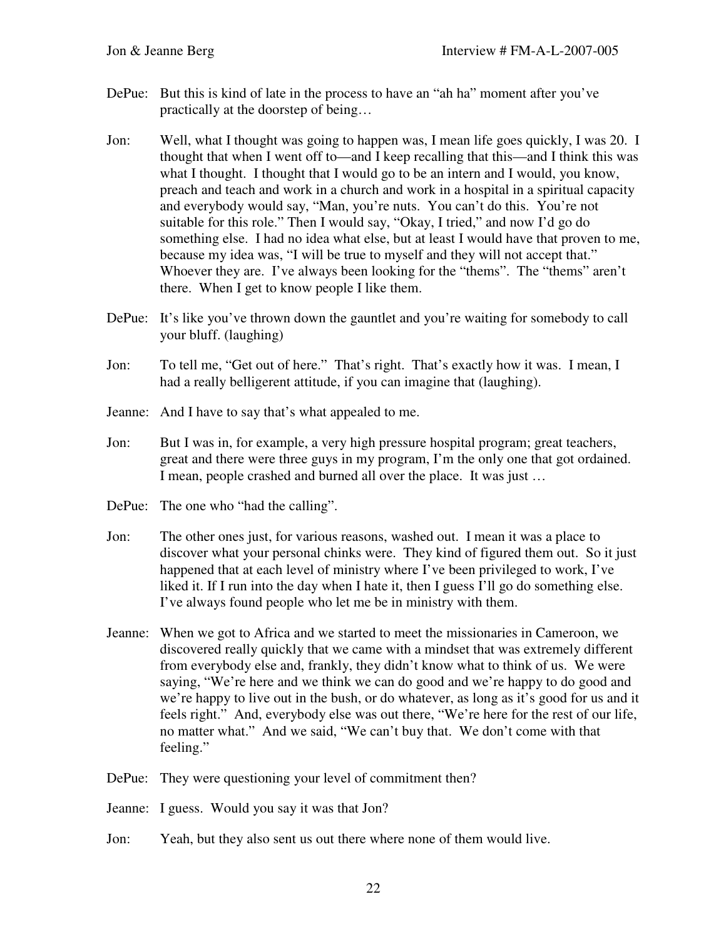- DePue: But this is kind of late in the process to have an "ah ha" moment after you've practically at the doorstep of being…
- Jon: Well, what I thought was going to happen was, I mean life goes quickly, I was 20. I thought that when I went off to—and I keep recalling that this—and I think this was what I thought. I thought that I would go to be an intern and I would, you know, preach and teach and work in a church and work in a hospital in a spiritual capacity and everybody would say, "Man, you're nuts. You can't do this. You're not suitable for this role." Then I would say, "Okay, I tried," and now I'd go do something else. I had no idea what else, but at least I would have that proven to me, because my idea was, "I will be true to myself and they will not accept that." Whoever they are. I've always been looking for the "thems". The "thems" aren't there. When I get to know people I like them.
- DePue: It's like you've thrown down the gauntlet and you're waiting for somebody to call your bluff. (laughing)
- Jon: To tell me, "Get out of here." That's right. That's exactly how it was. I mean, I had a really belligerent attitude, if you can imagine that (laughing).
- Jeanne: And I have to say that's what appealed to me.
- Jon: But I was in, for example, a very high pressure hospital program; great teachers, great and there were three guys in my program, I'm the only one that got ordained. I mean, people crashed and burned all over the place. It was just …
- DePue: The one who "had the calling".
- Jon: The other ones just, for various reasons, washed out. I mean it was a place to discover what your personal chinks were. They kind of figured them out. So it just happened that at each level of ministry where I've been privileged to work, I've liked it. If I run into the day when I hate it, then I guess I'll go do something else. I've always found people who let me be in ministry with them.
- Jeanne: When we got to Africa and we started to meet the missionaries in Cameroon, we discovered really quickly that we came with a mindset that was extremely different from everybody else and, frankly, they didn't know what to think of us. We were saying, "We're here and we think we can do good and we're happy to do good and we're happy to live out in the bush, or do whatever, as long as it's good for us and it feels right." And, everybody else was out there, "We're here for the rest of our life, no matter what." And we said, "We can't buy that. We don't come with that feeling."
- DePue: They were questioning your level of commitment then?
- Jeanne: I guess. Would you say it was that Jon?
- Jon: Yeah, but they also sent us out there where none of them would live.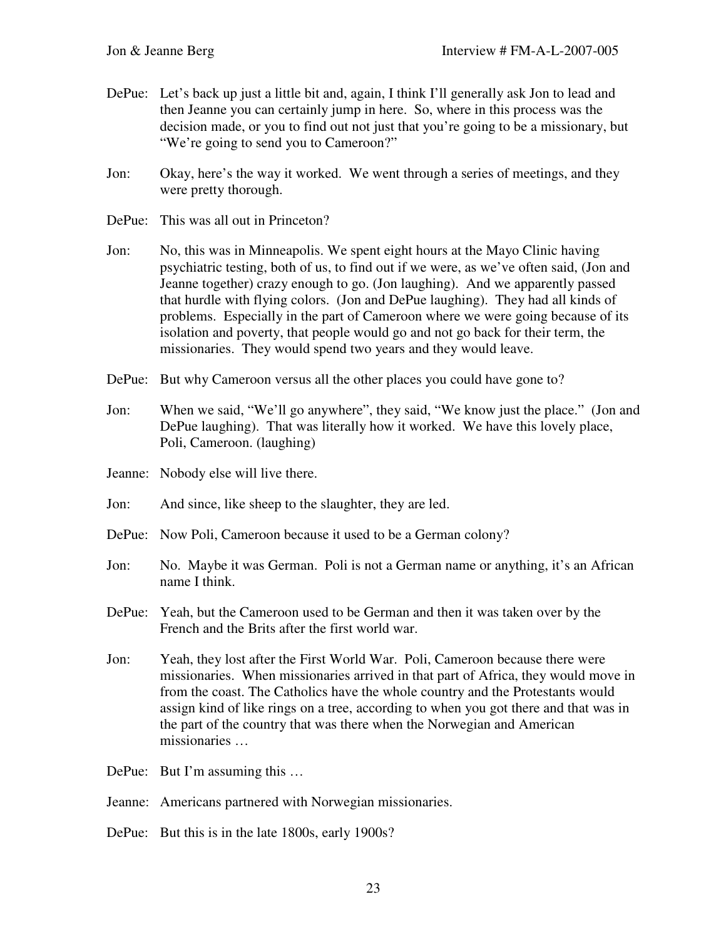- DePue: Let's back up just a little bit and, again, I think I'll generally ask Jon to lead and then Jeanne you can certainly jump in here. So, where in this process was the decision made, or you to find out not just that you're going to be a missionary, but "We're going to send you to Cameroon?"
- Jon: Okay, here's the way it worked. We went through a series of meetings, and they were pretty thorough.
- DePue: This was all out in Princeton?
- Jon: No, this was in Minneapolis. We spent eight hours at the Mayo Clinic having psychiatric testing, both of us, to find out if we were, as we've often said, (Jon and Jeanne together) crazy enough to go. (Jon laughing). And we apparently passed that hurdle with flying colors. (Jon and DePue laughing). They had all kinds of problems. Especially in the part of Cameroon where we were going because of its isolation and poverty, that people would go and not go back for their term, the missionaries. They would spend two years and they would leave.
- DePue: But why Cameroon versus all the other places you could have gone to?
- Jon: When we said, "We'll go anywhere", they said, "We know just the place." (Jon and DePue laughing). That was literally how it worked. We have this lovely place, Poli, Cameroon. (laughing)
- Jeanne: Nobody else will live there.
- Jon: And since, like sheep to the slaughter, they are led.
- DePue: Now Poli, Cameroon because it used to be a German colony?
- Jon: No. Maybe it was German. Poli is not a German name or anything, it's an African name I think.
- DePue: Yeah, but the Cameroon used to be German and then it was taken over by the French and the Brits after the first world war.
- Jon: Yeah, they lost after the First World War. Poli, Cameroon because there were missionaries. When missionaries arrived in that part of Africa, they would move in from the coast. The Catholics have the whole country and the Protestants would assign kind of like rings on a tree, according to when you got there and that was in the part of the country that was there when the Norwegian and American missionaries …
- DePue: But I'm assuming this ...
- Jeanne: Americans partnered with Norwegian missionaries.
- DePue: But this is in the late 1800s, early 1900s?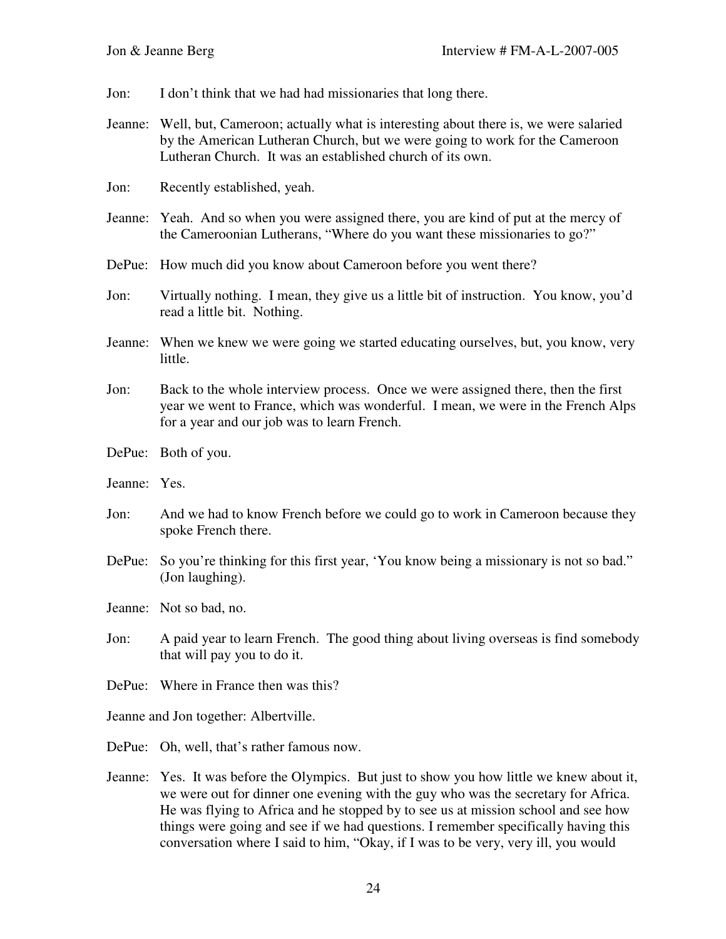Jon: I don't think that we had had missionaries that long there.

- Jeanne: Well, but, Cameroon; actually what is interesting about there is, we were salaried by the American Lutheran Church, but we were going to work for the Cameroon Lutheran Church. It was an established church of its own.
- Jon: Recently established, yeah.
- Jeanne: Yeah. And so when you were assigned there, you are kind of put at the mercy of the Cameroonian Lutherans, "Where do you want these missionaries to go?"
- DePue: How much did you know about Cameroon before you went there?
- Jon: Virtually nothing. I mean, they give us a little bit of instruction. You know, you'd read a little bit. Nothing.
- Jeanne: When we knew we were going we started educating ourselves, but, you know, very little.
- Jon: Back to the whole interview process. Once we were assigned there, then the first year we went to France, which was wonderful. I mean, we were in the French Alps for a year and our job was to learn French.
- DePue: Both of you.
- Jeanne: Yes.
- Jon: And we had to know French before we could go to work in Cameroon because they spoke French there.
- DePue: So you're thinking for this first year, 'You know being a missionary is not so bad." (Jon laughing).
- Jeanne: Not so bad, no.
- Jon: A paid year to learn French. The good thing about living overseas is find somebody that will pay you to do it.
- DePue: Where in France then was this?

Jeanne and Jon together: Albertville.

DePue: Oh, well, that's rather famous now.

Jeanne: Yes. It was before the Olympics. But just to show you how little we knew about it, we were out for dinner one evening with the guy who was the secretary for Africa. He was flying to Africa and he stopped by to see us at mission school and see how things were going and see if we had questions. I remember specifically having this conversation where I said to him, "Okay, if I was to be very, very ill, you would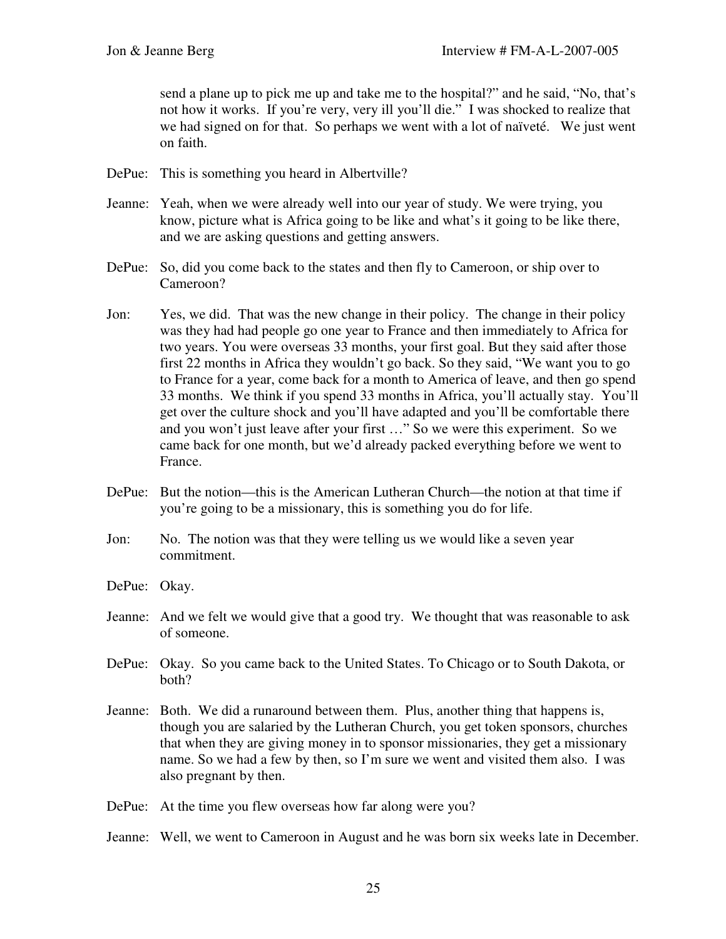send a plane up to pick me up and take me to the hospital?" and he said, "No, that's not how it works. If you're very, very ill you'll die." I was shocked to realize that we had signed on for that. So perhaps we went with a lot of naïveté. We just went on faith.

- DePue: This is something you heard in Albertville?
- Jeanne: Yeah, when we were already well into our year of study. We were trying, you know, picture what is Africa going to be like and what's it going to be like there, and we are asking questions and getting answers.
- DePue: So, did you come back to the states and then fly to Cameroon, or ship over to Cameroon?
- Jon: Yes, we did. That was the new change in their policy. The change in their policy was they had had people go one year to France and then immediately to Africa for two years. You were overseas 33 months, your first goal. But they said after those first 22 months in Africa they wouldn't go back. So they said, "We want you to go to France for a year, come back for a month to America of leave, and then go spend 33 months. We think if you spend 33 months in Africa, you'll actually stay. You'll get over the culture shock and you'll have adapted and you'll be comfortable there and you won't just leave after your first …" So we were this experiment. So we came back for one month, but we'd already packed everything before we went to France.
- DePue: But the notion—this is the American Lutheran Church—the notion at that time if you're going to be a missionary, this is something you do for life.
- Jon: No. The notion was that they were telling us we would like a seven year commitment.
- DePue: Okay.
- Jeanne: And we felt we would give that a good try. We thought that was reasonable to ask of someone.
- DePue: Okay. So you came back to the United States. To Chicago or to South Dakota, or both?
- Jeanne: Both. We did a runaround between them. Plus, another thing that happens is, though you are salaried by the Lutheran Church, you get token sponsors, churches that when they are giving money in to sponsor missionaries, they get a missionary name. So we had a few by then, so I'm sure we went and visited them also. I was also pregnant by then.
- DePue: At the time you flew overseas how far along were you?
- Jeanne: Well, we went to Cameroon in August and he was born six weeks late in December.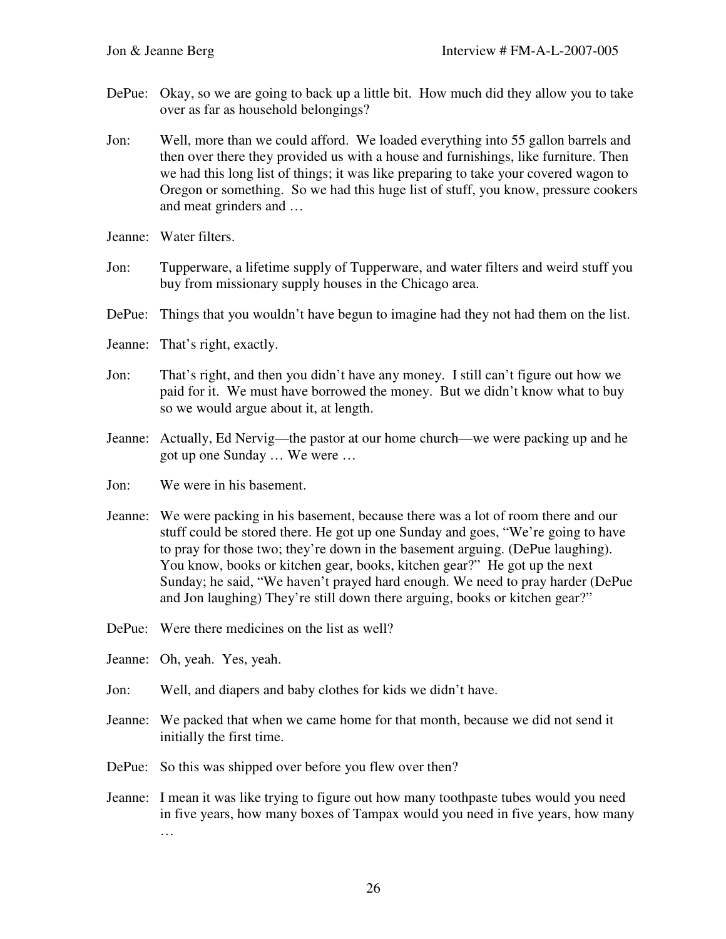- DePue: Okay, so we are going to back up a little bit. How much did they allow you to take over as far as household belongings?
- Jon: Well, more than we could afford. We loaded everything into 55 gallon barrels and then over there they provided us with a house and furnishings, like furniture. Then we had this long list of things; it was like preparing to take your covered wagon to Oregon or something. So we had this huge list of stuff, you know, pressure cookers and meat grinders and …
- Jeanne: Water filters.
- Jon: Tupperware, a lifetime supply of Tupperware, and water filters and weird stuff you buy from missionary supply houses in the Chicago area.
- DePue: Things that you wouldn't have begun to imagine had they not had them on the list.
- Jeanne: That's right, exactly.
- Jon: That's right, and then you didn't have any money. I still can't figure out how we paid for it. We must have borrowed the money. But we didn't know what to buy so we would argue about it, at length.
- Jeanne: Actually, Ed Nervig—the pastor at our home church—we were packing up and he got up one Sunday … We were …
- Jon: We were in his basement.
- Jeanne: We were packing in his basement, because there was a lot of room there and our stuff could be stored there. He got up one Sunday and goes, "We're going to have to pray for those two; they're down in the basement arguing. (DePue laughing). You know, books or kitchen gear, books, kitchen gear?" He got up the next Sunday; he said, "We haven't prayed hard enough. We need to pray harder (DePue and Jon laughing) They're still down there arguing, books or kitchen gear?"
- DePue: Were there medicines on the list as well?
- Jeanne: Oh, yeah. Yes, yeah.
- Jon: Well, and diapers and baby clothes for kids we didn't have.
- Jeanne: We packed that when we came home for that month, because we did not send it initially the first time.
- DePue: So this was shipped over before you flew over then?
- Jeanne: I mean it was like trying to figure out how many toothpaste tubes would you need in five years, how many boxes of Tampax would you need in five years, how many …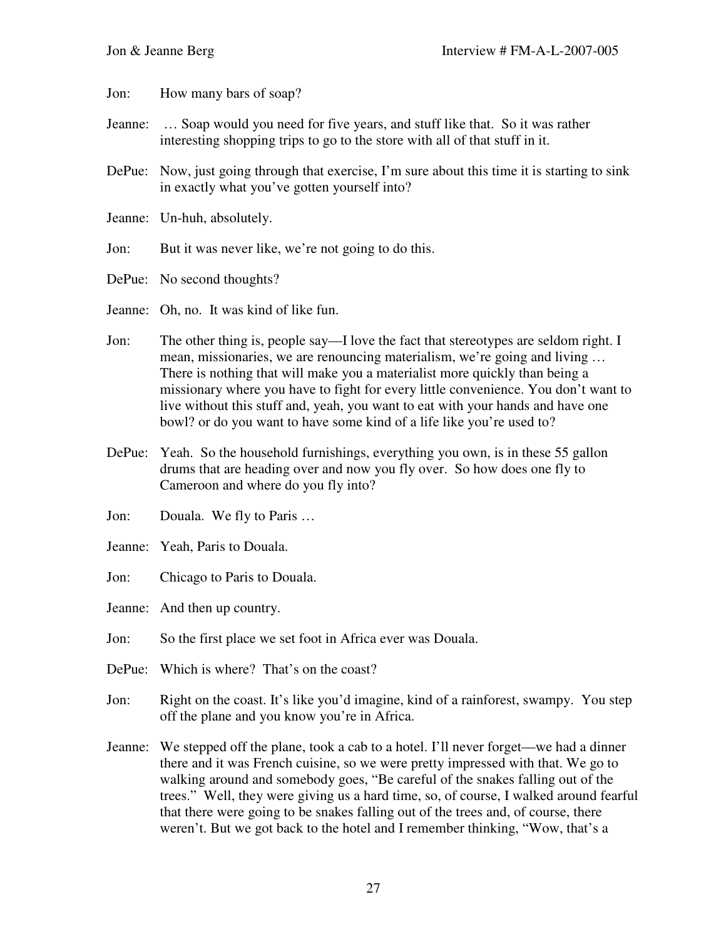Jon: How many bars of soap?

- Jeanne: … Soap would you need for five years, and stuff like that. So it was rather interesting shopping trips to go to the store with all of that stuff in it.
- DePue: Now, just going through that exercise, I'm sure about this time it is starting to sink in exactly what you've gotten yourself into?
- Jeanne: Un-huh, absolutely.
- Jon: But it was never like, we're not going to do this.
- DePue: No second thoughts?

Jeanne: Oh, no. It was kind of like fun.

- Jon: The other thing is, people say—I love the fact that stereotypes are seldom right. I mean, missionaries, we are renouncing materialism, we're going and living … There is nothing that will make you a materialist more quickly than being a missionary where you have to fight for every little convenience. You don't want to live without this stuff and, yeah, you want to eat with your hands and have one bowl? or do you want to have some kind of a life like you're used to?
- DePue: Yeah. So the household furnishings, everything you own, is in these 55 gallon drums that are heading over and now you fly over. So how does one fly to Cameroon and where do you fly into?
- Jon: Douala. We fly to Paris …
- Jeanne: Yeah, Paris to Douala.
- Jon: Chicago to Paris to Douala.

Jeanne: And then up country.

- Jon: So the first place we set foot in Africa ever was Douala.
- DePue: Which is where? That's on the coast?
- Jon: Right on the coast. It's like you'd imagine, kind of a rainforest, swampy. You step off the plane and you know you're in Africa.
- Jeanne: We stepped off the plane, took a cab to a hotel. I'll never forget—we had a dinner there and it was French cuisine, so we were pretty impressed with that. We go to walking around and somebody goes, "Be careful of the snakes falling out of the trees." Well, they were giving us a hard time, so, of course, I walked around fearful that there were going to be snakes falling out of the trees and, of course, there weren't. But we got back to the hotel and I remember thinking, "Wow, that's a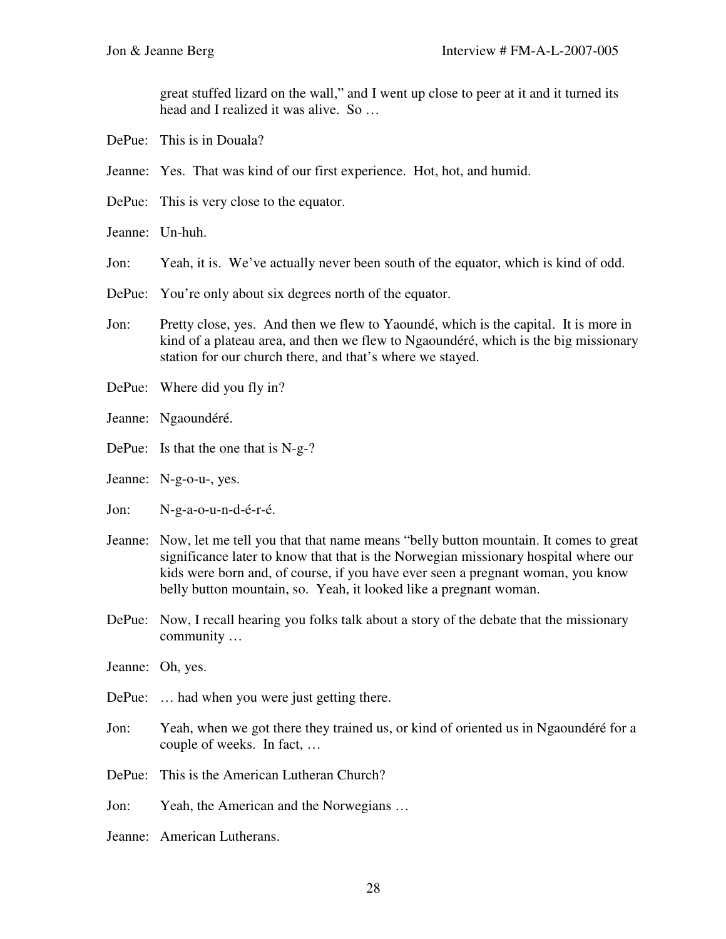great stuffed lizard on the wall," and I went up close to peer at it and it turned its head and I realized it was alive. So …

- DePue: This is in Douala?
- Jeanne: Yes. That was kind of our first experience. Hot, hot, and humid.
- DePue: This is very close to the equator.
- Jeanne: Un-huh.

Jon: Yeah, it is. We've actually never been south of the equator, which is kind of odd.

- DePue: You're only about six degrees north of the equator.
- Jon: Pretty close, yes. And then we flew to Yaoundé, which is the capital. It is more in kind of a plateau area, and then we flew to Ngaoundéré, which is the big missionary station for our church there, and that's where we stayed.
- DePue: Where did you fly in?
- Jeanne: Ngaoundéré.
- DePue: Is that the one that is N-g-?
- Jeanne: N-g-o-u-, yes.
- Jon: N-g-a-o-u-n-d-é-r-é.
- Jeanne: Now, let me tell you that that name means "belly button mountain. It comes to great significance later to know that that is the Norwegian missionary hospital where our kids were born and, of course, if you have ever seen a pregnant woman, you know belly button mountain, so. Yeah, it looked like a pregnant woman.
- DePue: Now, I recall hearing you folks talk about a story of the debate that the missionary community …
- Jeanne: Oh, yes.
- DePue: … had when you were just getting there.
- Jon: Yeah, when we got there they trained us, or kind of oriented us in Ngaoundéré for a couple of weeks. In fact, …
- DePue: This is the American Lutheran Church?
- Jon: Yeah, the American and the Norwegians …
- Jeanne: American Lutherans.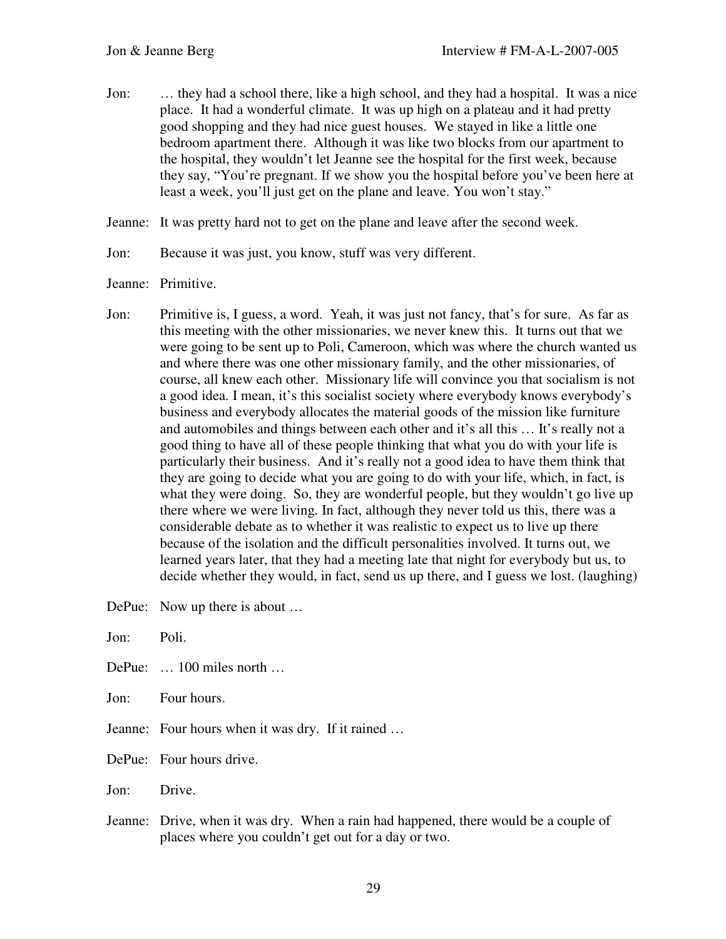- Jon: … they had a school there, like a high school, and they had a hospital. It was a nice place. It had a wonderful climate. It was up high on a plateau and it had pretty good shopping and they had nice guest houses. We stayed in like a little one bedroom apartment there. Although it was like two blocks from our apartment to the hospital, they wouldn't let Jeanne see the hospital for the first week, because they say, "You're pregnant. If we show you the hospital before you've been here at least a week, you'll just get on the plane and leave. You won't stay."
- Jeanne: It was pretty hard not to get on the plane and leave after the second week.
- Jon: Because it was just, you know, stuff was very different.
- Jeanne: Primitive.
- Jon: Primitive is, I guess, a word. Yeah, it was just not fancy, that's for sure. As far as this meeting with the other missionaries, we never knew this. It turns out that we were going to be sent up to Poli, Cameroon, which was where the church wanted us and where there was one other missionary family, and the other missionaries, of course, all knew each other. Missionary life will convince you that socialism is not a good idea. I mean, it's this socialist society where everybody knows everybody's business and everybody allocates the material goods of the mission like furniture and automobiles and things between each other and it's all this … It's really not a good thing to have all of these people thinking that what you do with your life is particularly their business. And it's really not a good idea to have them think that they are going to decide what you are going to do with your life, which, in fact, is what they were doing. So, they are wonderful people, but they wouldn't go live up there where we were living. In fact, although they never told us this, there was a considerable debate as to whether it was realistic to expect us to live up there because of the isolation and the difficult personalities involved. It turns out, we learned years later, that they had a meeting late that night for everybody but us, to decide whether they would, in fact, send us up there, and I guess we lost. (laughing)

DePue: Now up there is about ...

| Jon: | Poli.                                                                                                                                       |
|------|---------------------------------------------------------------------------------------------------------------------------------------------|
|      | DePue: $\ldots$ 100 miles north $\ldots$                                                                                                    |
|      | Jon: Four hours.                                                                                                                            |
|      | Jeanne: Four hours when it was dry. If it rained                                                                                            |
|      | DePue: Four hours drive.                                                                                                                    |
| Jon: | Drive.                                                                                                                                      |
|      | Jeanne: Drive, when it was dry. When a rain had happened, there would be a couple of<br>places where you couldn't get out for a day or two. |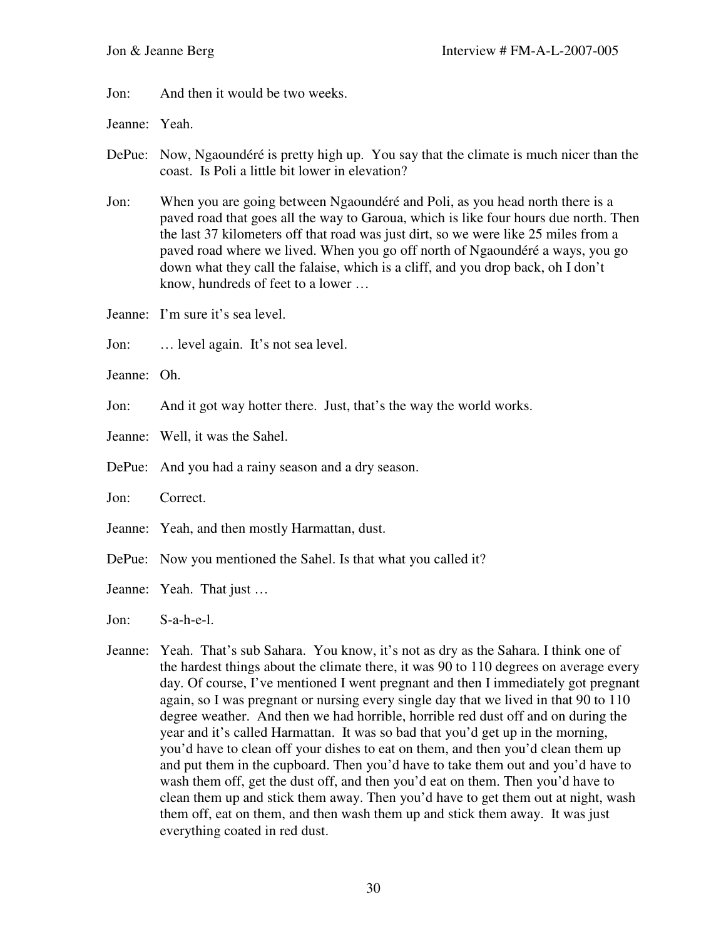Jon: And then it would be two weeks.

Jeanne: Yeah.

DePue: Now, Ngaoundéré is pretty high up. You say that the climate is much nicer than the coast. Is Poli a little bit lower in elevation?

Jon: When you are going between Ngaoundéré and Poli, as you head north there is a paved road that goes all the way to Garoua, which is like four hours due north. Then the last 37 kilometers off that road was just dirt, so we were like 25 miles from a paved road where we lived. When you go off north of Ngaoundéré a ways, you go down what they call the falaise, which is a cliff, and you drop back, oh I don't know, hundreds of feet to a lower …

Jeanne: I'm sure it's sea level.

Jon: ... level again. It's not sea level.

Jeanne: Oh.

Jon: And it got way hotter there. Just, that's the way the world works.

Jeanne: Well, it was the Sahel.

DePue: And you had a rainy season and a dry season.

Jon: Correct.

Jeanne: Yeah, and then mostly Harmattan, dust.

DePue: Now you mentioned the Sahel. Is that what you called it?

Jeanne: Yeah. That just …

Jon: S-a-h-e-l.

Jeanne: Yeah. That's sub Sahara. You know, it's not as dry as the Sahara. I think one of the hardest things about the climate there, it was 90 to 110 degrees on average every day. Of course, I've mentioned I went pregnant and then I immediately got pregnant again, so I was pregnant or nursing every single day that we lived in that 90 to 110 degree weather. And then we had horrible, horrible red dust off and on during the year and it's called Harmattan. It was so bad that you'd get up in the morning, you'd have to clean off your dishes to eat on them, and then you'd clean them up and put them in the cupboard. Then you'd have to take them out and you'd have to wash them off, get the dust off, and then you'd eat on them. Then you'd have to clean them up and stick them away. Then you'd have to get them out at night, wash them off, eat on them, and then wash them up and stick them away. It was just everything coated in red dust.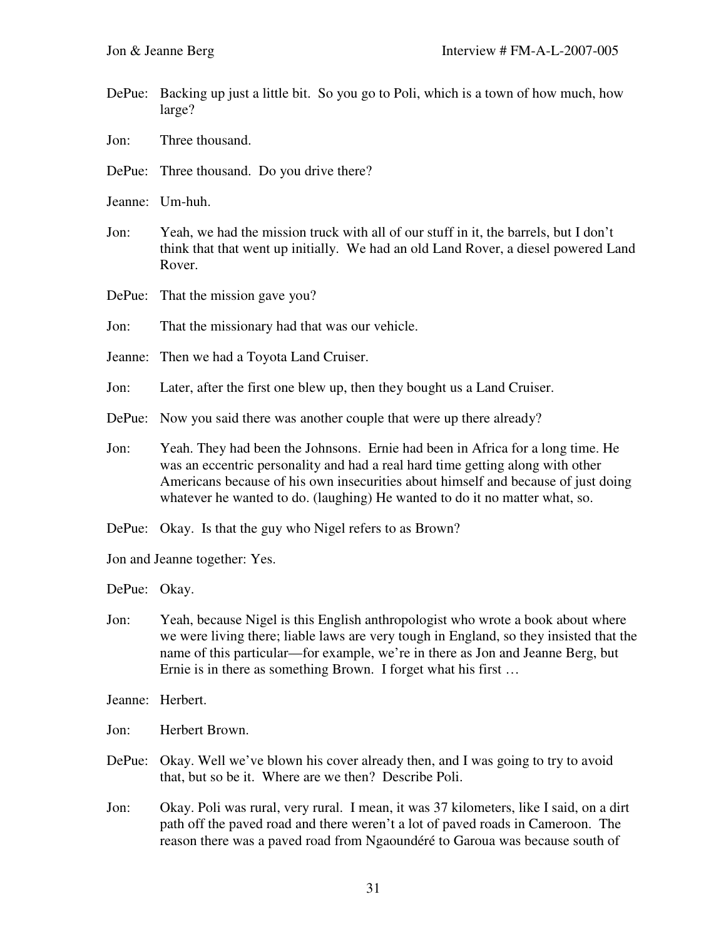- DePue: Backing up just a little bit. So you go to Poli, which is a town of how much, how large?
- Jon: Three thousand.
- DePue: Three thousand. Do you drive there?
- Jeanne: Um-huh.
- Jon: Yeah, we had the mission truck with all of our stuff in it, the barrels, but I don't think that that went up initially. We had an old Land Rover, a diesel powered Land Rover.
- DePue: That the mission gave you?
- Jon: That the missionary had that was our vehicle.
- Jeanne: Then we had a Toyota Land Cruiser.
- Jon: Later, after the first one blew up, then they bought us a Land Cruiser.
- DePue: Now you said there was another couple that were up there already?
- Jon: Yeah. They had been the Johnsons. Ernie had been in Africa for a long time. He was an eccentric personality and had a real hard time getting along with other Americans because of his own insecurities about himself and because of just doing whatever he wanted to do. (laughing) He wanted to do it no matter what, so.
- DePue: Okay. Is that the guy who Nigel refers to as Brown?
- Jon and Jeanne together: Yes.

DePue: Okay.

- Jon: Yeah, because Nigel is this English anthropologist who wrote a book about where we were living there; liable laws are very tough in England, so they insisted that the name of this particular—for example, we're in there as Jon and Jeanne Berg, but Ernie is in there as something Brown. I forget what his first …
- Jeanne: Herbert.
- Jon: Herbert Brown.
- DePue: Okay. Well we've blown his cover already then, and I was going to try to avoid that, but so be it. Where are we then? Describe Poli.
- Jon: Okay. Poli was rural, very rural. I mean, it was 37 kilometers, like I said, on a dirt path off the paved road and there weren't a lot of paved roads in Cameroon. The reason there was a paved road from Ngaoundéré to Garoua was because south of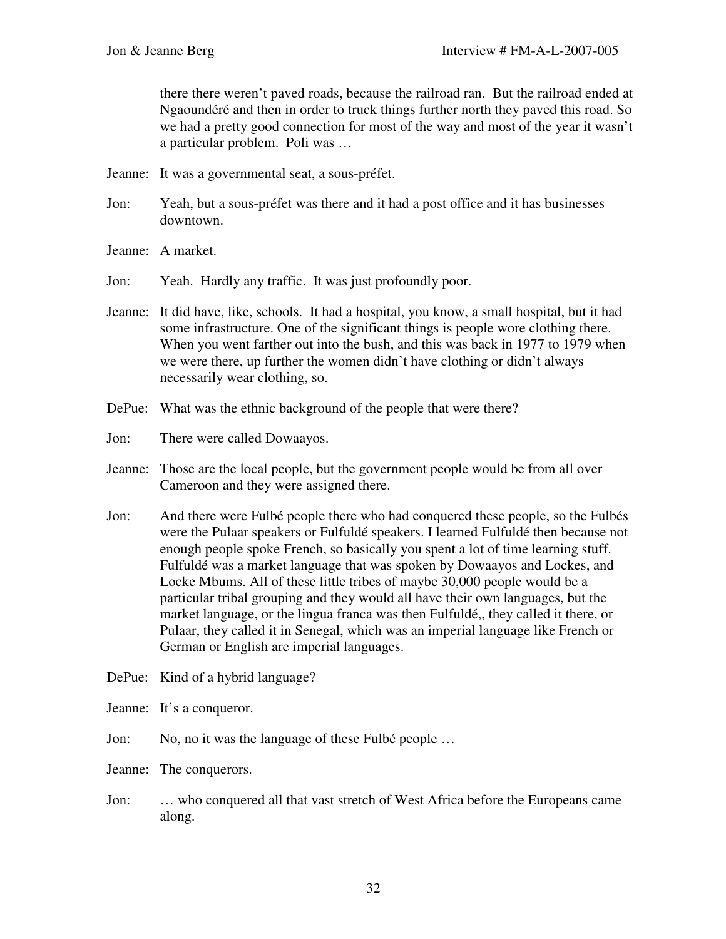there there weren't paved roads, because the railroad ran. But the railroad ended at Ngaoundéré and then in order to truck things further north they paved this road. So we had a pretty good connection for most of the way and most of the year it wasn't a particular problem. Poli was …

- Jeanne: It was a governmental seat, a sous-préfet.
- Jon: Yeah, but a sous-préfet was there and it had a post office and it has businesses downtown.
- Jeanne: A market.
- Jon: Yeah. Hardly any traffic. It was just profoundly poor.
- Jeanne: It did have, like, schools. It had a hospital, you know, a small hospital, but it had some infrastructure. One of the significant things is people wore clothing there. When you went farther out into the bush, and this was back in 1977 to 1979 when we were there, up further the women didn't have clothing or didn't always necessarily wear clothing, so.
- DePue: What was the ethnic background of the people that were there?
- Jon: There were called Dowaayos.
- Jeanne: Those are the local people, but the government people would be from all over Cameroon and they were assigned there.
- Jon: And there were Fulbé people there who had conquered these people, so the Fulbés were the Pulaar speakers or Fulfuldé speakers. I learned Fulfuldé then because not enough people spoke French, so basically you spent a lot of time learning stuff. Fulfuldé was a market language that was spoken by Dowaayos and Lockes, and Locke Mbums. All of these little tribes of maybe 30,000 people would be a particular tribal grouping and they would all have their own languages, but the market language, or the lingua franca was then Fulfuldé,, they called it there, or Pulaar, they called it in Senegal, which was an imperial language like French or German or English are imperial languages.
- DePue: Kind of a hybrid language?
- Jeanne: It's a conqueror.
- Jon: No, no it was the language of these Fulbé people ...
- Jeanne: The conquerors.
- Jon: … who conquered all that vast stretch of West Africa before the Europeans came along.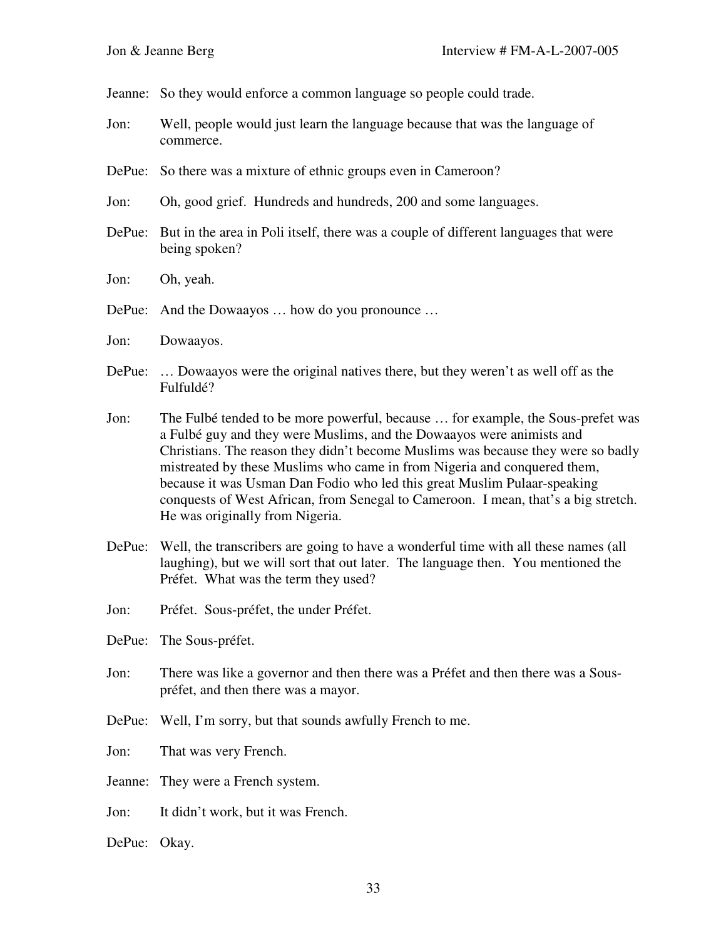Jeanne: So they would enforce a common language so people could trade.

- Jon: Well, people would just learn the language because that was the language of commerce.
- DePue: So there was a mixture of ethnic groups even in Cameroon?
- Jon: Oh, good grief. Hundreds and hundreds, 200 and some languages.
- DePue: But in the area in Poli itself, there was a couple of different languages that were being spoken?
- Jon: Oh, yeah.
- DePue: And the Dowaayos … how do you pronounce …
- Jon: Dowaayos.
- DePue: … Dowaayos were the original natives there, but they weren't as well off as the Fulfuldé?
- Jon: The Fulbé tended to be more powerful, because … for example, the Sous-prefet was a Fulbé guy and they were Muslims, and the Dowaayos were animists and Christians. The reason they didn't become Muslims was because they were so badly mistreated by these Muslims who came in from Nigeria and conquered them, because it was Usman Dan Fodio who led this great Muslim Pulaar-speaking conquests of West African, from Senegal to Cameroon. I mean, that's a big stretch. He was originally from Nigeria.
- DePue: Well, the transcribers are going to have a wonderful time with all these names (all laughing), but we will sort that out later. The language then. You mentioned the Préfet. What was the term they used?
- Jon: Préfet. Sous-préfet, the under Préfet.
- DePue: The Sous-préfet.
- Jon: There was like a governor and then there was a Préfet and then there was a Souspréfet, and then there was a mayor.
- DePue: Well, I'm sorry, but that sounds awfully French to me.
- Jon: That was very French.
- Jeanne: They were a French system.
- Jon: It didn't work, but it was French.
- DePue: Okay.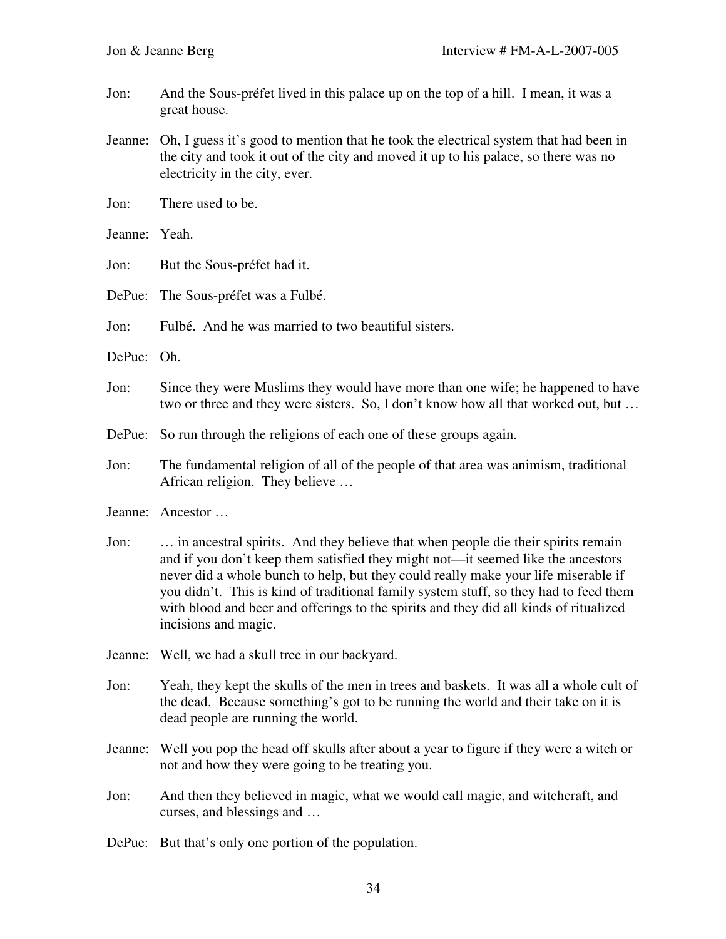- Jon: And the Sous-préfet lived in this palace up on the top of a hill. I mean, it was a great house.
- Jeanne: Oh, I guess it's good to mention that he took the electrical system that had been in the city and took it out of the city and moved it up to his palace, so there was no electricity in the city, ever.
- Jon: There used to be.
- Jeanne: Yeah.
- Jon: But the Sous-préfet had it.
- DePue: The Sous-préfet was a Fulbé.
- Jon: Fulbé. And he was married to two beautiful sisters.
- DePue: Oh.
- Jon: Since they were Muslims they would have more than one wife; he happened to have two or three and they were sisters. So, I don't know how all that worked out, but …
- DePue: So run through the religions of each one of these groups again.
- Jon: The fundamental religion of all of the people of that area was animism, traditional African religion. They believe …
- Jeanne: Ancestor …
- Jon: … in ancestral spirits. And they believe that when people die their spirits remain and if you don't keep them satisfied they might not—it seemed like the ancestors never did a whole bunch to help, but they could really make your life miserable if you didn't. This is kind of traditional family system stuff, so they had to feed them with blood and beer and offerings to the spirits and they did all kinds of ritualized incisions and magic.
- Jeanne: Well, we had a skull tree in our backyard.
- Jon: Yeah, they kept the skulls of the men in trees and baskets. It was all a whole cult of the dead. Because something's got to be running the world and their take on it is dead people are running the world.
- Jeanne: Well you pop the head off skulls after about a year to figure if they were a witch or not and how they were going to be treating you.
- Jon: And then they believed in magic, what we would call magic, and witchcraft, and curses, and blessings and …
- DePue: But that's only one portion of the population.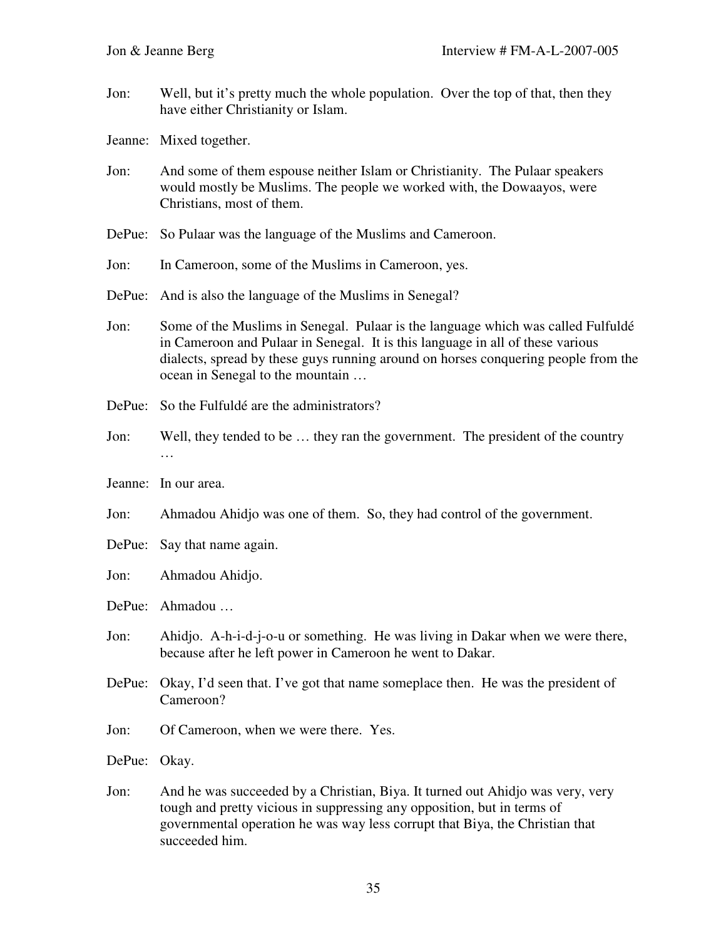- Jon: Well, but it's pretty much the whole population. Over the top of that, then they have either Christianity or Islam.
- Jeanne: Mixed together.
- Jon: And some of them espouse neither Islam or Christianity. The Pulaar speakers would mostly be Muslims. The people we worked with, the Dowaayos, were Christians, most of them.
- DePue: So Pulaar was the language of the Muslims and Cameroon.
- Jon: In Cameroon, some of the Muslims in Cameroon, yes.
- DePue: And is also the language of the Muslims in Senegal?
- Jon: Some of the Muslims in Senegal. Pulaar is the language which was called Fulfuldé in Cameroon and Pulaar in Senegal. It is this language in all of these various dialects, spread by these guys running around on horses conquering people from the ocean in Senegal to the mountain …
- DePue: So the Fulfuldé are the administrators?
- Jon: Well, they tended to be … they ran the government. The president of the country …
- Jeanne: In our area.
- Jon: Ahmadou Ahidjo was one of them. So, they had control of the government.
- DePue: Say that name again.
- Jon: Ahmadou Ahidjo.
- DePue: Ahmadou …
- Jon: Ahidjo. A-h-i-d-j-o-u or something. He was living in Dakar when we were there, because after he left power in Cameroon he went to Dakar.
- DePue: Okay, I'd seen that. I've got that name someplace then. He was the president of Cameroon?
- Jon: Of Cameroon, when we were there. Yes.

DePue: Okay.

Jon: And he was succeeded by a Christian, Biya. It turned out Ahidjo was very, very tough and pretty vicious in suppressing any opposition, but in terms of governmental operation he was way less corrupt that Biya, the Christian that succeeded him.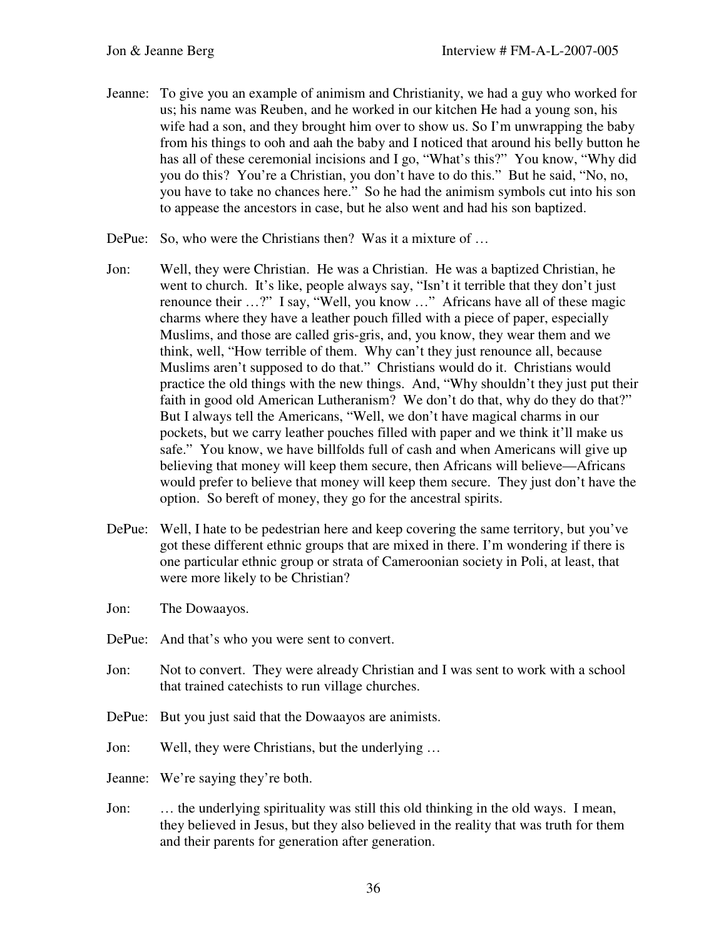- Jeanne: To give you an example of animism and Christianity, we had a guy who worked for us; his name was Reuben, and he worked in our kitchen He had a young son, his wife had a son, and they brought him over to show us. So I'm unwrapping the baby from his things to ooh and aah the baby and I noticed that around his belly button he has all of these ceremonial incisions and I go, "What's this?" You know, "Why did you do this? You're a Christian, you don't have to do this." But he said, "No, no, you have to take no chances here." So he had the animism symbols cut into his son to appease the ancestors in case, but he also went and had his son baptized.
- DePue: So, who were the Christians then? Was it a mixture of ...
- Jon: Well, they were Christian. He was a Christian. He was a baptized Christian, he went to church. It's like, people always say, "Isn't it terrible that they don't just renounce their …?" I say, "Well, you know …" Africans have all of these magic charms where they have a leather pouch filled with a piece of paper, especially Muslims, and those are called gris-gris, and, you know, they wear them and we think, well, "How terrible of them. Why can't they just renounce all, because Muslims aren't supposed to do that." Christians would do it. Christians would practice the old things with the new things. And, "Why shouldn't they just put their faith in good old American Lutheranism? We don't do that, why do they do that?" But I always tell the Americans, "Well, we don't have magical charms in our pockets, but we carry leather pouches filled with paper and we think it'll make us safe." You know, we have billfolds full of cash and when Americans will give up believing that money will keep them secure, then Africans will believe—Africans would prefer to believe that money will keep them secure. They just don't have the option. So bereft of money, they go for the ancestral spirits.
- DePue: Well, I hate to be pedestrian here and keep covering the same territory, but you've got these different ethnic groups that are mixed in there. I'm wondering if there is one particular ethnic group or strata of Cameroonian society in Poli, at least, that were more likely to be Christian?
- Jon: The Dowaayos.
- DePue: And that's who you were sent to convert.
- Jon: Not to convert. They were already Christian and I was sent to work with a school that trained catechists to run village churches.
- DePue: But you just said that the Dowaayos are animists.
- Jon: Well, they were Christians, but the underlying …

Jeanne: We're saying they're both.

Jon: … the underlying spirituality was still this old thinking in the old ways. I mean, they believed in Jesus, but they also believed in the reality that was truth for them and their parents for generation after generation.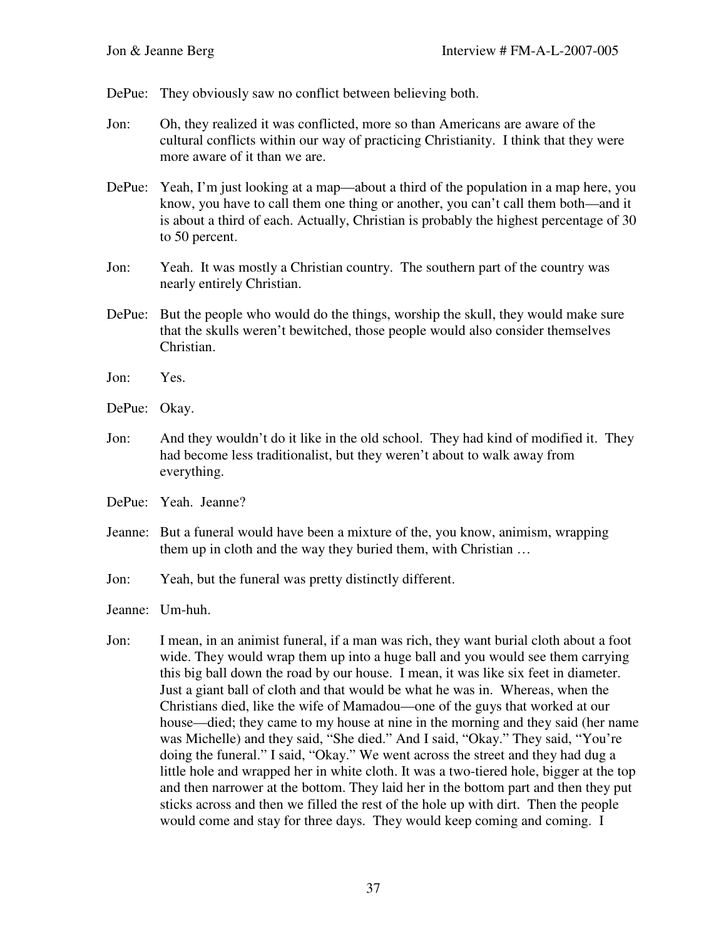DePue: They obviously saw no conflict between believing both.

- Jon: Oh, they realized it was conflicted, more so than Americans are aware of the cultural conflicts within our way of practicing Christianity. I think that they were more aware of it than we are.
- DePue: Yeah, I'm just looking at a map—about a third of the population in a map here, you know, you have to call them one thing or another, you can't call them both—and it is about a third of each. Actually, Christian is probably the highest percentage of 30 to 50 percent.
- Jon: Yeah. It was mostly a Christian country. The southern part of the country was nearly entirely Christian.
- DePue: But the people who would do the things, worship the skull, they would make sure that the skulls weren't bewitched, those people would also consider themselves Christian.
- Jon: Yes.
- DePue: Okay.
- Jon: And they wouldn't do it like in the old school. They had kind of modified it. They had become less traditionalist, but they weren't about to walk away from everything.
- DePue: Yeah. Jeanne?
- Jeanne: But a funeral would have been a mixture of the, you know, animism, wrapping them up in cloth and the way they buried them, with Christian …
- Jon: Yeah, but the funeral was pretty distinctly different.

Jeanne: Um-huh.

Jon: I mean, in an animist funeral, if a man was rich, they want burial cloth about a foot wide. They would wrap them up into a huge ball and you would see them carrying this big ball down the road by our house. I mean, it was like six feet in diameter. Just a giant ball of cloth and that would be what he was in. Whereas, when the Christians died, like the wife of Mamadou—one of the guys that worked at our house—died; they came to my house at nine in the morning and they said (her name was Michelle) and they said, "She died." And I said, "Okay." They said, "You're doing the funeral." I said, "Okay." We went across the street and they had dug a little hole and wrapped her in white cloth. It was a two-tiered hole, bigger at the top and then narrower at the bottom. They laid her in the bottom part and then they put sticks across and then we filled the rest of the hole up with dirt. Then the people would come and stay for three days. They would keep coming and coming. I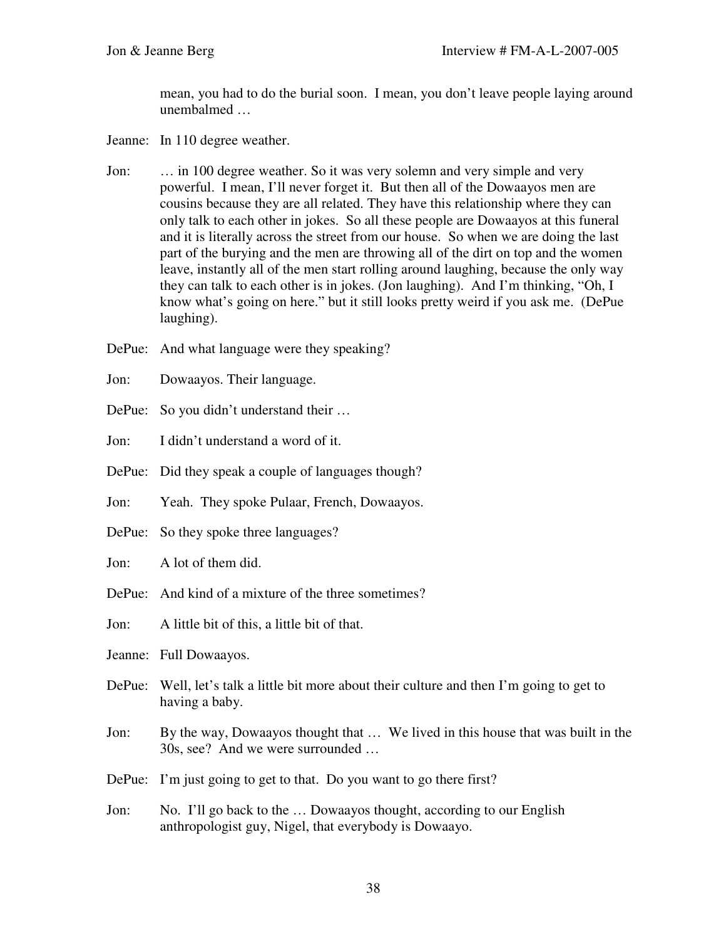mean, you had to do the burial soon. I mean, you don't leave people laying around unembalmed …

- Jeanne: In 110 degree weather.
- Jon: … in 100 degree weather. So it was very solemn and very simple and very powerful. I mean, I'll never forget it. But then all of the Dowaayos men are cousins because they are all related. They have this relationship where they can only talk to each other in jokes. So all these people are Dowaayos at this funeral and it is literally across the street from our house. So when we are doing the last part of the burying and the men are throwing all of the dirt on top and the women leave, instantly all of the men start rolling around laughing, because the only way they can talk to each other is in jokes. (Jon laughing). And I'm thinking, "Oh, I know what's going on here." but it still looks pretty weird if you ask me. (DePue laughing).
- DePue: And what language were they speaking?
- Jon: Dowaayos. Their language.
- DePue: So you didn't understand their ...
- Jon: I didn't understand a word of it.
- DePue: Did they speak a couple of languages though?
- Jon: Yeah. They spoke Pulaar, French, Dowaayos.
- DePue: So they spoke three languages?
- Jon: A lot of them did.
- DePue: And kind of a mixture of the three sometimes?
- Jon: A little bit of this, a little bit of that.
- Jeanne: Full Dowaayos.
- DePue: Well, let's talk a little bit more about their culture and then I'm going to get to having a baby.
- Jon: By the way, Dowaayos thought that … We lived in this house that was built in the 30s, see? And we were surrounded …
- DePue: I'm just going to get to that. Do you want to go there first?
- Jon: No. I'll go back to the … Dowaayos thought, according to our English anthropologist guy, Nigel, that everybody is Dowaayo.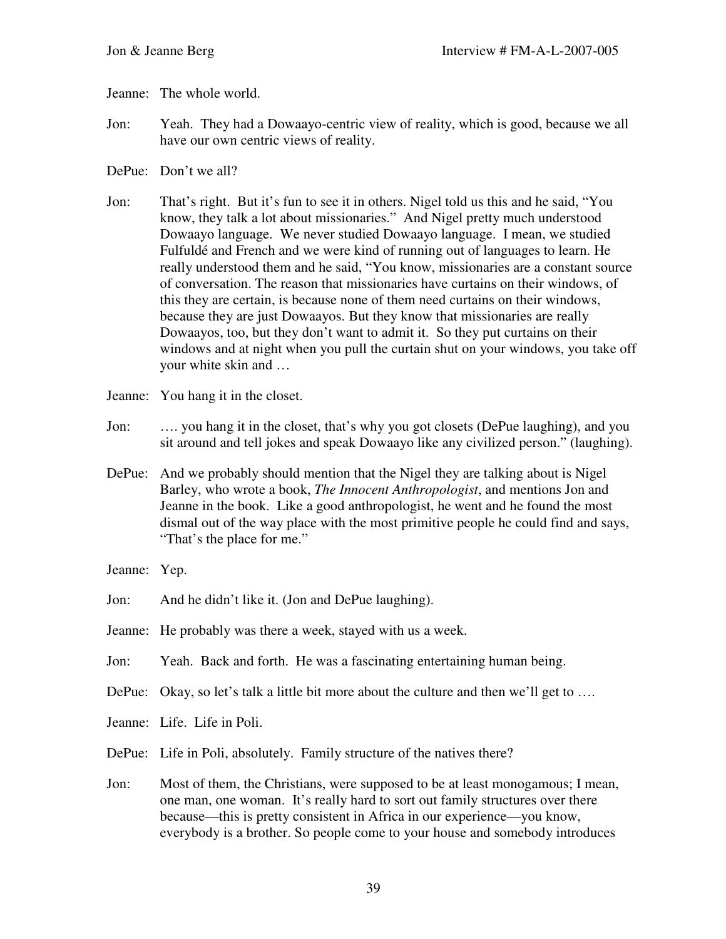- Jeanne: The whole world.
- Jon: Yeah. They had a Dowaayo-centric view of reality, which is good, because we all have our own centric views of reality.
- DePue: Don't we all?
- Jon: That's right. But it's fun to see it in others. Nigel told us this and he said, "You know, they talk a lot about missionaries." And Nigel pretty much understood Dowaayo language. We never studied Dowaayo language. I mean, we studied Fulfuldé and French and we were kind of running out of languages to learn. He really understood them and he said, "You know, missionaries are a constant source of conversation. The reason that missionaries have curtains on their windows, of this they are certain, is because none of them need curtains on their windows, because they are just Dowaayos. But they know that missionaries are really Dowaayos, too, but they don't want to admit it. So they put curtains on their windows and at night when you pull the curtain shut on your windows, you take off your white skin and …
- Jeanne: You hang it in the closet.
- Jon: …. you hang it in the closet, that's why you got closets (DePue laughing), and you sit around and tell jokes and speak Dowaayo like any civilized person." (laughing).
- DePue: And we probably should mention that the Nigel they are talking about is Nigel Barley, who wrote a book, *The Innocent Anthropologist*, and mentions Jon and Jeanne in the book. Like a good anthropologist, he went and he found the most dismal out of the way place with the most primitive people he could find and says, "That's the place for me."
- Jeanne: Yep.
- Jon: And he didn't like it. (Jon and DePue laughing).
- Jeanne: He probably was there a week, stayed with us a week.
- Jon: Yeah. Back and forth. He was a fascinating entertaining human being.
- DePue: Okay, so let's talk a little bit more about the culture and then we'll get to ...
- Jeanne: Life. Life in Poli.
- DePue: Life in Poli, absolutely. Family structure of the natives there?
- Jon: Most of them, the Christians, were supposed to be at least monogamous; I mean, one man, one woman. It's really hard to sort out family structures over there because—this is pretty consistent in Africa in our experience—you know, everybody is a brother. So people come to your house and somebody introduces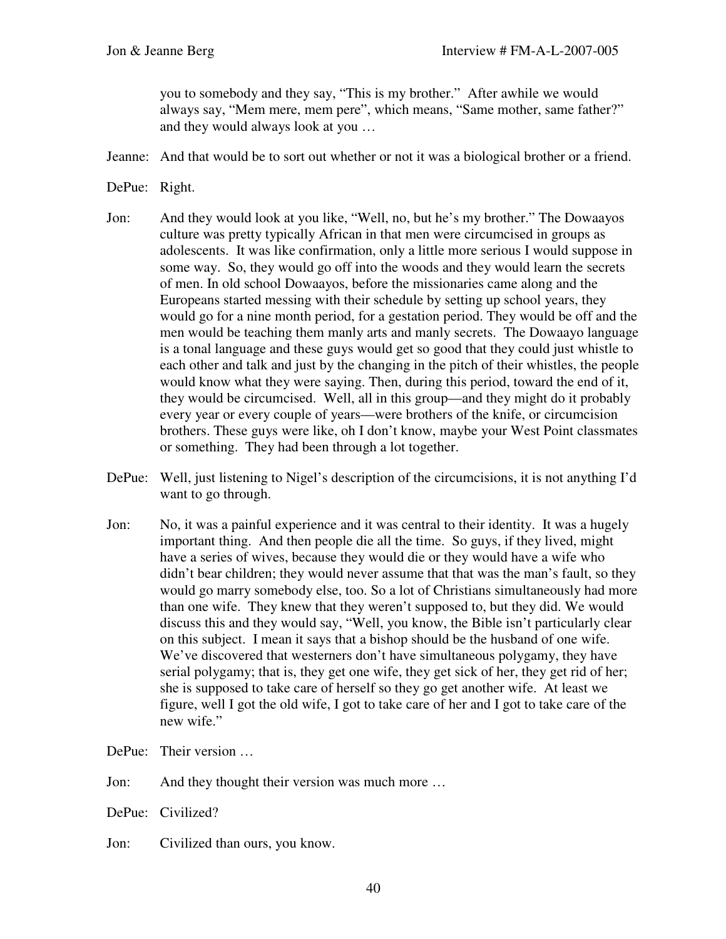you to somebody and they say, "This is my brother." After awhile we would always say, "Mem mere, mem pere", which means, "Same mother, same father?" and they would always look at you …

- Jeanne: And that would be to sort out whether or not it was a biological brother or a friend.
- DePue: Right.
- Jon: And they would look at you like, "Well, no, but he's my brother." The Dowaayos culture was pretty typically African in that men were circumcised in groups as adolescents. It was like confirmation, only a little more serious I would suppose in some way. So, they would go off into the woods and they would learn the secrets of men. In old school Dowaayos, before the missionaries came along and the Europeans started messing with their schedule by setting up school years, they would go for a nine month period, for a gestation period. They would be off and the men would be teaching them manly arts and manly secrets. The Dowaayo language is a tonal language and these guys would get so good that they could just whistle to each other and talk and just by the changing in the pitch of their whistles, the people would know what they were saying. Then, during this period, toward the end of it, they would be circumcised. Well, all in this group—and they might do it probably every year or every couple of years—were brothers of the knife, or circumcision brothers. These guys were like, oh I don't know, maybe your West Point classmates or something. They had been through a lot together.
- DePue: Well, just listening to Nigel's description of the circumcisions, it is not anything I'd want to go through.
- Jon: No, it was a painful experience and it was central to their identity. It was a hugely important thing. And then people die all the time. So guys, if they lived, might have a series of wives, because they would die or they would have a wife who didn't bear children; they would never assume that that was the man's fault, so they would go marry somebody else, too. So a lot of Christians simultaneously had more than one wife. They knew that they weren't supposed to, but they did. We would discuss this and they would say, "Well, you know, the Bible isn't particularly clear on this subject. I mean it says that a bishop should be the husband of one wife. We've discovered that westerners don't have simultaneous polygamy, they have serial polygamy; that is, they get one wife, they get sick of her, they get rid of her; she is supposed to take care of herself so they go get another wife. At least we figure, well I got the old wife, I got to take care of her and I got to take care of the new wife."
- DePue: Their version …
- Jon: And they thought their version was much more …
- DePue: Civilized?
- Jon: Civilized than ours, you know.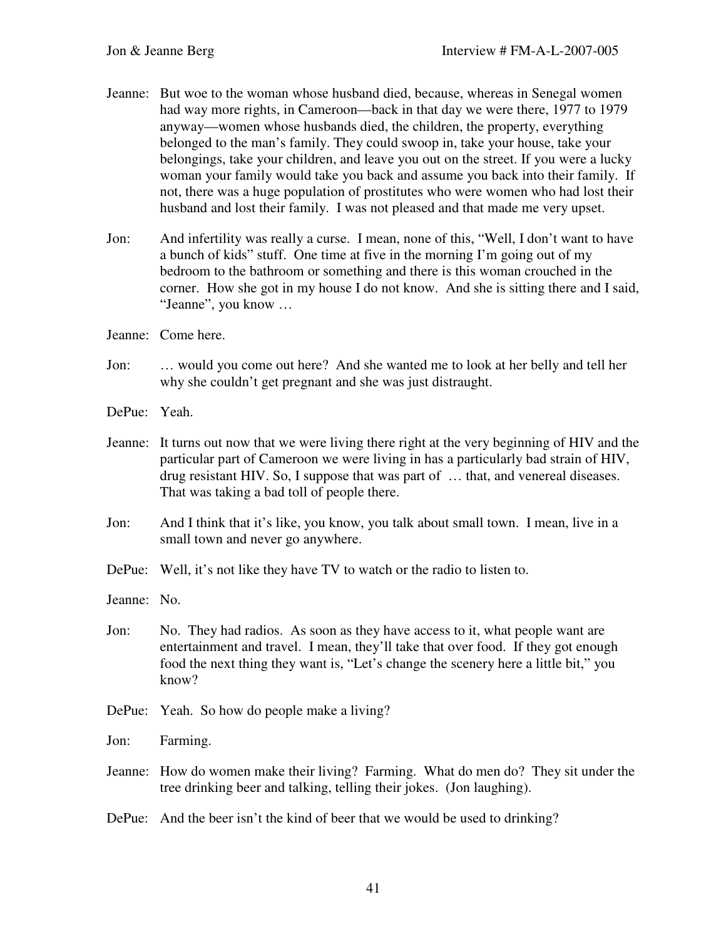- Jeanne: But woe to the woman whose husband died, because, whereas in Senegal women had way more rights, in Cameroon—back in that day we were there, 1977 to 1979 anyway—women whose husbands died, the children, the property, everything belonged to the man's family. They could swoop in, take your house, take your belongings, take your children, and leave you out on the street. If you were a lucky woman your family would take you back and assume you back into their family. If not, there was a huge population of prostitutes who were women who had lost their husband and lost their family. I was not pleased and that made me very upset.
- Jon: And infertility was really a curse. I mean, none of this, "Well, I don't want to have a bunch of kids" stuff. One time at five in the morning I'm going out of my bedroom to the bathroom or something and there is this woman crouched in the corner. How she got in my house I do not know. And she is sitting there and I said, "Jeanne", you know …
- Jeanne: Come here.
- Jon: … would you come out here? And she wanted me to look at her belly and tell her why she couldn't get pregnant and she was just distraught.
- DePue: Yeah.
- Jeanne: It turns out now that we were living there right at the very beginning of HIV and the particular part of Cameroon we were living in has a particularly bad strain of HIV, drug resistant HIV. So, I suppose that was part of … that, and venereal diseases. That was taking a bad toll of people there.
- Jon: And I think that it's like, you know, you talk about small town. I mean, live in a small town and never go anywhere.
- DePue: Well, it's not like they have TV to watch or the radio to listen to.
- Jeanne: No.
- Jon: No. They had radios. As soon as they have access to it, what people want are entertainment and travel. I mean, they'll take that over food. If they got enough food the next thing they want is, "Let's change the scenery here a little bit," you know?
- DePue: Yeah. So how do people make a living?
- Jon: Farming.
- Jeanne: How do women make their living? Farming. What do men do? They sit under the tree drinking beer and talking, telling their jokes. (Jon laughing).
- DePue: And the beer isn't the kind of beer that we would be used to drinking?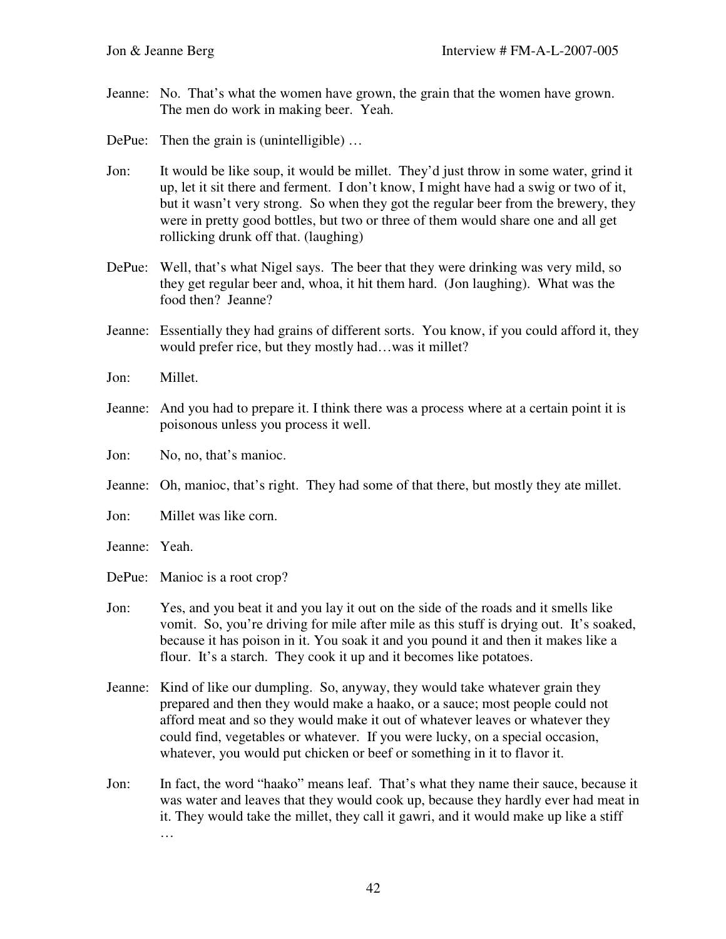- Jeanne: No. That's what the women have grown, the grain that the women have grown. The men do work in making beer. Yeah.
- DePue: Then the grain is (unintelligible) ...
- Jon: It would be like soup, it would be millet. They'd just throw in some water, grind it up, let it sit there and ferment. I don't know, I might have had a swig or two of it, but it wasn't very strong. So when they got the regular beer from the brewery, they were in pretty good bottles, but two or three of them would share one and all get rollicking drunk off that. (laughing)
- DePue: Well, that's what Nigel says. The beer that they were drinking was very mild, so they get regular beer and, whoa, it hit them hard. (Jon laughing). What was the food then? Jeanne?
- Jeanne: Essentially they had grains of different sorts. You know, if you could afford it, they would prefer rice, but they mostly had…was it millet?
- Jon: Millet.
- Jeanne: And you had to prepare it. I think there was a process where at a certain point it is poisonous unless you process it well.
- Jon: No, no, that's manioc.
- Jeanne: Oh, manioc, that's right. They had some of that there, but mostly they ate millet.
- Jon: Millet was like corn.
- Jeanne: Yeah.
- DePue: Manioc is a root crop?
- Jon: Yes, and you beat it and you lay it out on the side of the roads and it smells like vomit. So, you're driving for mile after mile as this stuff is drying out. It's soaked, because it has poison in it. You soak it and you pound it and then it makes like a flour. It's a starch. They cook it up and it becomes like potatoes.
- Jeanne: Kind of like our dumpling. So, anyway, they would take whatever grain they prepared and then they would make a haako, or a sauce; most people could not afford meat and so they would make it out of whatever leaves or whatever they could find, vegetables or whatever. If you were lucky, on a special occasion, whatever, you would put chicken or beef or something in it to flavor it.
- Jon: In fact, the word "haako" means leaf. That's what they name their sauce, because it was water and leaves that they would cook up, because they hardly ever had meat in it. They would take the millet, they call it gawri, and it would make up like a stiff …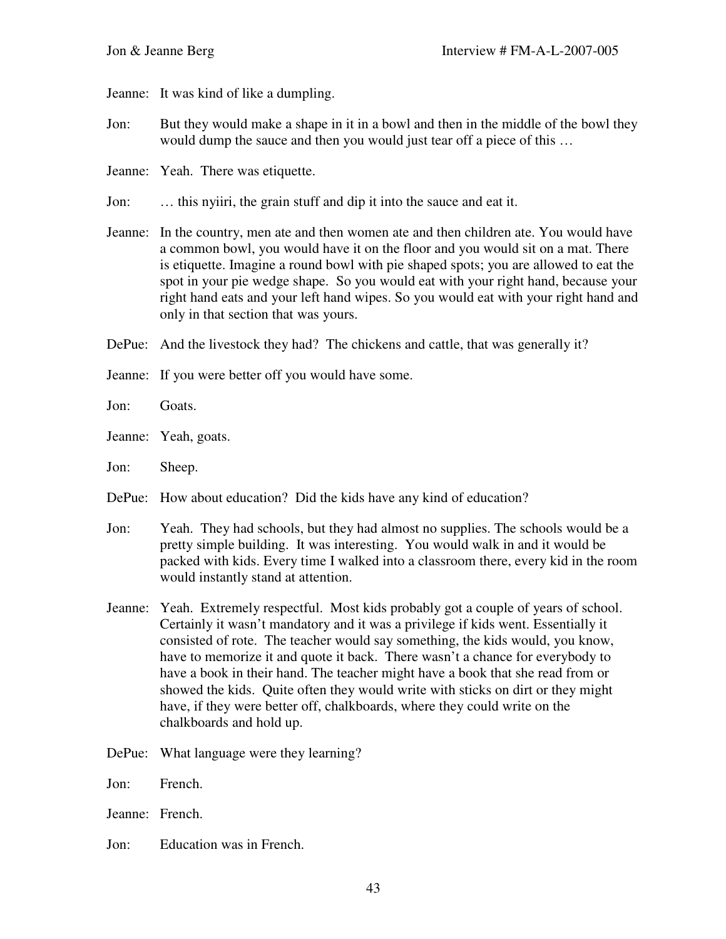Jeanne: It was kind of like a dumpling.

- Jon: But they would make a shape in it in a bowl and then in the middle of the bowl they would dump the sauce and then you would just tear off a piece of this …
- Jeanne: Yeah. There was etiquette.
- Jon: … this nyiiri, the grain stuff and dip it into the sauce and eat it.
- Jeanne: In the country, men ate and then women ate and then children ate. You would have a common bowl, you would have it on the floor and you would sit on a mat. There is etiquette. Imagine a round bowl with pie shaped spots; you are allowed to eat the spot in your pie wedge shape. So you would eat with your right hand, because your right hand eats and your left hand wipes. So you would eat with your right hand and only in that section that was yours.
- DePue: And the livestock they had? The chickens and cattle, that was generally it?
- Jeanne: If you were better off you would have some.
- Jon: Goats.
- Jeanne: Yeah, goats.
- Jon: Sheep.
- DePue: How about education? Did the kids have any kind of education?
- Jon: Yeah. They had schools, but they had almost no supplies. The schools would be a pretty simple building. It was interesting. You would walk in and it would be packed with kids. Every time I walked into a classroom there, every kid in the room would instantly stand at attention.
- Jeanne: Yeah. Extremely respectful. Most kids probably got a couple of years of school. Certainly it wasn't mandatory and it was a privilege if kids went. Essentially it consisted of rote. The teacher would say something, the kids would, you know, have to memorize it and quote it back. There wasn't a chance for everybody to have a book in their hand. The teacher might have a book that she read from or showed the kids. Quite often they would write with sticks on dirt or they might have, if they were better off, chalkboards, where they could write on the chalkboards and hold up.
- DePue: What language were they learning?
- Jon: French.
- Jeanne: French.
- Jon: Education was in French.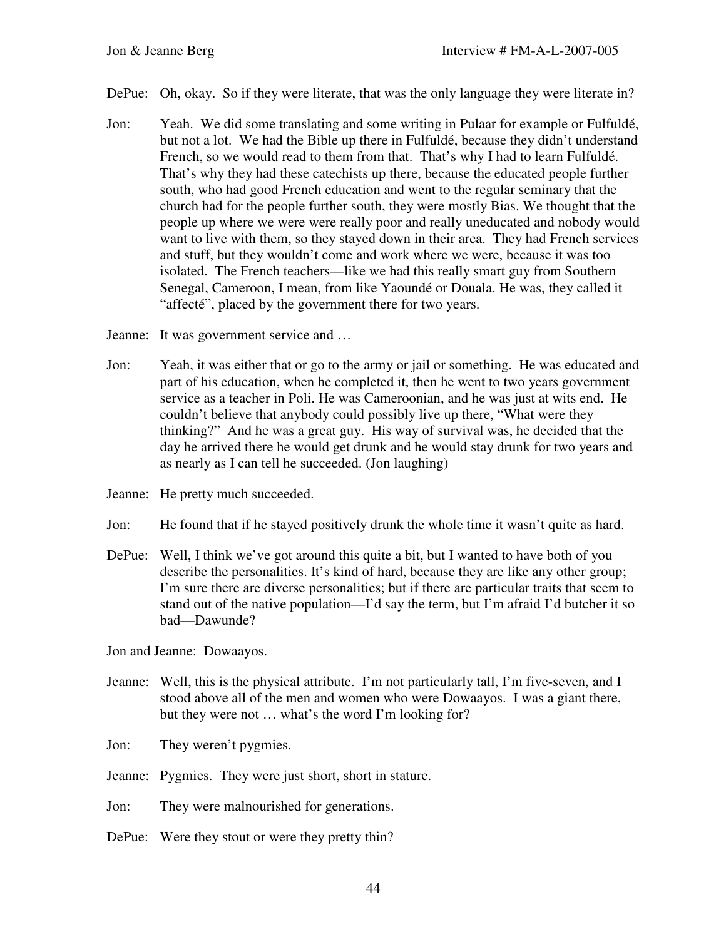- DePue: Oh, okay. So if they were literate, that was the only language they were literate in?
- Jon: Yeah. We did some translating and some writing in Pulaar for example or Fulfuldé, but not a lot. We had the Bible up there in Fulfuldé, because they didn't understand French, so we would read to them from that. That's why I had to learn Fulfuldé. That's why they had these catechists up there, because the educated people further south, who had good French education and went to the regular seminary that the church had for the people further south, they were mostly Bias. We thought that the people up where we were were really poor and really uneducated and nobody would want to live with them, so they stayed down in their area. They had French services and stuff, but they wouldn't come and work where we were, because it was too isolated. The French teachers—like we had this really smart guy from Southern Senegal, Cameroon, I mean, from like Yaoundé or Douala. He was, they called it "affecté", placed by the government there for two years.

Jeanne: It was government service and …

- Jon: Yeah, it was either that or go to the army or jail or something. He was educated and part of his education, when he completed it, then he went to two years government service as a teacher in Poli. He was Cameroonian, and he was just at wits end. He couldn't believe that anybody could possibly live up there, "What were they thinking?" And he was a great guy. His way of survival was, he decided that the day he arrived there he would get drunk and he would stay drunk for two years and as nearly as I can tell he succeeded. (Jon laughing)
- Jeanne: He pretty much succeeded.
- Jon: He found that if he stayed positively drunk the whole time it wasn't quite as hard.
- DePue: Well, I think we've got around this quite a bit, but I wanted to have both of you describe the personalities. It's kind of hard, because they are like any other group; I'm sure there are diverse personalities; but if there are particular traits that seem to stand out of the native population—I'd say the term, but I'm afraid I'd butcher it so bad—Dawunde?

Jon and Jeanne: Dowaayos.

- Jeanne: Well, this is the physical attribute. I'm not particularly tall, I'm five-seven, and I stood above all of the men and women who were Dowaayos. I was a giant there, but they were not … what's the word I'm looking for?
- Jon: They weren't pygmies.
- Jeanne: Pygmies. They were just short, short in stature.
- Jon: They were malnourished for generations.
- DePue: Were they stout or were they pretty thin?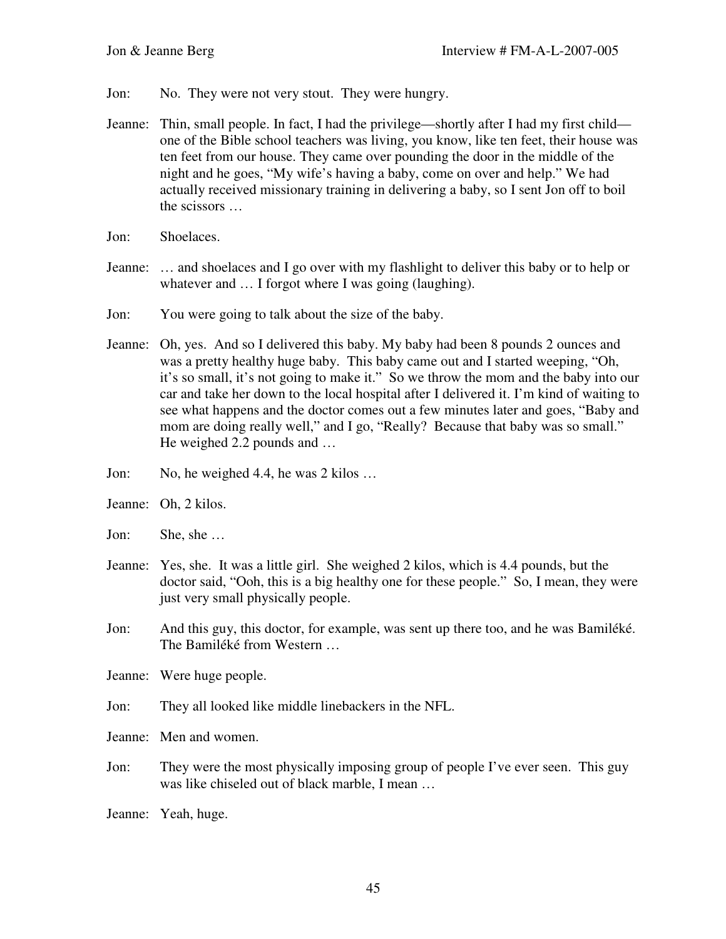- Jon: No. They were not very stout. They were hungry.
- Jeanne: Thin, small people. In fact, I had the privilege—shortly after I had my first child one of the Bible school teachers was living, you know, like ten feet, their house was ten feet from our house. They came over pounding the door in the middle of the night and he goes, "My wife's having a baby, come on over and help." We had actually received missionary training in delivering a baby, so I sent Jon off to boil the scissors …
- Jon: Shoelaces.
- Jeanne: … and shoelaces and I go over with my flashlight to deliver this baby or to help or whatever and  $\dots$  I forgot where I was going (laughing).
- Jon: You were going to talk about the size of the baby.
- Jeanne: Oh, yes. And so I delivered this baby. My baby had been 8 pounds 2 ounces and was a pretty healthy huge baby. This baby came out and I started weeping, "Oh, it's so small, it's not going to make it." So we throw the mom and the baby into our car and take her down to the local hospital after I delivered it. I'm kind of waiting to see what happens and the doctor comes out a few minutes later and goes, "Baby and mom are doing really well," and I go, "Really? Because that baby was so small." He weighed 2.2 pounds and …
- Jon: No, he weighed 4.4, he was 2 kilos ...
- Jeanne: Oh, 2 kilos.
- Jon: She, she …
- Jeanne: Yes, she. It was a little girl. She weighed 2 kilos, which is 4.4 pounds, but the doctor said, "Ooh, this is a big healthy one for these people." So, I mean, they were just very small physically people.
- Jon: And this guy, this doctor, for example, was sent up there too, and he was Bamiléké. The Bamiléké from Western …
- Jeanne: Were huge people.
- Jon: They all looked like middle linebackers in the NFL.
- Jeanne: Men and women.
- Jon: They were the most physically imposing group of people I've ever seen. This guy was like chiseled out of black marble, I mean …
- Jeanne: Yeah, huge.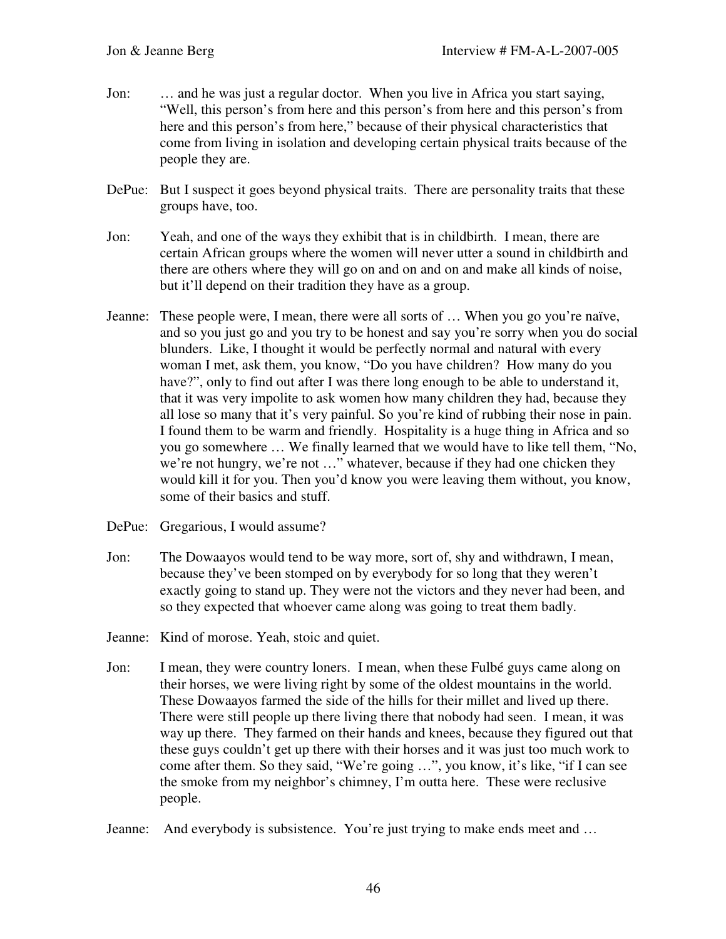- Jon: … and he was just a regular doctor. When you live in Africa you start saying, "Well, this person's from here and this person's from here and this person's from here and this person's from here," because of their physical characteristics that come from living in isolation and developing certain physical traits because of the people they are.
- DePue: But I suspect it goes beyond physical traits. There are personality traits that these groups have, too.
- Jon: Yeah, and one of the ways they exhibit that is in childbirth. I mean, there are certain African groups where the women will never utter a sound in childbirth and there are others where they will go on and on and on and make all kinds of noise, but it'll depend on their tradition they have as a group.
- Jeanne: These people were, I mean, there were all sorts of … When you go you're naïve, and so you just go and you try to be honest and say you're sorry when you do social blunders. Like, I thought it would be perfectly normal and natural with every woman I met, ask them, you know, "Do you have children? How many do you have?", only to find out after I was there long enough to be able to understand it, that it was very impolite to ask women how many children they had, because they all lose so many that it's very painful. So you're kind of rubbing their nose in pain. I found them to be warm and friendly. Hospitality is a huge thing in Africa and so you go somewhere … We finally learned that we would have to like tell them, "No, we're not hungry, we're not …" whatever, because if they had one chicken they would kill it for you. Then you'd know you were leaving them without, you know, some of their basics and stuff.
- DePue: Gregarious, I would assume?
- Jon: The Dowaayos would tend to be way more, sort of, shy and withdrawn, I mean, because they've been stomped on by everybody for so long that they weren't exactly going to stand up. They were not the victors and they never had been, and so they expected that whoever came along was going to treat them badly.
- Jeanne: Kind of morose. Yeah, stoic and quiet.
- Jon: I mean, they were country loners. I mean, when these Fulbé guys came along on their horses, we were living right by some of the oldest mountains in the world. These Dowaayos farmed the side of the hills for their millet and lived up there. There were still people up there living there that nobody had seen. I mean, it was way up there. They farmed on their hands and knees, because they figured out that these guys couldn't get up there with their horses and it was just too much work to come after them. So they said, "We're going …", you know, it's like, "if I can see the smoke from my neighbor's chimney, I'm outta here. These were reclusive people.
- Jeanne: And everybody is subsistence. You're just trying to make ends meet and …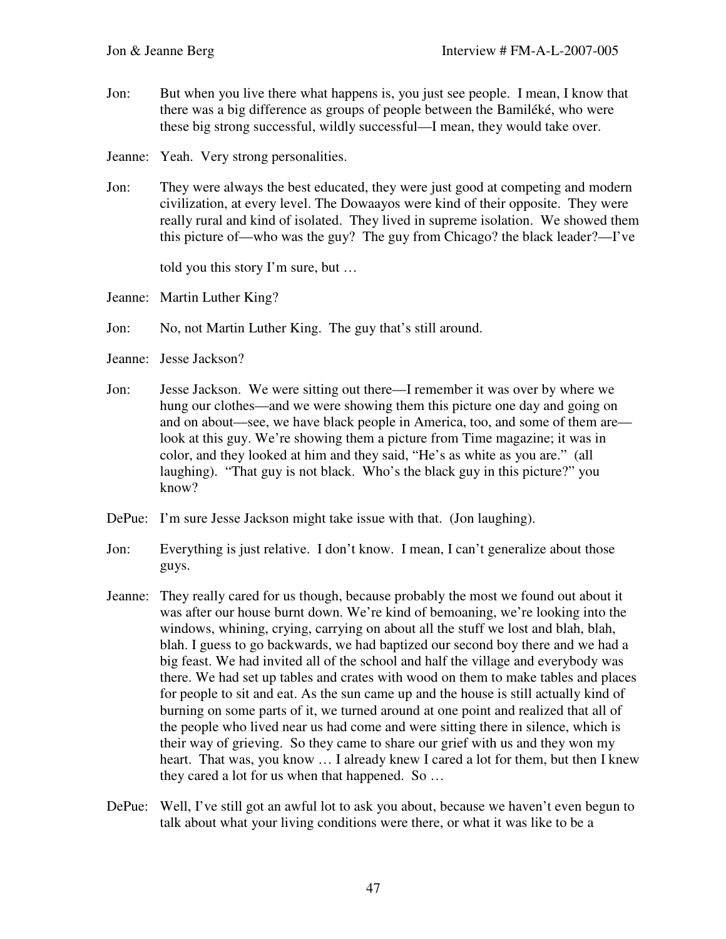- Jon: But when you live there what happens is, you just see people. I mean, I know that there was a big difference as groups of people between the Bamiléké, who were these big strong successful, wildly successful—I mean, they would take over.
- Jeanne: Yeah. Very strong personalities.
- Jon: They were always the best educated, they were just good at competing and modern civilization, at every level. The Dowaayos were kind of their opposite. They were really rural and kind of isolated. They lived in supreme isolation. We showed them this picture of—who was the guy? The guy from Chicago? the black leader?—I've

told you this story I'm sure, but …

- Jeanne: Martin Luther King?
- Jon: No, not Martin Luther King. The guy that's still around.
- Jeanne: Jesse Jackson?
- Jon: Jesse Jackson. We were sitting out there—I remember it was over by where we hung our clothes—and we were showing them this picture one day and going on and on about—see, we have black people in America, too, and some of them are look at this guy. We're showing them a picture from Time magazine; it was in color, and they looked at him and they said, "He's as white as you are." (all laughing). "That guy is not black. Who's the black guy in this picture?" you know?
- DePue: I'm sure Jesse Jackson might take issue with that. (Jon laughing).
- Jon: Everything is just relative. I don't know. I mean, I can't generalize about those guys.
- Jeanne: They really cared for us though, because probably the most we found out about it was after our house burnt down. We're kind of bemoaning, we're looking into the windows, whining, crying, carrying on about all the stuff we lost and blah, blah, blah. I guess to go backwards, we had baptized our second boy there and we had a big feast. We had invited all of the school and half the village and everybody was there. We had set up tables and crates with wood on them to make tables and places for people to sit and eat. As the sun came up and the house is still actually kind of burning on some parts of it, we turned around at one point and realized that all of the people who lived near us had come and were sitting there in silence, which is their way of grieving. So they came to share our grief with us and they won my heart. That was, you know ... I already knew I cared a lot for them, but then I knew they cared a lot for us when that happened. So …
- DePue: Well, I've still got an awful lot to ask you about, because we haven't even begun to talk about what your living conditions were there, or what it was like to be a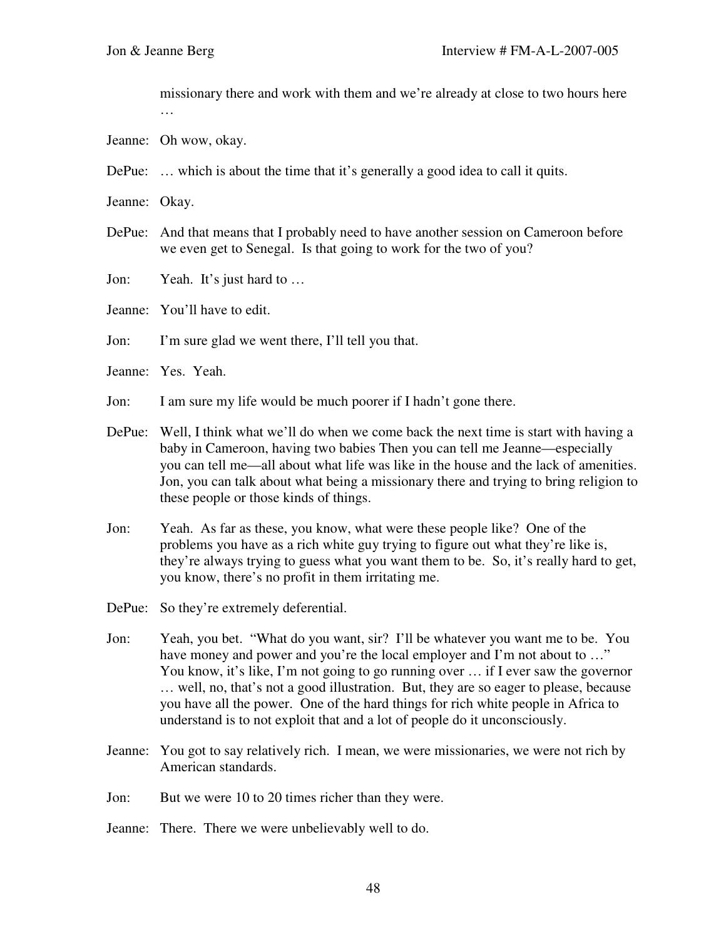missionary there and work with them and we're already at close to two hours here …

- Jeanne: Oh wow, okay.
- DePue: … which is about the time that it's generally a good idea to call it quits.
- Jeanne: Okay.
- DePue: And that means that I probably need to have another session on Cameroon before we even get to Senegal. Is that going to work for the two of you?
- Jon: Yeah. It's just hard to …
- Jeanne: You'll have to edit.
- Jon: I'm sure glad we went there, I'll tell you that.
- Jeanne: Yes. Yeah.
- Jon: I am sure my life would be much poorer if I hadn't gone there.
- DePue: Well, I think what we'll do when we come back the next time is start with having a baby in Cameroon, having two babies Then you can tell me Jeanne—especially you can tell me—all about what life was like in the house and the lack of amenities. Jon, you can talk about what being a missionary there and trying to bring religion to these people or those kinds of things.
- Jon: Yeah. As far as these, you know, what were these people like? One of the problems you have as a rich white guy trying to figure out what they're like is, they're always trying to guess what you want them to be. So, it's really hard to get, you know, there's no profit in them irritating me.
- DePue: So they're extremely deferential.
- Jon: Yeah, you bet. "What do you want, sir? I'll be whatever you want me to be. You have money and power and you're the local employer and I'm not about to ..." You know, it's like, I'm not going to go running over ... if I ever saw the governor … well, no, that's not a good illustration. But, they are so eager to please, because you have all the power. One of the hard things for rich white people in Africa to understand is to not exploit that and a lot of people do it unconsciously.
- Jeanne: You got to say relatively rich. I mean, we were missionaries, we were not rich by American standards.
- Jon: But we were 10 to 20 times richer than they were.
- Jeanne: There. There we were unbelievably well to do.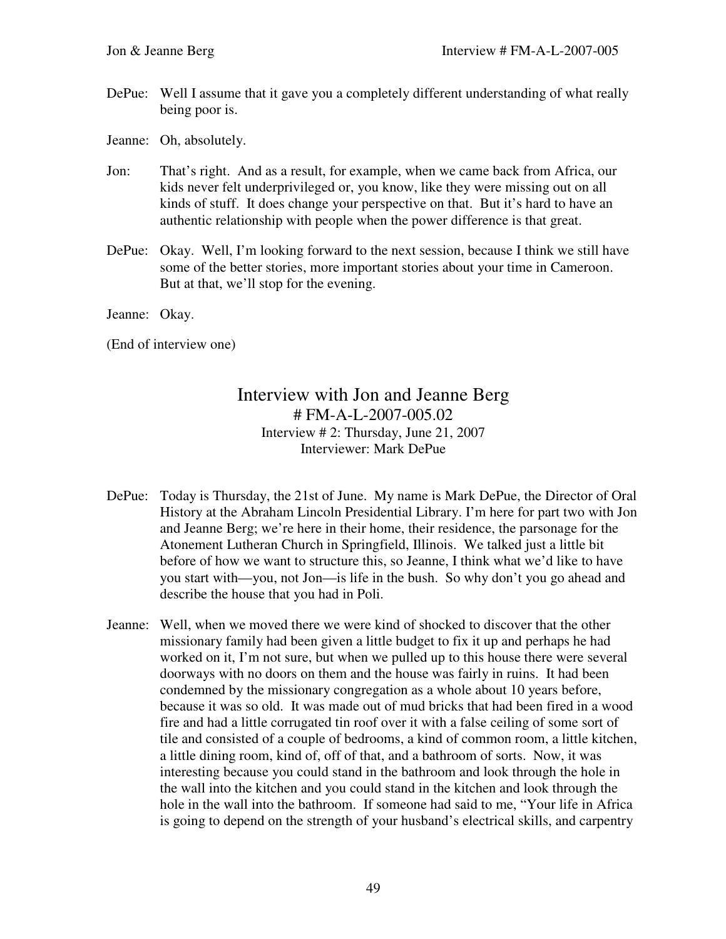DePue: Well I assume that it gave you a completely different understanding of what really being poor is.

Jeanne: Oh, absolutely.

- Jon: That's right. And as a result, for example, when we came back from Africa, our kids never felt underprivileged or, you know, like they were missing out on all kinds of stuff. It does change your perspective on that. But it's hard to have an authentic relationship with people when the power difference is that great.
- DePue: Okay. Well, I'm looking forward to the next session, because I think we still have some of the better stories, more important stories about your time in Cameroon. But at that, we'll stop for the evening.
- Jeanne: Okay.

(End of interview one)

## Interview with Jon and Jeanne Berg # FM-A-L-2007-005.02 Interview # 2: Thursday, June 21, 2007 Interviewer: Mark DePue

- DePue: Today is Thursday, the 21st of June. My name is Mark DePue, the Director of Oral History at the Abraham Lincoln Presidential Library. I'm here for part two with Jon and Jeanne Berg; we're here in their home, their residence, the parsonage for the Atonement Lutheran Church in Springfield, Illinois. We talked just a little bit before of how we want to structure this, so Jeanne, I think what we'd like to have you start with—you, not Jon—is life in the bush. So why don't you go ahead and describe the house that you had in Poli.
- Jeanne: Well, when we moved there we were kind of shocked to discover that the other missionary family had been given a little budget to fix it up and perhaps he had worked on it, I'm not sure, but when we pulled up to this house there were several doorways with no doors on them and the house was fairly in ruins. It had been condemned by the missionary congregation as a whole about 10 years before, because it was so old. It was made out of mud bricks that had been fired in a wood fire and had a little corrugated tin roof over it with a false ceiling of some sort of tile and consisted of a couple of bedrooms, a kind of common room, a little kitchen, a little dining room, kind of, off of that, and a bathroom of sorts. Now, it was interesting because you could stand in the bathroom and look through the hole in the wall into the kitchen and you could stand in the kitchen and look through the hole in the wall into the bathroom. If someone had said to me, "Your life in Africa is going to depend on the strength of your husband's electrical skills, and carpentry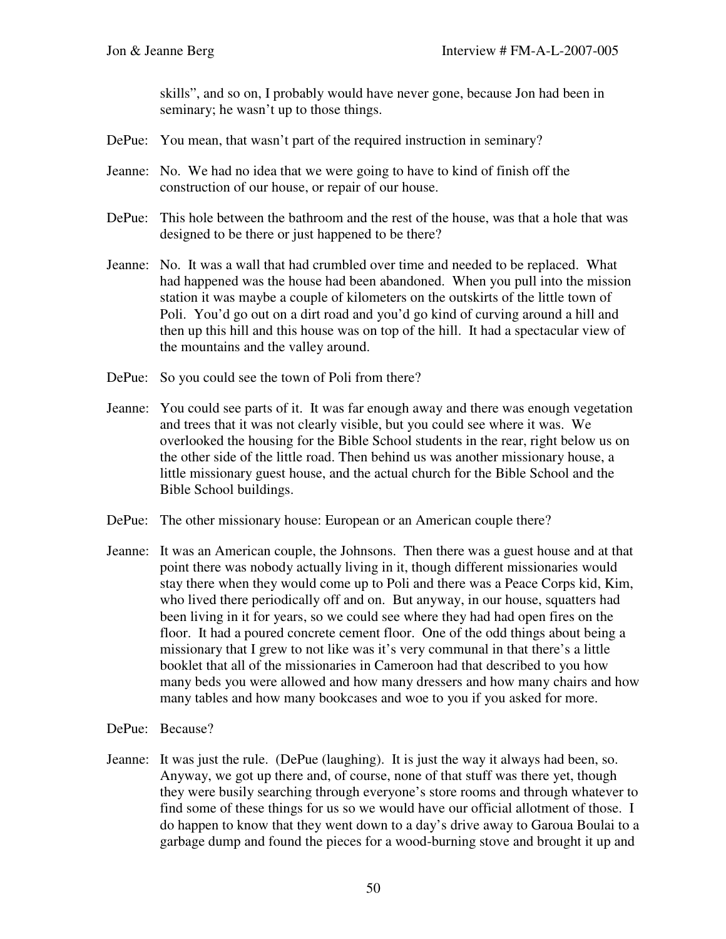skills", and so on, I probably would have never gone, because Jon had been in seminary; he wasn't up to those things.

- DePue: You mean, that wasn't part of the required instruction in seminary?
- Jeanne: No. We had no idea that we were going to have to kind of finish off the construction of our house, or repair of our house.
- DePue: This hole between the bathroom and the rest of the house, was that a hole that was designed to be there or just happened to be there?
- Jeanne: No. It was a wall that had crumbled over time and needed to be replaced. What had happened was the house had been abandoned. When you pull into the mission station it was maybe a couple of kilometers on the outskirts of the little town of Poli. You'd go out on a dirt road and you'd go kind of curving around a hill and then up this hill and this house was on top of the hill. It had a spectacular view of the mountains and the valley around.
- DePue: So you could see the town of Poli from there?
- Jeanne: You could see parts of it. It was far enough away and there was enough vegetation and trees that it was not clearly visible, but you could see where it was. We overlooked the housing for the Bible School students in the rear, right below us on the other side of the little road. Then behind us was another missionary house, a little missionary guest house, and the actual church for the Bible School and the Bible School buildings.
- DePue: The other missionary house: European or an American couple there?
- Jeanne: It was an American couple, the Johnsons. Then there was a guest house and at that point there was nobody actually living in it, though different missionaries would stay there when they would come up to Poli and there was a Peace Corps kid, Kim, who lived there periodically off and on. But anyway, in our house, squatters had been living in it for years, so we could see where they had had open fires on the floor. It had a poured concrete cement floor. One of the odd things about being a missionary that I grew to not like was it's very communal in that there's a little booklet that all of the missionaries in Cameroon had that described to you how many beds you were allowed and how many dressers and how many chairs and how many tables and how many bookcases and woe to you if you asked for more.
- DePue: Because?
- Jeanne: It was just the rule. (DePue (laughing). It is just the way it always had been, so. Anyway, we got up there and, of course, none of that stuff was there yet, though they were busily searching through everyone's store rooms and through whatever to find some of these things for us so we would have our official allotment of those. I do happen to know that they went down to a day's drive away to Garoua Boulai to a garbage dump and found the pieces for a wood-burning stove and brought it up and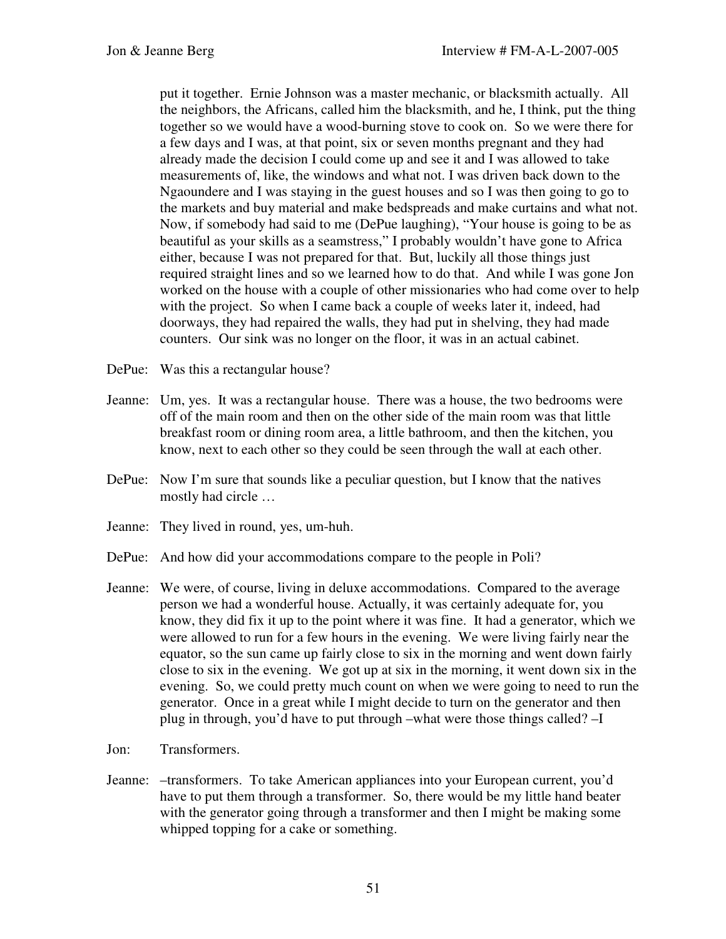put it together. Ernie Johnson was a master mechanic, or blacksmith actually. All the neighbors, the Africans, called him the blacksmith, and he, I think, put the thing together so we would have a wood-burning stove to cook on. So we were there for a few days and I was, at that point, six or seven months pregnant and they had already made the decision I could come up and see it and I was allowed to take measurements of, like, the windows and what not. I was driven back down to the Ngaoundere and I was staying in the guest houses and so I was then going to go to the markets and buy material and make bedspreads and make curtains and what not. Now, if somebody had said to me (DePue laughing), "Your house is going to be as beautiful as your skills as a seamstress," I probably wouldn't have gone to Africa either, because I was not prepared for that. But, luckily all those things just required straight lines and so we learned how to do that. And while I was gone Jon worked on the house with a couple of other missionaries who had come over to help with the project. So when I came back a couple of weeks later it, indeed, had doorways, they had repaired the walls, they had put in shelving, they had made counters. Our sink was no longer on the floor, it was in an actual cabinet.

DePue: Was this a rectangular house?

- Jeanne: Um, yes. It was a rectangular house. There was a house, the two bedrooms were off of the main room and then on the other side of the main room was that little breakfast room or dining room area, a little bathroom, and then the kitchen, you know, next to each other so they could be seen through the wall at each other.
- DePue: Now I'm sure that sounds like a peculiar question, but I know that the natives mostly had circle …
- Jeanne: They lived in round, yes, um-huh.
- DePue: And how did your accommodations compare to the people in Poli?
- Jeanne: We were, of course, living in deluxe accommodations. Compared to the average person we had a wonderful house. Actually, it was certainly adequate for, you know, they did fix it up to the point where it was fine. It had a generator, which we were allowed to run for a few hours in the evening. We were living fairly near the equator, so the sun came up fairly close to six in the morning and went down fairly close to six in the evening. We got up at six in the morning, it went down six in the evening. So, we could pretty much count on when we were going to need to run the generator. Once in a great while I might decide to turn on the generator and then plug in through, you'd have to put through –what were those things called? –I
- Jon: Transformers.
- Jeanne: –transformers. To take American appliances into your European current, you'd have to put them through a transformer. So, there would be my little hand beater with the generator going through a transformer and then I might be making some whipped topping for a cake or something.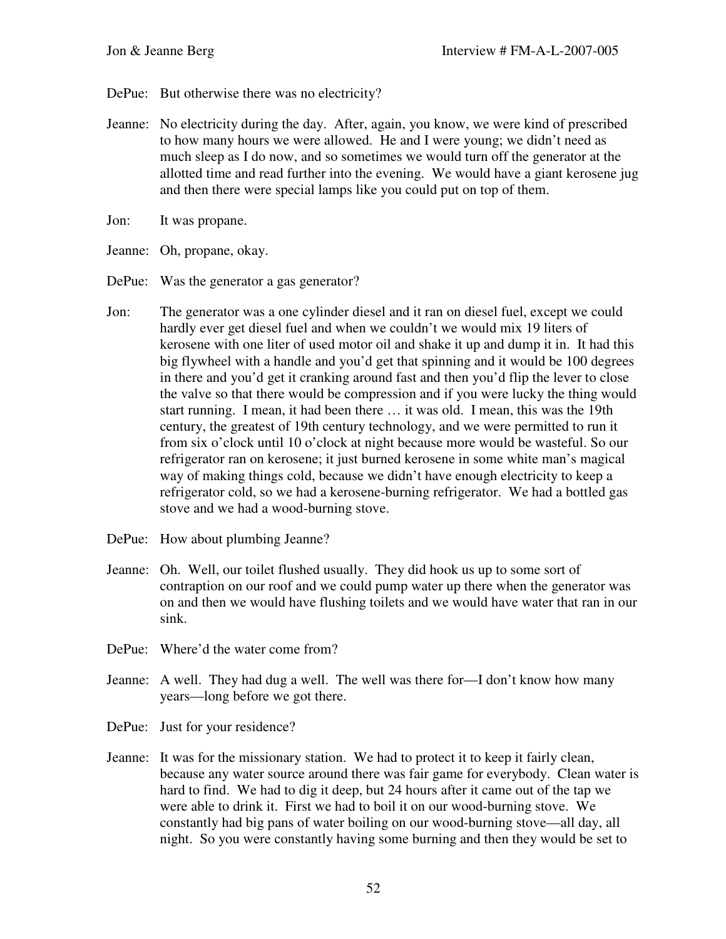- DePue: But otherwise there was no electricity?
- Jeanne: No electricity during the day. After, again, you know, we were kind of prescribed to how many hours we were allowed. He and I were young; we didn't need as much sleep as I do now, and so sometimes we would turn off the generator at the allotted time and read further into the evening. We would have a giant kerosene jug and then there were special lamps like you could put on top of them.
- Jon: It was propane.
- Jeanne: Oh, propane, okay.
- DePue: Was the generator a gas generator?
- Jon: The generator was a one cylinder diesel and it ran on diesel fuel, except we could hardly ever get diesel fuel and when we couldn't we would mix 19 liters of kerosene with one liter of used motor oil and shake it up and dump it in. It had this big flywheel with a handle and you'd get that spinning and it would be 100 degrees in there and you'd get it cranking around fast and then you'd flip the lever to close the valve so that there would be compression and if you were lucky the thing would start running. I mean, it had been there … it was old. I mean, this was the 19th century, the greatest of 19th century technology, and we were permitted to run it from six o'clock until 10 o'clock at night because more would be wasteful. So our refrigerator ran on kerosene; it just burned kerosene in some white man's magical way of making things cold, because we didn't have enough electricity to keep a refrigerator cold, so we had a kerosene-burning refrigerator. We had a bottled gas stove and we had a wood-burning stove.
- DePue: How about plumbing Jeanne?
- Jeanne: Oh. Well, our toilet flushed usually. They did hook us up to some sort of contraption on our roof and we could pump water up there when the generator was on and then we would have flushing toilets and we would have water that ran in our sink.
- DePue: Where'd the water come from?
- Jeanne: A well. They had dug a well. The well was there for—I don't know how many years—long before we got there.
- DePue: Just for your residence?
- Jeanne: It was for the missionary station. We had to protect it to keep it fairly clean, because any water source around there was fair game for everybody. Clean water is hard to find. We had to dig it deep, but 24 hours after it came out of the tap we were able to drink it. First we had to boil it on our wood-burning stove. We constantly had big pans of water boiling on our wood-burning stove—all day, all night. So you were constantly having some burning and then they would be set to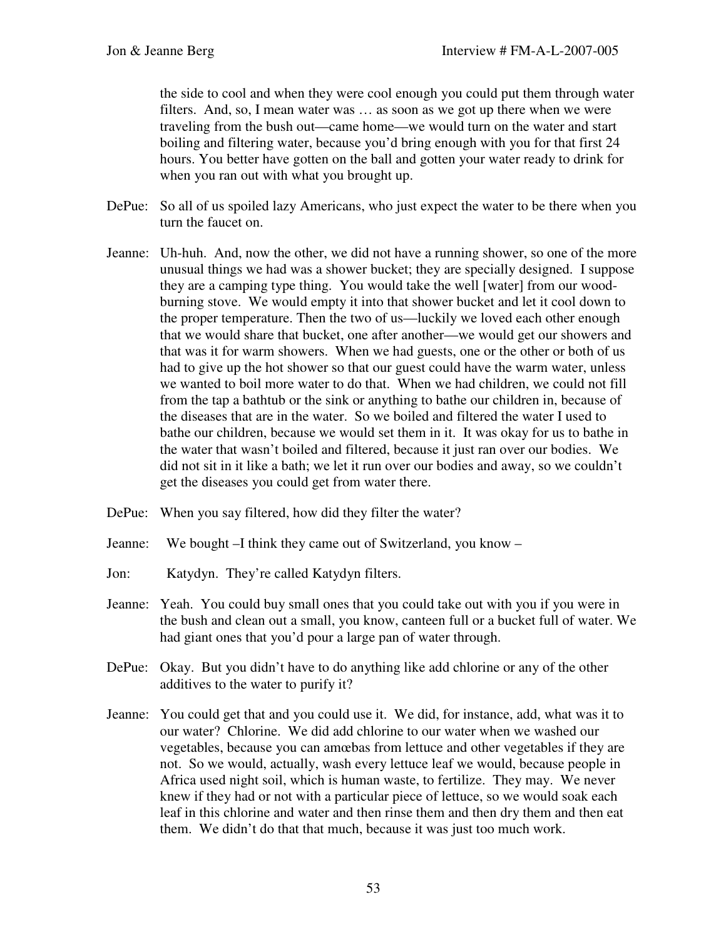the side to cool and when they were cool enough you could put them through water filters. And, so, I mean water was … as soon as we got up there when we were traveling from the bush out—came home—we would turn on the water and start boiling and filtering water, because you'd bring enough with you for that first 24 hours. You better have gotten on the ball and gotten your water ready to drink for when you ran out with what you brought up.

- DePue: So all of us spoiled lazy Americans, who just expect the water to be there when you turn the faucet on.
- Jeanne: Uh-huh. And, now the other, we did not have a running shower, so one of the more unusual things we had was a shower bucket; they are specially designed. I suppose they are a camping type thing. You would take the well [water] from our woodburning stove. We would empty it into that shower bucket and let it cool down to the proper temperature. Then the two of us—luckily we loved each other enough that we would share that bucket, one after another—we would get our showers and that was it for warm showers. When we had guests, one or the other or both of us had to give up the hot shower so that our guest could have the warm water, unless we wanted to boil more water to do that. When we had children, we could not fill from the tap a bathtub or the sink or anything to bathe our children in, because of the diseases that are in the water. So we boiled and filtered the water I used to bathe our children, because we would set them in it. It was okay for us to bathe in the water that wasn't boiled and filtered, because it just ran over our bodies. We did not sit in it like a bath; we let it run over our bodies and away, so we couldn't get the diseases you could get from water there.
- DePue: When you say filtered, how did they filter the water?
- Jeanne: We bought –I think they came out of Switzerland, you know –
- Jon: Katydyn. They're called Katydyn filters.
- Jeanne: Yeah. You could buy small ones that you could take out with you if you were in the bush and clean out a small, you know, canteen full or a bucket full of water. We had giant ones that you'd pour a large pan of water through.
- DePue: Okay. But you didn't have to do anything like add chlorine or any of the other additives to the water to purify it?
- Jeanne: You could get that and you could use it. We did, for instance, add, what was it to our water? Chlorine. We did add chlorine to our water when we washed our vegetables, because you can amœbas from lettuce and other vegetables if they are not. So we would, actually, wash every lettuce leaf we would, because people in Africa used night soil, which is human waste, to fertilize. They may. We never knew if they had or not with a particular piece of lettuce, so we would soak each leaf in this chlorine and water and then rinse them and then dry them and then eat them. We didn't do that that much, because it was just too much work.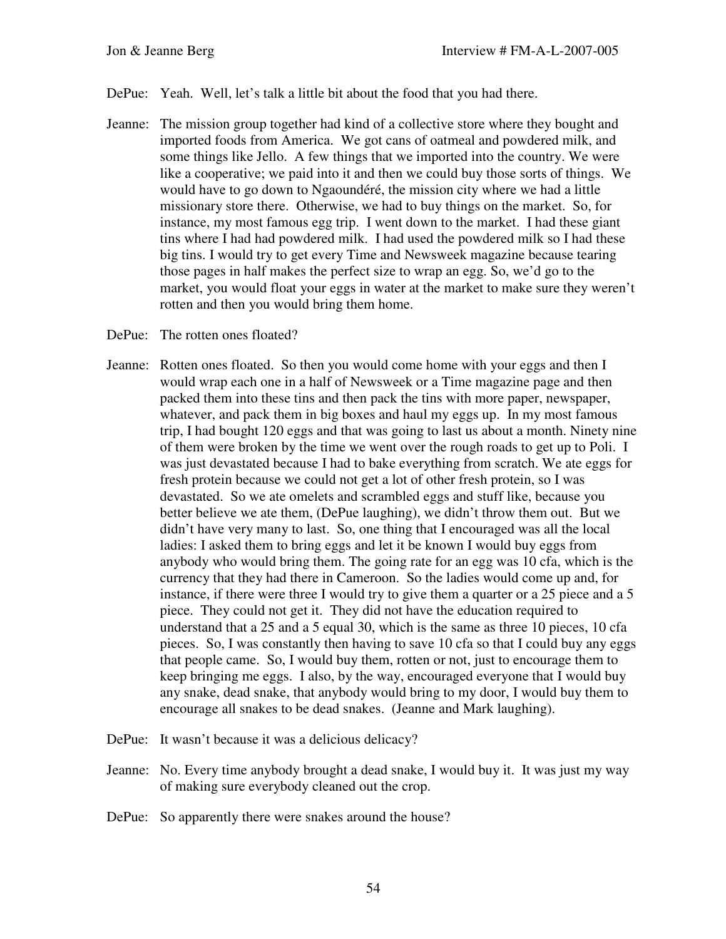- DePue: Yeah. Well, let's talk a little bit about the food that you had there.
- Jeanne: The mission group together had kind of a collective store where they bought and imported foods from America. We got cans of oatmeal and powdered milk, and some things like Jello. A few things that we imported into the country. We were like a cooperative; we paid into it and then we could buy those sorts of things. We would have to go down to Ngaoundéré, the mission city where we had a little missionary store there. Otherwise, we had to buy things on the market. So, for instance, my most famous egg trip. I went down to the market. I had these giant tins where I had had powdered milk. I had used the powdered milk so I had these big tins. I would try to get every Time and Newsweek magazine because tearing those pages in half makes the perfect size to wrap an egg. So, we'd go to the market, you would float your eggs in water at the market to make sure they weren't rotten and then you would bring them home.
- DePue: The rotten ones floated?
- Jeanne: Rotten ones floated. So then you would come home with your eggs and then I would wrap each one in a half of Newsweek or a Time magazine page and then packed them into these tins and then pack the tins with more paper, newspaper, whatever, and pack them in big boxes and haul my eggs up. In my most famous trip, I had bought 120 eggs and that was going to last us about a month. Ninety nine of them were broken by the time we went over the rough roads to get up to Poli. I was just devastated because I had to bake everything from scratch. We ate eggs for fresh protein because we could not get a lot of other fresh protein, so I was devastated. So we ate omelets and scrambled eggs and stuff like, because you better believe we ate them, (DePue laughing), we didn't throw them out. But we didn't have very many to last. So, one thing that I encouraged was all the local ladies: I asked them to bring eggs and let it be known I would buy eggs from anybody who would bring them. The going rate for an egg was 10 cfa, which is the currency that they had there in Cameroon. So the ladies would come up and, for instance, if there were three I would try to give them a quarter or a 25 piece and a 5 piece. They could not get it. They did not have the education required to understand that a 25 and a 5 equal 30, which is the same as three 10 pieces, 10 cfa pieces. So, I was constantly then having to save 10 cfa so that I could buy any eggs that people came. So, I would buy them, rotten or not, just to encourage them to keep bringing me eggs. I also, by the way, encouraged everyone that I would buy any snake, dead snake, that anybody would bring to my door, I would buy them to encourage all snakes to be dead snakes. (Jeanne and Mark laughing).
- DePue: It wasn't because it was a delicious delicacy?
- Jeanne: No. Every time anybody brought a dead snake, I would buy it. It was just my way of making sure everybody cleaned out the crop.
- DePue: So apparently there were snakes around the house?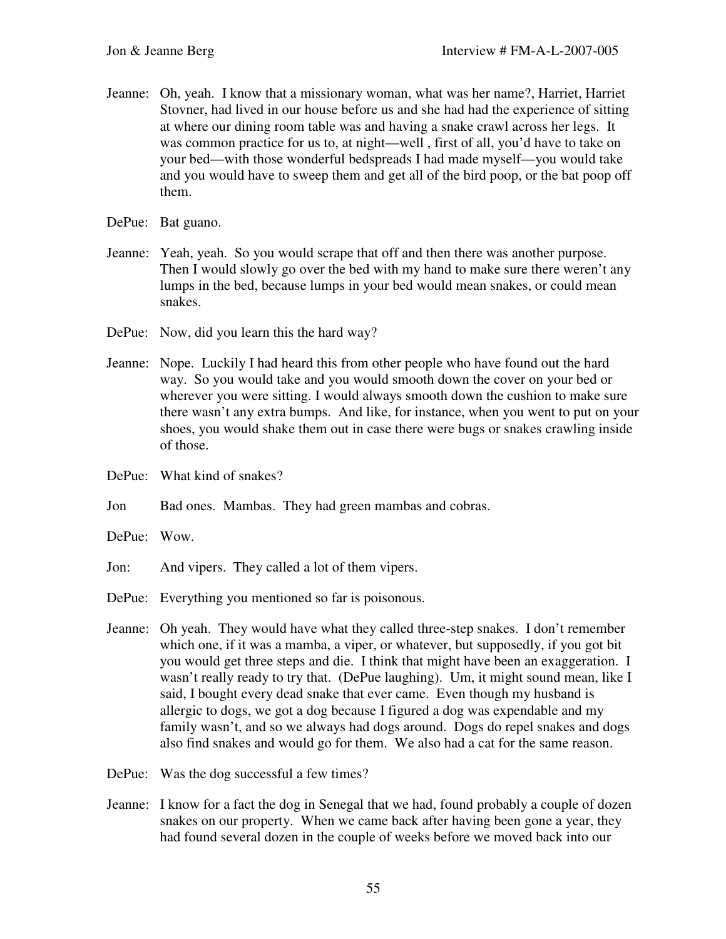- Jeanne: Oh, yeah. I know that a missionary woman, what was her name?, Harriet, Harriet Stovner, had lived in our house before us and she had had the experience of sitting at where our dining room table was and having a snake crawl across her legs. It was common practice for us to, at night—well , first of all, you'd have to take on your bed—with those wonderful bedspreads I had made myself—you would take and you would have to sweep them and get all of the bird poop, or the bat poop off them.
- DePue: Bat guano.
- Jeanne: Yeah, yeah. So you would scrape that off and then there was another purpose. Then I would slowly go over the bed with my hand to make sure there weren't any lumps in the bed, because lumps in your bed would mean snakes, or could mean snakes.
- DePue: Now, did you learn this the hard way?
- Jeanne: Nope. Luckily I had heard this from other people who have found out the hard way. So you would take and you would smooth down the cover on your bed or wherever you were sitting. I would always smooth down the cushion to make sure there wasn't any extra bumps. And like, for instance, when you went to put on your shoes, you would shake them out in case there were bugs or snakes crawling inside of those.
- DePue: What kind of snakes?

Jon Bad ones. Mambas. They had green mambas and cobras.

- DePue: Wow.
- Jon: And vipers. They called a lot of them vipers.
- DePue: Everything you mentioned so far is poisonous.
- Jeanne: Oh yeah. They would have what they called three-step snakes. I don't remember which one, if it was a mamba, a viper, or whatever, but supposedly, if you got bit you would get three steps and die. I think that might have been an exaggeration. I wasn't really ready to try that. (DePue laughing). Um, it might sound mean, like I said, I bought every dead snake that ever came. Even though my husband is allergic to dogs, we got a dog because I figured a dog was expendable and my family wasn't, and so we always had dogs around. Dogs do repel snakes and dogs also find snakes and would go for them. We also had a cat for the same reason.
- DePue: Was the dog successful a few times?
- Jeanne: I know for a fact the dog in Senegal that we had, found probably a couple of dozen snakes on our property. When we came back after having been gone a year, they had found several dozen in the couple of weeks before we moved back into our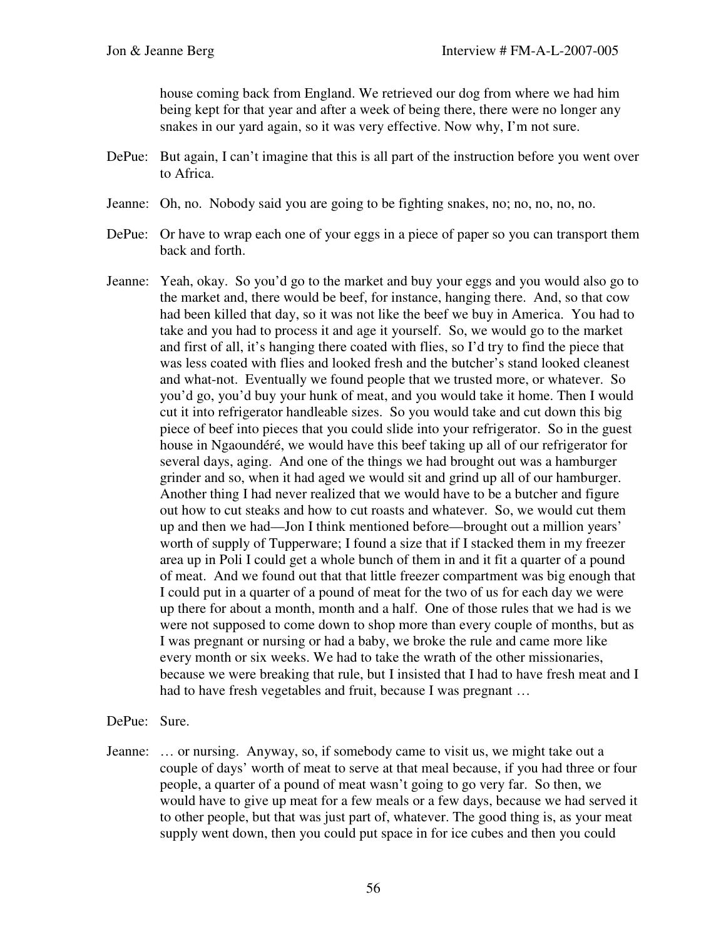house coming back from England. We retrieved our dog from where we had him being kept for that year and after a week of being there, there were no longer any snakes in our yard again, so it was very effective. Now why, I'm not sure.

- DePue: But again, I can't imagine that this is all part of the instruction before you went over to Africa.
- Jeanne: Oh, no. Nobody said you are going to be fighting snakes, no; no, no, no, no.
- DePue: Or have to wrap each one of your eggs in a piece of paper so you can transport them back and forth.
- Jeanne: Yeah, okay. So you'd go to the market and buy your eggs and you would also go to the market and, there would be beef, for instance, hanging there. And, so that cow had been killed that day, so it was not like the beef we buy in America. You had to take and you had to process it and age it yourself. So, we would go to the market and first of all, it's hanging there coated with flies, so I'd try to find the piece that was less coated with flies and looked fresh and the butcher's stand looked cleanest and what-not. Eventually we found people that we trusted more, or whatever. So you'd go, you'd buy your hunk of meat, and you would take it home. Then I would cut it into refrigerator handleable sizes. So you would take and cut down this big piece of beef into pieces that you could slide into your refrigerator. So in the guest house in Ngaoundéré, we would have this beef taking up all of our refrigerator for several days, aging. And one of the things we had brought out was a hamburger grinder and so, when it had aged we would sit and grind up all of our hamburger. Another thing I had never realized that we would have to be a butcher and figure out how to cut steaks and how to cut roasts and whatever. So, we would cut them up and then we had—Jon I think mentioned before—brought out a million years' worth of supply of Tupperware; I found a size that if I stacked them in my freezer area up in Poli I could get a whole bunch of them in and it fit a quarter of a pound of meat. And we found out that that little freezer compartment was big enough that I could put in a quarter of a pound of meat for the two of us for each day we were up there for about a month, month and a half. One of those rules that we had is we were not supposed to come down to shop more than every couple of months, but as I was pregnant or nursing or had a baby, we broke the rule and came more like every month or six weeks. We had to take the wrath of the other missionaries, because we were breaking that rule, but I insisted that I had to have fresh meat and I had to have fresh vegetables and fruit, because I was pregnant ...

## DePue: Sure.

Jeanne: … or nursing. Anyway, so, if somebody came to visit us, we might take out a couple of days' worth of meat to serve at that meal because, if you had three or four people, a quarter of a pound of meat wasn't going to go very far. So then, we would have to give up meat for a few meals or a few days, because we had served it to other people, but that was just part of, whatever. The good thing is, as your meat supply went down, then you could put space in for ice cubes and then you could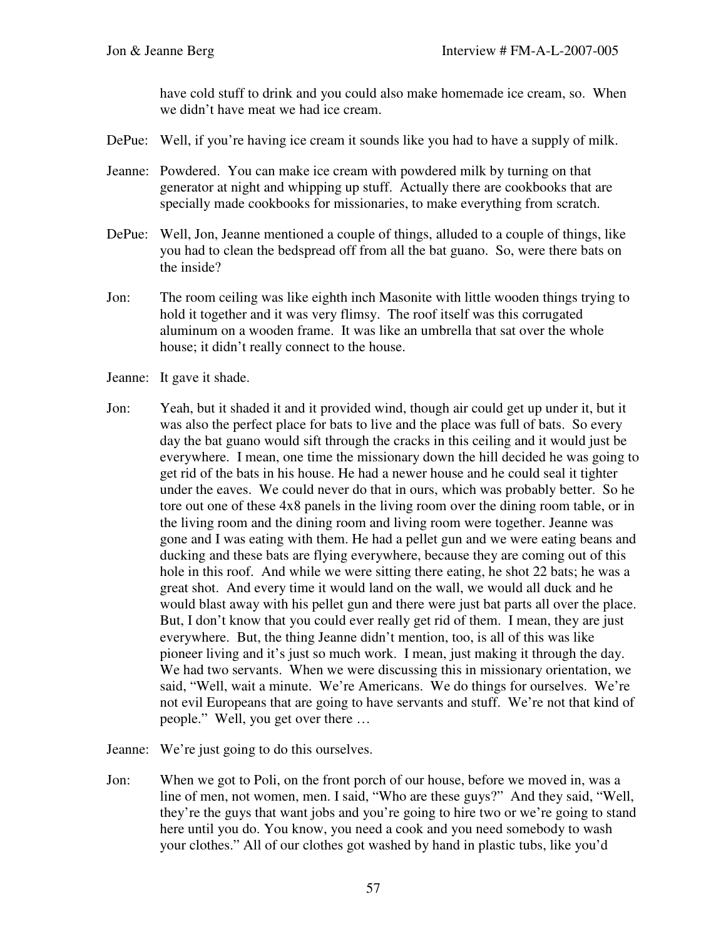have cold stuff to drink and you could also make homemade ice cream, so. When we didn't have meat we had ice cream.

- DePue: Well, if you're having ice cream it sounds like you had to have a supply of milk.
- Jeanne: Powdered. You can make ice cream with powdered milk by turning on that generator at night and whipping up stuff. Actually there are cookbooks that are specially made cookbooks for missionaries, to make everything from scratch.
- DePue: Well, Jon, Jeanne mentioned a couple of things, alluded to a couple of things, like you had to clean the bedspread off from all the bat guano. So, were there bats on the inside?
- Jon: The room ceiling was like eighth inch Masonite with little wooden things trying to hold it together and it was very flimsy. The roof itself was this corrugated aluminum on a wooden frame. It was like an umbrella that sat over the whole house; it didn't really connect to the house.
- Jeanne: It gave it shade.
- Jon: Yeah, but it shaded it and it provided wind, though air could get up under it, but it was also the perfect place for bats to live and the place was full of bats. So every day the bat guano would sift through the cracks in this ceiling and it would just be everywhere. I mean, one time the missionary down the hill decided he was going to get rid of the bats in his house. He had a newer house and he could seal it tighter under the eaves. We could never do that in ours, which was probably better. So he tore out one of these 4x8 panels in the living room over the dining room table, or in the living room and the dining room and living room were together. Jeanne was gone and I was eating with them. He had a pellet gun and we were eating beans and ducking and these bats are flying everywhere, because they are coming out of this hole in this roof. And while we were sitting there eating, he shot 22 bats; he was a great shot. And every time it would land on the wall, we would all duck and he would blast away with his pellet gun and there were just bat parts all over the place. But, I don't know that you could ever really get rid of them. I mean, they are just everywhere. But, the thing Jeanne didn't mention, too, is all of this was like pioneer living and it's just so much work. I mean, just making it through the day. We had two servants. When we were discussing this in missionary orientation, we said, "Well, wait a minute. We're Americans. We do things for ourselves. We're not evil Europeans that are going to have servants and stuff. We're not that kind of people." Well, you get over there …
- Jeanne: We're just going to do this ourselves.
- Jon: When we got to Poli, on the front porch of our house, before we moved in, was a line of men, not women, men. I said, "Who are these guys?" And they said, "Well, they're the guys that want jobs and you're going to hire two or we're going to stand here until you do. You know, you need a cook and you need somebody to wash your clothes." All of our clothes got washed by hand in plastic tubs, like you'd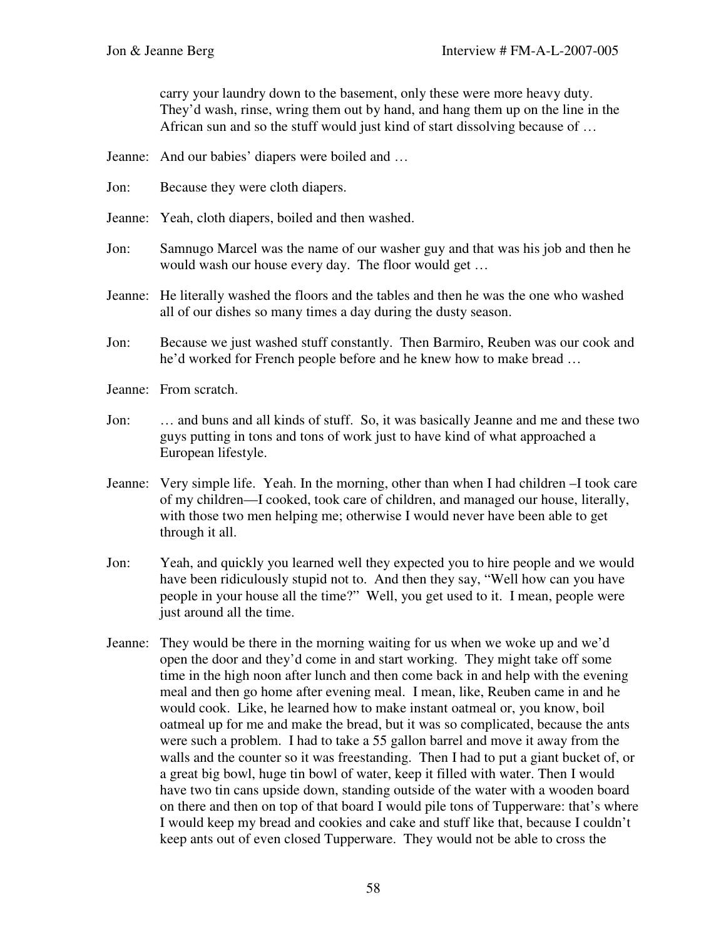carry your laundry down to the basement, only these were more heavy duty. They'd wash, rinse, wring them out by hand, and hang them up on the line in the African sun and so the stuff would just kind of start dissolving because of …

- Jeanne: And our babies' diapers were boiled and …
- Jon: Because they were cloth diapers.
- Jeanne: Yeah, cloth diapers, boiled and then washed.
- Jon: Samnugo Marcel was the name of our washer guy and that was his job and then he would wash our house every day. The floor would get …
- Jeanne: He literally washed the floors and the tables and then he was the one who washed all of our dishes so many times a day during the dusty season.
- Jon: Because we just washed stuff constantly. Then Barmiro, Reuben was our cook and he'd worked for French people before and he knew how to make bread …
- Jeanne: From scratch.
- Jon: … and buns and all kinds of stuff. So, it was basically Jeanne and me and these two guys putting in tons and tons of work just to have kind of what approached a European lifestyle.
- Jeanne: Very simple life. Yeah. In the morning, other than when I had children –I took care of my children—I cooked, took care of children, and managed our house, literally, with those two men helping me; otherwise I would never have been able to get through it all.
- Jon: Yeah, and quickly you learned well they expected you to hire people and we would have been ridiculously stupid not to. And then they say, "Well how can you have people in your house all the time?" Well, you get used to it. I mean, people were just around all the time.
- Jeanne: They would be there in the morning waiting for us when we woke up and we'd open the door and they'd come in and start working. They might take off some time in the high noon after lunch and then come back in and help with the evening meal and then go home after evening meal. I mean, like, Reuben came in and he would cook. Like, he learned how to make instant oatmeal or, you know, boil oatmeal up for me and make the bread, but it was so complicated, because the ants were such a problem. I had to take a 55 gallon barrel and move it away from the walls and the counter so it was freestanding. Then I had to put a giant bucket of, or a great big bowl, huge tin bowl of water, keep it filled with water. Then I would have two tin cans upside down, standing outside of the water with a wooden board on there and then on top of that board I would pile tons of Tupperware: that's where I would keep my bread and cookies and cake and stuff like that, because I couldn't keep ants out of even closed Tupperware. They would not be able to cross the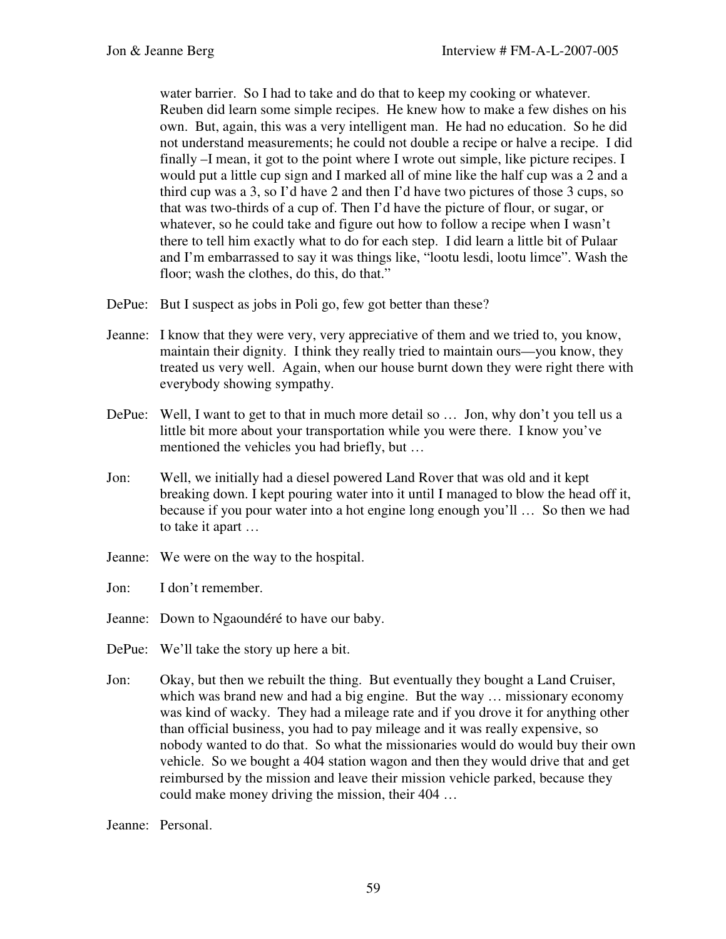water barrier. So I had to take and do that to keep my cooking or whatever. Reuben did learn some simple recipes. He knew how to make a few dishes on his own. But, again, this was a very intelligent man. He had no education. So he did not understand measurements; he could not double a recipe or halve a recipe. I did finally –I mean, it got to the point where I wrote out simple, like picture recipes. I would put a little cup sign and I marked all of mine like the half cup was a 2 and a third cup was a 3, so I'd have 2 and then I'd have two pictures of those 3 cups, so that was two-thirds of a cup of. Then I'd have the picture of flour, or sugar, or whatever, so he could take and figure out how to follow a recipe when I wasn't there to tell him exactly what to do for each step. I did learn a little bit of Pulaar and I'm embarrassed to say it was things like, "lootu lesdi, lootu limce". Wash the floor; wash the clothes, do this, do that."

- DePue: But I suspect as jobs in Poli go, few got better than these?
- Jeanne: I know that they were very, very appreciative of them and we tried to, you know, maintain their dignity. I think they really tried to maintain ours—you know, they treated us very well. Again, when our house burnt down they were right there with everybody showing sympathy.
- DePue: Well, I want to get to that in much more detail so ... Jon, why don't you tell us a little bit more about your transportation while you were there. I know you've mentioned the vehicles you had briefly, but …
- Jon: Well, we initially had a diesel powered Land Rover that was old and it kept breaking down. I kept pouring water into it until I managed to blow the head off it, because if you pour water into a hot engine long enough you'll … So then we had to take it apart …
- Jeanne: We were on the way to the hospital.

Jon: I don't remember.

- Jeanne: Down to Ngaoundéré to have our baby.
- DePue: We'll take the story up here a bit.
- Jon: Okay, but then we rebuilt the thing. But eventually they bought a Land Cruiser, which was brand new and had a big engine. But the way ... missionary economy was kind of wacky. They had a mileage rate and if you drove it for anything other than official business, you had to pay mileage and it was really expensive, so nobody wanted to do that. So what the missionaries would do would buy their own vehicle. So we bought a 404 station wagon and then they would drive that and get reimbursed by the mission and leave their mission vehicle parked, because they could make money driving the mission, their 404 …

Jeanne: Personal.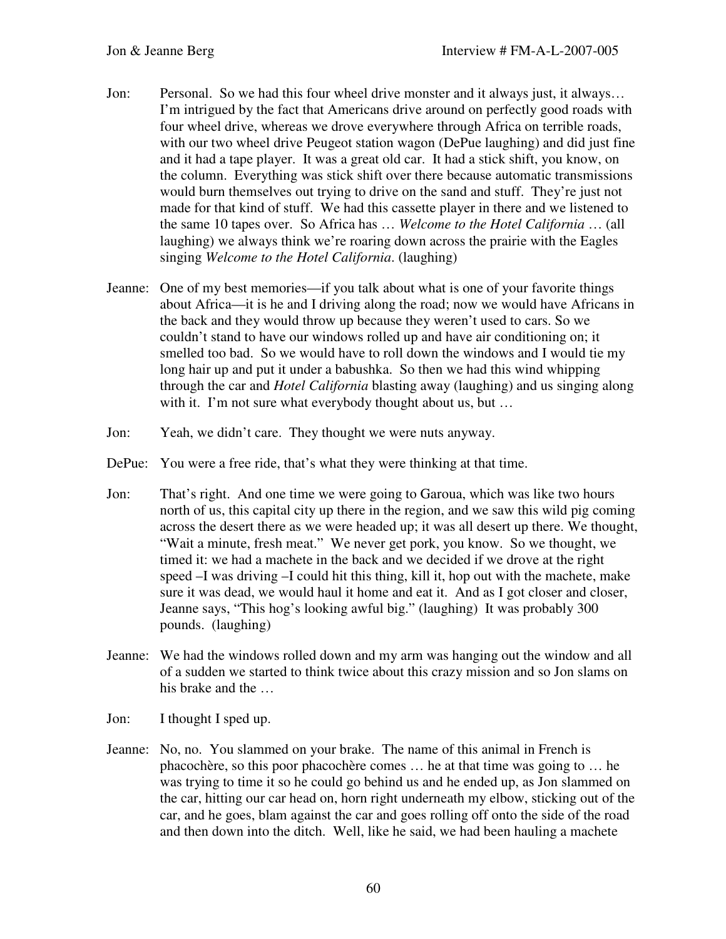- Jon: Personal. So we had this four wheel drive monster and it always just, it always... I'm intrigued by the fact that Americans drive around on perfectly good roads with four wheel drive, whereas we drove everywhere through Africa on terrible roads, with our two wheel drive Peugeot station wagon (DePue laughing) and did just fine and it had a tape player. It was a great old car. It had a stick shift, you know, on the column. Everything was stick shift over there because automatic transmissions would burn themselves out trying to drive on the sand and stuff. They're just not made for that kind of stuff. We had this cassette player in there and we listened to the same 10 tapes over. So Africa has … *Welcome to the Hotel California* … (all laughing) we always think we're roaring down across the prairie with the Eagles singing *Welcome to the Hotel California*. (laughing)
- Jeanne: One of my best memories—if you talk about what is one of your favorite things about Africa—it is he and I driving along the road; now we would have Africans in the back and they would throw up because they weren't used to cars. So we couldn't stand to have our windows rolled up and have air conditioning on; it smelled too bad. So we would have to roll down the windows and I would tie my long hair up and put it under a babushka. So then we had this wind whipping through the car and *Hotel California* blasting away (laughing) and us singing along with it. I'm not sure what everybody thought about us, but ...
- Jon: Yeah, we didn't care. They thought we were nuts anyway.
- DePue: You were a free ride, that's what they were thinking at that time.
- Jon: That's right. And one time we were going to Garoua, which was like two hours north of us, this capital city up there in the region, and we saw this wild pig coming across the desert there as we were headed up; it was all desert up there. We thought, "Wait a minute, fresh meat." We never get pork, you know. So we thought, we timed it: we had a machete in the back and we decided if we drove at the right speed –I was driving –I could hit this thing, kill it, hop out with the machete, make sure it was dead, we would haul it home and eat it. And as I got closer and closer, Jeanne says, "This hog's looking awful big." (laughing) It was probably 300 pounds. (laughing)
- Jeanne: We had the windows rolled down and my arm was hanging out the window and all of a sudden we started to think twice about this crazy mission and so Jon slams on his brake and the …
- Jon: I thought I sped up.
- Jeanne: No, no. You slammed on your brake. The name of this animal in French is phacochère, so this poor phacochère comes … he at that time was going to … he was trying to time it so he could go behind us and he ended up, as Jon slammed on the car, hitting our car head on, horn right underneath my elbow, sticking out of the car, and he goes, blam against the car and goes rolling off onto the side of the road and then down into the ditch. Well, like he said, we had been hauling a machete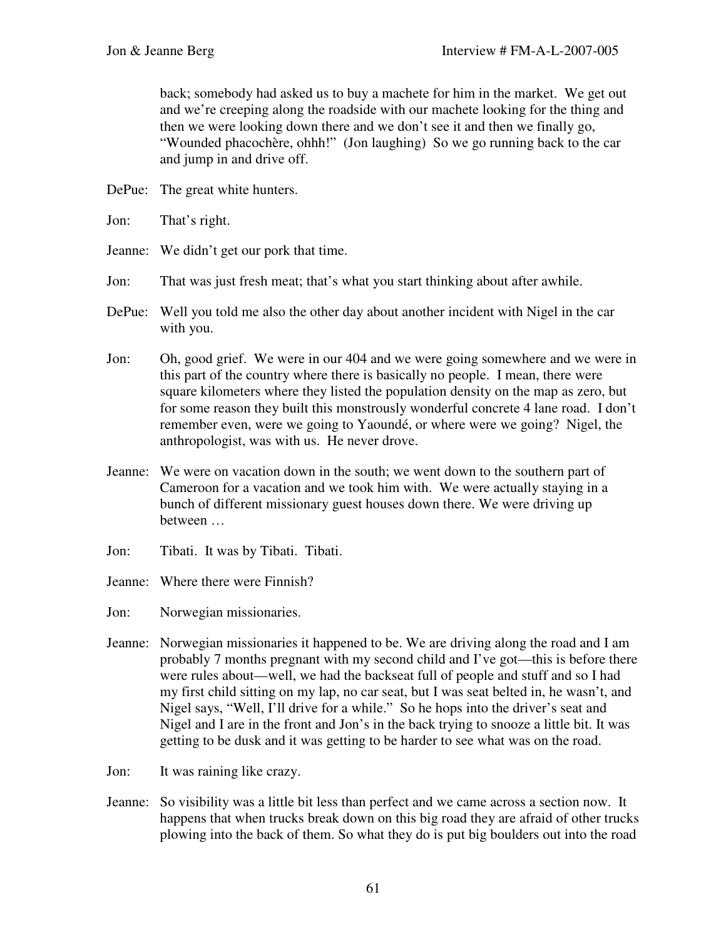back; somebody had asked us to buy a machete for him in the market. We get out and we're creeping along the roadside with our machete looking for the thing and then we were looking down there and we don't see it and then we finally go, "Wounded phacochère, ohhh!" (Jon laughing) So we go running back to the car and jump in and drive off.

- DePue: The great white hunters.
- Jon: That's right.
- Jeanne: We didn't get our pork that time.
- Jon: That was just fresh meat; that's what you start thinking about after awhile.
- DePue: Well you told me also the other day about another incident with Nigel in the car with you.
- Jon: Oh, good grief. We were in our 404 and we were going somewhere and we were in this part of the country where there is basically no people. I mean, there were square kilometers where they listed the population density on the map as zero, but for some reason they built this monstrously wonderful concrete 4 lane road. I don't remember even, were we going to Yaoundé, or where were we going? Nigel, the anthropologist, was with us. He never drove.
- Jeanne: We were on vacation down in the south; we went down to the southern part of Cameroon for a vacation and we took him with. We were actually staying in a bunch of different missionary guest houses down there. We were driving up between …
- Jon: Tibati. It was by Tibati. Tibati.

Jeanne: Where there were Finnish?

Jon: Norwegian missionaries.

- Jeanne: Norwegian missionaries it happened to be. We are driving along the road and I am probably 7 months pregnant with my second child and I've got—this is before there were rules about—well, we had the backseat full of people and stuff and so I had my first child sitting on my lap, no car seat, but I was seat belted in, he wasn't, and Nigel says, "Well, I'll drive for a while." So he hops into the driver's seat and Nigel and I are in the front and Jon's in the back trying to snooze a little bit. It was getting to be dusk and it was getting to be harder to see what was on the road.
- Jon: It was raining like crazy.
- Jeanne: So visibility was a little bit less than perfect and we came across a section now. It happens that when trucks break down on this big road they are afraid of other trucks plowing into the back of them. So what they do is put big boulders out into the road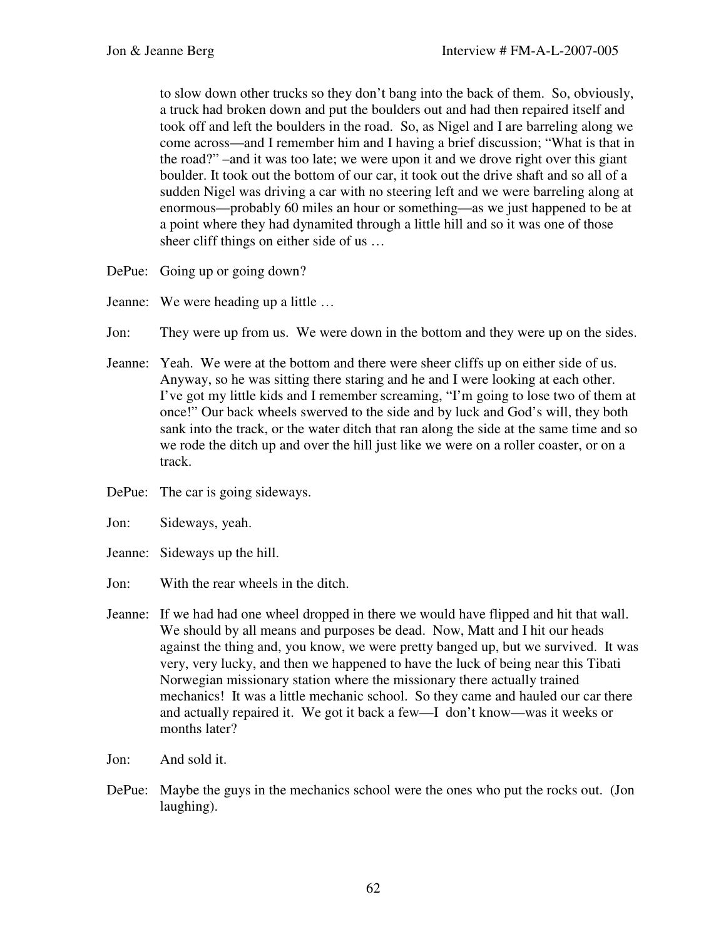to slow down other trucks so they don't bang into the back of them. So, obviously, a truck had broken down and put the boulders out and had then repaired itself and took off and left the boulders in the road. So, as Nigel and I are barreling along we come across—and I remember him and I having a brief discussion; "What is that in the road?" –and it was too late; we were upon it and we drove right over this giant boulder. It took out the bottom of our car, it took out the drive shaft and so all of a sudden Nigel was driving a car with no steering left and we were barreling along at enormous—probably 60 miles an hour or something—as we just happened to be at a point where they had dynamited through a little hill and so it was one of those sheer cliff things on either side of us …

DePue: Going up or going down?

Jeanne: We were heading up a little …

- Jon: They were up from us. We were down in the bottom and they were up on the sides.
- Jeanne: Yeah. We were at the bottom and there were sheer cliffs up on either side of us. Anyway, so he was sitting there staring and he and I were looking at each other. I've got my little kids and I remember screaming, "I'm going to lose two of them at once!" Our back wheels swerved to the side and by luck and God's will, they both sank into the track, or the water ditch that ran along the side at the same time and so we rode the ditch up and over the hill just like we were on a roller coaster, or on a track.
- DePue: The car is going sideways.
- Jon: Sideways, yeah.
- Jeanne: Sideways up the hill.
- Jon: With the rear wheels in the ditch.
- Jeanne: If we had had one wheel dropped in there we would have flipped and hit that wall. We should by all means and purposes be dead. Now, Matt and I hit our heads against the thing and, you know, we were pretty banged up, but we survived. It was very, very lucky, and then we happened to have the luck of being near this Tibati Norwegian missionary station where the missionary there actually trained mechanics! It was a little mechanic school. So they came and hauled our car there and actually repaired it. We got it back a few—I don't know—was it weeks or months later?
- Jon: And sold it.
- DePue: Maybe the guys in the mechanics school were the ones who put the rocks out. (Jon laughing).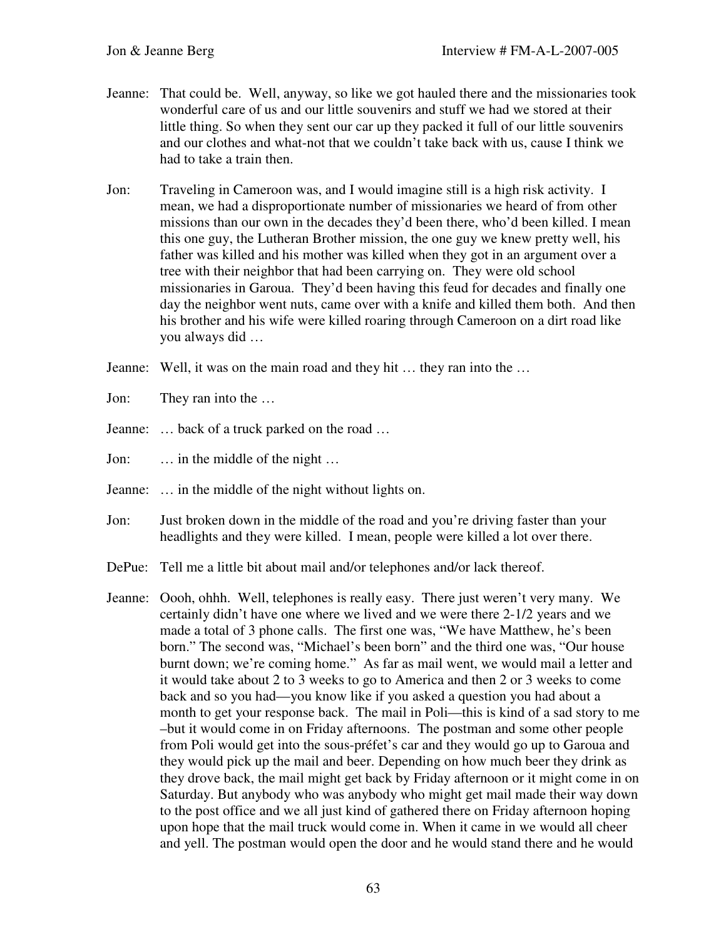- Jeanne: That could be. Well, anyway, so like we got hauled there and the missionaries took wonderful care of us and our little souvenirs and stuff we had we stored at their little thing. So when they sent our car up they packed it full of our little souvenirs and our clothes and what-not that we couldn't take back with us, cause I think we had to take a train then.
- Jon: Traveling in Cameroon was, and I would imagine still is a high risk activity. I mean, we had a disproportionate number of missionaries we heard of from other missions than our own in the decades they'd been there, who'd been killed. I mean this one guy, the Lutheran Brother mission, the one guy we knew pretty well, his father was killed and his mother was killed when they got in an argument over a tree with their neighbor that had been carrying on. They were old school missionaries in Garoua. They'd been having this feud for decades and finally one day the neighbor went nuts, came over with a knife and killed them both. And then his brother and his wife were killed roaring through Cameroon on a dirt road like you always did …
- Jeanne: Well, it was on the main road and they hit … they ran into the …
- Jon: They ran into the …
- Jeanne: … back of a truck parked on the road …

Jon: … in the middle of the night …

- Jeanne: … in the middle of the night without lights on.
- Jon: Just broken down in the middle of the road and you're driving faster than your headlights and they were killed. I mean, people were killed a lot over there.
- DePue: Tell me a little bit about mail and/or telephones and/or lack thereof.
- Jeanne: Oooh, ohhh. Well, telephones is really easy. There just weren't very many. We certainly didn't have one where we lived and we were there 2-1/2 years and we made a total of 3 phone calls. The first one was, "We have Matthew, he's been born." The second was, "Michael's been born" and the third one was, "Our house burnt down; we're coming home." As far as mail went, we would mail a letter and it would take about 2 to 3 weeks to go to America and then 2 or 3 weeks to come back and so you had—you know like if you asked a question you had about a month to get your response back. The mail in Poli—this is kind of a sad story to me –but it would come in on Friday afternoons. The postman and some other people from Poli would get into the sous-préfet's car and they would go up to Garoua and they would pick up the mail and beer. Depending on how much beer they drink as they drove back, the mail might get back by Friday afternoon or it might come in on Saturday. But anybody who was anybody who might get mail made their way down to the post office and we all just kind of gathered there on Friday afternoon hoping upon hope that the mail truck would come in. When it came in we would all cheer and yell. The postman would open the door and he would stand there and he would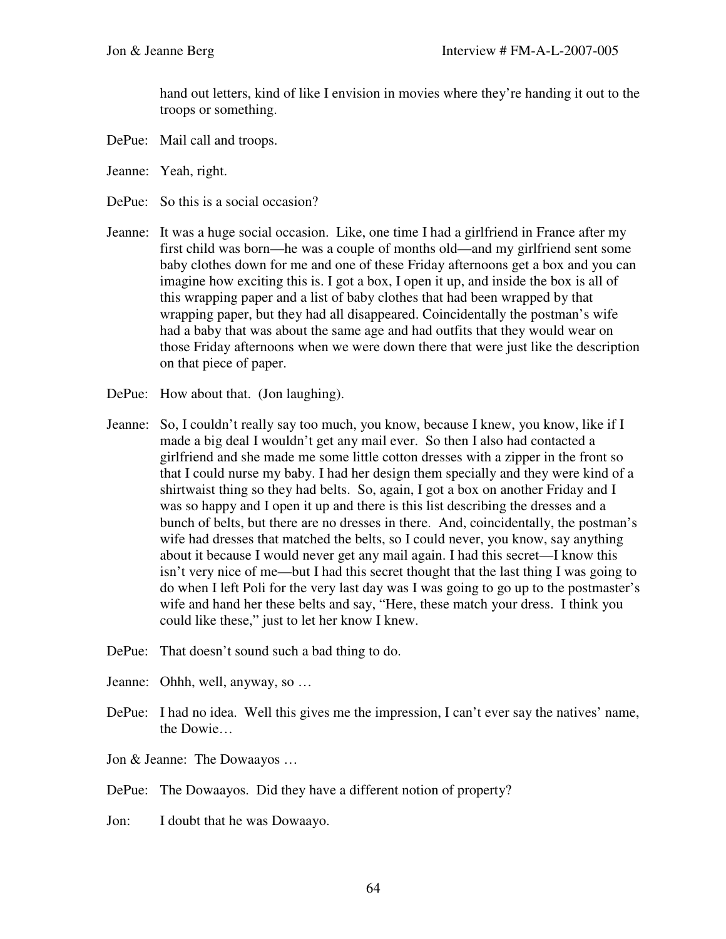hand out letters, kind of like I envision in movies where they're handing it out to the troops or something.

- DePue: Mail call and troops.
- Jeanne: Yeah, right.
- DePue: So this is a social occasion?
- Jeanne: It was a huge social occasion. Like, one time I had a girlfriend in France after my first child was born—he was a couple of months old—and my girlfriend sent some baby clothes down for me and one of these Friday afternoons get a box and you can imagine how exciting this is. I got a box, I open it up, and inside the box is all of this wrapping paper and a list of baby clothes that had been wrapped by that wrapping paper, but they had all disappeared. Coincidentally the postman's wife had a baby that was about the same age and had outfits that they would wear on those Friday afternoons when we were down there that were just like the description on that piece of paper.
- DePue: How about that. (Jon laughing).
- Jeanne: So, I couldn't really say too much, you know, because I knew, you know, like if I made a big deal I wouldn't get any mail ever. So then I also had contacted a girlfriend and she made me some little cotton dresses with a zipper in the front so that I could nurse my baby. I had her design them specially and they were kind of a shirtwaist thing so they had belts. So, again, I got a box on another Friday and I was so happy and I open it up and there is this list describing the dresses and a bunch of belts, but there are no dresses in there. And, coincidentally, the postman's wife had dresses that matched the belts, so I could never, you know, say anything about it because I would never get any mail again. I had this secret—I know this isn't very nice of me—but I had this secret thought that the last thing I was going to do when I left Poli for the very last day was I was going to go up to the postmaster's wife and hand her these belts and say, "Here, these match your dress. I think you could like these," just to let her know I knew.
- DePue: That doesn't sound such a bad thing to do.
- Jeanne: Ohhh, well, anyway, so …
- DePue: I had no idea. Well this gives me the impression, I can't ever say the natives' name, the Dowie…
- Jon & Jeanne: The Dowaayos …
- DePue: The Dowaayos. Did they have a different notion of property?
- Jon: I doubt that he was Dowaayo.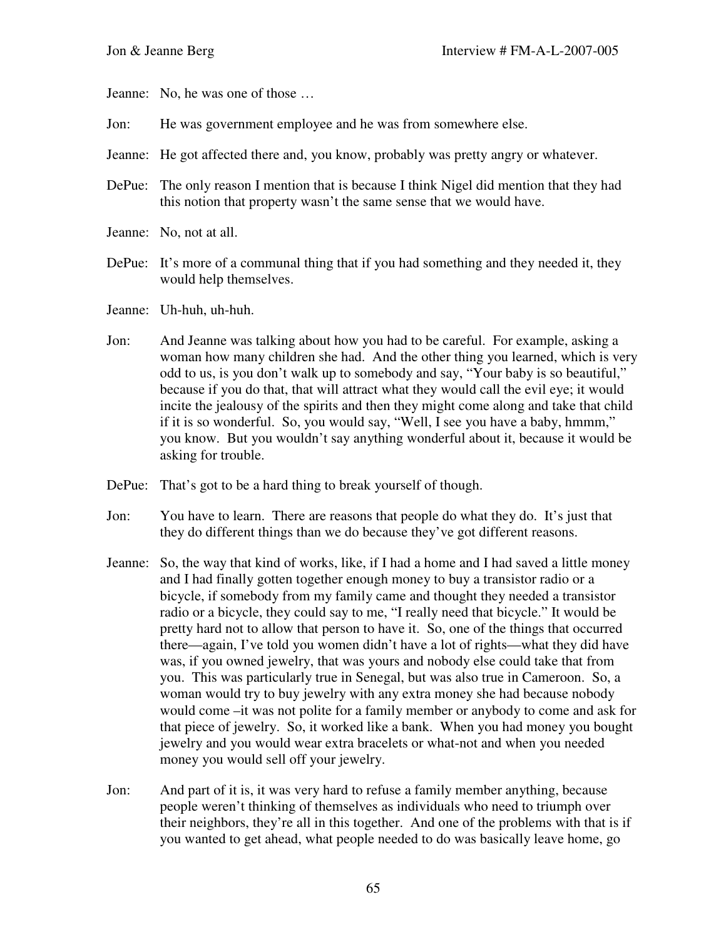Jeanne: No, he was one of those …

- Jon: He was government employee and he was from somewhere else.
- Jeanne: He got affected there and, you know, probably was pretty angry or whatever.
- DePue: The only reason I mention that is because I think Nigel did mention that they had this notion that property wasn't the same sense that we would have.
- Jeanne: No, not at all.
- DePue: It's more of a communal thing that if you had something and they needed it, they would help themselves.
- Jeanne: Uh-huh, uh-huh.
- Jon: And Jeanne was talking about how you had to be careful. For example, asking a woman how many children she had. And the other thing you learned, which is very odd to us, is you don't walk up to somebody and say, "Your baby is so beautiful," because if you do that, that will attract what they would call the evil eye; it would incite the jealousy of the spirits and then they might come along and take that child if it is so wonderful. So, you would say, "Well, I see you have a baby, hmmm," you know. But you wouldn't say anything wonderful about it, because it would be asking for trouble.
- DePue: That's got to be a hard thing to break yourself of though.
- Jon: You have to learn. There are reasons that people do what they do. It's just that they do different things than we do because they've got different reasons.
- Jeanne: So, the way that kind of works, like, if I had a home and I had saved a little money and I had finally gotten together enough money to buy a transistor radio or a bicycle, if somebody from my family came and thought they needed a transistor radio or a bicycle, they could say to me, "I really need that bicycle." It would be pretty hard not to allow that person to have it. So, one of the things that occurred there—again, I've told you women didn't have a lot of rights—what they did have was, if you owned jewelry, that was yours and nobody else could take that from you. This was particularly true in Senegal, but was also true in Cameroon. So, a woman would try to buy jewelry with any extra money she had because nobody would come –it was not polite for a family member or anybody to come and ask for that piece of jewelry. So, it worked like a bank. When you had money you bought jewelry and you would wear extra bracelets or what-not and when you needed money you would sell off your jewelry.
- Jon: And part of it is, it was very hard to refuse a family member anything, because people weren't thinking of themselves as individuals who need to triumph over their neighbors, they're all in this together. And one of the problems with that is if you wanted to get ahead, what people needed to do was basically leave home, go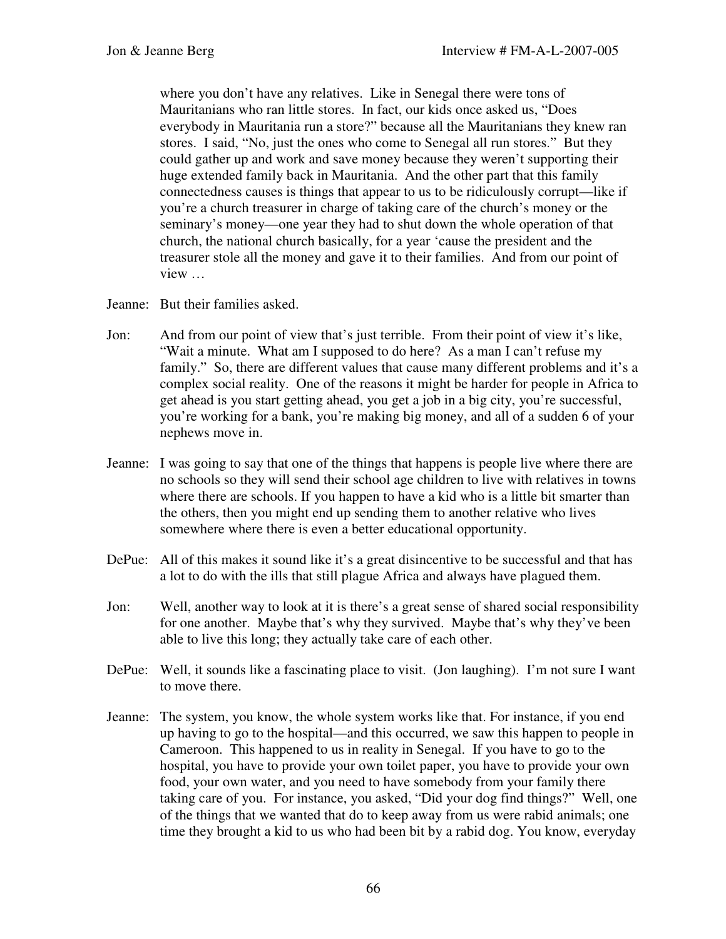where you don't have any relatives. Like in Senegal there were tons of Mauritanians who ran little stores. In fact, our kids once asked us, "Does everybody in Mauritania run a store?" because all the Mauritanians they knew ran stores. I said, "No, just the ones who come to Senegal all run stores." But they could gather up and work and save money because they weren't supporting their huge extended family back in Mauritania. And the other part that this family connectedness causes is things that appear to us to be ridiculously corrupt—like if you're a church treasurer in charge of taking care of the church's money or the seminary's money—one year they had to shut down the whole operation of that church, the national church basically, for a year 'cause the president and the treasurer stole all the money and gave it to their families. And from our point of view …

- Jeanne: But their families asked.
- Jon: And from our point of view that's just terrible. From their point of view it's like, "Wait a minute. What am I supposed to do here? As a man I can't refuse my family." So, there are different values that cause many different problems and it's a complex social reality. One of the reasons it might be harder for people in Africa to get ahead is you start getting ahead, you get a job in a big city, you're successful, you're working for a bank, you're making big money, and all of a sudden 6 of your nephews move in.
- Jeanne: I was going to say that one of the things that happens is people live where there are no schools so they will send their school age children to live with relatives in towns where there are schools. If you happen to have a kid who is a little bit smarter than the others, then you might end up sending them to another relative who lives somewhere where there is even a better educational opportunity.
- DePue: All of this makes it sound like it's a great disincentive to be successful and that has a lot to do with the ills that still plague Africa and always have plagued them.
- Jon: Well, another way to look at it is there's a great sense of shared social responsibility for one another. Maybe that's why they survived. Maybe that's why they've been able to live this long; they actually take care of each other.
- DePue: Well, it sounds like a fascinating place to visit. (Jon laughing). I'm not sure I want to move there.
- Jeanne: The system, you know, the whole system works like that. For instance, if you end up having to go to the hospital—and this occurred, we saw this happen to people in Cameroon. This happened to us in reality in Senegal. If you have to go to the hospital, you have to provide your own toilet paper, you have to provide your own food, your own water, and you need to have somebody from your family there taking care of you. For instance, you asked, "Did your dog find things?" Well, one of the things that we wanted that do to keep away from us were rabid animals; one time they brought a kid to us who had been bit by a rabid dog. You know, everyday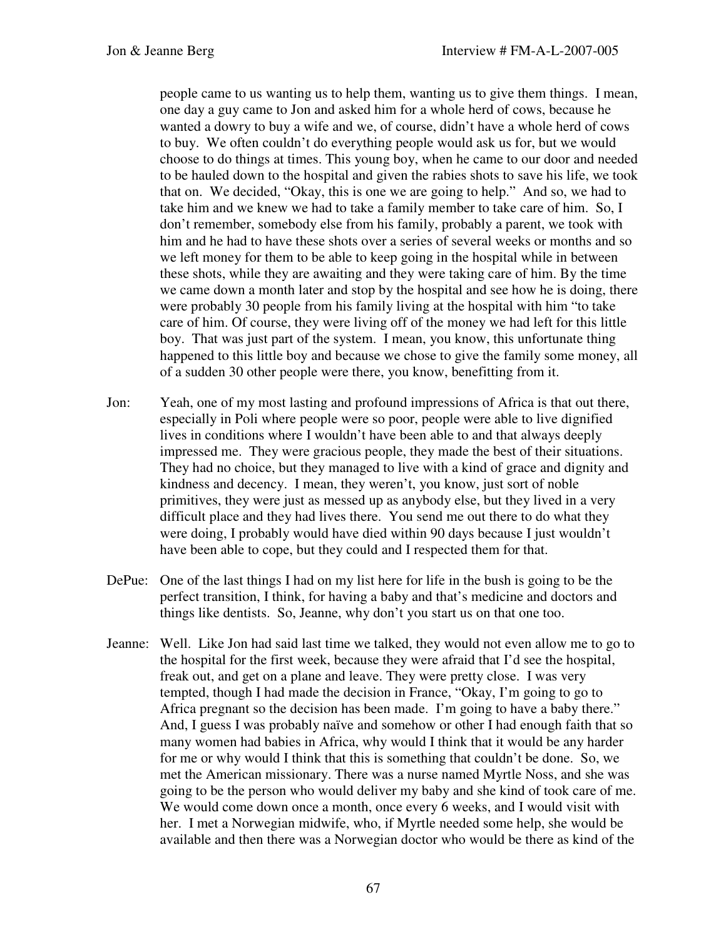people came to us wanting us to help them, wanting us to give them things. I mean, one day a guy came to Jon and asked him for a whole herd of cows, because he wanted a dowry to buy a wife and we, of course, didn't have a whole herd of cows to buy. We often couldn't do everything people would ask us for, but we would choose to do things at times. This young boy, when he came to our door and needed to be hauled down to the hospital and given the rabies shots to save his life, we took that on. We decided, "Okay, this is one we are going to help." And so, we had to take him and we knew we had to take a family member to take care of him. So, I don't remember, somebody else from his family, probably a parent, we took with him and he had to have these shots over a series of several weeks or months and so we left money for them to be able to keep going in the hospital while in between these shots, while they are awaiting and they were taking care of him. By the time we came down a month later and stop by the hospital and see how he is doing, there were probably 30 people from his family living at the hospital with him "to take care of him. Of course, they were living off of the money we had left for this little boy. That was just part of the system. I mean, you know, this unfortunate thing happened to this little boy and because we chose to give the family some money, all of a sudden 30 other people were there, you know, benefitting from it.

- Jon: Yeah, one of my most lasting and profound impressions of Africa is that out there, especially in Poli where people were so poor, people were able to live dignified lives in conditions where I wouldn't have been able to and that always deeply impressed me. They were gracious people, they made the best of their situations. They had no choice, but they managed to live with a kind of grace and dignity and kindness and decency. I mean, they weren't, you know, just sort of noble primitives, they were just as messed up as anybody else, but they lived in a very difficult place and they had lives there. You send me out there to do what they were doing, I probably would have died within 90 days because I just wouldn't have been able to cope, but they could and I respected them for that.
- DePue: One of the last things I had on my list here for life in the bush is going to be the perfect transition, I think, for having a baby and that's medicine and doctors and things like dentists. So, Jeanne, why don't you start us on that one too.
- Jeanne: Well. Like Jon had said last time we talked, they would not even allow me to go to the hospital for the first week, because they were afraid that I'd see the hospital, freak out, and get on a plane and leave. They were pretty close. I was very tempted, though I had made the decision in France, "Okay, I'm going to go to Africa pregnant so the decision has been made. I'm going to have a baby there." And, I guess I was probably naïve and somehow or other I had enough faith that so many women had babies in Africa, why would I think that it would be any harder for me or why would I think that this is something that couldn't be done. So, we met the American missionary. There was a nurse named Myrtle Noss, and she was going to be the person who would deliver my baby and she kind of took care of me. We would come down once a month, once every 6 weeks, and I would visit with her. I met a Norwegian midwife, who, if Myrtle needed some help, she would be available and then there was a Norwegian doctor who would be there as kind of the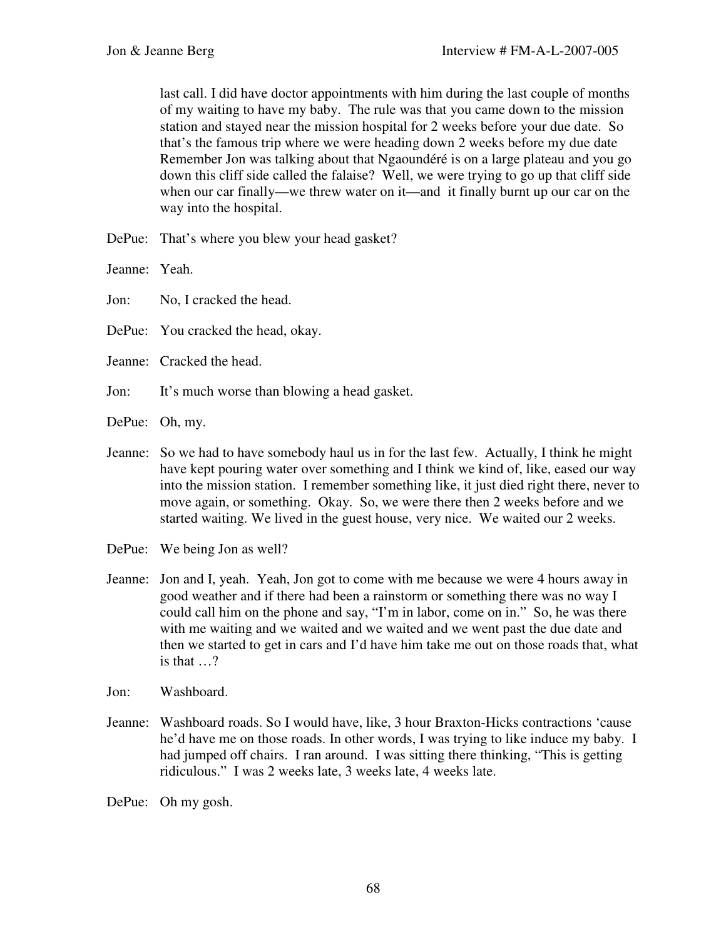last call. I did have doctor appointments with him during the last couple of months of my waiting to have my baby. The rule was that you came down to the mission station and stayed near the mission hospital for 2 weeks before your due date. So that's the famous trip where we were heading down 2 weeks before my due date Remember Jon was talking about that Ngaoundéré is on a large plateau and you go down this cliff side called the falaise? Well, we were trying to go up that cliff side when our car finally—we threw water on it—and it finally burnt up our car on the way into the hospital.

DePue: That's where you blew your head gasket?

Jeanne: Yeah.

Jon: No, I cracked the head.

DePue: You cracked the head, okay.

- Jeanne: Cracked the head.
- Jon: It's much worse than blowing a head gasket.

DePue: Oh, my.

- Jeanne: So we had to have somebody haul us in for the last few. Actually, I think he might have kept pouring water over something and I think we kind of, like, eased our way into the mission station. I remember something like, it just died right there, never to move again, or something. Okay. So, we were there then 2 weeks before and we started waiting. We lived in the guest house, very nice. We waited our 2 weeks.
- DePue: We being Jon as well?
- Jeanne: Jon and I, yeah. Yeah, Jon got to come with me because we were 4 hours away in good weather and if there had been a rainstorm or something there was no way I could call him on the phone and say, "I'm in labor, come on in." So, he was there with me waiting and we waited and we waited and we went past the due date and then we started to get in cars and I'd have him take me out on those roads that, what is that …?
- Jon: Washboard.
- Jeanne: Washboard roads. So I would have, like, 3 hour Braxton-Hicks contractions 'cause he'd have me on those roads. In other words, I was trying to like induce my baby. I had jumped off chairs. I ran around. I was sitting there thinking, "This is getting ridiculous." I was 2 weeks late, 3 weeks late, 4 weeks late.
- DePue: Oh my gosh.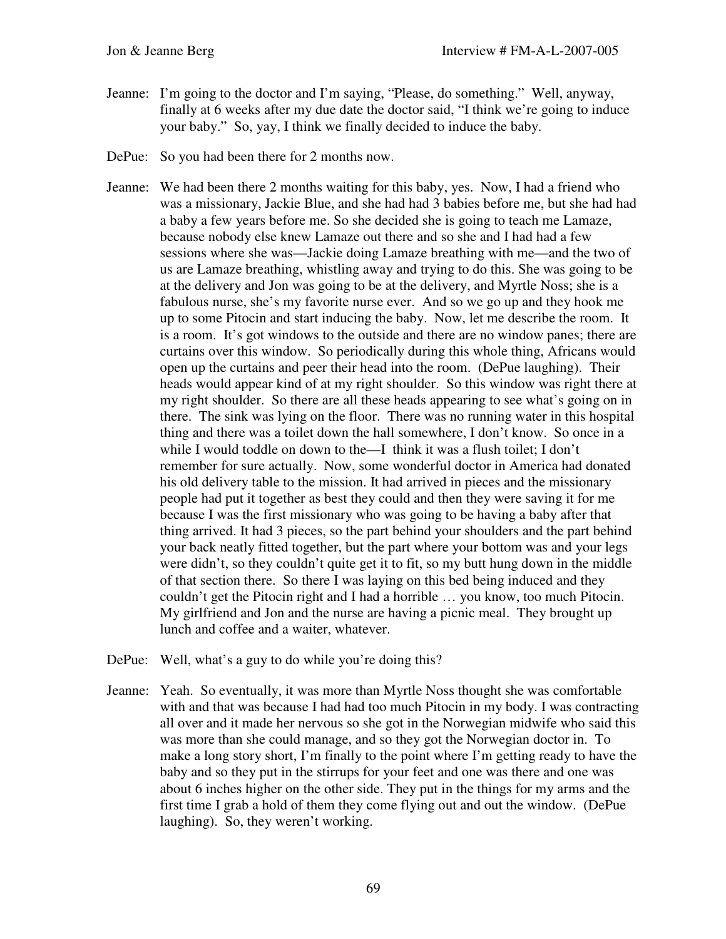- Jeanne: I'm going to the doctor and I'm saying, "Please, do something." Well, anyway, finally at 6 weeks after my due date the doctor said, "I think we're going to induce your baby." So, yay, I think we finally decided to induce the baby.
- DePue: So you had been there for 2 months now.
- Jeanne: We had been there 2 months waiting for this baby, yes. Now, I had a friend who was a missionary, Jackie Blue, and she had had 3 babies before me, but she had had a baby a few years before me. So she decided she is going to teach me Lamaze, because nobody else knew Lamaze out there and so she and I had had a few sessions where she was—Jackie doing Lamaze breathing with me—and the two of us are Lamaze breathing, whistling away and trying to do this. She was going to be at the delivery and Jon was going to be at the delivery, and Myrtle Noss; she is a fabulous nurse, she's my favorite nurse ever. And so we go up and they hook me up to some Pitocin and start inducing the baby. Now, let me describe the room. It is a room. It's got windows to the outside and there are no window panes; there are curtains over this window. So periodically during this whole thing, Africans would open up the curtains and peer their head into the room. (DePue laughing). Their heads would appear kind of at my right shoulder. So this window was right there at my right shoulder. So there are all these heads appearing to see what's going on in there. The sink was lying on the floor. There was no running water in this hospital thing and there was a toilet down the hall somewhere, I don't know. So once in a while I would toddle on down to the—I think it was a flush toilet; I don't remember for sure actually. Now, some wonderful doctor in America had donated his old delivery table to the mission. It had arrived in pieces and the missionary people had put it together as best they could and then they were saving it for me because I was the first missionary who was going to be having a baby after that thing arrived. It had 3 pieces, so the part behind your shoulders and the part behind your back neatly fitted together, but the part where your bottom was and your legs were didn't, so they couldn't quite get it to fit, so my butt hung down in the middle of that section there. So there I was laying on this bed being induced and they couldn't get the Pitocin right and I had a horrible … you know, too much Pitocin. My girlfriend and Jon and the nurse are having a picnic meal. They brought up lunch and coffee and a waiter, whatever.
- DePue: Well, what's a guy to do while you're doing this?
- Jeanne: Yeah. So eventually, it was more than Myrtle Noss thought she was comfortable with and that was because I had had too much Pitocin in my body. I was contracting all over and it made her nervous so she got in the Norwegian midwife who said this was more than she could manage, and so they got the Norwegian doctor in. To make a long story short, I'm finally to the point where I'm getting ready to have the baby and so they put in the stirrups for your feet and one was there and one was about 6 inches higher on the other side. They put in the things for my arms and the first time I grab a hold of them they come flying out and out the window. (DePue laughing). So, they weren't working.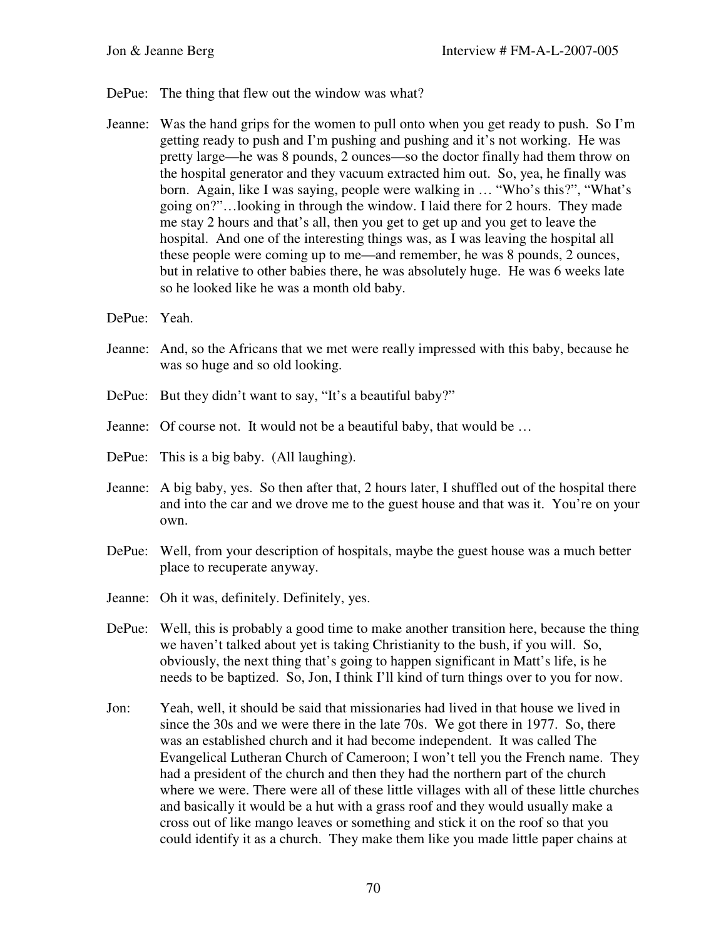- DePue: The thing that flew out the window was what?
- Jeanne: Was the hand grips for the women to pull onto when you get ready to push. So I'm getting ready to push and I'm pushing and pushing and it's not working. He was pretty large—he was 8 pounds, 2 ounces—so the doctor finally had them throw on the hospital generator and they vacuum extracted him out. So, yea, he finally was born. Again, like I was saying, people were walking in … "Who's this?", "What's going on?"…looking in through the window. I laid there for 2 hours. They made me stay 2 hours and that's all, then you get to get up and you get to leave the hospital. And one of the interesting things was, as I was leaving the hospital all these people were coming up to me—and remember, he was 8 pounds, 2 ounces, but in relative to other babies there, he was absolutely huge. He was 6 weeks late so he looked like he was a month old baby.
- DePue: Yeah.
- Jeanne: And, so the Africans that we met were really impressed with this baby, because he was so huge and so old looking.
- DePue: But they didn't want to say, "It's a beautiful baby?"
- Jeanne: Of course not. It would not be a beautiful baby, that would be …
- DePue: This is a big baby. (All laughing).
- Jeanne: A big baby, yes. So then after that, 2 hours later, I shuffled out of the hospital there and into the car and we drove me to the guest house and that was it. You're on your own.
- DePue: Well, from your description of hospitals, maybe the guest house was a much better place to recuperate anyway.
- Jeanne: Oh it was, definitely. Definitely, yes.
- DePue: Well, this is probably a good time to make another transition here, because the thing we haven't talked about yet is taking Christianity to the bush, if you will. So, obviously, the next thing that's going to happen significant in Matt's life, is he needs to be baptized. So, Jon, I think I'll kind of turn things over to you for now.
- Jon: Yeah, well, it should be said that missionaries had lived in that house we lived in since the 30s and we were there in the late 70s. We got there in 1977. So, there was an established church and it had become independent. It was called The Evangelical Lutheran Church of Cameroon; I won't tell you the French name. They had a president of the church and then they had the northern part of the church where we were. There were all of these little villages with all of these little churches and basically it would be a hut with a grass roof and they would usually make a cross out of like mango leaves or something and stick it on the roof so that you could identify it as a church. They make them like you made little paper chains at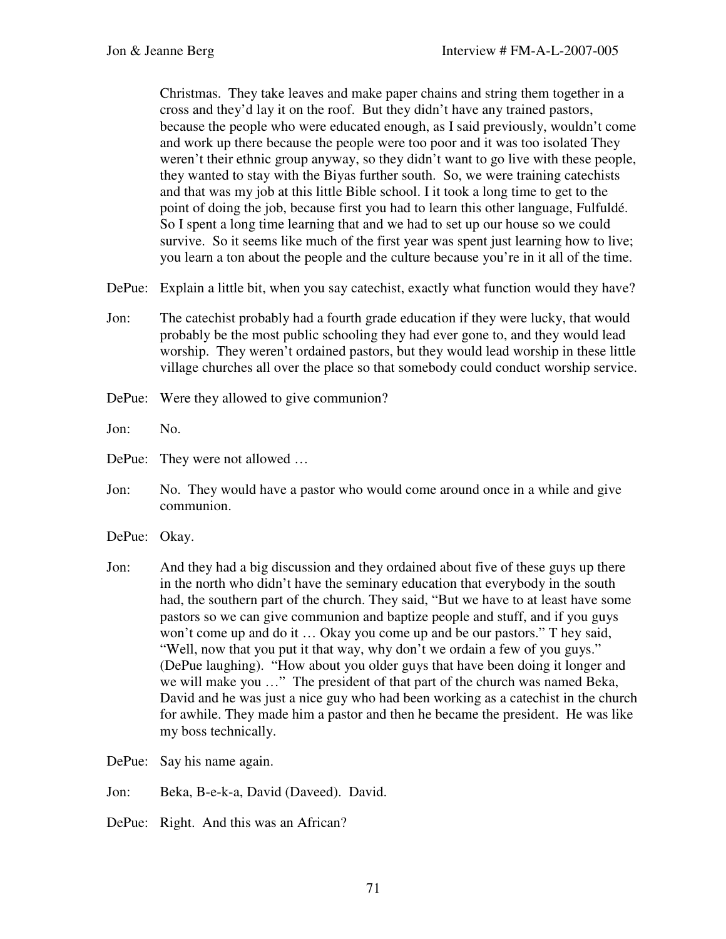Christmas. They take leaves and make paper chains and string them together in a cross and they'd lay it on the roof. But they didn't have any trained pastors, because the people who were educated enough, as I said previously, wouldn't come and work up there because the people were too poor and it was too isolated They weren't their ethnic group anyway, so they didn't want to go live with these people, they wanted to stay with the Biyas further south. So, we were training catechists and that was my job at this little Bible school. I it took a long time to get to the point of doing the job, because first you had to learn this other language, Fulfuldé. So I spent a long time learning that and we had to set up our house so we could survive. So it seems like much of the first year was spent just learning how to live; you learn a ton about the people and the culture because you're in it all of the time.

- DePue: Explain a little bit, when you say cate chist, exactly what function would they have?
- Jon: The catechist probably had a fourth grade education if they were lucky, that would probably be the most public schooling they had ever gone to, and they would lead worship. They weren't ordained pastors, but they would lead worship in these little village churches all over the place so that somebody could conduct worship service.
- DePue: Were they allowed to give communion?
- Jon: No.

DePue: They were not allowed …

- Jon: No. They would have a pastor who would come around once in a while and give communion.
- DePue: Okay.
- Jon: And they had a big discussion and they ordained about five of these guys up there in the north who didn't have the seminary education that everybody in the south had, the southern part of the church. They said, "But we have to at least have some pastors so we can give communion and baptize people and stuff, and if you guys won't come up and do it … Okay you come up and be our pastors." T hey said, "Well, now that you put it that way, why don't we ordain a few of you guys." (DePue laughing). "How about you older guys that have been doing it longer and we will make you …" The president of that part of the church was named Beka, David and he was just a nice guy who had been working as a catechist in the church for awhile. They made him a pastor and then he became the president. He was like my boss technically.
- DePue: Say his name again.
- Jon: Beka, B-e-k-a, David (Daveed). David.
- DePue: Right. And this was an African?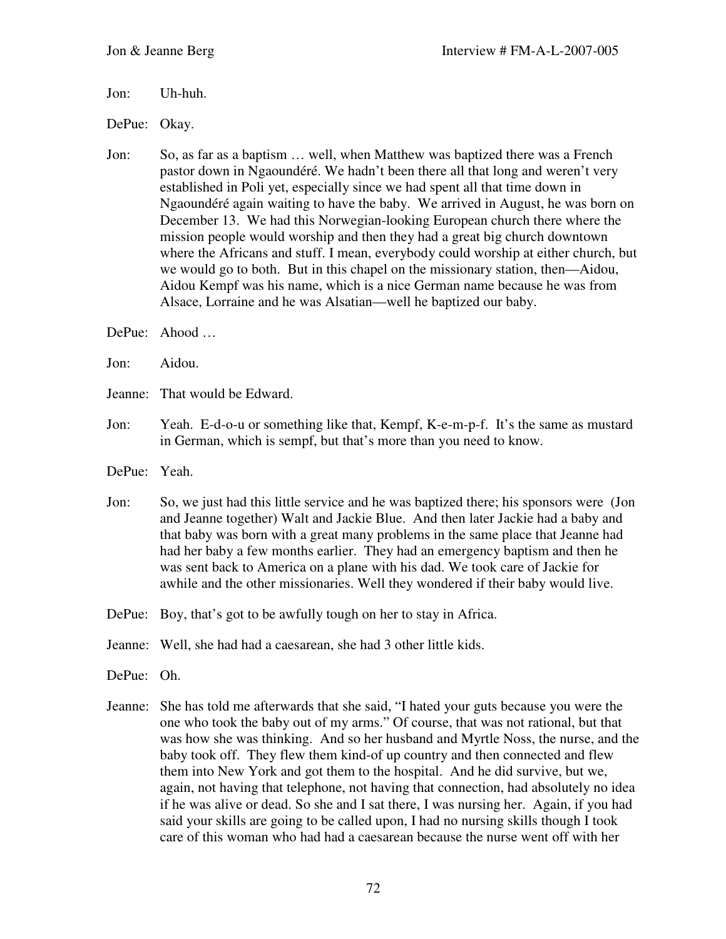Jon: Uh-huh.

DePue: Okay.

- Jon: So, as far as a baptism … well, when Matthew was baptized there was a French pastor down in Ngaoundéré. We hadn't been there all that long and weren't very established in Poli yet, especially since we had spent all that time down in Ngaoundéré again waiting to have the baby. We arrived in August, he was born on December 13. We had this Norwegian-looking European church there where the mission people would worship and then they had a great big church downtown where the Africans and stuff. I mean, everybody could worship at either church, but we would go to both. But in this chapel on the missionary station, then—Aidou, Aidou Kempf was his name, which is a nice German name because he was from Alsace, Lorraine and he was Alsatian—well he baptized our baby.
- DePue: Ahood …
- Jon: Aidou.
- Jeanne: That would be Edward.
- Jon: Yeah. E-d-o-u or something like that, Kempf, K-e-m-p-f. It's the same as mustard in German, which is sempf, but that's more than you need to know.
- DePue: Yeah.
- Jon: So, we just had this little service and he was baptized there; his sponsors were (Jon and Jeanne together) Walt and Jackie Blue. And then later Jackie had a baby and that baby was born with a great many problems in the same place that Jeanne had had her baby a few months earlier. They had an emergency baptism and then he was sent back to America on a plane with his dad. We took care of Jackie for awhile and the other missionaries. Well they wondered if their baby would live.
- DePue: Boy, that's got to be awfully tough on her to stay in Africa.
- Jeanne: Well, she had had a caesarean, she had 3 other little kids.
- DePue: Oh.
- Jeanne: She has told me afterwards that she said, "I hated your guts because you were the one who took the baby out of my arms." Of course, that was not rational, but that was how she was thinking. And so her husband and Myrtle Noss, the nurse, and the baby took off. They flew them kind-of up country and then connected and flew them into New York and got them to the hospital. And he did survive, but we, again, not having that telephone, not having that connection, had absolutely no idea if he was alive or dead. So she and I sat there, I was nursing her. Again, if you had said your skills are going to be called upon, I had no nursing skills though I took care of this woman who had had a caesarean because the nurse went off with her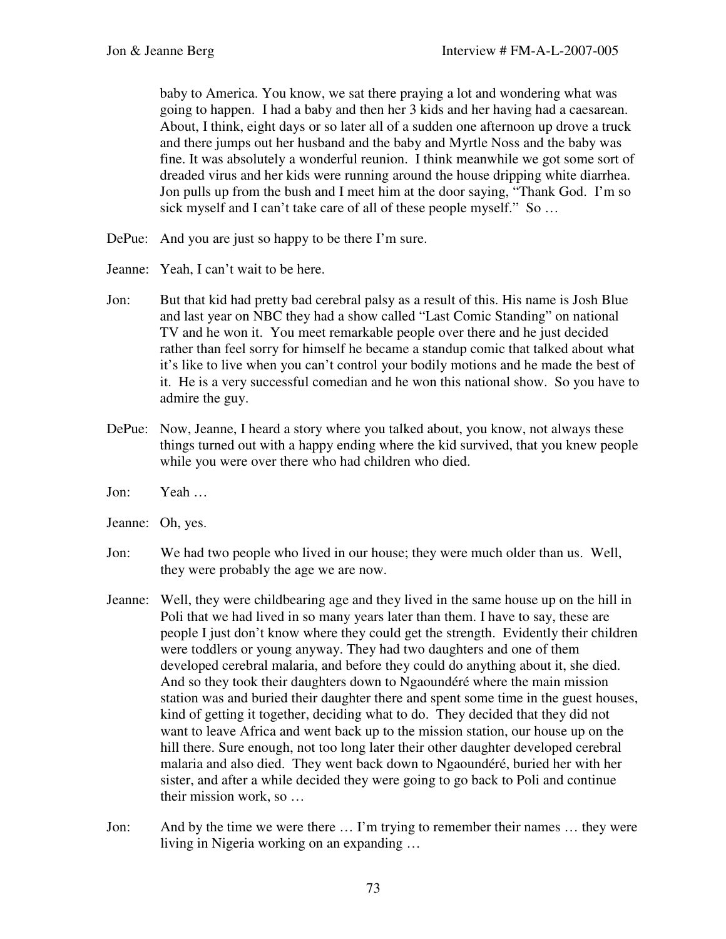baby to America. You know, we sat there praying a lot and wondering what was going to happen. I had a baby and then her 3 kids and her having had a caesarean. About, I think, eight days or so later all of a sudden one afternoon up drove a truck and there jumps out her husband and the baby and Myrtle Noss and the baby was fine. It was absolutely a wonderful reunion. I think meanwhile we got some sort of dreaded virus and her kids were running around the house dripping white diarrhea. Jon pulls up from the bush and I meet him at the door saying, "Thank God. I'm so sick myself and I can't take care of all of these people myself." So ...

- DePue: And you are just so happy to be there I'm sure.
- Jeanne: Yeah, I can't wait to be here.
- Jon: But that kid had pretty bad cerebral palsy as a result of this. His name is Josh Blue and last year on NBC they had a show called "Last Comic Standing" on national TV and he won it. You meet remarkable people over there and he just decided rather than feel sorry for himself he became a standup comic that talked about what it's like to live when you can't control your bodily motions and he made the best of it. He is a very successful comedian and he won this national show. So you have to admire the guy.
- DePue: Now, Jeanne, I heard a story where you talked about, you know, not always these things turned out with a happy ending where the kid survived, that you knew people while you were over there who had children who died.
- Jon: Yeah …
- Jeanne: Oh, yes.
- Jon: We had two people who lived in our house; they were much older than us. Well, they were probably the age we are now.
- Jeanne: Well, they were childbearing age and they lived in the same house up on the hill in Poli that we had lived in so many years later than them. I have to say, these are people I just don't know where they could get the strength. Evidently their children were toddlers or young anyway. They had two daughters and one of them developed cerebral malaria, and before they could do anything about it, she died. And so they took their daughters down to Ngaoundéré where the main mission station was and buried their daughter there and spent some time in the guest houses, kind of getting it together, deciding what to do. They decided that they did not want to leave Africa and went back up to the mission station, our house up on the hill there. Sure enough, not too long later their other daughter developed cerebral malaria and also died. They went back down to Ngaoundéré, buried her with her sister, and after a while decided they were going to go back to Poli and continue their mission work, so …
- Jon: And by the time we were there … I'm trying to remember their names … they were living in Nigeria working on an expanding …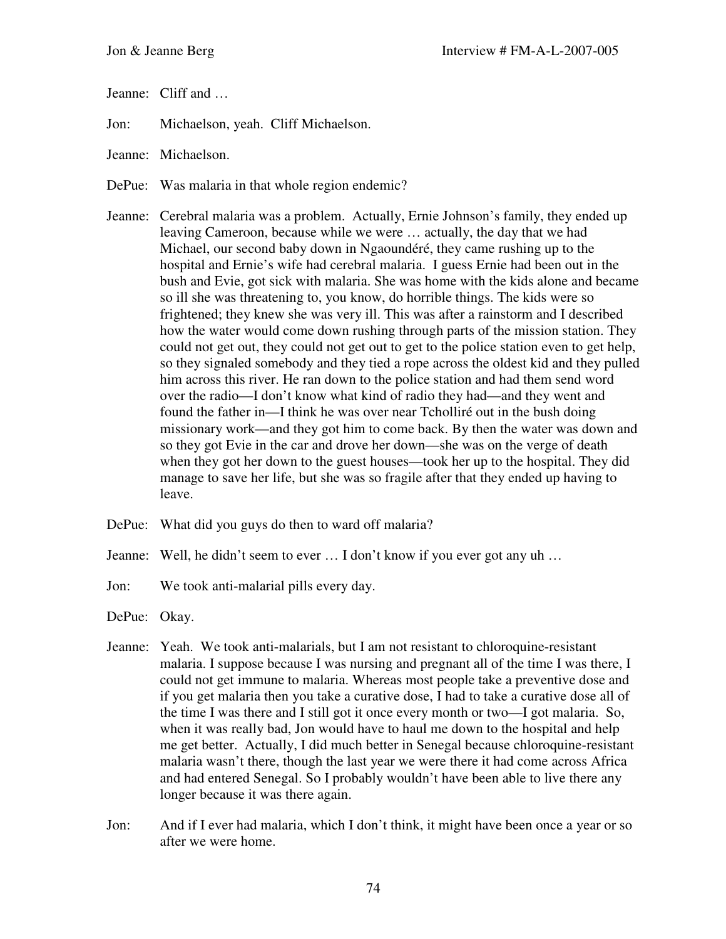Jeanne: Cliff and …

Jon: Michaelson, yeah. Cliff Michaelson.

- Jeanne: Michaelson.
- DePue: Was malaria in that whole region endemic?
- Jeanne: Cerebral malaria was a problem. Actually, Ernie Johnson's family, they ended up leaving Cameroon, because while we were … actually, the day that we had Michael, our second baby down in Ngaoundéré, they came rushing up to the hospital and Ernie's wife had cerebral malaria. I guess Ernie had been out in the bush and Evie, got sick with malaria. She was home with the kids alone and became so ill she was threatening to, you know, do horrible things. The kids were so frightened; they knew she was very ill. This was after a rainstorm and I described how the water would come down rushing through parts of the mission station. They could not get out, they could not get out to get to the police station even to get help, so they signaled somebody and they tied a rope across the oldest kid and they pulled him across this river. He ran down to the police station and had them send word over the radio—I don't know what kind of radio they had—and they went and found the father in—I think he was over near Tcholliré out in the bush doing missionary work—and they got him to come back. By then the water was down and so they got Evie in the car and drove her down—she was on the verge of death when they got her down to the guest houses—took her up to the hospital. They did manage to save her life, but she was so fragile after that they ended up having to leave.
- DePue: What did you guys do then to ward off malaria?
- Jeanne: Well, he didn't seem to ever … I don't know if you ever got any uh …
- Jon: We took anti-malarial pills every day.
- DePue: Okay.
- Jeanne: Yeah. We took anti-malarials, but I am not resistant to chloroquine-resistant malaria. I suppose because I was nursing and pregnant all of the time I was there, I could not get immune to malaria. Whereas most people take a preventive dose and if you get malaria then you take a curative dose, I had to take a curative dose all of the time I was there and I still got it once every month or two—I got malaria. So, when it was really bad, Jon would have to haul me down to the hospital and help me get better. Actually, I did much better in Senegal because chloroquine-resistant malaria wasn't there, though the last year we were there it had come across Africa and had entered Senegal. So I probably wouldn't have been able to live there any longer because it was there again.
- Jon: And if I ever had malaria, which I don't think, it might have been once a year or so after we were home.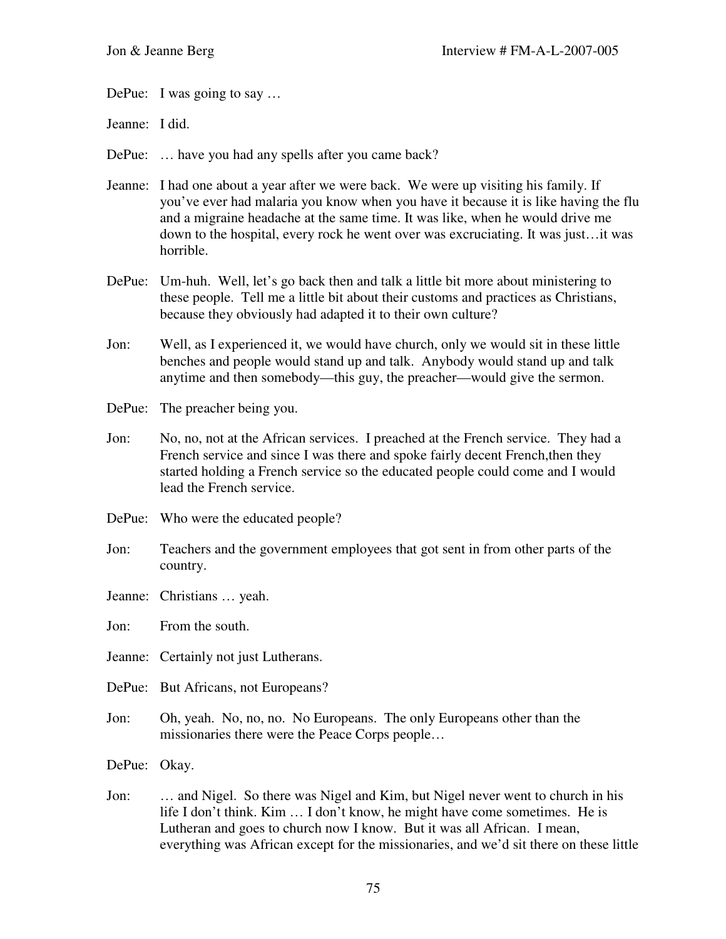DePue: I was going to say ...

Jeanne: I did.

DePue: … have you had any spells after you came back?

- Jeanne: I had one about a year after we were back. We were up visiting his family. If you've ever had malaria you know when you have it because it is like having the flu and a migraine headache at the same time. It was like, when he would drive me down to the hospital, every rock he went over was excruciating. It was just…it was horrible.
- DePue: Um-huh. Well, let's go back then and talk a little bit more about ministering to these people. Tell me a little bit about their customs and practices as Christians, because they obviously had adapted it to their own culture?
- Jon: Well, as I experienced it, we would have church, only we would sit in these little benches and people would stand up and talk. Anybody would stand up and talk anytime and then somebody—this guy, the preacher—would give the sermon.
- DePue: The preacher being you.
- Jon: No, no, not at the African services. I preached at the French service. They had a French service and since I was there and spoke fairly decent French,then they started holding a French service so the educated people could come and I would lead the French service.
- DePue: Who were the educated people?
- Jon: Teachers and the government employees that got sent in from other parts of the country.
- Jeanne: Christians … yeah.

Jon: From the south.

Jeanne: Certainly not just Lutherans.

- DePue: But Africans, not Europeans?
- Jon: Oh, yeah. No, no, no. No Europeans. The only Europeans other than the missionaries there were the Peace Corps people…

DePue: Okay.

Jon: … and Nigel. So there was Nigel and Kim, but Nigel never went to church in his life I don't think. Kim … I don't know, he might have come sometimes. He is Lutheran and goes to church now I know. But it was all African. I mean, everything was African except for the missionaries, and we'd sit there on these little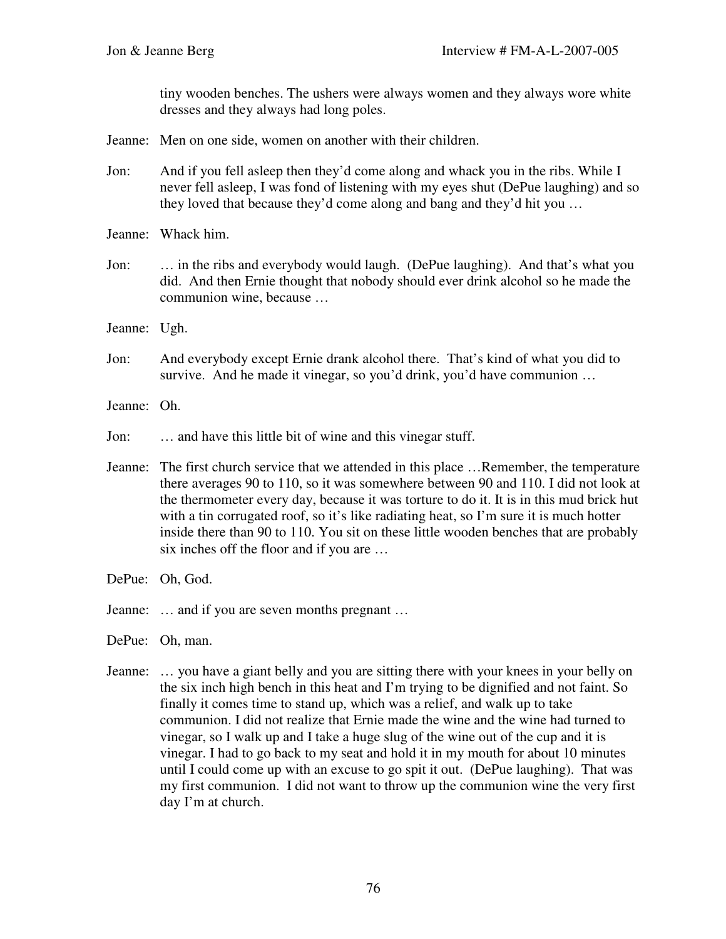tiny wooden benches. The ushers were always women and they always wore white dresses and they always had long poles.

- Jeanne: Men on one side, women on another with their children.
- Jon: And if you fell asleep then they'd come along and whack you in the ribs. While I never fell asleep, I was fond of listening with my eyes shut (DePue laughing) and so they loved that because they'd come along and bang and they'd hit you …
- Jeanne: Whack him.
- Jon: … in the ribs and everybody would laugh. (DePue laughing). And that's what you did. And then Ernie thought that nobody should ever drink alcohol so he made the communion wine, because …
- Jeanne: Ugh.
- Jon: And everybody except Ernie drank alcohol there. That's kind of what you did to survive. And he made it vinegar, so you'd drink, you'd have communion ...
- Jeanne: Oh.
- Jon: … and have this little bit of wine and this vinegar stuff.
- Jeanne: The first church service that we attended in this place …Remember, the temperature there averages 90 to 110, so it was somewhere between 90 and 110. I did not look at the thermometer every day, because it was torture to do it. It is in this mud brick hut with a tin corrugated roof, so it's like radiating heat, so I'm sure it is much hotter inside there than 90 to 110. You sit on these little wooden benches that are probably six inches off the floor and if you are …
- DePue: Oh, God.
- Jeanne: … and if you are seven months pregnant …

DePue: Oh, man.

Jeanne: … you have a giant belly and you are sitting there with your knees in your belly on the six inch high bench in this heat and I'm trying to be dignified and not faint. So finally it comes time to stand up, which was a relief, and walk up to take communion. I did not realize that Ernie made the wine and the wine had turned to vinegar, so I walk up and I take a huge slug of the wine out of the cup and it is vinegar. I had to go back to my seat and hold it in my mouth for about 10 minutes until I could come up with an excuse to go spit it out. (DePue laughing). That was my first communion. I did not want to throw up the communion wine the very first day I'm at church.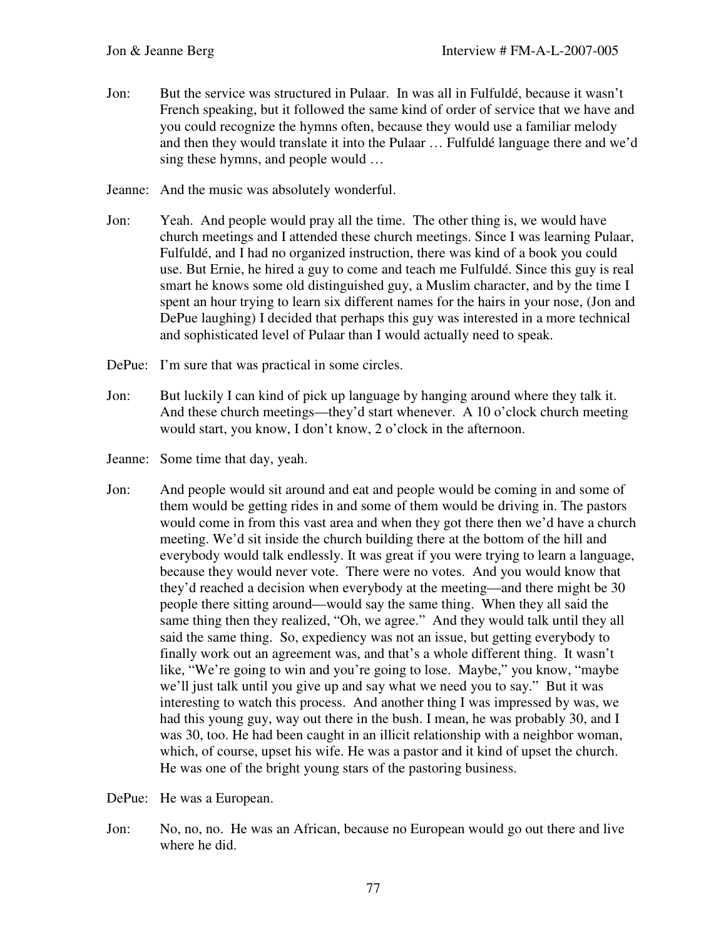- Jon: But the service was structured in Pulaar. In was all in Fulfuldé, because it wasn't French speaking, but it followed the same kind of order of service that we have and you could recognize the hymns often, because they would use a familiar melody and then they would translate it into the Pulaar … Fulfuldé language there and we'd sing these hymns, and people would …
- Jeanne: And the music was absolutely wonderful.
- Jon: Yeah. And people would pray all the time. The other thing is, we would have church meetings and I attended these church meetings. Since I was learning Pulaar, Fulfuldé, and I had no organized instruction, there was kind of a book you could use. But Ernie, he hired a guy to come and teach me Fulfuldé. Since this guy is real smart he knows some old distinguished guy, a Muslim character, and by the time I spent an hour trying to learn six different names for the hairs in your nose, (Jon and DePue laughing) I decided that perhaps this guy was interested in a more technical and sophisticated level of Pulaar than I would actually need to speak.
- DePue: I'm sure that was practical in some circles.
- Jon: But luckily I can kind of pick up language by hanging around where they talk it. And these church meetings—they'd start whenever. A 10 o'clock church meeting would start, you know, I don't know, 2 o'clock in the afternoon.
- Jeanne: Some time that day, yeah.
- Jon: And people would sit around and eat and people would be coming in and some of them would be getting rides in and some of them would be driving in. The pastors would come in from this vast area and when they got there then we'd have a church meeting. We'd sit inside the church building there at the bottom of the hill and everybody would talk endlessly. It was great if you were trying to learn a language, because they would never vote. There were no votes. And you would know that they'd reached a decision when everybody at the meeting—and there might be 30 people there sitting around—would say the same thing. When they all said the same thing then they realized, "Oh, we agree." And they would talk until they all said the same thing. So, expediency was not an issue, but getting everybody to finally work out an agreement was, and that's a whole different thing. It wasn't like, "We're going to win and you're going to lose. Maybe," you know, "maybe we'll just talk until you give up and say what we need you to say." But it was interesting to watch this process. And another thing I was impressed by was, we had this young guy, way out there in the bush. I mean, he was probably 30, and I was 30, too. He had been caught in an illicit relationship with a neighbor woman, which, of course, upset his wife. He was a pastor and it kind of upset the church. He was one of the bright young stars of the pastoring business.
- DePue: He was a European.
- Jon: No, no, no. He was an African, because no European would go out there and live where he did.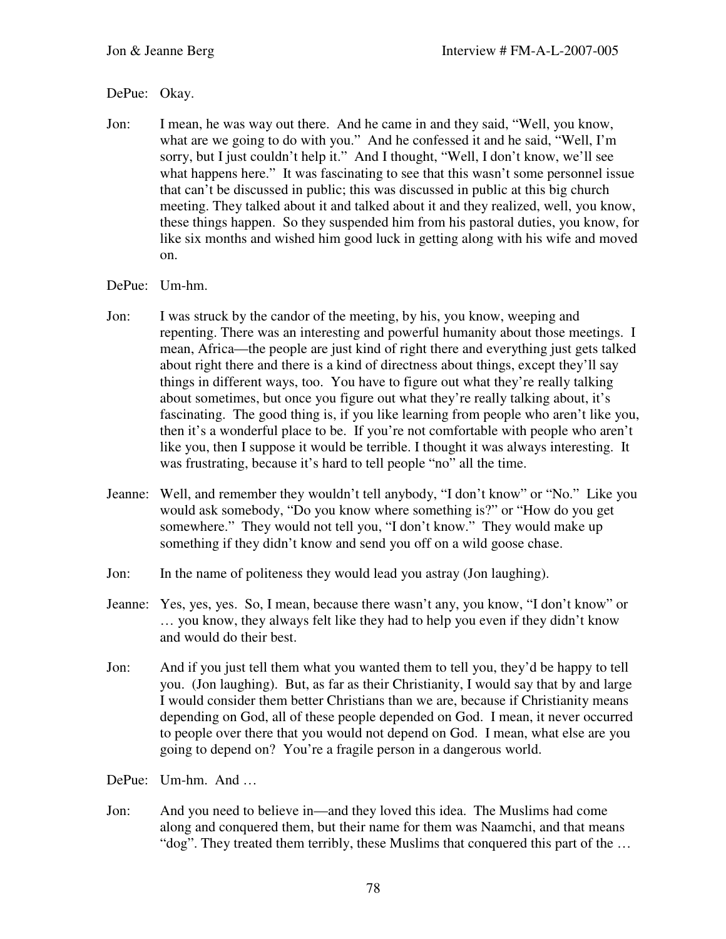## DePue: Okay.

Jon: I mean, he was way out there. And he came in and they said, "Well, you know, what are we going to do with you." And he confessed it and he said, "Well, I'm sorry, but I just couldn't help it." And I thought, "Well, I don't know, we'll see what happens here." It was fascinating to see that this wasn't some personnel issue that can't be discussed in public; this was discussed in public at this big church meeting. They talked about it and talked about it and they realized, well, you know, these things happen. So they suspended him from his pastoral duties, you know, for like six months and wished him good luck in getting along with his wife and moved on.

## DePue: Um-hm.

- Jon: I was struck by the candor of the meeting, by his, you know, weeping and repenting. There was an interesting and powerful humanity about those meetings. I mean, Africa—the people are just kind of right there and everything just gets talked about right there and there is a kind of directness about things, except they'll say things in different ways, too. You have to figure out what they're really talking about sometimes, but once you figure out what they're really talking about, it's fascinating. The good thing is, if you like learning from people who aren't like you, then it's a wonderful place to be. If you're not comfortable with people who aren't like you, then I suppose it would be terrible. I thought it was always interesting. It was frustrating, because it's hard to tell people "no" all the time.
- Jeanne: Well, and remember they wouldn't tell anybody, "I don't know" or "No." Like you would ask somebody, "Do you know where something is?" or "How do you get somewhere." They would not tell you, "I don't know." They would make up something if they didn't know and send you off on a wild goose chase.
- Jon: In the name of politeness they would lead you astray (Jon laughing).
- Jeanne: Yes, yes, yes. So, I mean, because there wasn't any, you know, "I don't know" or … you know, they always felt like they had to help you even if they didn't know and would do their best.
- Jon: And if you just tell them what you wanted them to tell you, they'd be happy to tell you. (Jon laughing). But, as far as their Christianity, I would say that by and large I would consider them better Christians than we are, because if Christianity means depending on God, all of these people depended on God. I mean, it never occurred to people over there that you would not depend on God. I mean, what else are you going to depend on? You're a fragile person in a dangerous world.
- DePue: Um-hm. And …
- Jon: And you need to believe in—and they loved this idea. The Muslims had come along and conquered them, but their name for them was Naamchi, and that means "dog". They treated them terribly, these Muslims that conquered this part of the …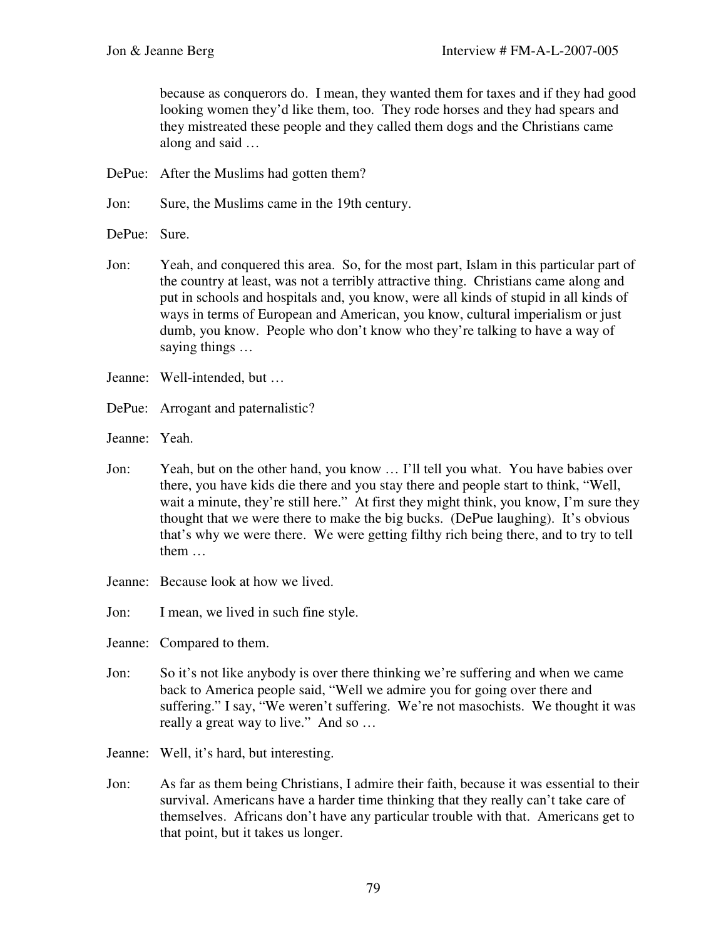because as conquerors do. I mean, they wanted them for taxes and if they had good looking women they'd like them, too. They rode horses and they had spears and they mistreated these people and they called them dogs and the Christians came along and said …

DePue: After the Muslims had gotten them?

Jon: Sure, the Muslims came in the 19th century.

- DePue: Sure.
- Jon: Yeah, and conquered this area. So, for the most part, Islam in this particular part of the country at least, was not a terribly attractive thing. Christians came along and put in schools and hospitals and, you know, were all kinds of stupid in all kinds of ways in terms of European and American, you know, cultural imperialism or just dumb, you know. People who don't know who they're talking to have a way of saying things …
- Jeanne: Well-intended, but …
- DePue: Arrogant and paternalistic?

Jeanne: Yeah.

- Jon: Yeah, but on the other hand, you know … I'll tell you what. You have babies over there, you have kids die there and you stay there and people start to think, "Well, wait a minute, they're still here." At first they might think, you know, I'm sure they thought that we were there to make the big bucks. (DePue laughing). It's obvious that's why we were there. We were getting filthy rich being there, and to try to tell them …
- Jeanne: Because look at how we lived.

Jon: I mean, we lived in such fine style.

Jeanne: Compared to them.

- Jon: So it's not like anybody is over there thinking we're suffering and when we came back to America people said, "Well we admire you for going over there and suffering." I say, "We weren't suffering. We're not masochists. We thought it was really a great way to live." And so …
- Jeanne: Well, it's hard, but interesting.
- Jon: As far as them being Christians, I admire their faith, because it was essential to their survival. Americans have a harder time thinking that they really can't take care of themselves. Africans don't have any particular trouble with that. Americans get to that point, but it takes us longer.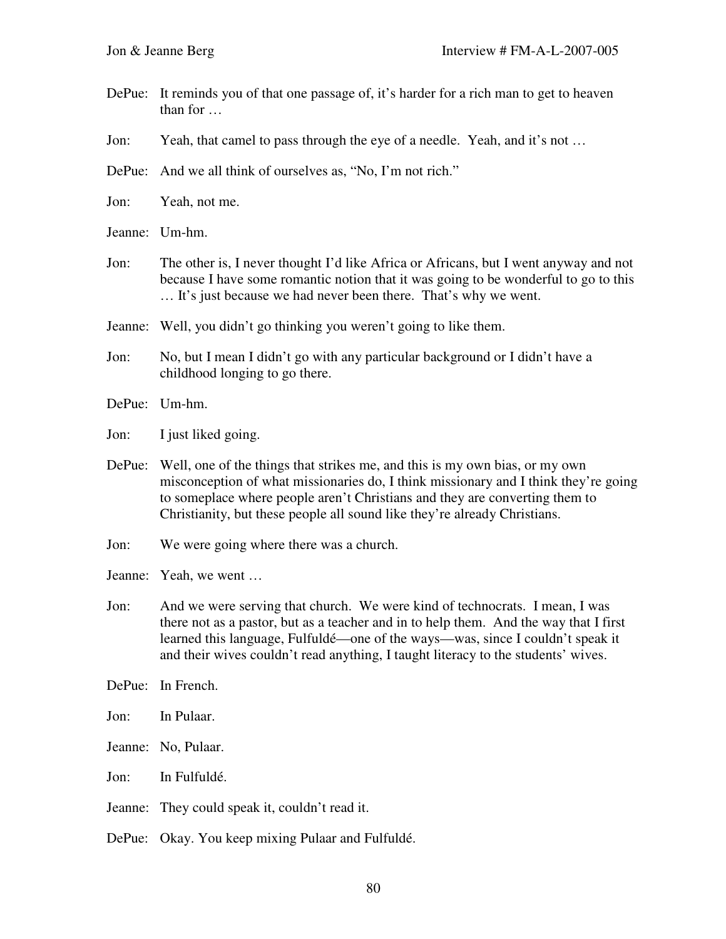- DePue: It reminds you of that one passage of, it's harder for a rich man to get to heaven than for …
- Jon: Yeah, that camel to pass through the eye of a needle. Yeah, and it's not …
- DePue: And we all think of ourselves as, "No, I'm not rich."
- Jon: Yeah, not me.
- Jeanne: Um-hm.
- Jon: The other is, I never thought I'd like Africa or Africans, but I went anyway and not because I have some romantic notion that it was going to be wonderful to go to this … It's just because we had never been there. That's why we went.
- Jeanne: Well, you didn't go thinking you weren't going to like them.
- Jon: No, but I mean I didn't go with any particular background or I didn't have a childhood longing to go there.
- DePue: Um-hm.
- Jon: I just liked going.
- DePue: Well, one of the things that strikes me, and this is my own bias, or my own misconception of what missionaries do, I think missionary and I think they're going to someplace where people aren't Christians and they are converting them to Christianity, but these people all sound like they're already Christians.
- Jon: We were going where there was a church.
- Jeanne: Yeah, we went …
- Jon: And we were serving that church. We were kind of technocrats. I mean, I was there not as a pastor, but as a teacher and in to help them. And the way that I first learned this language, Fulfuldé—one of the ways—was, since I couldn't speak it and their wives couldn't read anything, I taught literacy to the students' wives.
- DePue: In French.
- Jon: In Pulaar.
- Jeanne: No, Pulaar.
- Jon: In Fulfuldé.
- Jeanne: They could speak it, couldn't read it.
- DePue: Okay. You keep mixing Pulaar and Fulfuldé.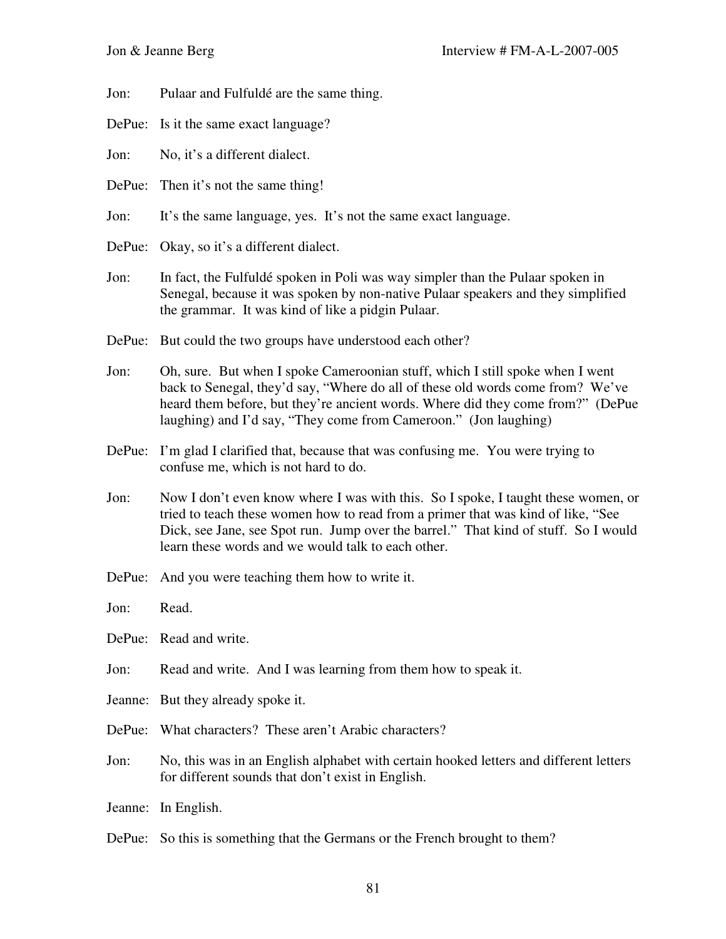Jon: Pulaar and Fulfuldé are the same thing.

DePue: Is it the same exact language?

Jon: No, it's a different dialect.

- DePue: Then it's not the same thing!
- Jon: It's the same language, yes. It's not the same exact language.
- DePue: Okay, so it's a different dialect.
- Jon: In fact, the Fulfuldé spoken in Poli was way simpler than the Pulaar spoken in Senegal, because it was spoken by non-native Pulaar speakers and they simplified the grammar. It was kind of like a pidgin Pulaar.
- DePue: But could the two groups have understood each other?
- Jon: Oh, sure. But when I spoke Cameroonian stuff, which I still spoke when I went back to Senegal, they'd say, "Where do all of these old words come from? We've heard them before, but they're ancient words. Where did they come from?" (DePue laughing) and I'd say, "They come from Cameroon." (Jon laughing)
- DePue: I'm glad I clarified that, because that was confusing me. You were trying to confuse me, which is not hard to do.
- Jon: Now I don't even know where I was with this. So I spoke, I taught these women, or tried to teach these women how to read from a primer that was kind of like, "See Dick, see Jane, see Spot run. Jump over the barrel." That kind of stuff. So I would learn these words and we would talk to each other.
- DePue: And you were teaching them how to write it.
- Jon: Read.
- DePue: Read and write.
- Jon: Read and write. And I was learning from them how to speak it.
- Jeanne: But they already spoke it.
- DePue: What characters? These aren't Arabic characters?
- Jon: No, this was in an English alphabet with certain hooked letters and different letters for different sounds that don't exist in English.
- Jeanne: In English.
- DePue: So this is something that the Germans or the French brought to them?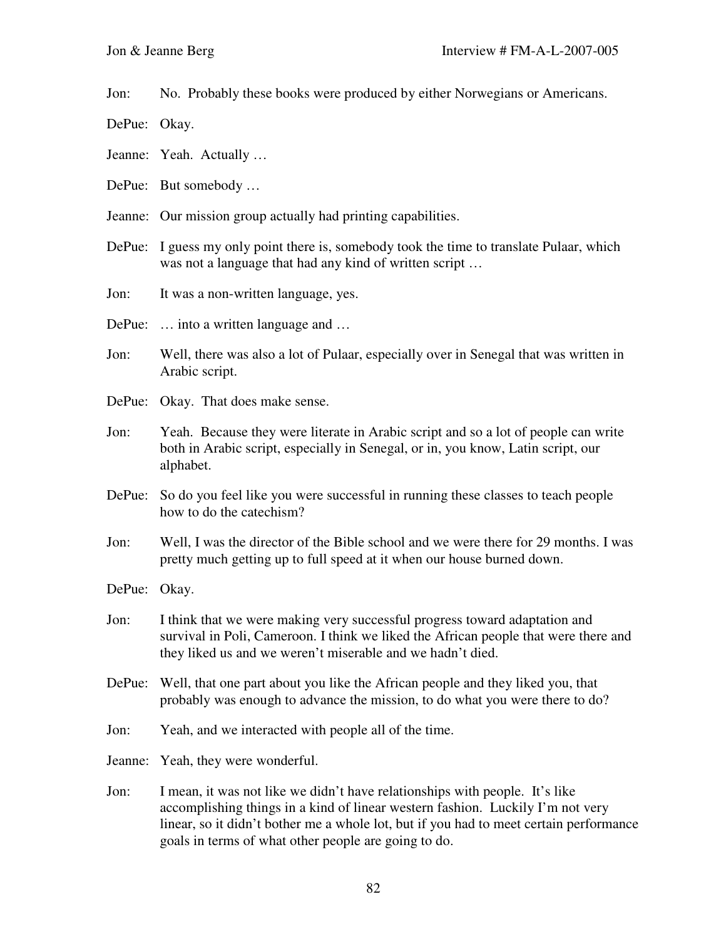Jon: No. Probably these books were produced by either Norwegians or Americans.

- DePue: Okay.
- Jeanne: Yeah. Actually …
- DePue: But somebody …
- Jeanne: Our mission group actually had printing capabilities.
- DePue: I guess my only point there is, somebody took the time to translate Pulaar, which was not a language that had any kind of written script ...
- Jon: It was a non-written language, yes.
- DePue: ... into a written language and ...
- Jon: Well, there was also a lot of Pulaar, especially over in Senegal that was written in Arabic script.
- DePue: Okay. That does make sense.
- Jon: Yeah. Because they were literate in Arabic script and so a lot of people can write both in Arabic script, especially in Senegal, or in, you know, Latin script, our alphabet.
- DePue: So do you feel like you were successful in running these classes to teach people how to do the catechism?
- Jon: Well, I was the director of the Bible school and we were there for 29 months. I was pretty much getting up to full speed at it when our house burned down.
- DePue: Okay.
- Jon: I think that we were making very successful progress toward adaptation and survival in Poli, Cameroon. I think we liked the African people that were there and they liked us and we weren't miserable and we hadn't died.
- DePue: Well, that one part about you like the African people and they liked you, that probably was enough to advance the mission, to do what you were there to do?
- Jon: Yeah, and we interacted with people all of the time.
- Jeanne: Yeah, they were wonderful.
- Jon: I mean, it was not like we didn't have relationships with people. It's like accomplishing things in a kind of linear western fashion. Luckily I'm not very linear, so it didn't bother me a whole lot, but if you had to meet certain performance goals in terms of what other people are going to do.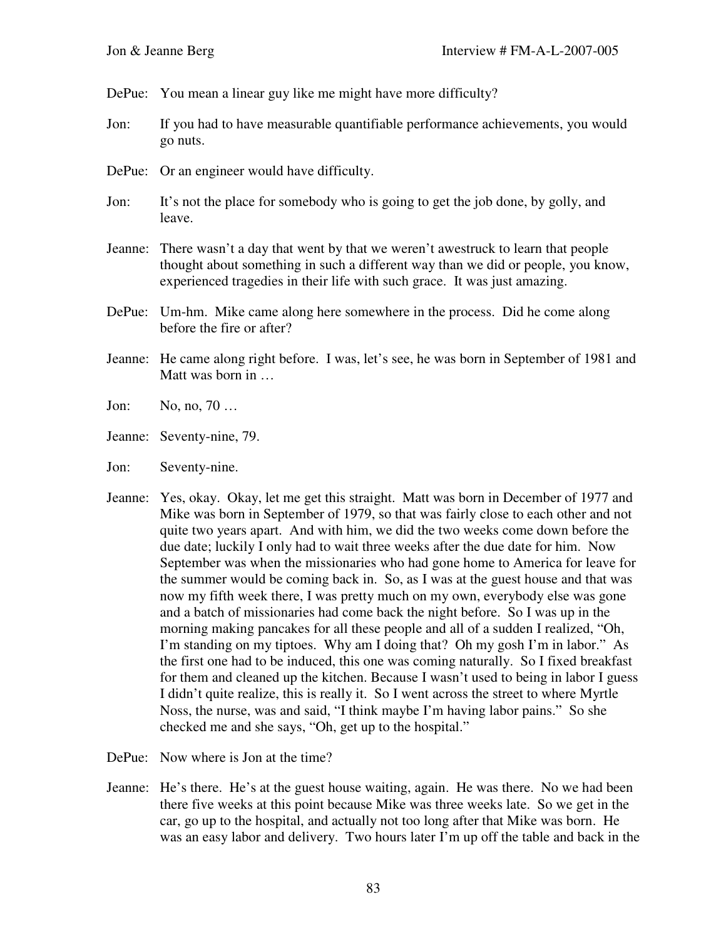DePue: You mean a linear guy like me might have more difficulty?

- Jon: If you had to have measurable quantifiable performance achievements, you would go nuts.
- DePue: Or an engineer would have difficulty.
- Jon: It's not the place for somebody who is going to get the job done, by golly, and leave.
- Jeanne: There wasn't a day that went by that we weren't awestruck to learn that people thought about something in such a different way than we did or people, you know, experienced tragedies in their life with such grace. It was just amazing.
- DePue: Um-hm. Mike came along here somewhere in the process. Did he come along before the fire or after?
- Jeanne: He came along right before. I was, let's see, he was born in September of 1981 and Matt was born in …
- Jon: No, no, 70 …
- Jeanne: Seventy-nine, 79.
- Jon: Seventy-nine.
- Jeanne: Yes, okay. Okay, let me get this straight. Matt was born in December of 1977 and Mike was born in September of 1979, so that was fairly close to each other and not quite two years apart. And with him, we did the two weeks come down before the due date; luckily I only had to wait three weeks after the due date for him. Now September was when the missionaries who had gone home to America for leave for the summer would be coming back in. So, as I was at the guest house and that was now my fifth week there, I was pretty much on my own, everybody else was gone and a batch of missionaries had come back the night before. So I was up in the morning making pancakes for all these people and all of a sudden I realized, "Oh, I'm standing on my tiptoes. Why am I doing that? Oh my gosh I'm in labor." As the first one had to be induced, this one was coming naturally. So I fixed breakfast for them and cleaned up the kitchen. Because I wasn't used to being in labor I guess I didn't quite realize, this is really it. So I went across the street to where Myrtle Noss, the nurse, was and said, "I think maybe I'm having labor pains." So she checked me and she says, "Oh, get up to the hospital."

DePue: Now where is Jon at the time?

Jeanne: He's there. He's at the guest house waiting, again. He was there. No we had been there five weeks at this point because Mike was three weeks late. So we get in the car, go up to the hospital, and actually not too long after that Mike was born. He was an easy labor and delivery. Two hours later I'm up off the table and back in the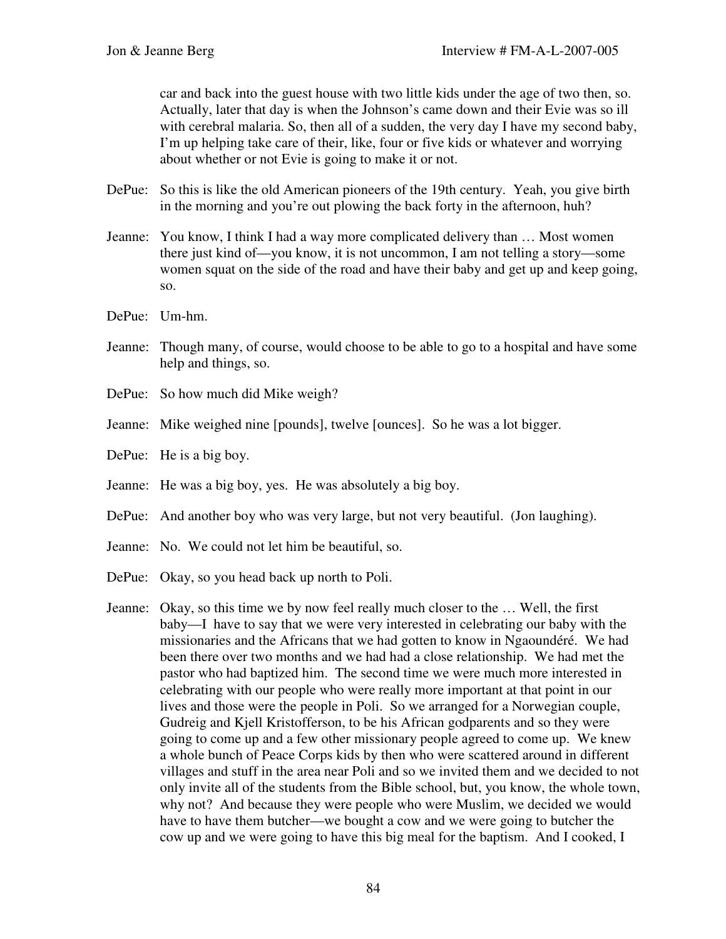car and back into the guest house with two little kids under the age of two then, so. Actually, later that day is when the Johnson's came down and their Evie was so ill with cerebral malaria. So, then all of a sudden, the very day I have my second baby, I'm up helping take care of their, like, four or five kids or whatever and worrying about whether or not Evie is going to make it or not.

- DePue: So this is like the old American pioneers of the 19th century. Yeah, you give birth in the morning and you're out plowing the back forty in the afternoon, huh?
- Jeanne: You know, I think I had a way more complicated delivery than … Most women there just kind of—you know, it is not uncommon, I am not telling a story—some women squat on the side of the road and have their baby and get up and keep going, so.
- DePue: Um-hm.
- Jeanne: Though many, of course, would choose to be able to go to a hospital and have some help and things, so.
- DePue: So how much did Mike weigh?
- Jeanne: Mike weighed nine [pounds], twelve [ounces]. So he was a lot bigger.
- DePue: He is a big boy.
- Jeanne: He was a big boy, yes. He was absolutely a big boy.
- DePue: And another boy who was very large, but not very beautiful. (Jon laughing).
- Jeanne: No. We could not let him be beautiful, so.
- DePue: Okay, so you head back up north to Poli.
- Jeanne: Okay, so this time we by now feel really much closer to the … Well, the first baby—I have to say that we were very interested in celebrating our baby with the missionaries and the Africans that we had gotten to know in Ngaoundéré. We had been there over two months and we had had a close relationship. We had met the pastor who had baptized him. The second time we were much more interested in celebrating with our people who were really more important at that point in our lives and those were the people in Poli. So we arranged for a Norwegian couple, Gudreig and Kjell Kristofferson, to be his African godparents and so they were going to come up and a few other missionary people agreed to come up. We knew a whole bunch of Peace Corps kids by then who were scattered around in different villages and stuff in the area near Poli and so we invited them and we decided to not only invite all of the students from the Bible school, but, you know, the whole town, why not? And because they were people who were Muslim, we decided we would have to have them butcher—we bought a cow and we were going to butcher the cow up and we were going to have this big meal for the baptism. And I cooked, I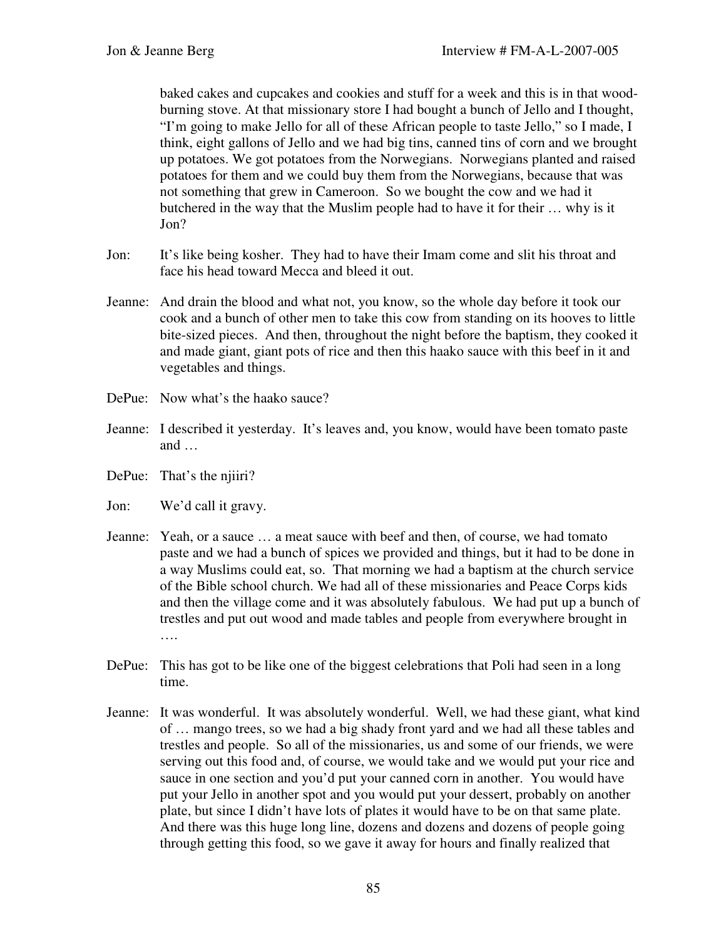baked cakes and cupcakes and cookies and stuff for a week and this is in that woodburning stove. At that missionary store I had bought a bunch of Jello and I thought, "I'm going to make Jello for all of these African people to taste Jello," so I made, I think, eight gallons of Jello and we had big tins, canned tins of corn and we brought up potatoes. We got potatoes from the Norwegians. Norwegians planted and raised potatoes for them and we could buy them from the Norwegians, because that was not something that grew in Cameroon. So we bought the cow and we had it butchered in the way that the Muslim people had to have it for their … why is it Jon?

- Jon: It's like being kosher. They had to have their Imam come and slit his throat and face his head toward Mecca and bleed it out.
- Jeanne: And drain the blood and what not, you know, so the whole day before it took our cook and a bunch of other men to take this cow from standing on its hooves to little bite-sized pieces. And then, throughout the night before the baptism, they cooked it and made giant, giant pots of rice and then this haako sauce with this beef in it and vegetables and things.
- DePue: Now what's the haako sauce?
- Jeanne: I described it yesterday. It's leaves and, you know, would have been tomato paste and …
- DePue: That's the njiiri?

Jon: We'd call it gravy.

- Jeanne: Yeah, or a sauce … a meat sauce with beef and then, of course, we had tomato paste and we had a bunch of spices we provided and things, but it had to be done in a way Muslims could eat, so. That morning we had a baptism at the church service of the Bible school church. We had all of these missionaries and Peace Corps kids and then the village come and it was absolutely fabulous. We had put up a bunch of trestles and put out wood and made tables and people from everywhere brought in ….
- DePue: This has got to be like one of the biggest celebrations that Poli had seen in a long time.
- Jeanne: It was wonderful. It was absolutely wonderful. Well, we had these giant, what kind of … mango trees, so we had a big shady front yard and we had all these tables and trestles and people. So all of the missionaries, us and some of our friends, we were serving out this food and, of course, we would take and we would put your rice and sauce in one section and you'd put your canned corn in another. You would have put your Jello in another spot and you would put your dessert, probably on another plate, but since I didn't have lots of plates it would have to be on that same plate. And there was this huge long line, dozens and dozens and dozens of people going through getting this food, so we gave it away for hours and finally realized that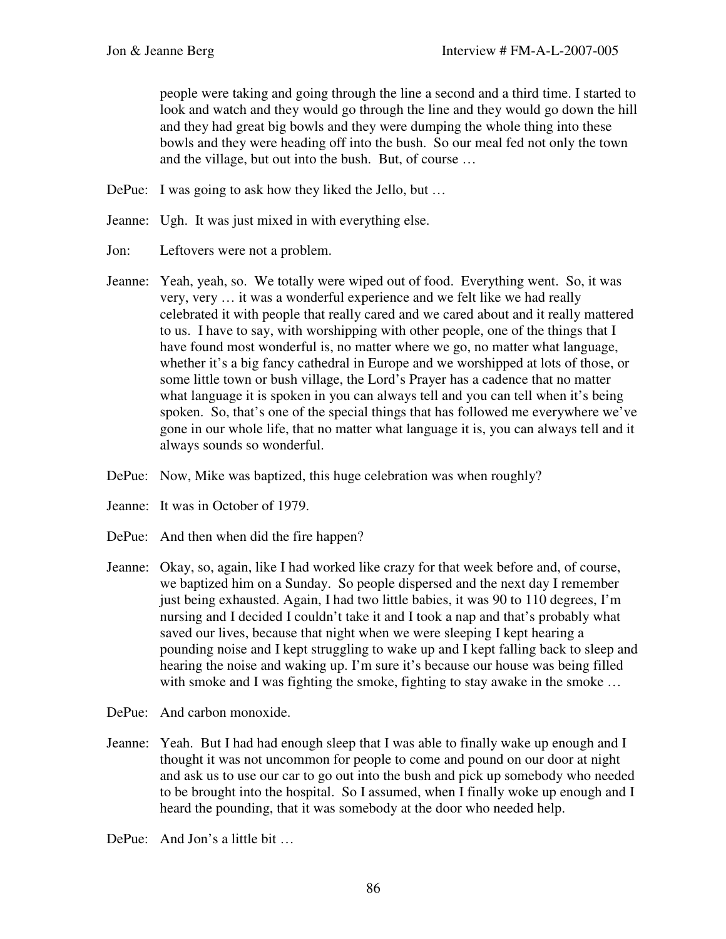people were taking and going through the line a second and a third time. I started to look and watch and they would go through the line and they would go down the hill and they had great big bowls and they were dumping the whole thing into these bowls and they were heading off into the bush. So our meal fed not only the town and the village, but out into the bush. But, of course …

- DePue: I was going to ask how they liked the Jello, but ...
- Jeanne: Ugh. It was just mixed in with everything else.
- Jon: Leftovers were not a problem.
- Jeanne: Yeah, yeah, so. We totally were wiped out of food. Everything went. So, it was very, very … it was a wonderful experience and we felt like we had really celebrated it with people that really cared and we cared about and it really mattered to us. I have to say, with worshipping with other people, one of the things that I have found most wonderful is, no matter where we go, no matter what language, whether it's a big fancy cathedral in Europe and we worshipped at lots of those, or some little town or bush village, the Lord's Prayer has a cadence that no matter what language it is spoken in you can always tell and you can tell when it's being spoken. So, that's one of the special things that has followed me everywhere we've gone in our whole life, that no matter what language it is, you can always tell and it always sounds so wonderful.
- DePue: Now, Mike was baptized, this huge celebration was when roughly?
- Jeanne: It was in October of 1979.
- DePue: And then when did the fire happen?
- Jeanne: Okay, so, again, like I had worked like crazy for that week before and, of course, we baptized him on a Sunday. So people dispersed and the next day I remember just being exhausted. Again, I had two little babies, it was 90 to 110 degrees, I'm nursing and I decided I couldn't take it and I took a nap and that's probably what saved our lives, because that night when we were sleeping I kept hearing a pounding noise and I kept struggling to wake up and I kept falling back to sleep and hearing the noise and waking up. I'm sure it's because our house was being filled with smoke and I was fighting the smoke, fighting to stay awake in the smoke ...
- DePue: And carbon monoxide.
- Jeanne: Yeah. But I had had enough sleep that I was able to finally wake up enough and I thought it was not uncommon for people to come and pound on our door at night and ask us to use our car to go out into the bush and pick up somebody who needed to be brought into the hospital. So I assumed, when I finally woke up enough and I heard the pounding, that it was somebody at the door who needed help.
- DePue: And Jon's a little bit …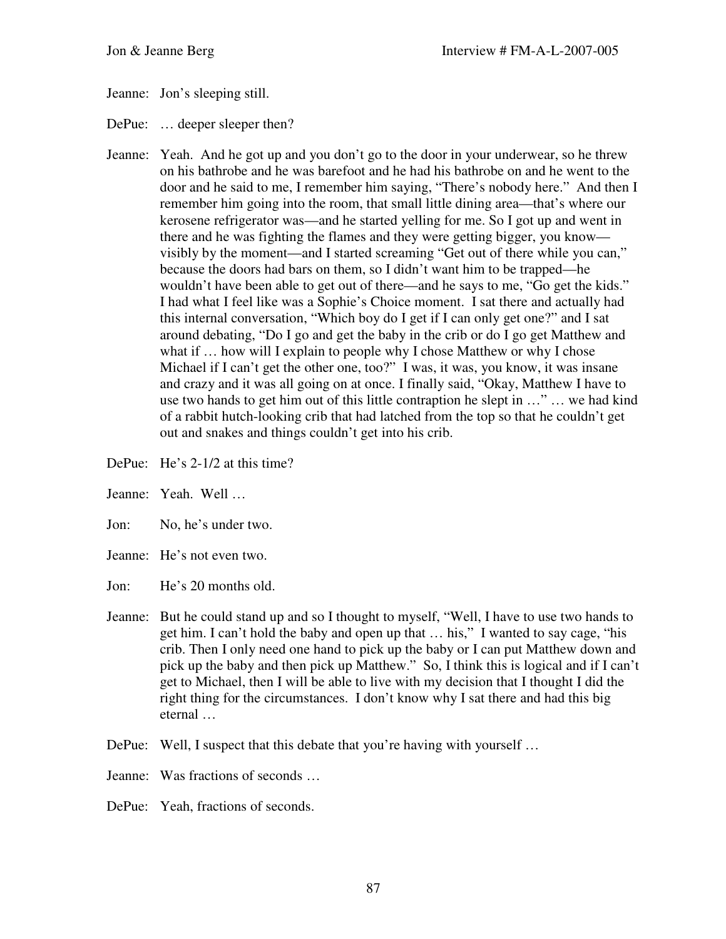Jeanne: Jon's sleeping still.

DePue: ... deeper sleeper then?

- Jeanne: Yeah. And he got up and you don't go to the door in your underwear, so he threw on his bathrobe and he was barefoot and he had his bathrobe on and he went to the door and he said to me, I remember him saying, "There's nobody here." And then I remember him going into the room, that small little dining area—that's where our kerosene refrigerator was—and he started yelling for me. So I got up and went in there and he was fighting the flames and they were getting bigger, you know visibly by the moment—and I started screaming "Get out of there while you can," because the doors had bars on them, so I didn't want him to be trapped—he wouldn't have been able to get out of there—and he says to me, "Go get the kids." I had what I feel like was a Sophie's Choice moment. I sat there and actually had this internal conversation, "Which boy do I get if I can only get one?" and I sat around debating, "Do I go and get the baby in the crib or do I go get Matthew and what if ... how will I explain to people why I chose Matthew or why I chose Michael if I can't get the other one, too?" I was, it was, you know, it was insane and crazy and it was all going on at once. I finally said, "Okay, Matthew I have to use two hands to get him out of this little contraption he slept in …" … we had kind of a rabbit hutch-looking crib that had latched from the top so that he couldn't get out and snakes and things couldn't get into his crib.
- DePue: He's 2-1/2 at this time?
- Jeanne: Yeah. Well …
- Jon: No, he's under two.
- Jeanne: He's not even two.
- Jon: He's 20 months old.
- Jeanne: But he could stand up and so I thought to myself, "Well, I have to use two hands to get him. I can't hold the baby and open up that … his," I wanted to say cage, "his crib. Then I only need one hand to pick up the baby or I can put Matthew down and pick up the baby and then pick up Matthew." So, I think this is logical and if I can't get to Michael, then I will be able to live with my decision that I thought I did the right thing for the circumstances. I don't know why I sat there and had this big eternal …
- DePue: Well, I suspect that this debate that you're having with yourself ...
- Jeanne: Was fractions of seconds …
- DePue: Yeah, fractions of seconds.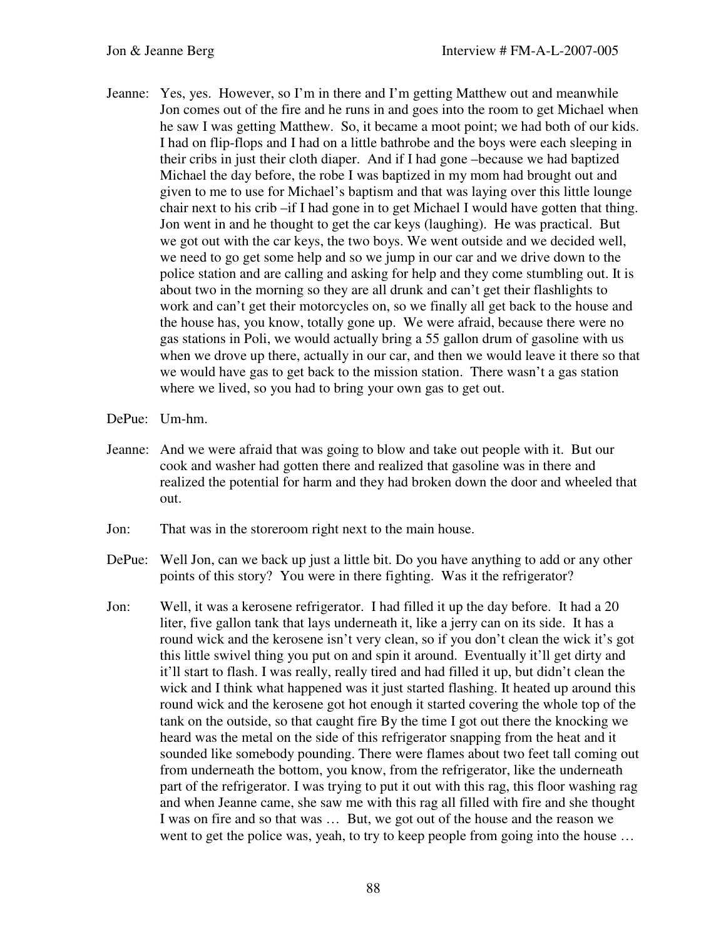- Jeanne: Yes, yes. However, so I'm in there and I'm getting Matthew out and meanwhile Jon comes out of the fire and he runs in and goes into the room to get Michael when he saw I was getting Matthew. So, it became a moot point; we had both of our kids. I had on flip-flops and I had on a little bathrobe and the boys were each sleeping in their cribs in just their cloth diaper. And if I had gone –because we had baptized Michael the day before, the robe I was baptized in my mom had brought out and given to me to use for Michael's baptism and that was laying over this little lounge chair next to his crib –if I had gone in to get Michael I would have gotten that thing. Jon went in and he thought to get the car keys (laughing). He was practical. But we got out with the car keys, the two boys. We went outside and we decided well, we need to go get some help and so we jump in our car and we drive down to the police station and are calling and asking for help and they come stumbling out. It is about two in the morning so they are all drunk and can't get their flashlights to work and can't get their motorcycles on, so we finally all get back to the house and the house has, you know, totally gone up. We were afraid, because there were no gas stations in Poli, we would actually bring a 55 gallon drum of gasoline with us when we drove up there, actually in our car, and then we would leave it there so that we would have gas to get back to the mission station. There wasn't a gas station where we lived, so you had to bring your own gas to get out.
- DePue: Um-hm.
- Jeanne: And we were afraid that was going to blow and take out people with it. But our cook and washer had gotten there and realized that gasoline was in there and realized the potential for harm and they had broken down the door and wheeled that out.
- Jon: That was in the storeroom right next to the main house.
- DePue: Well Jon, can we back up just a little bit. Do you have anything to add or any other points of this story? You were in there fighting. Was it the refrigerator?
- Jon: Well, it was a kerosene refrigerator. I had filled it up the day before. It had a 20 liter, five gallon tank that lays underneath it, like a jerry can on its side. It has a round wick and the kerosene isn't very clean, so if you don't clean the wick it's got this little swivel thing you put on and spin it around. Eventually it'll get dirty and it'll start to flash. I was really, really tired and had filled it up, but didn't clean the wick and I think what happened was it just started flashing. It heated up around this round wick and the kerosene got hot enough it started covering the whole top of the tank on the outside, so that caught fire By the time I got out there the knocking we heard was the metal on the side of this refrigerator snapping from the heat and it sounded like somebody pounding. There were flames about two feet tall coming out from underneath the bottom, you know, from the refrigerator, like the underneath part of the refrigerator. I was trying to put it out with this rag, this floor washing rag and when Jeanne came, she saw me with this rag all filled with fire and she thought I was on fire and so that was … But, we got out of the house and the reason we went to get the police was, yeah, to try to keep people from going into the house …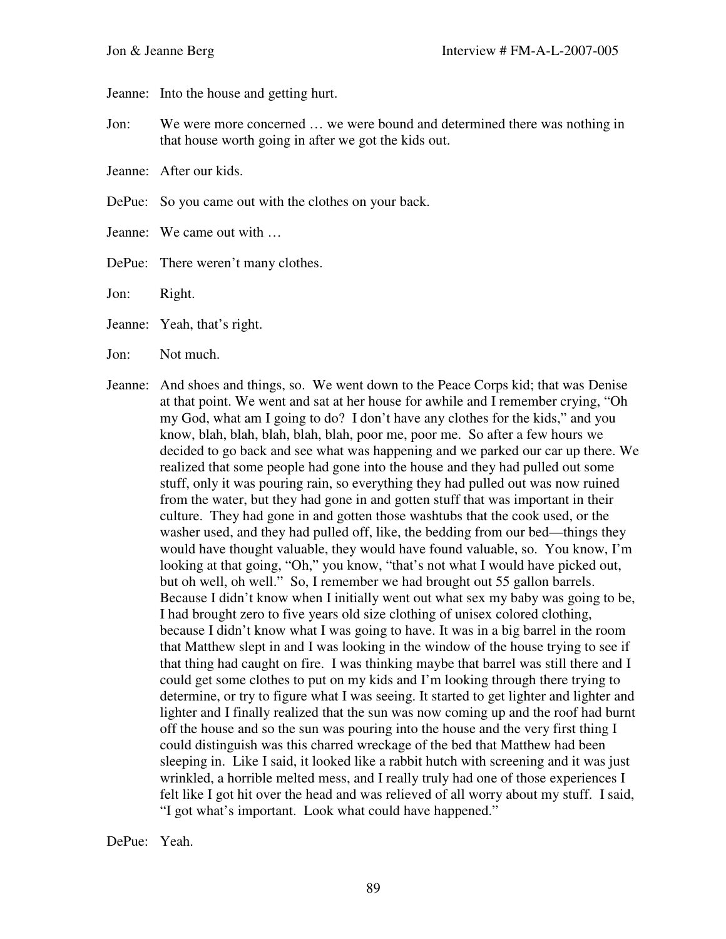Jeanne: Into the house and getting hurt.

- Jon: We were more concerned … we were bound and determined there was nothing in that house worth going in after we got the kids out.
- Jeanne: After our kids.
- DePue: So you came out with the clothes on your back.
- Jeanne: We came out with …
- DePue: There weren't many clothes.
- Jon: Right.
- Jeanne: Yeah, that's right.
- Jon: Not much.
- Jeanne: And shoes and things, so. We went down to the Peace Corps kid; that was Denise at that point. We went and sat at her house for awhile and I remember crying, "Oh my God, what am I going to do? I don't have any clothes for the kids," and you know, blah, blah, blah, blah, blah, poor me, poor me. So after a few hours we decided to go back and see what was happening and we parked our car up there. We realized that some people had gone into the house and they had pulled out some stuff, only it was pouring rain, so everything they had pulled out was now ruined from the water, but they had gone in and gotten stuff that was important in their culture. They had gone in and gotten those washtubs that the cook used, or the washer used, and they had pulled off, like, the bedding from our bed—things they would have thought valuable, they would have found valuable, so. You know, I'm looking at that going, "Oh," you know, "that's not what I would have picked out, but oh well, oh well." So, I remember we had brought out 55 gallon barrels. Because I didn't know when I initially went out what sex my baby was going to be, I had brought zero to five years old size clothing of unisex colored clothing, because I didn't know what I was going to have. It was in a big barrel in the room that Matthew slept in and I was looking in the window of the house trying to see if that thing had caught on fire. I was thinking maybe that barrel was still there and I could get some clothes to put on my kids and I'm looking through there trying to determine, or try to figure what I was seeing. It started to get lighter and lighter and lighter and I finally realized that the sun was now coming up and the roof had burnt off the house and so the sun was pouring into the house and the very first thing I could distinguish was this charred wreckage of the bed that Matthew had been sleeping in. Like I said, it looked like a rabbit hutch with screening and it was just wrinkled, a horrible melted mess, and I really truly had one of those experiences I felt like I got hit over the head and was relieved of all worry about my stuff. I said, "I got what's important. Look what could have happened."

DePue: Yeah.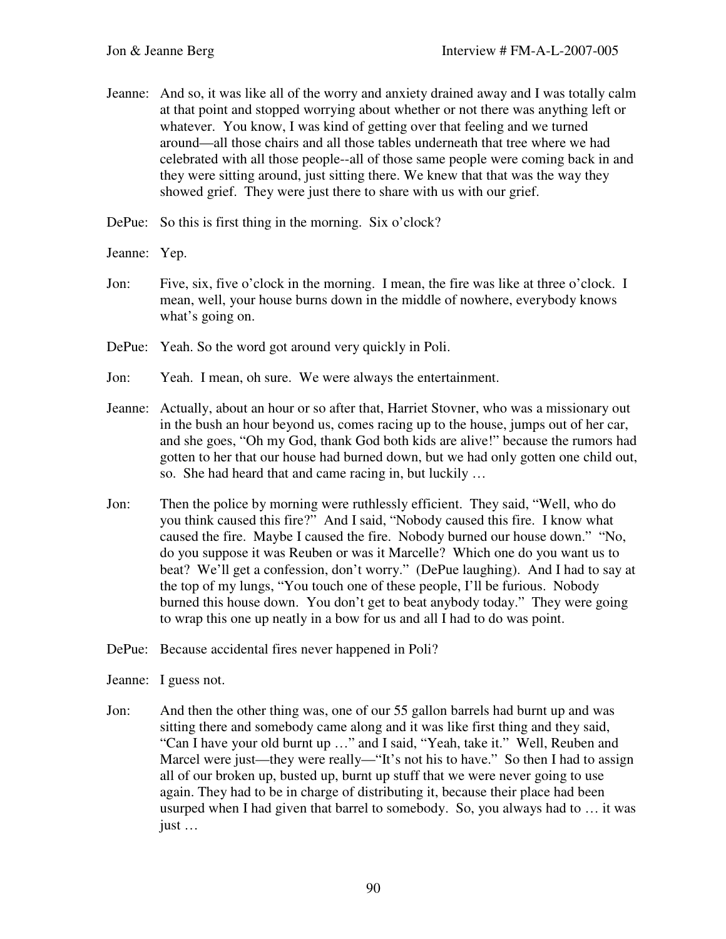- Jeanne: And so, it was like all of the worry and anxiety drained away and I was totally calm at that point and stopped worrying about whether or not there was anything left or whatever. You know, I was kind of getting over that feeling and we turned around—all those chairs and all those tables underneath that tree where we had celebrated with all those people--all of those same people were coming back in and they were sitting around, just sitting there. We knew that that was the way they showed grief. They were just there to share with us with our grief.
- DePue: So this is first thing in the morning. Six o'clock?
- Jeanne: Yep.
- Jon: Five, six, five o'clock in the morning. I mean, the fire was like at three o'clock. I mean, well, your house burns down in the middle of nowhere, everybody knows what's going on.
- DePue: Yeah. So the word got around very quickly in Poli.
- Jon: Yeah. I mean, oh sure. We were always the entertainment.
- Jeanne: Actually, about an hour or so after that, Harriet Stovner, who was a missionary out in the bush an hour beyond us, comes racing up to the house, jumps out of her car, and she goes, "Oh my God, thank God both kids are alive!" because the rumors had gotten to her that our house had burned down, but we had only gotten one child out, so. She had heard that and came racing in, but luckily …
- Jon: Then the police by morning were ruthlessly efficient. They said, "Well, who do you think caused this fire?" And I said, "Nobody caused this fire. I know what caused the fire. Maybe I caused the fire. Nobody burned our house down." "No, do you suppose it was Reuben or was it Marcelle? Which one do you want us to beat? We'll get a confession, don't worry." (DePue laughing). And I had to say at the top of my lungs, "You touch one of these people, I'll be furious. Nobody burned this house down. You don't get to beat anybody today." They were going to wrap this one up neatly in a bow for us and all I had to do was point.
- DePue: Because accidental fires never happened in Poli?
- Jeanne: I guess not.
- Jon: And then the other thing was, one of our 55 gallon barrels had burnt up and was sitting there and somebody came along and it was like first thing and they said, "Can I have your old burnt up …" and I said, "Yeah, take it." Well, Reuben and Marcel were just—they were really—"It's not his to have." So then I had to assign all of our broken up, busted up, burnt up stuff that we were never going to use again. They had to be in charge of distributing it, because their place had been usurped when I had given that barrel to somebody. So, you always had to … it was just …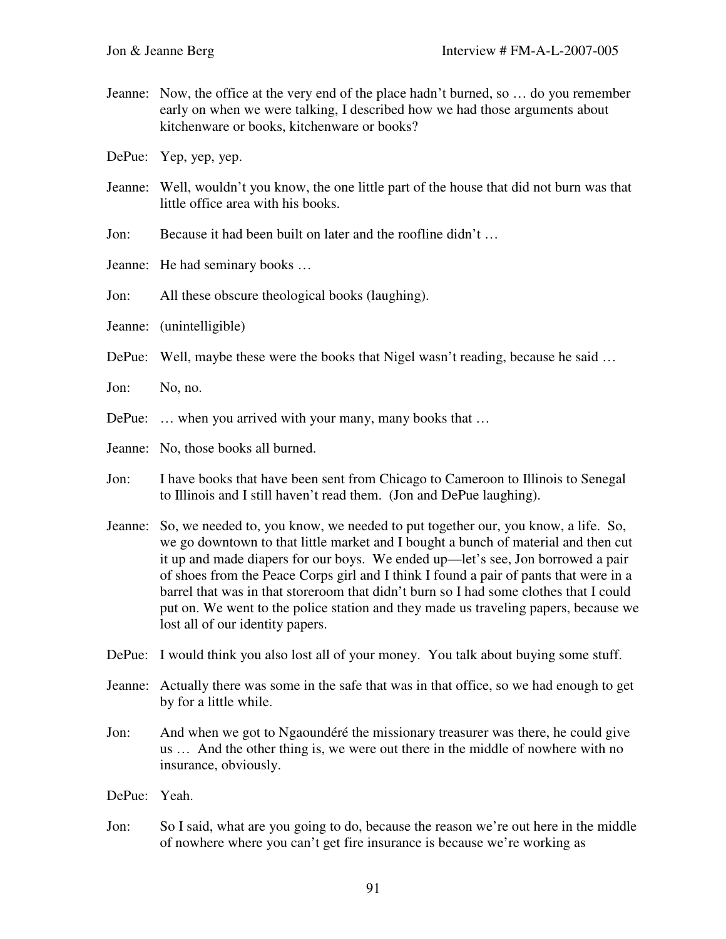- Jeanne: Now, the office at the very end of the place hadn't burned, so … do you remember early on when we were talking, I described how we had those arguments about kitchenware or books, kitchenware or books?
- DePue: Yep, yep, yep.
- Jeanne: Well, wouldn't you know, the one little part of the house that did not burn was that little office area with his books.
- Jon: Because it had been built on later and the roofline didn't …
- Jeanne: He had seminary books …
- Jon: All these obscure theological books (laughing).
- Jeanne: (unintelligible)
- DePue: Well, maybe these were the books that Nigel wasn't reading, because he said ...
- Jon: No, no.
- DePue: ... when you arrived with your many, many books that ...
- Jeanne: No, those books all burned.
- Jon: I have books that have been sent from Chicago to Cameroon to Illinois to Senegal to Illinois and I still haven't read them. (Jon and DePue laughing).
- Jeanne: So, we needed to, you know, we needed to put together our, you know, a life. So, we go downtown to that little market and I bought a bunch of material and then cut it up and made diapers for our boys. We ended up—let's see, Jon borrowed a pair of shoes from the Peace Corps girl and I think I found a pair of pants that were in a barrel that was in that storeroom that didn't burn so I had some clothes that I could put on. We went to the police station and they made us traveling papers, because we lost all of our identity papers.
- DePue: I would think you also lost all of your money. You talk about buying some stuff.
- Jeanne: Actually there was some in the safe that was in that office, so we had enough to get by for a little while.
- Jon: And when we got to Ngaoundéré the missionary treasurer was there, he could give us … And the other thing is, we were out there in the middle of nowhere with no insurance, obviously.
- DePue: Yeah.
- Jon: So I said, what are you going to do, because the reason we're out here in the middle of nowhere where you can't get fire insurance is because we're working as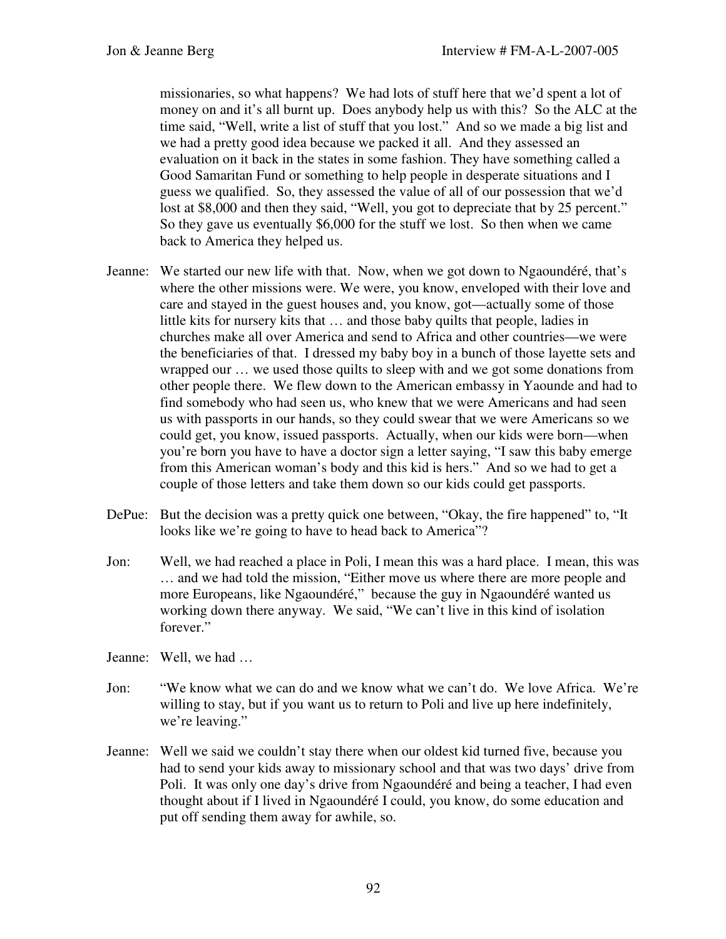missionaries, so what happens? We had lots of stuff here that we'd spent a lot of money on and it's all burnt up. Does anybody help us with this? So the ALC at the time said, "Well, write a list of stuff that you lost." And so we made a big list and we had a pretty good idea because we packed it all. And they assessed an evaluation on it back in the states in some fashion. They have something called a Good Samaritan Fund or something to help people in desperate situations and I guess we qualified. So, they assessed the value of all of our possession that we'd lost at \$8,000 and then they said, "Well, you got to depreciate that by 25 percent." So they gave us eventually \$6,000 for the stuff we lost. So then when we came back to America they helped us.

- Jeanne: We started our new life with that. Now, when we got down to Ngaoundéré, that's where the other missions were. We were, you know, enveloped with their love and care and stayed in the guest houses and, you know, got—actually some of those little kits for nursery kits that … and those baby quilts that people, ladies in churches make all over America and send to Africa and other countries—we were the beneficiaries of that. I dressed my baby boy in a bunch of those layette sets and wrapped our … we used those quilts to sleep with and we got some donations from other people there. We flew down to the American embassy in Yaounde and had to find somebody who had seen us, who knew that we were Americans and had seen us with passports in our hands, so they could swear that we were Americans so we could get, you know, issued passports. Actually, when our kids were born—when you're born you have to have a doctor sign a letter saying, "I saw this baby emerge from this American woman's body and this kid is hers." And so we had to get a couple of those letters and take them down so our kids could get passports.
- DePue: But the decision was a pretty quick one between, "Okay, the fire happened" to, "It looks like we're going to have to head back to America"?
- Jon: Well, we had reached a place in Poli, I mean this was a hard place. I mean, this was … and we had told the mission, "Either move us where there are more people and more Europeans, like Ngaoundéré," because the guy in Ngaoundéré wanted us working down there anyway. We said, "We can't live in this kind of isolation forever."
- Jeanne: Well, we had …
- Jon: "We know what we can do and we know what we can't do. We love Africa. We're willing to stay, but if you want us to return to Poli and live up here indefinitely, we're leaving."
- Jeanne: Well we said we couldn't stay there when our oldest kid turned five, because you had to send your kids away to missionary school and that was two days' drive from Poli. It was only one day's drive from Ngaoundéré and being a teacher, I had even thought about if I lived in Ngaoundéré I could, you know, do some education and put off sending them away for awhile, so.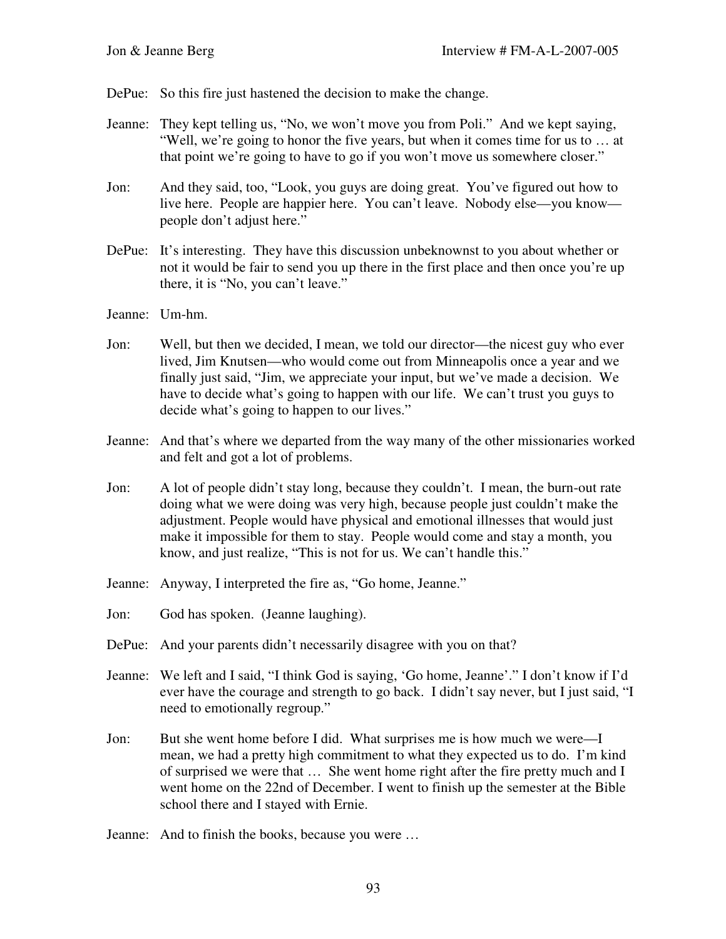- DePue: So this fire just hastened the decision to make the change.
- Jeanne: They kept telling us, "No, we won't move you from Poli." And we kept saying, "Well, we're going to honor the five years, but when it comes time for us to … at that point we're going to have to go if you won't move us somewhere closer."
- Jon: And they said, too, "Look, you guys are doing great. You've figured out how to live here. People are happier here. You can't leave. Nobody else—you know people don't adjust here."
- DePue: It's interesting. They have this discussion unbeknownst to you about whether or not it would be fair to send you up there in the first place and then once you're up there, it is "No, you can't leave."
- Jeanne: Um-hm.
- Jon: Well, but then we decided, I mean, we told our director—the nicest guy who ever lived, Jim Knutsen—who would come out from Minneapolis once a year and we finally just said, "Jim, we appreciate your input, but we've made a decision. We have to decide what's going to happen with our life. We can't trust you guys to decide what's going to happen to our lives."
- Jeanne: And that's where we departed from the way many of the other missionaries worked and felt and got a lot of problems.
- Jon: A lot of people didn't stay long, because they couldn't. I mean, the burn-out rate doing what we were doing was very high, because people just couldn't make the adjustment. People would have physical and emotional illnesses that would just make it impossible for them to stay. People would come and stay a month, you know, and just realize, "This is not for us. We can't handle this."
- Jeanne: Anyway, I interpreted the fire as, "Go home, Jeanne."
- Jon: God has spoken. (Jeanne laughing).
- DePue: And your parents didn't necessarily disagree with you on that?
- Jeanne: We left and I said, "I think God is saying, 'Go home, Jeanne'." I don't know if I'd ever have the courage and strength to go back. I didn't say never, but I just said, "I need to emotionally regroup."
- Jon: But she went home before I did. What surprises me is how much we were—I mean, we had a pretty high commitment to what they expected us to do. I'm kind of surprised we were that … She went home right after the fire pretty much and I went home on the 22nd of December. I went to finish up the semester at the Bible school there and I stayed with Ernie.
- Jeanne: And to finish the books, because you were …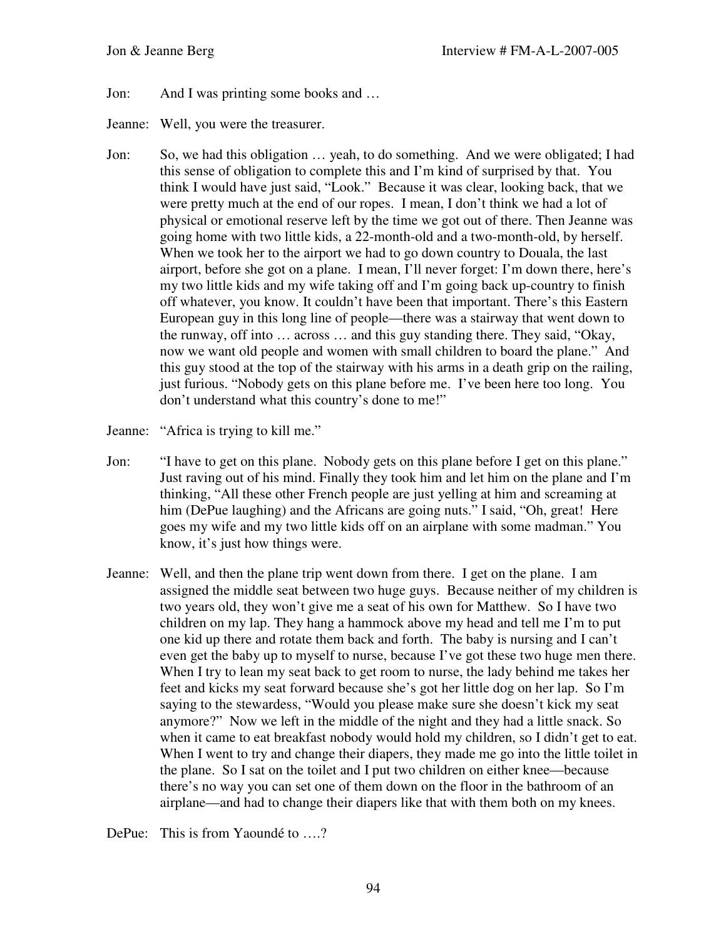- Jon: And I was printing some books and …
- Jeanne: Well, you were the treasurer.
- Jon: So, we had this obligation … yeah, to do something. And we were obligated; I had this sense of obligation to complete this and I'm kind of surprised by that. You think I would have just said, "Look." Because it was clear, looking back, that we were pretty much at the end of our ropes. I mean, I don't think we had a lot of physical or emotional reserve left by the time we got out of there. Then Jeanne was going home with two little kids, a 22-month-old and a two-month-old, by herself. When we took her to the airport we had to go down country to Douala, the last airport, before she got on a plane. I mean, I'll never forget: I'm down there, here's my two little kids and my wife taking off and I'm going back up-country to finish off whatever, you know. It couldn't have been that important. There's this Eastern European guy in this long line of people—there was a stairway that went down to the runway, off into … across … and this guy standing there. They said, "Okay, now we want old people and women with small children to board the plane." And this guy stood at the top of the stairway with his arms in a death grip on the railing, just furious. "Nobody gets on this plane before me. I've been here too long. You don't understand what this country's done to me!"
- Jeanne: "Africa is trying to kill me."
- Jon: "I have to get on this plane. Nobody gets on this plane before I get on this plane." Just raving out of his mind. Finally they took him and let him on the plane and I'm thinking, "All these other French people are just yelling at him and screaming at him (DePue laughing) and the Africans are going nuts." I said, "Oh, great! Here goes my wife and my two little kids off on an airplane with some madman." You know, it's just how things were.
- Jeanne: Well, and then the plane trip went down from there. I get on the plane. I am assigned the middle seat between two huge guys. Because neither of my children is two years old, they won't give me a seat of his own for Matthew. So I have two children on my lap. They hang a hammock above my head and tell me I'm to put one kid up there and rotate them back and forth. The baby is nursing and I can't even get the baby up to myself to nurse, because I've got these two huge men there. When I try to lean my seat back to get room to nurse, the lady behind me takes her feet and kicks my seat forward because she's got her little dog on her lap. So I'm saying to the stewardess, "Would you please make sure she doesn't kick my seat anymore?" Now we left in the middle of the night and they had a little snack. So when it came to eat breakfast nobody would hold my children, so I didn't get to eat. When I went to try and change their diapers, they made me go into the little toilet in the plane. So I sat on the toilet and I put two children on either knee—because there's no way you can set one of them down on the floor in the bathroom of an airplane—and had to change their diapers like that with them both on my knees.

DePue: This is from Yaoundé to ....?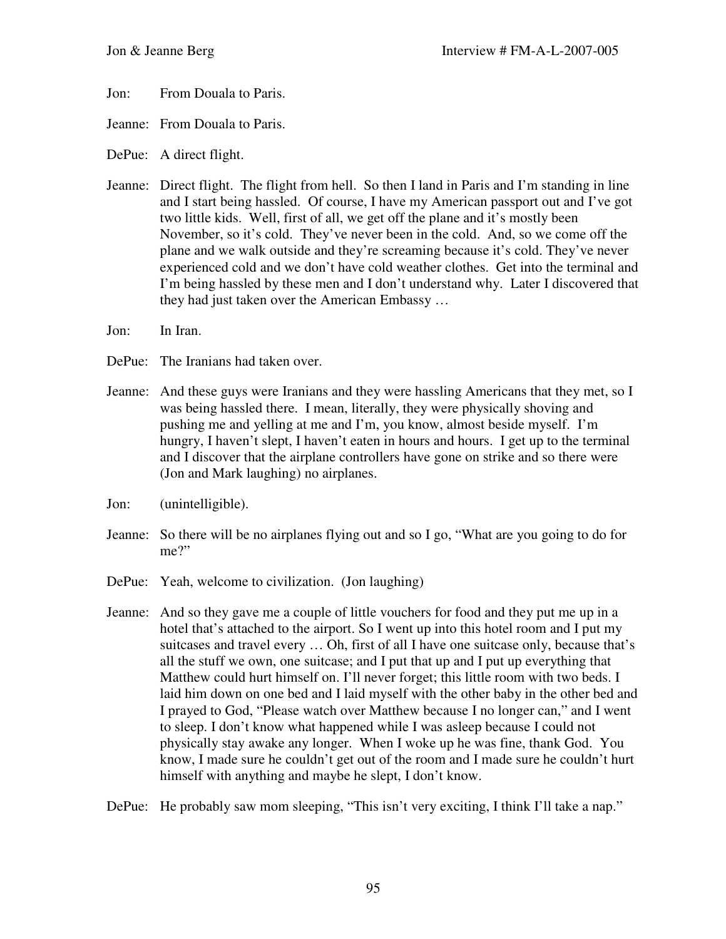- Jon: From Douala to Paris.
- Jeanne: From Douala to Paris.
- DePue: A direct flight.
- Jeanne: Direct flight. The flight from hell. So then I land in Paris and I'm standing in line and I start being hassled. Of course, I have my American passport out and I've got two little kids. Well, first of all, we get off the plane and it's mostly been November, so it's cold. They've never been in the cold. And, so we come off the plane and we walk outside and they're screaming because it's cold. They've never experienced cold and we don't have cold weather clothes. Get into the terminal and I'm being hassled by these men and I don't understand why. Later I discovered that they had just taken over the American Embassy …
- Jon: In Iran.
- DePue: The Iranians had taken over.
- Jeanne: And these guys were Iranians and they were hassling Americans that they met, so I was being hassled there. I mean, literally, they were physically shoving and pushing me and yelling at me and I'm, you know, almost beside myself. I'm hungry, I haven't slept, I haven't eaten in hours and hours. I get up to the terminal and I discover that the airplane controllers have gone on strike and so there were (Jon and Mark laughing) no airplanes.
- Jon: (unintelligible).
- Jeanne: So there will be no airplanes flying out and so I go, "What are you going to do for me?"
- DePue: Yeah, welcome to civilization. (Jon laughing)
- Jeanne: And so they gave me a couple of little vouchers for food and they put me up in a hotel that's attached to the airport. So I went up into this hotel room and I put my suitcases and travel every … Oh, first of all I have one suitcase only, because that's all the stuff we own, one suitcase; and I put that up and I put up everything that Matthew could hurt himself on. I'll never forget; this little room with two beds. I laid him down on one bed and I laid myself with the other baby in the other bed and I prayed to God, "Please watch over Matthew because I no longer can," and I went to sleep. I don't know what happened while I was asleep because I could not physically stay awake any longer. When I woke up he was fine, thank God. You know, I made sure he couldn't get out of the room and I made sure he couldn't hurt himself with anything and maybe he slept, I don't know.

DePue: He probably saw mom sleeping, "This isn't very exciting, I think I'll take a nap."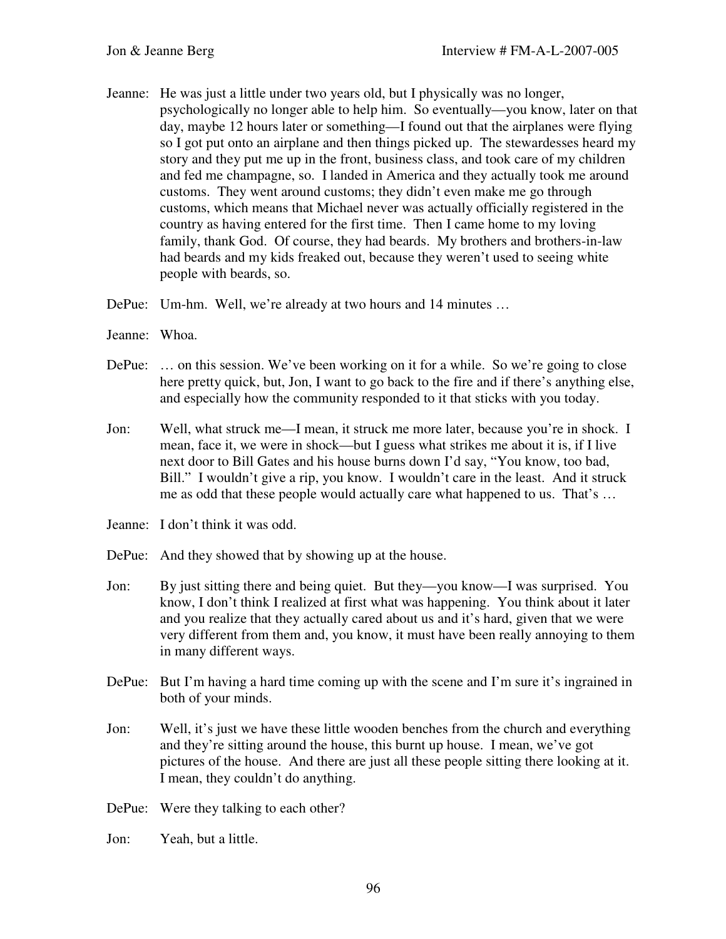- Jeanne: He was just a little under two years old, but I physically was no longer, psychologically no longer able to help him. So eventually—you know, later on that day, maybe 12 hours later or something—I found out that the airplanes were flying so I got put onto an airplane and then things picked up. The stewardesses heard my story and they put me up in the front, business class, and took care of my children and fed me champagne, so. I landed in America and they actually took me around customs. They went around customs; they didn't even make me go through customs, which means that Michael never was actually officially registered in the country as having entered for the first time. Then I came home to my loving family, thank God. Of course, they had beards. My brothers and brothers-in-law had beards and my kids freaked out, because they weren't used to seeing white people with beards, so.
- DePue: Um-hm. Well, we're already at two hours and 14 minutes …
- Jeanne: Whoa.
- DePue: ... on this session. We've been working on it for a while. So we're going to close here pretty quick, but, Jon, I want to go back to the fire and if there's anything else, and especially how the community responded to it that sticks with you today.
- Jon: Well, what struck me—I mean, it struck me more later, because you're in shock. I mean, face it, we were in shock—but I guess what strikes me about it is, if I live next door to Bill Gates and his house burns down I'd say, "You know, too bad, Bill." I wouldn't give a rip, you know. I wouldn't care in the least. And it struck me as odd that these people would actually care what happened to us. That's …
- Jeanne: I don't think it was odd.
- DePue: And they showed that by showing up at the house.
- Jon: By just sitting there and being quiet. But they—you know—I was surprised. You know, I don't think I realized at first what was happening. You think about it later and you realize that they actually cared about us and it's hard, given that we were very different from them and, you know, it must have been really annoying to them in many different ways.
- DePue: But I'm having a hard time coming up with the scene and I'm sure it's ingrained in both of your minds.
- Jon: Well, it's just we have these little wooden benches from the church and everything and they're sitting around the house, this burnt up house. I mean, we've got pictures of the house. And there are just all these people sitting there looking at it. I mean, they couldn't do anything.
- DePue: Were they talking to each other?
- Jon: Yeah, but a little.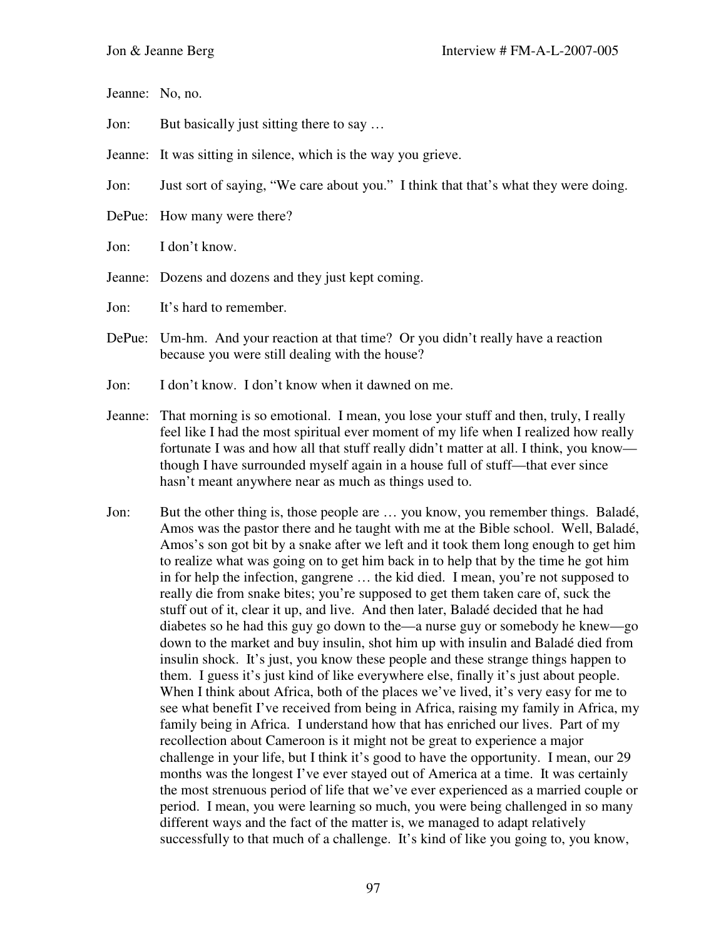Jeanne: No, no.

Jon: But basically just sitting there to say …

Jeanne: It was sitting in silence, which is the way you grieve.

Jon: Just sort of saying, "We care about you." I think that that's what they were doing.

- DePue: How many were there?
- Jon: I don't know.
- Jeanne: Dozens and dozens and they just kept coming.

Jon: It's hard to remember.

- DePue: Um-hm. And your reaction at that time? Or you didn't really have a reaction because you were still dealing with the house?
- Jon: I don't know. I don't know when it dawned on me.
- Jeanne: That morning is so emotional. I mean, you lose your stuff and then, truly, I really feel like I had the most spiritual ever moment of my life when I realized how really fortunate I was and how all that stuff really didn't matter at all. I think, you know though I have surrounded myself again in a house full of stuff—that ever since hasn't meant anywhere near as much as things used to.
- Jon: But the other thing is, those people are … you know, you remember things. Baladé, Amos was the pastor there and he taught with me at the Bible school. Well, Baladé, Amos's son got bit by a snake after we left and it took them long enough to get him to realize what was going on to get him back in to help that by the time he got him in for help the infection, gangrene … the kid died. I mean, you're not supposed to really die from snake bites; you're supposed to get them taken care of, suck the stuff out of it, clear it up, and live. And then later, Baladé decided that he had diabetes so he had this guy go down to the—a nurse guy or somebody he knew—go down to the market and buy insulin, shot him up with insulin and Baladé died from insulin shock. It's just, you know these people and these strange things happen to them. I guess it's just kind of like everywhere else, finally it's just about people. When I think about Africa, both of the places we've lived, it's very easy for me to see what benefit I've received from being in Africa, raising my family in Africa, my family being in Africa. I understand how that has enriched our lives. Part of my recollection about Cameroon is it might not be great to experience a major challenge in your life, but I think it's good to have the opportunity. I mean, our 29 months was the longest I've ever stayed out of America at a time. It was certainly the most strenuous period of life that we've ever experienced as a married couple or period. I mean, you were learning so much, you were being challenged in so many different ways and the fact of the matter is, we managed to adapt relatively successfully to that much of a challenge. It's kind of like you going to, you know,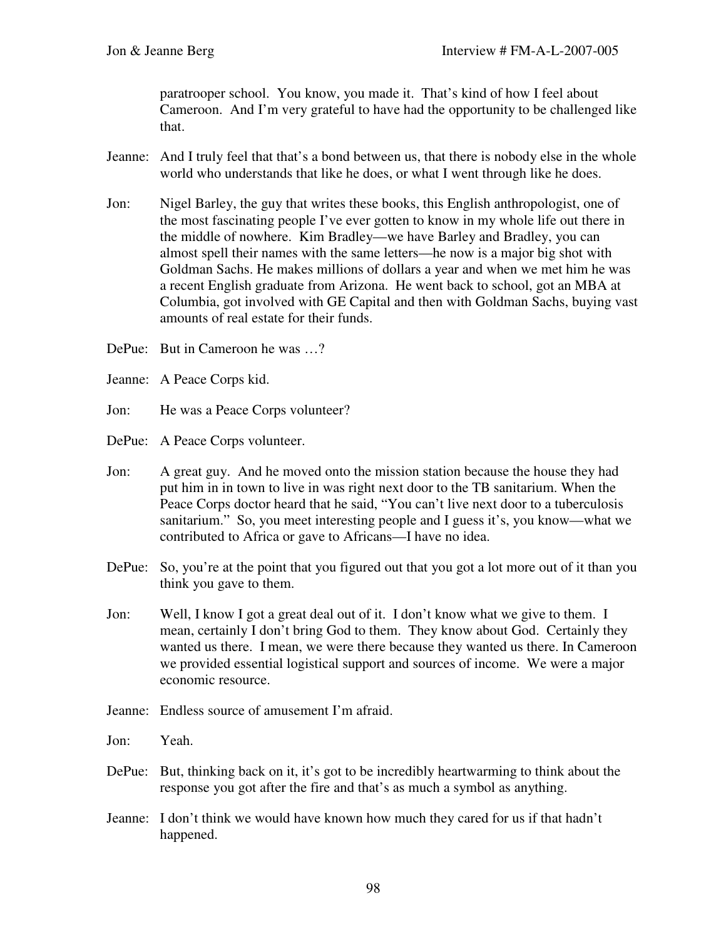paratrooper school. You know, you made it. That's kind of how I feel about Cameroon. And I'm very grateful to have had the opportunity to be challenged like that.

- Jeanne: And I truly feel that that's a bond between us, that there is nobody else in the whole world who understands that like he does, or what I went through like he does.
- Jon: Nigel Barley, the guy that writes these books, this English anthropologist, one of the most fascinating people I've ever gotten to know in my whole life out there in the middle of nowhere. Kim Bradley—we have Barley and Bradley, you can almost spell their names with the same letters—he now is a major big shot with Goldman Sachs. He makes millions of dollars a year and when we met him he was a recent English graduate from Arizona. He went back to school, got an MBA at Columbia, got involved with GE Capital and then with Goldman Sachs, buying vast amounts of real estate for their funds.
- DePue: But in Cameroon he was …?
- Jeanne: A Peace Corps kid.
- Jon: He was a Peace Corps volunteer?
- DePue: A Peace Corps volunteer.
- Jon: A great guy. And he moved onto the mission station because the house they had put him in in town to live in was right next door to the TB sanitarium. When the Peace Corps doctor heard that he said, "You can't live next door to a tuberculosis sanitarium." So, you meet interesting people and I guess it's, you know—what we contributed to Africa or gave to Africans—I have no idea.
- DePue: So, you're at the point that you figured out that you got a lot more out of it than you think you gave to them.
- Jon: Well, I know I got a great deal out of it. I don't know what we give to them. I mean, certainly I don't bring God to them. They know about God. Certainly they wanted us there. I mean, we were there because they wanted us there. In Cameroon we provided essential logistical support and sources of income. We were a major economic resource.
- Jeanne: Endless source of amusement I'm afraid.
- Jon: Yeah.
- DePue: But, thinking back on it, it's got to be incredibly heartwarming to think about the response you got after the fire and that's as much a symbol as anything.
- Jeanne: I don't think we would have known how much they cared for us if that hadn't happened.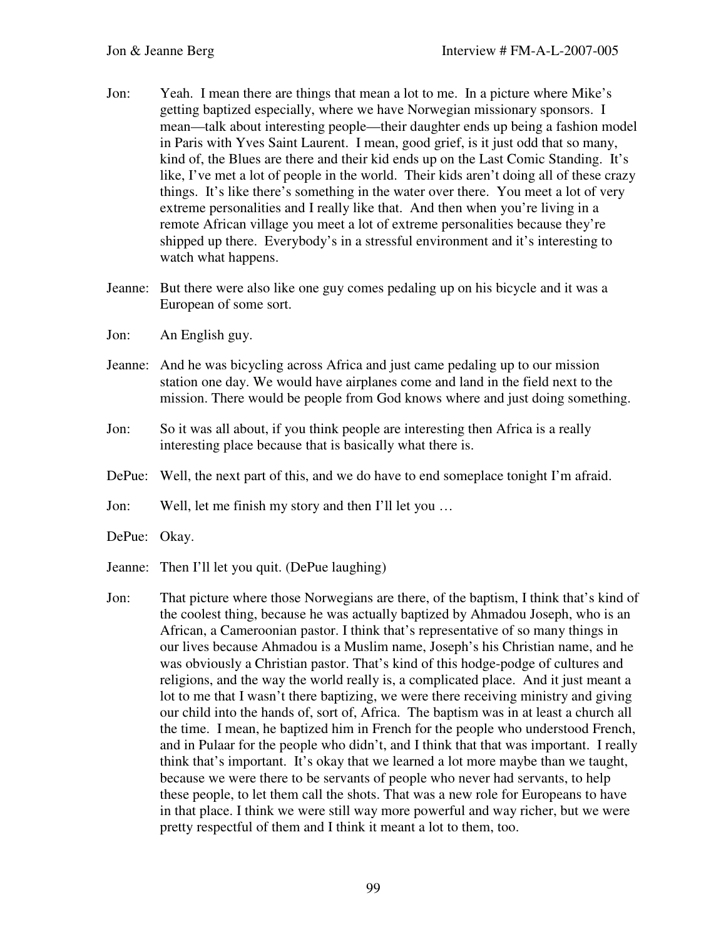- Jon: Yeah. I mean there are things that mean a lot to me. In a picture where Mike's getting baptized especially, where we have Norwegian missionary sponsors. I mean—talk about interesting people—their daughter ends up being a fashion model in Paris with Yves Saint Laurent. I mean, good grief, is it just odd that so many, kind of, the Blues are there and their kid ends up on the Last Comic Standing. It's like, I've met a lot of people in the world. Their kids aren't doing all of these crazy things. It's like there's something in the water over there. You meet a lot of very extreme personalities and I really like that. And then when you're living in a remote African village you meet a lot of extreme personalities because they're shipped up there. Everybody's in a stressful environment and it's interesting to watch what happens.
- Jeanne: But there were also like one guy comes pedaling up on his bicycle and it was a European of some sort.
- Jon: An English guy.
- Jeanne: And he was bicycling across Africa and just came pedaling up to our mission station one day. We would have airplanes come and land in the field next to the mission. There would be people from God knows where and just doing something.
- Jon: So it was all about, if you think people are interesting then Africa is a really interesting place because that is basically what there is.
- DePue: Well, the next part of this, and we do have to end someplace tonight I'm afraid.
- Jon: Well, let me finish my story and then I'll let you …
- DePue: Okay.
- Jeanne: Then I'll let you quit. (DePue laughing)
- Jon: That picture where those Norwegians are there, of the baptism, I think that's kind of the coolest thing, because he was actually baptized by Ahmadou Joseph, who is an African, a Cameroonian pastor. I think that's representative of so many things in our lives because Ahmadou is a Muslim name, Joseph's his Christian name, and he was obviously a Christian pastor. That's kind of this hodge-podge of cultures and religions, and the way the world really is, a complicated place. And it just meant a lot to me that I wasn't there baptizing, we were there receiving ministry and giving our child into the hands of, sort of, Africa. The baptism was in at least a church all the time. I mean, he baptized him in French for the people who understood French, and in Pulaar for the people who didn't, and I think that that was important. I really think that's important. It's okay that we learned a lot more maybe than we taught, because we were there to be servants of people who never had servants, to help these people, to let them call the shots. That was a new role for Europeans to have in that place. I think we were still way more powerful and way richer, but we were pretty respectful of them and I think it meant a lot to them, too.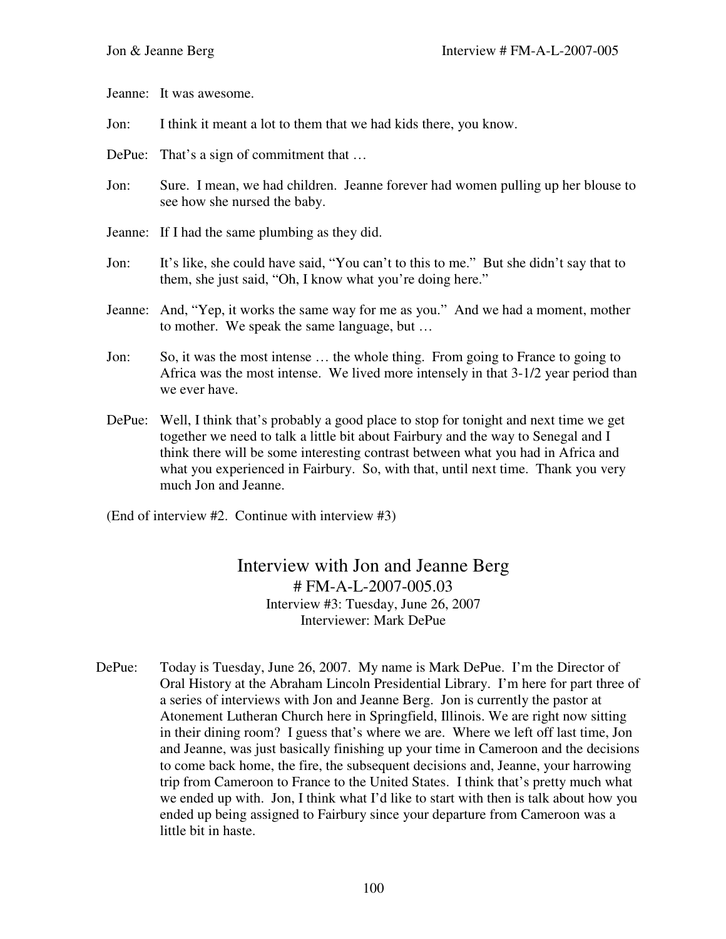Jeanne: It was awesome.

Jon: I think it meant a lot to them that we had kids there, you know.

- DePue: That's a sign of commitment that ...
- Jon: Sure. I mean, we had children. Jeanne forever had women pulling up her blouse to see how she nursed the baby.
- Jeanne: If I had the same plumbing as they did.
- Jon: It's like, she could have said, "You can't to this to me." But she didn't say that to them, she just said, "Oh, I know what you're doing here."
- Jeanne: And, "Yep, it works the same way for me as you." And we had a moment, mother to mother. We speak the same language, but …
- Jon: So, it was the most intense … the whole thing. From going to France to going to Africa was the most intense. We lived more intensely in that 3-1/2 year period than we ever have.
- DePue: Well, I think that's probably a good place to stop for tonight and next time we get together we need to talk a little bit about Fairbury and the way to Senegal and I think there will be some interesting contrast between what you had in Africa and what you experienced in Fairbury. So, with that, until next time. Thank you very much Jon and Jeanne.

(End of interview #2. Continue with interview #3)

Interview with Jon and Jeanne Berg # FM-A-L-2007-005.03 Interview #3: Tuesday, June 26, 2007 Interviewer: Mark DePue

DePue: Today is Tuesday, June 26, 2007. My name is Mark DePue. I'm the Director of Oral History at the Abraham Lincoln Presidential Library. I'm here for part three of a series of interviews with Jon and Jeanne Berg. Jon is currently the pastor at Atonement Lutheran Church here in Springfield, Illinois. We are right now sitting in their dining room? I guess that's where we are. Where we left off last time, Jon and Jeanne, was just basically finishing up your time in Cameroon and the decisions to come back home, the fire, the subsequent decisions and, Jeanne, your harrowing trip from Cameroon to France to the United States. I think that's pretty much what we ended up with. Jon, I think what I'd like to start with then is talk about how you ended up being assigned to Fairbury since your departure from Cameroon was a little bit in haste.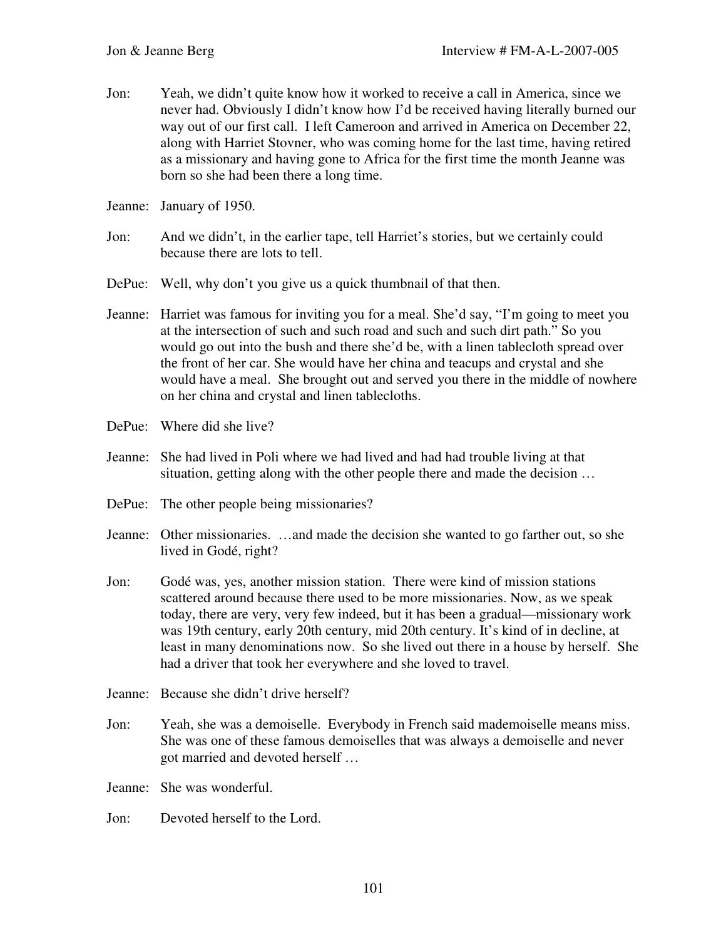- Jon: Yeah, we didn't quite know how it worked to receive a call in America, since we never had. Obviously I didn't know how I'd be received having literally burned our way out of our first call. I left Cameroon and arrived in America on December 22, along with Harriet Stovner, who was coming home for the last time, having retired as a missionary and having gone to Africa for the first time the month Jeanne was born so she had been there a long time.
- Jeanne: January of 1950.
- Jon: And we didn't, in the earlier tape, tell Harriet's stories, but we certainly could because there are lots to tell.
- DePue: Well, why don't you give us a quick thumbnail of that then.
- Jeanne: Harriet was famous for inviting you for a meal. She'd say, "I'm going to meet you at the intersection of such and such road and such and such dirt path." So you would go out into the bush and there she'd be, with a linen tablecloth spread over the front of her car. She would have her china and teacups and crystal and she would have a meal. She brought out and served you there in the middle of nowhere on her china and crystal and linen tablecloths.
- DePue: Where did she live?
- Jeanne: She had lived in Poli where we had lived and had had trouble living at that situation, getting along with the other people there and made the decision …
- DePue: The other people being missionaries?
- Jeanne: Other missionaries. …and made the decision she wanted to go farther out, so she lived in Godé, right?
- Jon: Godé was, yes, another mission station. There were kind of mission stations scattered around because there used to be more missionaries. Now, as we speak today, there are very, very few indeed, but it has been a gradual—missionary work was 19th century, early 20th century, mid 20th century. It's kind of in decline, at least in many denominations now. So she lived out there in a house by herself. She had a driver that took her everywhere and she loved to travel.
- Jeanne: Because she didn't drive herself?
- Jon: Yeah, she was a demoiselle. Everybody in French said mademoiselle means miss. She was one of these famous demoiselles that was always a demoiselle and never got married and devoted herself …
- Jeanne: She was wonderful.
- Jon: Devoted herself to the Lord.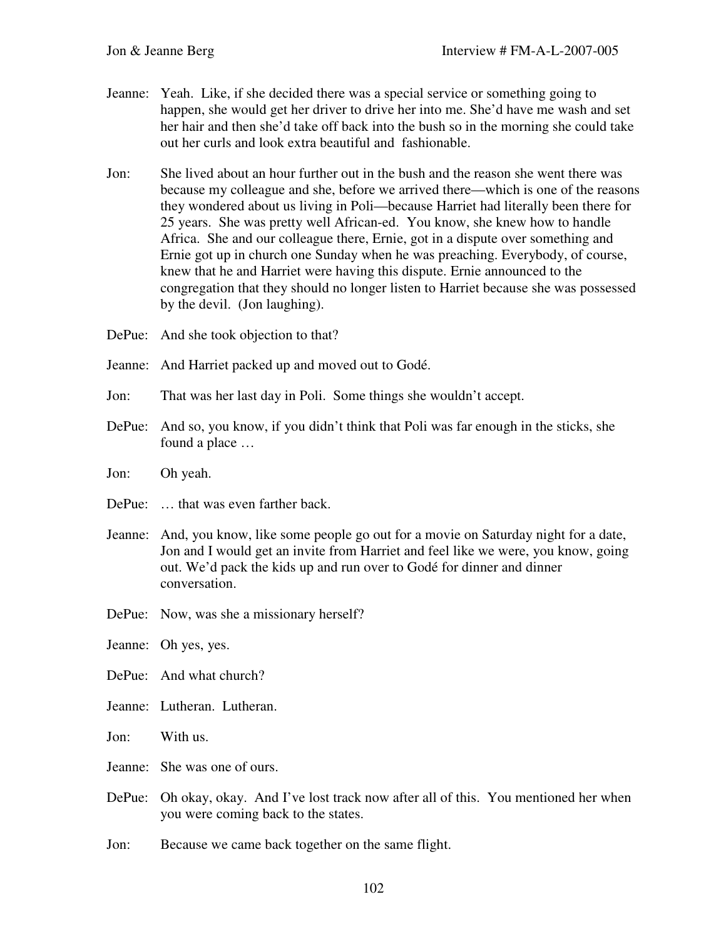- Jeanne: Yeah. Like, if she decided there was a special service or something going to happen, she would get her driver to drive her into me. She'd have me wash and set her hair and then she'd take off back into the bush so in the morning she could take out her curls and look extra beautiful and fashionable.
- Jon: She lived about an hour further out in the bush and the reason she went there was because my colleague and she, before we arrived there—which is one of the reasons they wondered about us living in Poli—because Harriet had literally been there for 25 years. She was pretty well African-ed. You know, she knew how to handle Africa. She and our colleague there, Ernie, got in a dispute over something and Ernie got up in church one Sunday when he was preaching. Everybody, of course, knew that he and Harriet were having this dispute. Ernie announced to the congregation that they should no longer listen to Harriet because she was possessed by the devil. (Jon laughing).
- DePue: And she took objection to that?
- Jeanne: And Harriet packed up and moved out to Godé.
- Jon: That was her last day in Poli. Some things she wouldn't accept.
- DePue: And so, you know, if you didn't think that Poli was far enough in the sticks, she found a place …
- Jon: Oh yeah.
- DePue: ... that was even farther back.
- Jeanne: And, you know, like some people go out for a movie on Saturday night for a date, Jon and I would get an invite from Harriet and feel like we were, you know, going out. We'd pack the kids up and run over to Godé for dinner and dinner conversation.
- DePue: Now, was she a missionary herself?
- Jeanne: Oh yes, yes.
- DePue: And what church?
- Jeanne: Lutheran. Lutheran.
- Jon: With us.
- Jeanne: She was one of ours.
- DePue: Oh okay, okay. And I've lost track now after all of this. You mentioned her when you were coming back to the states.
- Jon: Because we came back together on the same flight.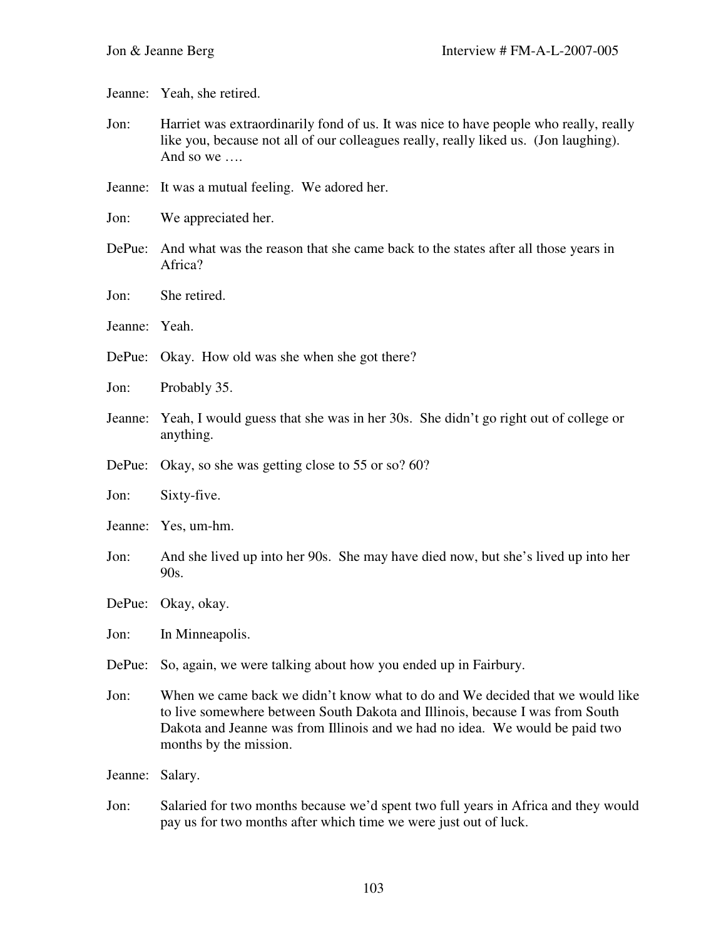Jeanne: Yeah, she retired.

- Jon: Harriet was extraordinarily fond of us. It was nice to have people who really, really like you, because not all of our colleagues really, really liked us. (Jon laughing). And so we ….
- Jeanne: It was a mutual feeling. We adored her.
- Jon: We appreciated her.
- DePue: And what was the reason that she came back to the states after all those years in Africa?
- Jon: She retired.
- Jeanne: Yeah.
- DePue: Okay. How old was she when she got there?
- Jon: Probably 35.
- Jeanne: Yeah, I would guess that she was in her 30s. She didn't go right out of college or anything.
- DePue: Okay, so she was getting close to 55 or so? 60?
- Jon: Sixty-five.
- Jeanne: Yes, um-hm.
- Jon: And she lived up into her 90s. She may have died now, but she's lived up into her 90s.
- DePue: Okay, okay.

Jon: In Minneapolis.

- DePue: So, again, we were talking about how you ended up in Fairbury.
- Jon: When we came back we didn't know what to do and We decided that we would like to live somewhere between South Dakota and Illinois, because I was from South Dakota and Jeanne was from Illinois and we had no idea. We would be paid two months by the mission.

Jeanne: Salary.

Jon: Salaried for two months because we'd spent two full years in Africa and they would pay us for two months after which time we were just out of luck.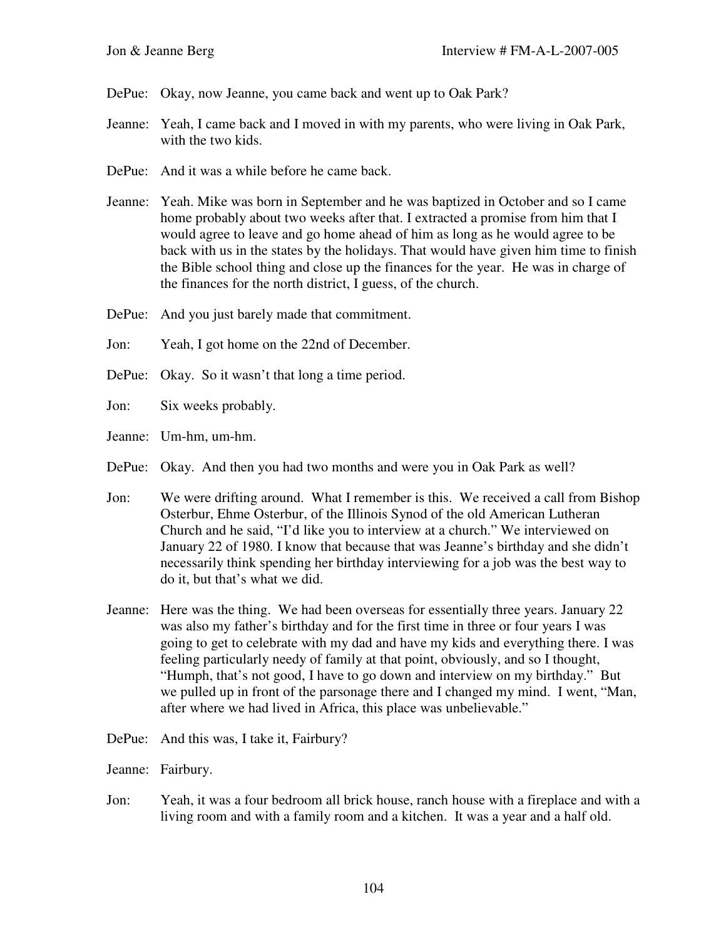- DePue: Okay, now Jeanne, you came back and went up to Oak Park?
- Jeanne: Yeah, I came back and I moved in with my parents, who were living in Oak Park, with the two kids.
- DePue: And it was a while before he came back.
- Jeanne: Yeah. Mike was born in September and he was baptized in October and so I came home probably about two weeks after that. I extracted a promise from him that I would agree to leave and go home ahead of him as long as he would agree to be back with us in the states by the holidays. That would have given him time to finish the Bible school thing and close up the finances for the year. He was in charge of the finances for the north district, I guess, of the church.
- DePue: And you just barely made that commitment.
- Jon: Yeah, I got home on the 22nd of December.
- DePue: Okay. So it wasn't that long a time period.
- Jon: Six weeks probably.
- Jeanne: Um-hm, um-hm.
- DePue: Okay. And then you had two months and were you in Oak Park as well?
- Jon: We were drifting around. What I remember is this. We received a call from Bishop Osterbur, Ehme Osterbur, of the Illinois Synod of the old American Lutheran Church and he said, "I'd like you to interview at a church." We interviewed on January 22 of 1980. I know that because that was Jeanne's birthday and she didn't necessarily think spending her birthday interviewing for a job was the best way to do it, but that's what we did.
- Jeanne: Here was the thing. We had been overseas for essentially three years. January 22 was also my father's birthday and for the first time in three or four years I was going to get to celebrate with my dad and have my kids and everything there. I was feeling particularly needy of family at that point, obviously, and so I thought, "Humph, that's not good, I have to go down and interview on my birthday." But we pulled up in front of the parsonage there and I changed my mind. I went, "Man, after where we had lived in Africa, this place was unbelievable."
- DePue: And this was, I take it, Fairbury?

Jeanne: Fairbury.

Jon: Yeah, it was a four bedroom all brick house, ranch house with a fireplace and with a living room and with a family room and a kitchen. It was a year and a half old.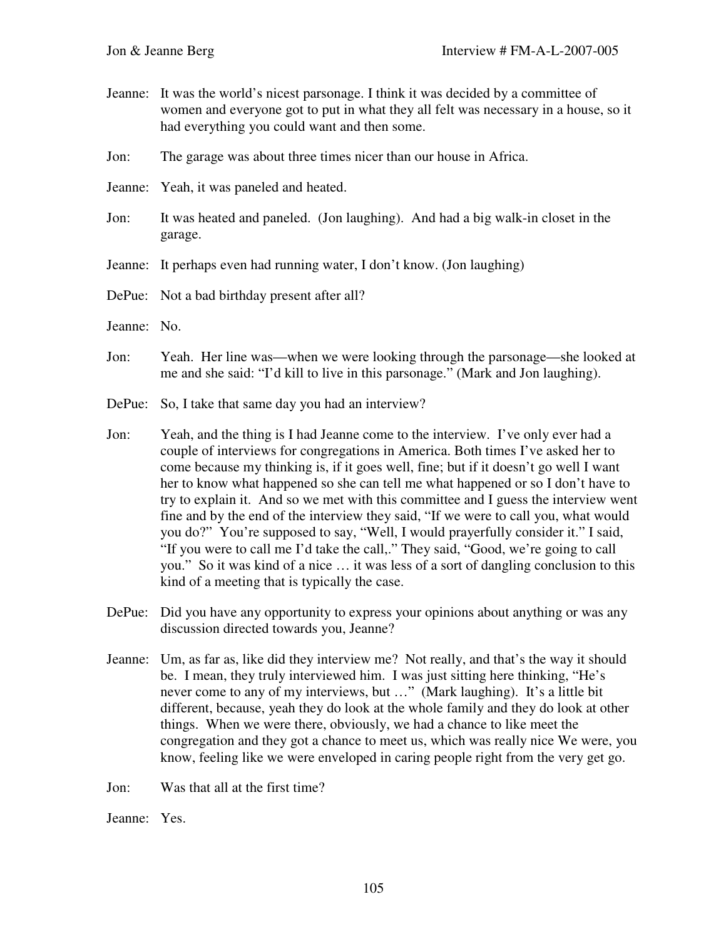- Jeanne: It was the world's nicest parsonage. I think it was decided by a committee of women and everyone got to put in what they all felt was necessary in a house, so it had everything you could want and then some.
- Jon: The garage was about three times nicer than our house in Africa.
- Jeanne: Yeah, it was paneled and heated.
- Jon: It was heated and paneled. (Jon laughing). And had a big walk-in closet in the garage.
- Jeanne: It perhaps even had running water, I don't know. (Jon laughing)
- DePue: Not a bad birthday present after all?
- Jeanne: No.
- Jon: Yeah. Her line was—when we were looking through the parsonage—she looked at me and she said: "I'd kill to live in this parsonage." (Mark and Jon laughing).
- DePue: So, I take that same day you had an interview?
- Jon: Yeah, and the thing is I had Jeanne come to the interview. I've only ever had a couple of interviews for congregations in America. Both times I've asked her to come because my thinking is, if it goes well, fine; but if it doesn't go well I want her to know what happened so she can tell me what happened or so I don't have to try to explain it. And so we met with this committee and I guess the interview went fine and by the end of the interview they said, "If we were to call you, what would you do?" You're supposed to say, "Well, I would prayerfully consider it." I said, "If you were to call me I'd take the call,." They said, "Good, we're going to call you." So it was kind of a nice … it was less of a sort of dangling conclusion to this kind of a meeting that is typically the case.
- DePue: Did you have any opportunity to express your opinions about anything or was any discussion directed towards you, Jeanne?
- Jeanne: Um, as far as, like did they interview me? Not really, and that's the way it should be. I mean, they truly interviewed him. I was just sitting here thinking, "He's never come to any of my interviews, but …" (Mark laughing). It's a little bit different, because, yeah they do look at the whole family and they do look at other things. When we were there, obviously, we had a chance to like meet the congregation and they got a chance to meet us, which was really nice We were, you know, feeling like we were enveloped in caring people right from the very get go.

Jon: Was that all at the first time?

Jeanne: Yes.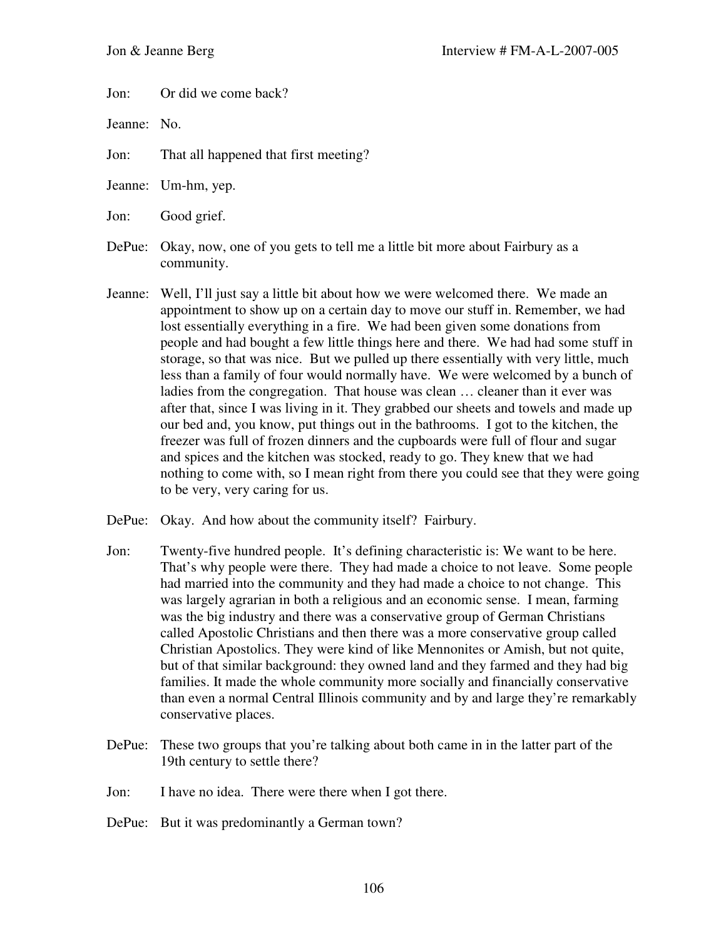Jon: Or did we come back?

Jeanne: No.

Jon: That all happened that first meeting?

Jeanne: Um-hm, yep.

Jon: Good grief.

DePue: Okay, now, one of you gets to tell me a little bit more about Fairbury as a community.

- Jeanne: Well, I'll just say a little bit about how we were welcomed there. We made an appointment to show up on a certain day to move our stuff in. Remember, we had lost essentially everything in a fire. We had been given some donations from people and had bought a few little things here and there. We had had some stuff in storage, so that was nice. But we pulled up there essentially with very little, much less than a family of four would normally have. We were welcomed by a bunch of ladies from the congregation. That house was clean … cleaner than it ever was after that, since I was living in it. They grabbed our sheets and towels and made up our bed and, you know, put things out in the bathrooms. I got to the kitchen, the freezer was full of frozen dinners and the cupboards were full of flour and sugar and spices and the kitchen was stocked, ready to go. They knew that we had nothing to come with, so I mean right from there you could see that they were going to be very, very caring for us.
- DePue: Okay. And how about the community itself? Fairbury.
- Jon: Twenty-five hundred people. It's defining characteristic is: We want to be here. That's why people were there. They had made a choice to not leave. Some people had married into the community and they had made a choice to not change. This was largely agrarian in both a religious and an economic sense. I mean, farming was the big industry and there was a conservative group of German Christians called Apostolic Christians and then there was a more conservative group called Christian Apostolics. They were kind of like Mennonites or Amish, but not quite, but of that similar background: they owned land and they farmed and they had big families. It made the whole community more socially and financially conservative than even a normal Central Illinois community and by and large they're remarkably conservative places.
- DePue: These two groups that you're talking about both came in in the latter part of the 19th century to settle there?
- Jon: I have no idea. There were there when I got there.
- DePue: But it was predominantly a German town?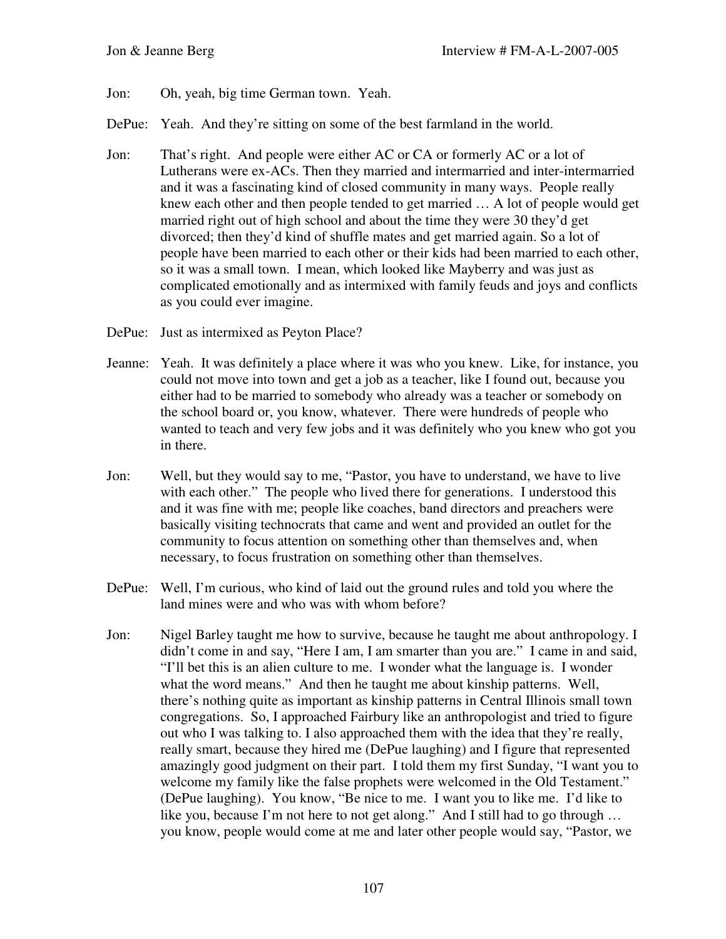- Jon: Oh, yeah, big time German town. Yeah.
- DePue: Yeah. And they're sitting on some of the best farmland in the world.
- Jon: That's right. And people were either AC or CA or formerly AC or a lot of Lutherans were ex-ACs. Then they married and intermarried and inter-intermarried and it was a fascinating kind of closed community in many ways. People really knew each other and then people tended to get married … A lot of people would get married right out of high school and about the time they were 30 they'd get divorced; then they'd kind of shuffle mates and get married again. So a lot of people have been married to each other or their kids had been married to each other, so it was a small town. I mean, which looked like Mayberry and was just as complicated emotionally and as intermixed with family feuds and joys and conflicts as you could ever imagine.
- DePue: Just as intermixed as Peyton Place?
- Jeanne: Yeah. It was definitely a place where it was who you knew. Like, for instance, you could not move into town and get a job as a teacher, like I found out, because you either had to be married to somebody who already was a teacher or somebody on the school board or, you know, whatever. There were hundreds of people who wanted to teach and very few jobs and it was definitely who you knew who got you in there.
- Jon: Well, but they would say to me, "Pastor, you have to understand, we have to live with each other." The people who lived there for generations. I understood this and it was fine with me; people like coaches, band directors and preachers were basically visiting technocrats that came and went and provided an outlet for the community to focus attention on something other than themselves and, when necessary, to focus frustration on something other than themselves.
- DePue: Well, I'm curious, who kind of laid out the ground rules and told you where the land mines were and who was with whom before?
- Jon: Nigel Barley taught me how to survive, because he taught me about anthropology. I didn't come in and say, "Here I am, I am smarter than you are." I came in and said, "I'll bet this is an alien culture to me. I wonder what the language is. I wonder what the word means." And then he taught me about kinship patterns. Well, there's nothing quite as important as kinship patterns in Central Illinois small town congregations. So, I approached Fairbury like an anthropologist and tried to figure out who I was talking to. I also approached them with the idea that they're really, really smart, because they hired me (DePue laughing) and I figure that represented amazingly good judgment on their part. I told them my first Sunday, "I want you to welcome my family like the false prophets were welcomed in the Old Testament." (DePue laughing). You know, "Be nice to me. I want you to like me. I'd like to like you, because I'm not here to not get along." And I still had to go through … you know, people would come at me and later other people would say, "Pastor, we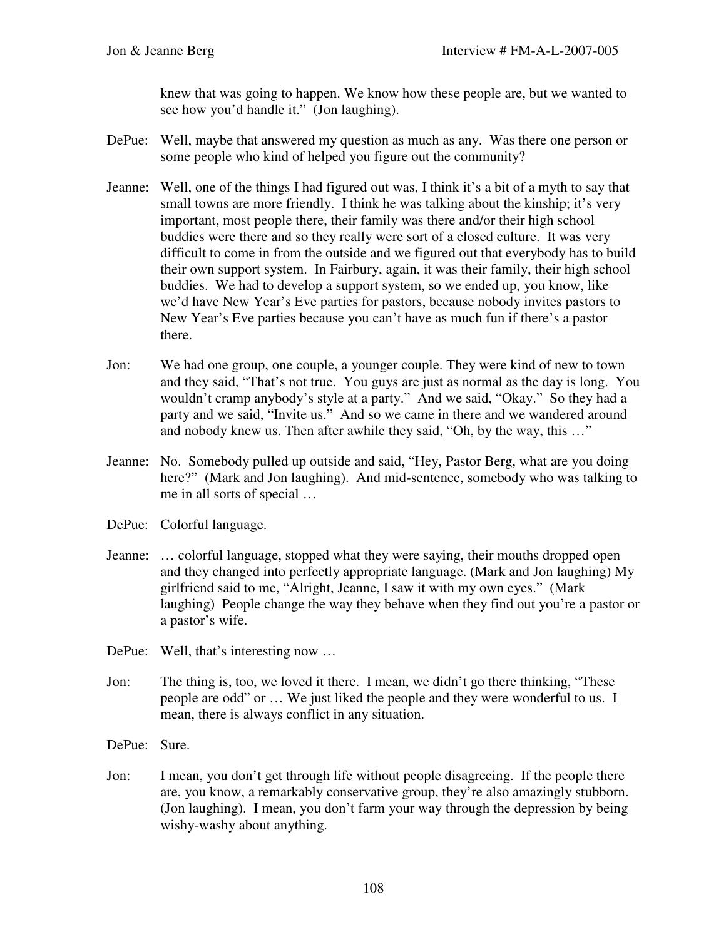knew that was going to happen. We know how these people are, but we wanted to see how you'd handle it." (Jon laughing).

- DePue: Well, maybe that answered my question as much as any. Was there one person or some people who kind of helped you figure out the community?
- Jeanne: Well, one of the things I had figured out was, I think it's a bit of a myth to say that small towns are more friendly. I think he was talking about the kinship; it's very important, most people there, their family was there and/or their high school buddies were there and so they really were sort of a closed culture. It was very difficult to come in from the outside and we figured out that everybody has to build their own support system. In Fairbury, again, it was their family, their high school buddies. We had to develop a support system, so we ended up, you know, like we'd have New Year's Eve parties for pastors, because nobody invites pastors to New Year's Eve parties because you can't have as much fun if there's a pastor there.
- Jon: We had one group, one couple, a younger couple. They were kind of new to town and they said, "That's not true. You guys are just as normal as the day is long. You wouldn't cramp anybody's style at a party." And we said, "Okay." So they had a party and we said, "Invite us." And so we came in there and we wandered around and nobody knew us. Then after awhile they said, "Oh, by the way, this …"
- Jeanne: No. Somebody pulled up outside and said, "Hey, Pastor Berg, what are you doing here?" (Mark and Jon laughing). And mid-sentence, somebody who was talking to me in all sorts of special …
- DePue: Colorful language.
- Jeanne: … colorful language, stopped what they were saying, their mouths dropped open and they changed into perfectly appropriate language. (Mark and Jon laughing) My girlfriend said to me, "Alright, Jeanne, I saw it with my own eyes." (Mark laughing) People change the way they behave when they find out you're a pastor or a pastor's wife.
- DePue: Well, that's interesting now ...
- Jon: The thing is, too, we loved it there. I mean, we didn't go there thinking, "These people are odd" or … We just liked the people and they were wonderful to us. I mean, there is always conflict in any situation.
- DePue: Sure.
- Jon: I mean, you don't get through life without people disagreeing. If the people there are, you know, a remarkably conservative group, they're also amazingly stubborn. (Jon laughing). I mean, you don't farm your way through the depression by being wishy-washy about anything.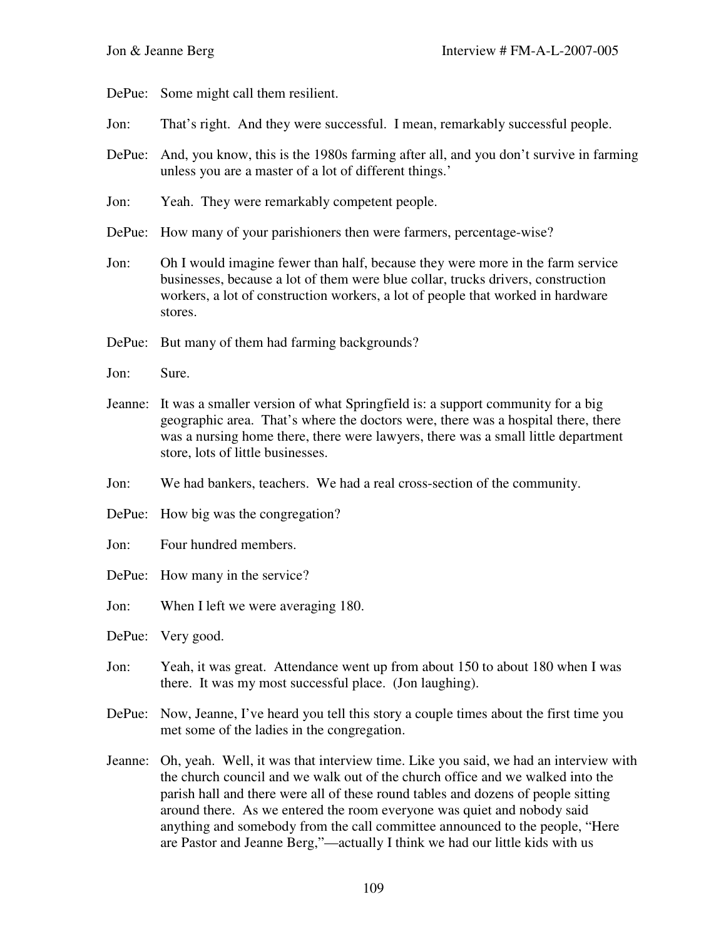DePue: Some might call them resilient.

- Jon: That's right. And they were successful. I mean, remarkably successful people.
- DePue: And, you know, this is the 1980s farming after all, and you don't survive in farming unless you are a master of a lot of different things.'
- Jon: Yeah. They were remarkably competent people.
- DePue: How many of your parishioners then were farmers, percentage-wise?
- Jon: Oh I would imagine fewer than half, because they were more in the farm service businesses, because a lot of them were blue collar, trucks drivers, construction workers, a lot of construction workers, a lot of people that worked in hardware stores.
- DePue: But many of them had farming backgrounds?
- Jon: Sure.
- Jeanne: It was a smaller version of what Springfield is: a support community for a big geographic area. That's where the doctors were, there was a hospital there, there was a nursing home there, there were lawyers, there was a small little department store, lots of little businesses.
- Jon: We had bankers, teachers. We had a real cross-section of the community.
- DePue: How big was the congregation?
- Jon: Four hundred members.
- DePue: How many in the service?
- Jon: When I left we were averaging 180.
- DePue: Very good.
- Jon: Yeah, it was great. Attendance went up from about 150 to about 180 when I was there. It was my most successful place. (Jon laughing).
- DePue: Now, Jeanne, I've heard you tell this story a couple times about the first time you met some of the ladies in the congregation.
- Jeanne: Oh, yeah. Well, it was that interview time. Like you said, we had an interview with the church council and we walk out of the church office and we walked into the parish hall and there were all of these round tables and dozens of people sitting around there. As we entered the room everyone was quiet and nobody said anything and somebody from the call committee announced to the people, "Here are Pastor and Jeanne Berg,"—actually I think we had our little kids with us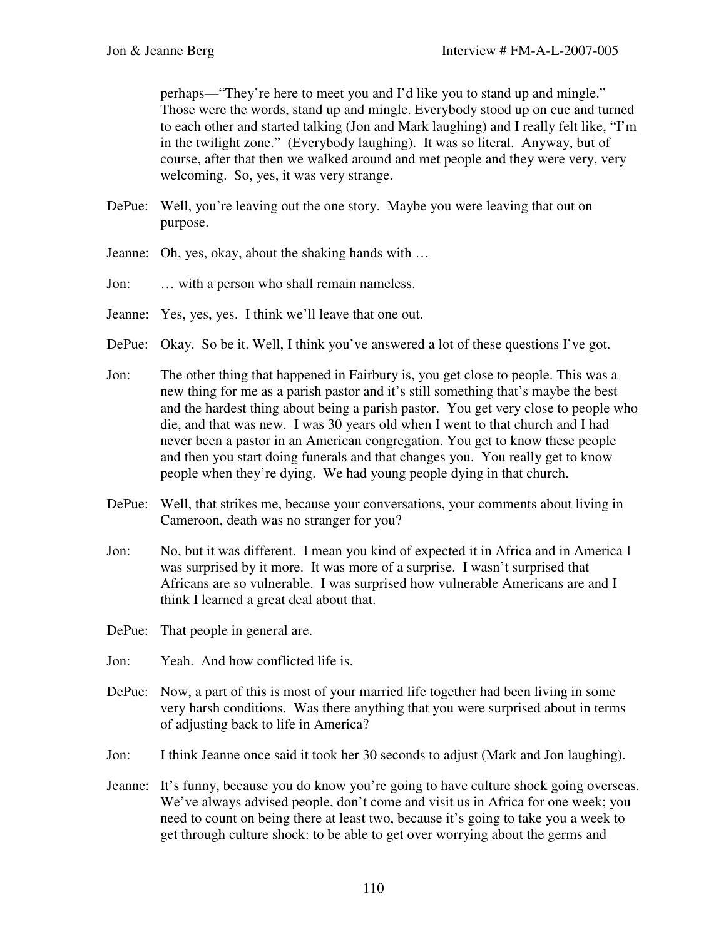perhaps—"They're here to meet you and I'd like you to stand up and mingle." Those were the words, stand up and mingle. Everybody stood up on cue and turned to each other and started talking (Jon and Mark laughing) and I really felt like, "I'm in the twilight zone." (Everybody laughing). It was so literal. Anyway, but of course, after that then we walked around and met people and they were very, very welcoming. So, yes, it was very strange.

- DePue: Well, you're leaving out the one story. Maybe you were leaving that out on purpose.
- Jeanne: Oh, yes, okay, about the shaking hands with …
- Jon: … with a person who shall remain nameless.
- Jeanne: Yes, yes, yes. I think we'll leave that one out.
- DePue: Okay. So be it. Well, I think you've answered a lot of these questions I've got.
- Jon: The other thing that happened in Fairbury is, you get close to people. This was a new thing for me as a parish pastor and it's still something that's maybe the best and the hardest thing about being a parish pastor. You get very close to people who die, and that was new. I was 30 years old when I went to that church and I had never been a pastor in an American congregation. You get to know these people and then you start doing funerals and that changes you. You really get to know people when they're dying. We had young people dying in that church.
- DePue: Well, that strikes me, because your conversations, your comments about living in Cameroon, death was no stranger for you?
- Jon: No, but it was different. I mean you kind of expected it in Africa and in America I was surprised by it more. It was more of a surprise. I wasn't surprised that Africans are so vulnerable. I was surprised how vulnerable Americans are and I think I learned a great deal about that.
- DePue: That people in general are.
- Jon: Yeah. And how conflicted life is.
- DePue: Now, a part of this is most of your married life together had been living in some very harsh conditions. Was there anything that you were surprised about in terms of adjusting back to life in America?
- Jon: I think Jeanne once said it took her 30 seconds to adjust (Mark and Jon laughing).
- Jeanne: It's funny, because you do know you're going to have culture shock going overseas. We've always advised people, don't come and visit us in Africa for one week; you need to count on being there at least two, because it's going to take you a week to get through culture shock: to be able to get over worrying about the germs and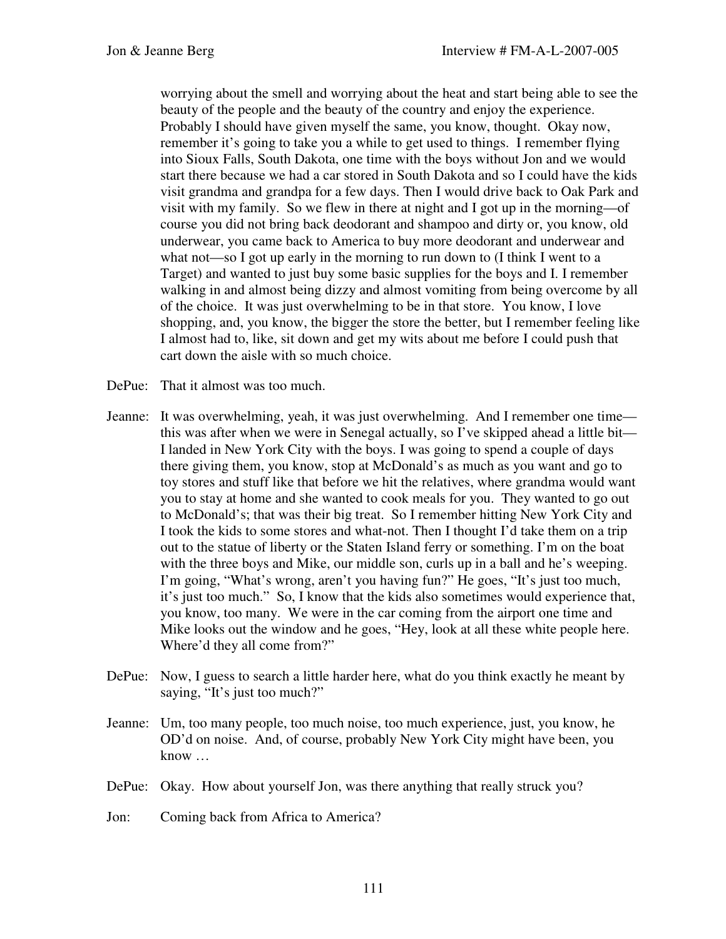worrying about the smell and worrying about the heat and start being able to see the beauty of the people and the beauty of the country and enjoy the experience. Probably I should have given myself the same, you know, thought. Okay now, remember it's going to take you a while to get used to things. I remember flying into Sioux Falls, South Dakota, one time with the boys without Jon and we would start there because we had a car stored in South Dakota and so I could have the kids visit grandma and grandpa for a few days. Then I would drive back to Oak Park and visit with my family. So we flew in there at night and I got up in the morning—of course you did not bring back deodorant and shampoo and dirty or, you know, old underwear, you came back to America to buy more deodorant and underwear and what not—so I got up early in the morning to run down to (I think I went to a Target) and wanted to just buy some basic supplies for the boys and I. I remember walking in and almost being dizzy and almost vomiting from being overcome by all of the choice. It was just overwhelming to be in that store. You know, I love shopping, and, you know, the bigger the store the better, but I remember feeling like I almost had to, like, sit down and get my wits about me before I could push that cart down the aisle with so much choice.

- DePue: That it almost was too much.
- Jeanne: It was overwhelming, yeah, it was just overwhelming. And I remember one time this was after when we were in Senegal actually, so I've skipped ahead a little bit— I landed in New York City with the boys. I was going to spend a couple of days there giving them, you know, stop at McDonald's as much as you want and go to toy stores and stuff like that before we hit the relatives, where grandma would want you to stay at home and she wanted to cook meals for you. They wanted to go out to McDonald's; that was their big treat. So I remember hitting New York City and I took the kids to some stores and what-not. Then I thought I'd take them on a trip out to the statue of liberty or the Staten Island ferry or something. I'm on the boat with the three boys and Mike, our middle son, curls up in a ball and he's weeping. I'm going, "What's wrong, aren't you having fun?" He goes, "It's just too much, it's just too much." So, I know that the kids also sometimes would experience that, you know, too many. We were in the car coming from the airport one time and Mike looks out the window and he goes, "Hey, look at all these white people here. Where'd they all come from?"
- DePue: Now, I guess to search a little harder here, what do you think exactly he meant by saying, "It's just too much?"
- Jeanne: Um, too many people, too much noise, too much experience, just, you know, he OD'd on noise. And, of course, probably New York City might have been, you know …
- DePue: Okay. How about yourself Jon, was there anything that really struck you?
- Jon: Coming back from Africa to America?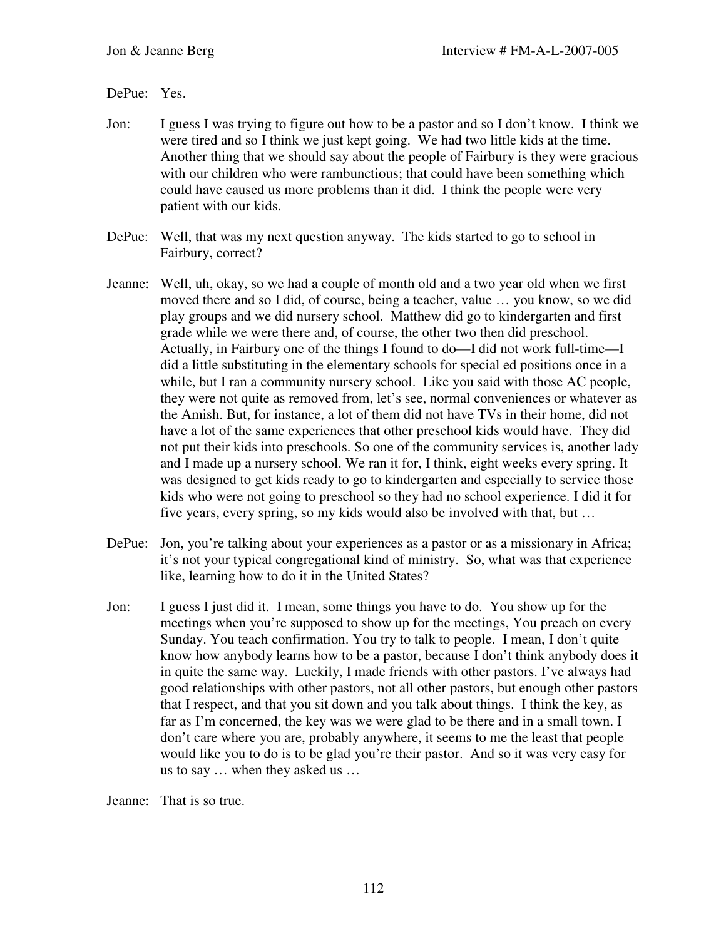## DePue: Yes.

- Jon: I guess I was trying to figure out how to be a pastor and so I don't know. I think we were tired and so I think we just kept going. We had two little kids at the time. Another thing that we should say about the people of Fairbury is they were gracious with our children who were rambunctious; that could have been something which could have caused us more problems than it did. I think the people were very patient with our kids.
- DePue: Well, that was my next question anyway. The kids started to go to school in Fairbury, correct?
- Jeanne: Well, uh, okay, so we had a couple of month old and a two year old when we first moved there and so I did, of course, being a teacher, value … you know, so we did play groups and we did nursery school. Matthew did go to kindergarten and first grade while we were there and, of course, the other two then did preschool. Actually, in Fairbury one of the things I found to do—I did not work full-time—I did a little substituting in the elementary schools for special ed positions once in a while, but I ran a community nursery school. Like you said with those AC people, they were not quite as removed from, let's see, normal conveniences or whatever as the Amish. But, for instance, a lot of them did not have TVs in their home, did not have a lot of the same experiences that other preschool kids would have. They did not put their kids into preschools. So one of the community services is, another lady and I made up a nursery school. We ran it for, I think, eight weeks every spring. It was designed to get kids ready to go to kindergarten and especially to service those kids who were not going to preschool so they had no school experience. I did it for five years, every spring, so my kids would also be involved with that, but …
- DePue: Jon, you're talking about your experiences as a pastor or as a missionary in Africa; it's not your typical congregational kind of ministry. So, what was that experience like, learning how to do it in the United States?
- Jon: I guess I just did it. I mean, some things you have to do. You show up for the meetings when you're supposed to show up for the meetings, You preach on every Sunday. You teach confirmation. You try to talk to people. I mean, I don't quite know how anybody learns how to be a pastor, because I don't think anybody does it in quite the same way. Luckily, I made friends with other pastors. I've always had good relationships with other pastors, not all other pastors, but enough other pastors that I respect, and that you sit down and you talk about things. I think the key, as far as I'm concerned, the key was we were glad to be there and in a small town. I don't care where you are, probably anywhere, it seems to me the least that people would like you to do is to be glad you're their pastor. And so it was very easy for us to say … when they asked us …

Jeanne: That is so true.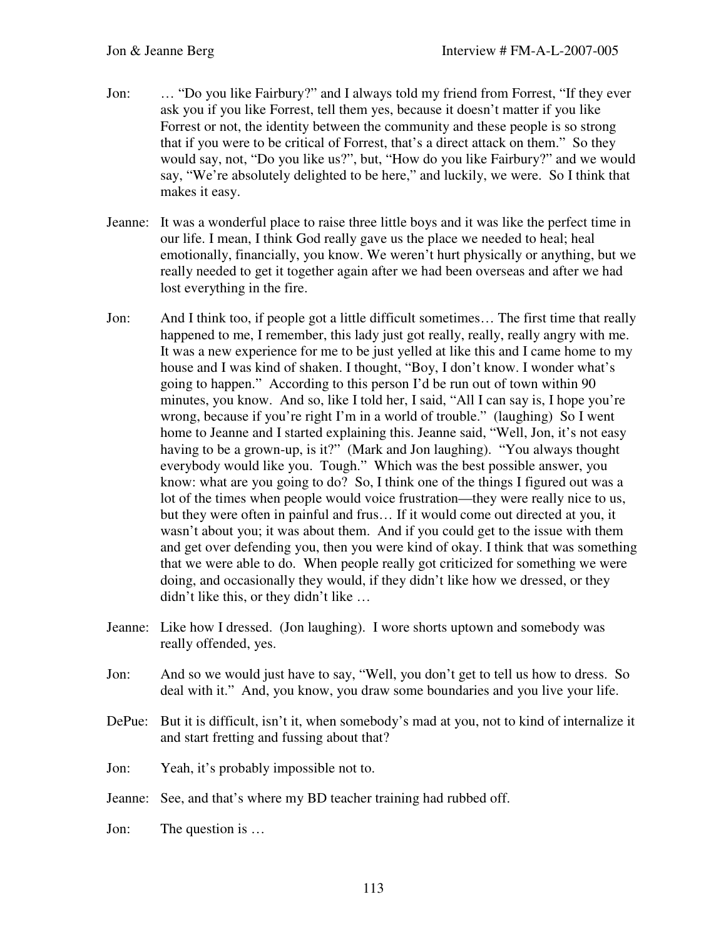- Jon: … "Do you like Fairbury?" and I always told my friend from Forrest, "If they ever ask you if you like Forrest, tell them yes, because it doesn't matter if you like Forrest or not, the identity between the community and these people is so strong that if you were to be critical of Forrest, that's a direct attack on them." So they would say, not, "Do you like us?", but, "How do you like Fairbury?" and we would say, "We're absolutely delighted to be here," and luckily, we were. So I think that makes it easy.
- Jeanne: It was a wonderful place to raise three little boys and it was like the perfect time in our life. I mean, I think God really gave us the place we needed to heal; heal emotionally, financially, you know. We weren't hurt physically or anything, but we really needed to get it together again after we had been overseas and after we had lost everything in the fire.
- Jon: And I think too, if people got a little difficult sometimes… The first time that really happened to me, I remember, this lady just got really, really, really angry with me. It was a new experience for me to be just yelled at like this and I came home to my house and I was kind of shaken. I thought, "Boy, I don't know. I wonder what's going to happen." According to this person I'd be run out of town within 90 minutes, you know. And so, like I told her, I said, "All I can say is, I hope you're wrong, because if you're right I'm in a world of trouble." (laughing) So I went home to Jeanne and I started explaining this. Jeanne said, "Well, Jon, it's not easy having to be a grown-up, is it?" (Mark and Jon laughing). "You always thought everybody would like you. Tough." Which was the best possible answer, you know: what are you going to do? So, I think one of the things I figured out was a lot of the times when people would voice frustration—they were really nice to us, but they were often in painful and frus… If it would come out directed at you, it wasn't about you; it was about them. And if you could get to the issue with them and get over defending you, then you were kind of okay. I think that was something that we were able to do. When people really got criticized for something we were doing, and occasionally they would, if they didn't like how we dressed, or they didn't like this, or they didn't like …
- Jeanne: Like how I dressed. (Jon laughing). I wore shorts uptown and somebody was really offended, yes.
- Jon: And so we would just have to say, "Well, you don't get to tell us how to dress. So deal with it." And, you know, you draw some boundaries and you live your life.
- DePue: But it is difficult, isn't it, when somebody's mad at you, not to kind of internalize it and start fretting and fussing about that?
- Jon: Yeah, it's probably impossible not to.
- Jeanne: See, and that's where my BD teacher training had rubbed off.
- Jon: The question is …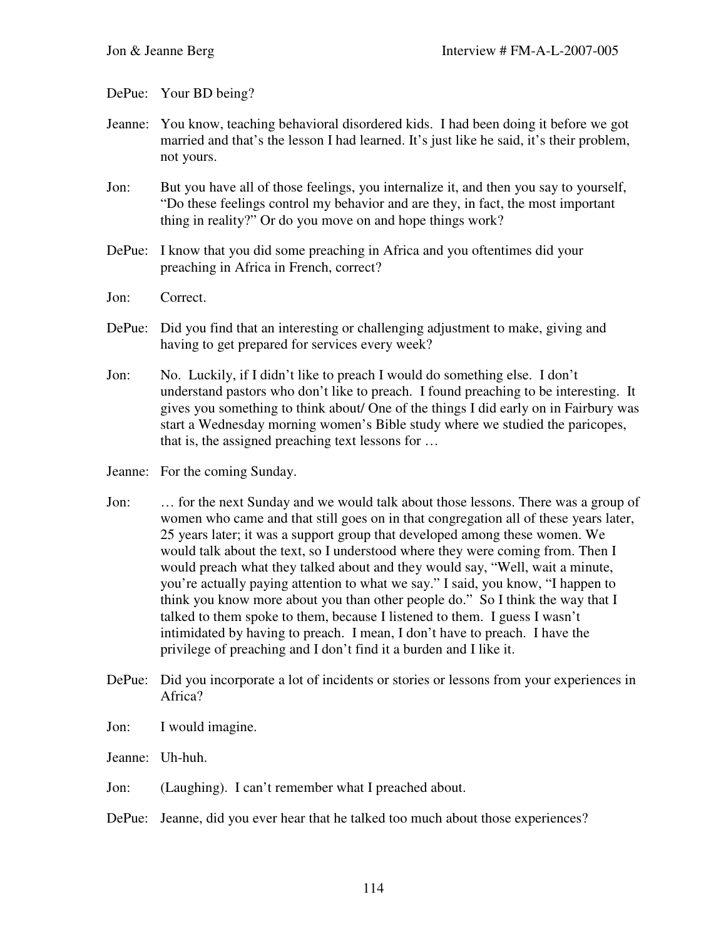DePue: Your BD being?

- Jeanne: You know, teaching behavioral disordered kids. I had been doing it before we got married and that's the lesson I had learned. It's just like he said, it's their problem, not yours.
- Jon: But you have all of those feelings, you internalize it, and then you say to yourself, "Do these feelings control my behavior and are they, in fact, the most important thing in reality?" Or do you move on and hope things work?
- DePue: I know that you did some preaching in Africa and you oftentimes did your preaching in Africa in French, correct?
- Jon: Correct.
- DePue: Did you find that an interesting or challenging adjustment to make, giving and having to get prepared for services every week?
- Jon: No. Luckily, if I didn't like to preach I would do something else. I don't understand pastors who don't like to preach. I found preaching to be interesting. It gives you something to think about/ One of the things I did early on in Fairbury was start a Wednesday morning women's Bible study where we studied the paricopes, that is, the assigned preaching text lessons for …
- Jeanne: For the coming Sunday.
- Jon: … for the next Sunday and we would talk about those lessons. There was a group of women who came and that still goes on in that congregation all of these years later, 25 years later; it was a support group that developed among these women. We would talk about the text, so I understood where they were coming from. Then I would preach what they talked about and they would say, "Well, wait a minute, you're actually paying attention to what we say." I said, you know, "I happen to think you know more about you than other people do." So I think the way that I talked to them spoke to them, because I listened to them. I guess I wasn't intimidated by having to preach. I mean, I don't have to preach. I have the privilege of preaching and I don't find it a burden and I like it.
- DePue: Did you incorporate a lot of incidents or stories or lessons from your experiences in Africa?
- Jon: I would imagine.
- Jeanne: Uh-huh.
- Jon: (Laughing). I can't remember what I preached about.
- DePue: Jeanne, did you ever hear that he talked too much about those experiences?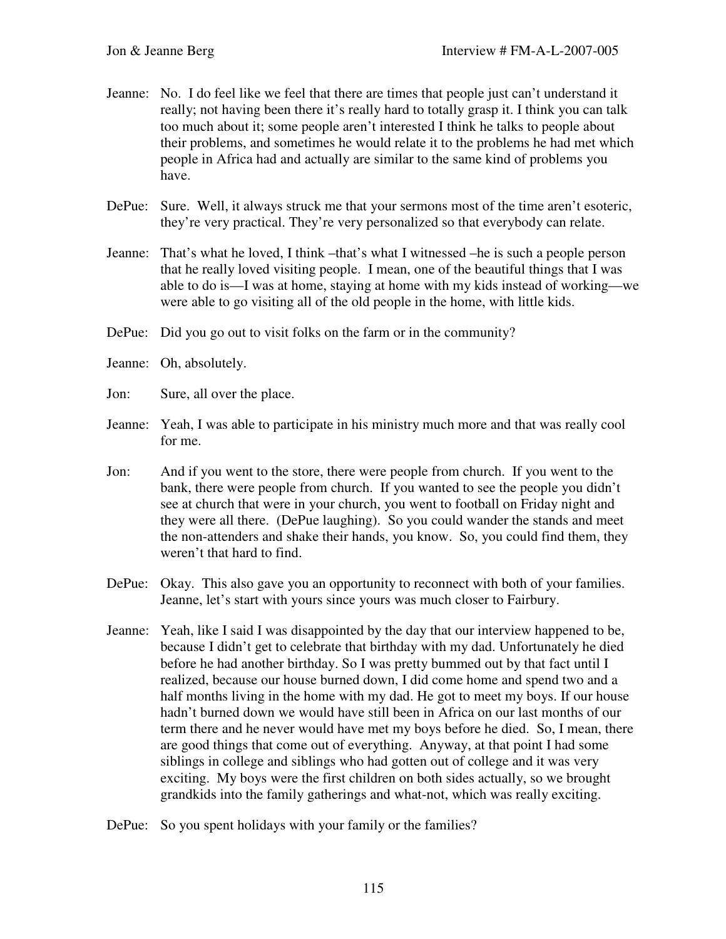- Jeanne: No. I do feel like we feel that there are times that people just can't understand it really; not having been there it's really hard to totally grasp it. I think you can talk too much about it; some people aren't interested I think he talks to people about their problems, and sometimes he would relate it to the problems he had met which people in Africa had and actually are similar to the same kind of problems you have.
- DePue: Sure. Well, it always struck me that your sermons most of the time aren't esoteric, they're very practical. They're very personalized so that everybody can relate.
- Jeanne: That's what he loved, I think –that's what I witnessed –he is such a people person that he really loved visiting people. I mean, one of the beautiful things that I was able to do is—I was at home, staying at home with my kids instead of working—we were able to go visiting all of the old people in the home, with little kids.
- DePue: Did you go out to visit folks on the farm or in the community?
- Jeanne: Oh, absolutely.
- Jon: Sure, all over the place.
- Jeanne: Yeah, I was able to participate in his ministry much more and that was really cool for me.
- Jon: And if you went to the store, there were people from church. If you went to the bank, there were people from church. If you wanted to see the people you didn't see at church that were in your church, you went to football on Friday night and they were all there. (DePue laughing). So you could wander the stands and meet the non-attenders and shake their hands, you know. So, you could find them, they weren't that hard to find.
- DePue: Okay. This also gave you an opportunity to reconnect with both of your families. Jeanne, let's start with yours since yours was much closer to Fairbury.
- Jeanne: Yeah, like I said I was disappointed by the day that our interview happened to be, because I didn't get to celebrate that birthday with my dad. Unfortunately he died before he had another birthday. So I was pretty bummed out by that fact until I realized, because our house burned down, I did come home and spend two and a half months living in the home with my dad. He got to meet my boys. If our house hadn't burned down we would have still been in Africa on our last months of our term there and he never would have met my boys before he died. So, I mean, there are good things that come out of everything. Anyway, at that point I had some siblings in college and siblings who had gotten out of college and it was very exciting. My boys were the first children on both sides actually, so we brought grandkids into the family gatherings and what-not, which was really exciting.
- DePue: So you spent holidays with your family or the families?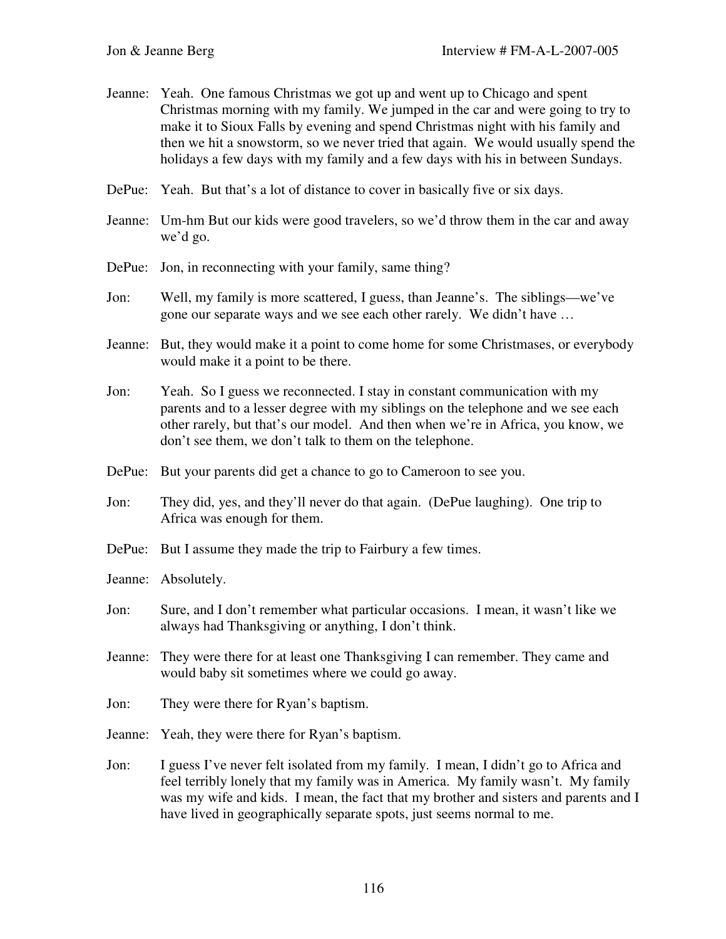- Jeanne: Yeah. One famous Christmas we got up and went up to Chicago and spent Christmas morning with my family. We jumped in the car and were going to try to make it to Sioux Falls by evening and spend Christmas night with his family and then we hit a snowstorm, so we never tried that again. We would usually spend the holidays a few days with my family and a few days with his in between Sundays.
- DePue: Yeah. But that's a lot of distance to cover in basically five or six days.
- Jeanne: Um-hm But our kids were good travelers, so we'd throw them in the car and away we'd go.
- DePue: Jon, in reconnecting with your family, same thing?
- Jon: Well, my family is more scattered, I guess, than Jeanne's. The siblings—we've gone our separate ways and we see each other rarely. We didn't have …
- Jeanne: But, they would make it a point to come home for some Christmases, or everybody would make it a point to be there.
- Jon: Yeah. So I guess we reconnected. I stay in constant communication with my parents and to a lesser degree with my siblings on the telephone and we see each other rarely, but that's our model. And then when we're in Africa, you know, we don't see them, we don't talk to them on the telephone.
- DePue: But your parents did get a chance to go to Cameroon to see you.
- Jon: They did, yes, and they'll never do that again. (DePue laughing). One trip to Africa was enough for them.
- DePue: But I assume they made the trip to Fairbury a few times.
- Jeanne: Absolutely.
- Jon: Sure, and I don't remember what particular occasions. I mean, it wasn't like we always had Thanksgiving or anything, I don't think.
- Jeanne: They were there for at least one Thanksgiving I can remember. They came and would baby sit sometimes where we could go away.
- Jon: They were there for Ryan's baptism.
- Jeanne: Yeah, they were there for Ryan's baptism.
- Jon: I guess I've never felt isolated from my family. I mean, I didn't go to Africa and feel terribly lonely that my family was in America. My family wasn't. My family was my wife and kids. I mean, the fact that my brother and sisters and parents and I have lived in geographically separate spots, just seems normal to me.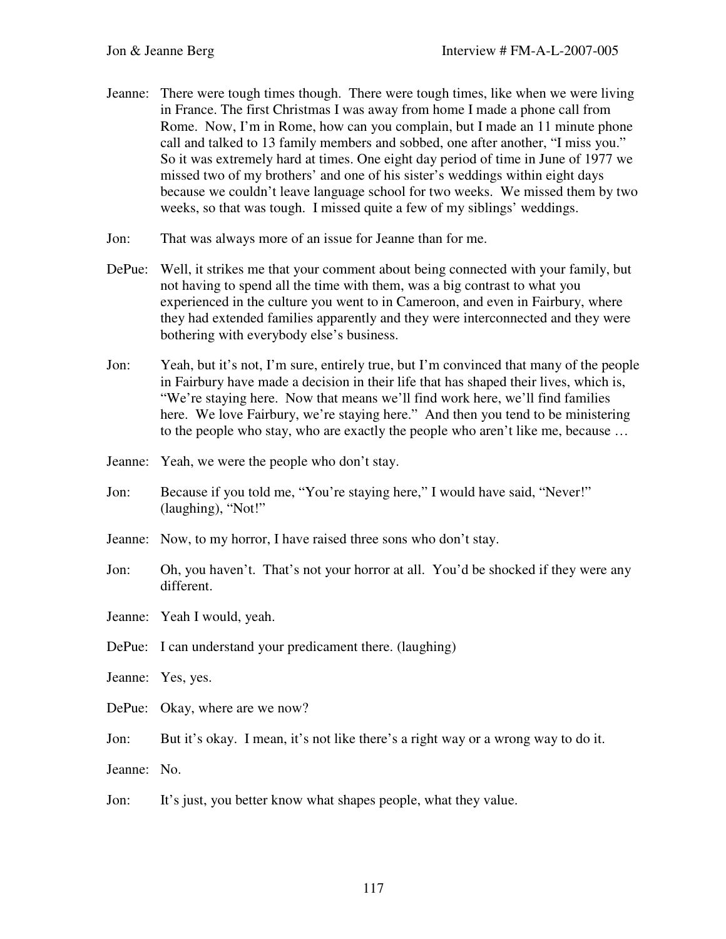- Jeanne: There were tough times though. There were tough times, like when we were living in France. The first Christmas I was away from home I made a phone call from Rome. Now, I'm in Rome, how can you complain, but I made an 11 minute phone call and talked to 13 family members and sobbed, one after another, "I miss you." So it was extremely hard at times. One eight day period of time in June of 1977 we missed two of my brothers' and one of his sister's weddings within eight days because we couldn't leave language school for two weeks. We missed them by two weeks, so that was tough. I missed quite a few of my siblings' weddings.
- Jon: That was always more of an issue for Jeanne than for me.
- DePue: Well, it strikes me that your comment about being connected with your family, but not having to spend all the time with them, was a big contrast to what you experienced in the culture you went to in Cameroon, and even in Fairbury, where they had extended families apparently and they were interconnected and they were bothering with everybody else's business.
- Jon: Yeah, but it's not, I'm sure, entirely true, but I'm convinced that many of the people in Fairbury have made a decision in their life that has shaped their lives, which is, "We're staying here. Now that means we'll find work here, we'll find families here. We love Fairbury, we're staying here." And then you tend to be ministering to the people who stay, who are exactly the people who aren't like me, because …
- Jeanne: Yeah, we were the people who don't stay.
- Jon: Because if you told me, "You're staying here," I would have said, "Never!" (laughing), "Not!"
- Jeanne: Now, to my horror, I have raised three sons who don't stay.
- Jon: Oh, you haven't. That's not your horror at all. You'd be shocked if they were any different.
- Jeanne: Yeah I would, yeah.
- DePue: I can understand your predicament there. (laughing)
- Jeanne: Yes, yes.
- DePue: Okay, where are we now?
- Jon: But it's okay. I mean, it's not like there's a right way or a wrong way to do it.
- Jeanne: No.
- Jon: It's just, you better know what shapes people, what they value.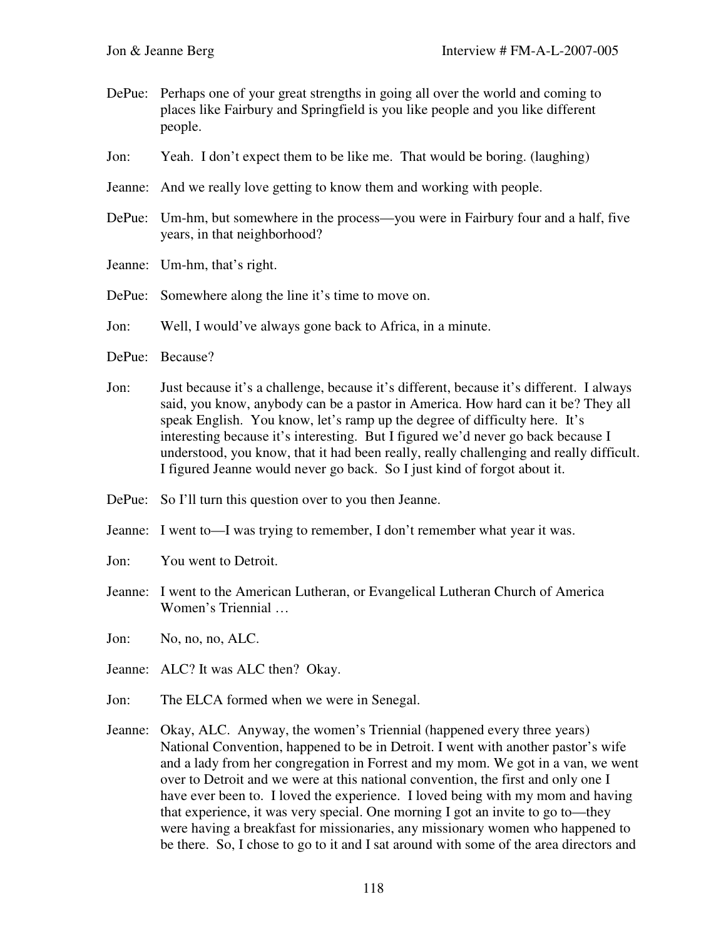- DePue: Perhaps one of your great strengths in going all over the world and coming to places like Fairbury and Springfield is you like people and you like different people.
- Jon: Yeah. I don't expect them to be like me. That would be boring. (laughing)
- Jeanne: And we really love getting to know them and working with people.
- DePue: Um-hm, but somewhere in the process—you were in Fairbury four and a half, five years, in that neighborhood?
- Jeanne: Um-hm, that's right.
- DePue: Somewhere along the line it's time to move on.
- Jon: Well, I would've always gone back to Africa, in a minute.
- DePue: Because?
- Jon: Just because it's a challenge, because it's different, because it's different. I always said, you know, anybody can be a pastor in America. How hard can it be? They all speak English. You know, let's ramp up the degree of difficulty here. It's interesting because it's interesting. But I figured we'd never go back because I understood, you know, that it had been really, really challenging and really difficult. I figured Jeanne would never go back. So I just kind of forgot about it.
- DePue: So I'll turn this question over to you then Jeanne.
- Jeanne: I went to—I was trying to remember, I don't remember what year it was.
- Jon: You went to Detroit.
- Jeanne: I went to the American Lutheran, or Evangelical Lutheran Church of America Women's Triennial …
- Jon: No, no, no, ALC.
- Jeanne: ALC? It was ALC then? Okay.
- Jon: The ELCA formed when we were in Senegal.
- Jeanne: Okay, ALC. Anyway, the women's Triennial (happened every three years) National Convention, happened to be in Detroit. I went with another pastor's wife and a lady from her congregation in Forrest and my mom. We got in a van, we went over to Detroit and we were at this national convention, the first and only one I have ever been to. I loved the experience. I loved being with my mom and having that experience, it was very special. One morning I got an invite to go to—they were having a breakfast for missionaries, any missionary women who happened to be there. So, I chose to go to it and I sat around with some of the area directors and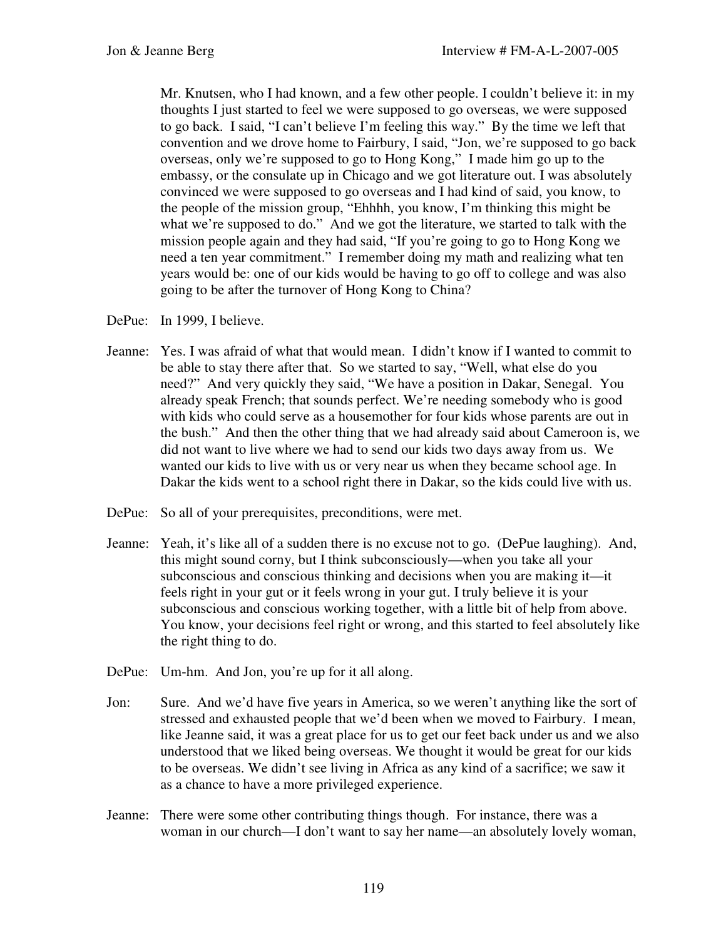Mr. Knutsen, who I had known, and a few other people. I couldn't believe it: in my thoughts I just started to feel we were supposed to go overseas, we were supposed to go back. I said, "I can't believe I'm feeling this way." By the time we left that convention and we drove home to Fairbury, I said, "Jon, we're supposed to go back overseas, only we're supposed to go to Hong Kong," I made him go up to the embassy, or the consulate up in Chicago and we got literature out. I was absolutely convinced we were supposed to go overseas and I had kind of said, you know, to the people of the mission group, "Ehhhh, you know, I'm thinking this might be what we're supposed to do." And we got the literature, we started to talk with the mission people again and they had said, "If you're going to go to Hong Kong we need a ten year commitment." I remember doing my math and realizing what ten years would be: one of our kids would be having to go off to college and was also going to be after the turnover of Hong Kong to China?

- DePue: In 1999, I believe.
- Jeanne: Yes. I was afraid of what that would mean. I didn't know if I wanted to commit to be able to stay there after that. So we started to say, "Well, what else do you need?" And very quickly they said, "We have a position in Dakar, Senegal. You already speak French; that sounds perfect. We're needing somebody who is good with kids who could serve as a housemother for four kids whose parents are out in the bush." And then the other thing that we had already said about Cameroon is, we did not want to live where we had to send our kids two days away from us. We wanted our kids to live with us or very near us when they became school age. In Dakar the kids went to a school right there in Dakar, so the kids could live with us.
- DePue: So all of your prerequisites, preconditions, were met.
- Jeanne: Yeah, it's like all of a sudden there is no excuse not to go. (DePue laughing). And, this might sound corny, but I think subconsciously—when you take all your subconscious and conscious thinking and decisions when you are making it—it feels right in your gut or it feels wrong in your gut. I truly believe it is your subconscious and conscious working together, with a little bit of help from above. You know, your decisions feel right or wrong, and this started to feel absolutely like the right thing to do.
- DePue: Um-hm. And Jon, you're up for it all along.
- Jon: Sure. And we'd have five years in America, so we weren't anything like the sort of stressed and exhausted people that we'd been when we moved to Fairbury. I mean, like Jeanne said, it was a great place for us to get our feet back under us and we also understood that we liked being overseas. We thought it would be great for our kids to be overseas. We didn't see living in Africa as any kind of a sacrifice; we saw it as a chance to have a more privileged experience.
- Jeanne: There were some other contributing things though. For instance, there was a woman in our church—I don't want to say her name—an absolutely lovely woman,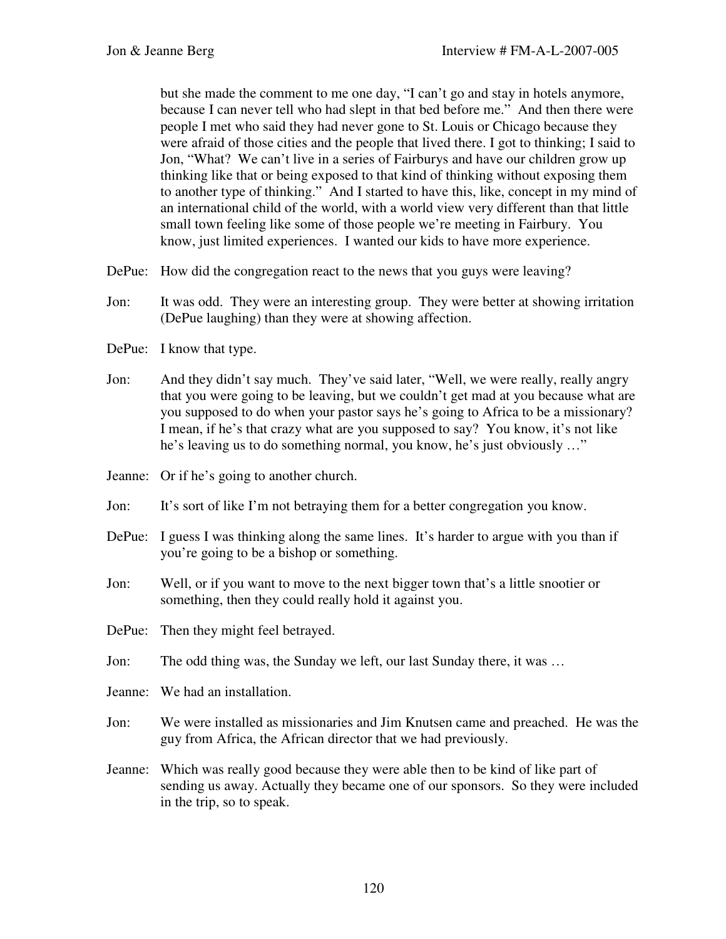but she made the comment to me one day, "I can't go and stay in hotels anymore, because I can never tell who had slept in that bed before me." And then there were people I met who said they had never gone to St. Louis or Chicago because they were afraid of those cities and the people that lived there. I got to thinking; I said to Jon, "What? We can't live in a series of Fairburys and have our children grow up thinking like that or being exposed to that kind of thinking without exposing them to another type of thinking." And I started to have this, like, concept in my mind of an international child of the world, with a world view very different than that little small town feeling like some of those people we're meeting in Fairbury. You know, just limited experiences. I wanted our kids to have more experience.

- DePue: How did the congregation react to the news that you guys were leaving?
- Jon: It was odd. They were an interesting group. They were better at showing irritation (DePue laughing) than they were at showing affection.
- DePue: I know that type.
- Jon: And they didn't say much. They've said later, "Well, we were really, really angry that you were going to be leaving, but we couldn't get mad at you because what are you supposed to do when your pastor says he's going to Africa to be a missionary? I mean, if he's that crazy what are you supposed to say? You know, it's not like he's leaving us to do something normal, you know, he's just obviously …"
- Jeanne: Or if he's going to another church.
- Jon: It's sort of like I'm not betraying them for a better congregation you know.
- DePue: I guess I was thinking along the same lines. It's harder to argue with you than if you're going to be a bishop or something.
- Jon: Well, or if you want to move to the next bigger town that's a little snootier or something, then they could really hold it against you.
- DePue: Then they might feel betrayed.
- Jon: The odd thing was, the Sunday we left, our last Sunday there, it was …
- Jeanne: We had an installation.
- Jon: We were installed as missionaries and Jim Knutsen came and preached. He was the guy from Africa, the African director that we had previously.
- Jeanne: Which was really good because they were able then to be kind of like part of sending us away. Actually they became one of our sponsors. So they were included in the trip, so to speak.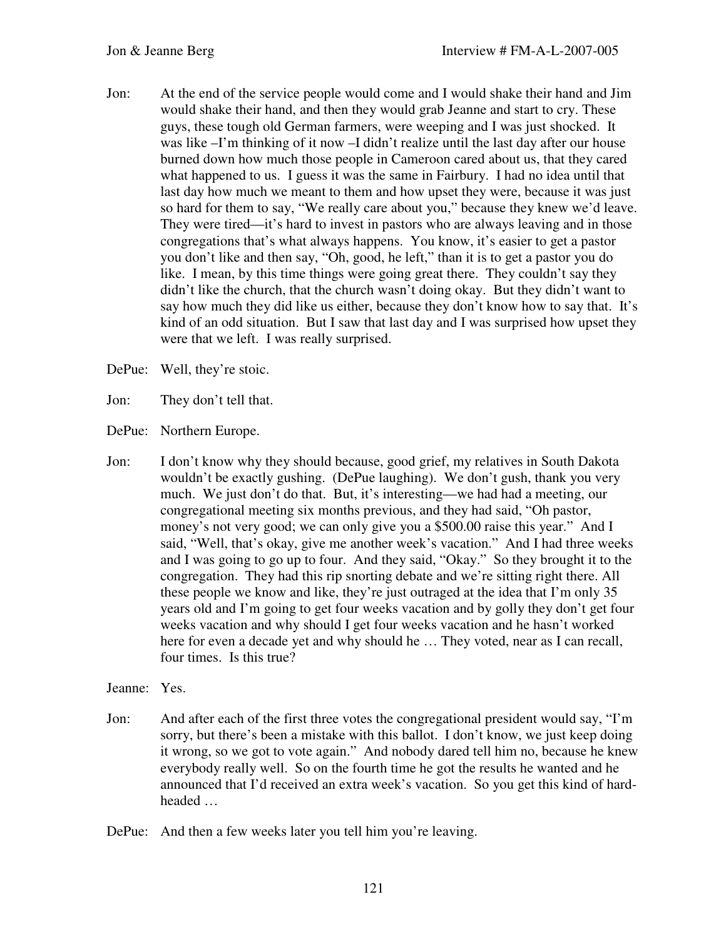- Jon: At the end of the service people would come and I would shake their hand and Jim would shake their hand, and then they would grab Jeanne and start to cry. These guys, these tough old German farmers, were weeping and I was just shocked. It was like –I'm thinking of it now –I didn't realize until the last day after our house burned down how much those people in Cameroon cared about us, that they cared what happened to us. I guess it was the same in Fairbury. I had no idea until that last day how much we meant to them and how upset they were, because it was just so hard for them to say, "We really care about you," because they knew we'd leave. They were tired—it's hard to invest in pastors who are always leaving and in those congregations that's what always happens. You know, it's easier to get a pastor you don't like and then say, "Oh, good, he left," than it is to get a pastor you do like. I mean, by this time things were going great there. They couldn't say they didn't like the church, that the church wasn't doing okay. But they didn't want to say how much they did like us either, because they don't know how to say that. It's kind of an odd situation. But I saw that last day and I was surprised how upset they were that we left. I was really surprised.
- DePue: Well, they're stoic.
- Jon: They don't tell that.
- DePue: Northern Europe.
- Jon: I don't know why they should because, good grief, my relatives in South Dakota wouldn't be exactly gushing. (DePue laughing). We don't gush, thank you very much. We just don't do that. But, it's interesting—we had had a meeting, our congregational meeting six months previous, and they had said, "Oh pastor, money's not very good; we can only give you a \$500.00 raise this year." And I said, "Well, that's okay, give me another week's vacation." And I had three weeks and I was going to go up to four. And they said, "Okay." So they brought it to the congregation. They had this rip snorting debate and we're sitting right there. All these people we know and like, they're just outraged at the idea that I'm only 35 years old and I'm going to get four weeks vacation and by golly they don't get four weeks vacation and why should I get four weeks vacation and he hasn't worked here for even a decade yet and why should he ... They voted, near as I can recall, four times. Is this true?
- Jeanne: Yes.
- Jon: And after each of the first three votes the congregational president would say, "I'm sorry, but there's been a mistake with this ballot. I don't know, we just keep doing it wrong, so we got to vote again." And nobody dared tell him no, because he knew everybody really well. So on the fourth time he got the results he wanted and he announced that I'd received an extra week's vacation. So you get this kind of hardheaded …
- DePue: And then a few weeks later you tell him you're leaving.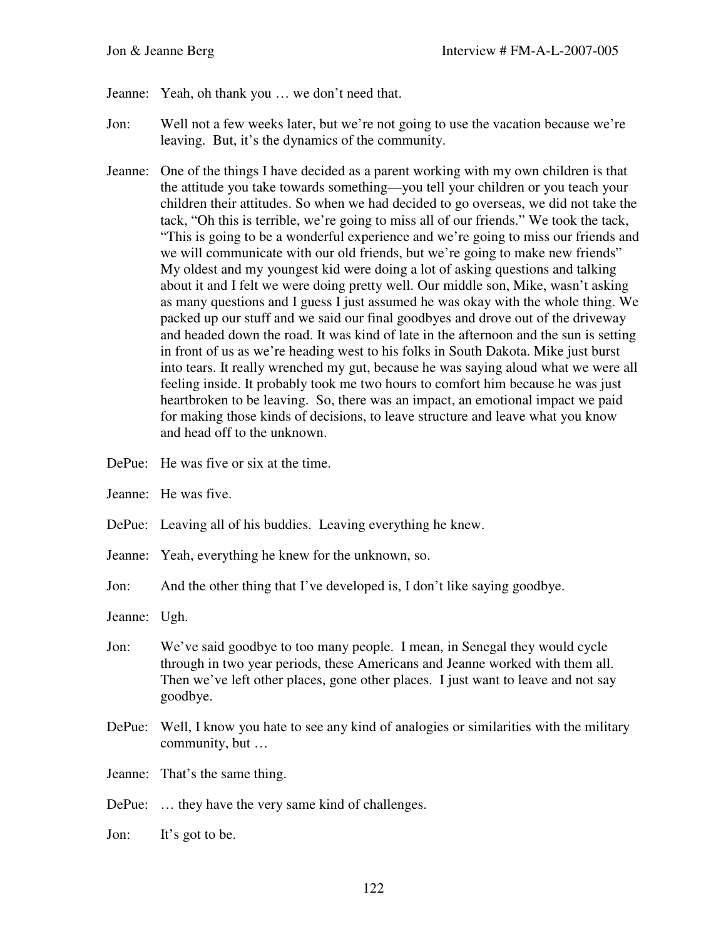- Jeanne: Yeah, oh thank you … we don't need that.
- Jon: Well not a few weeks later, but we're not going to use the vacation because we're leaving. But, it's the dynamics of the community.
- Jeanne: One of the things I have decided as a parent working with my own children is that the attitude you take towards something—you tell your children or you teach your children their attitudes. So when we had decided to go overseas, we did not take the tack, "Oh this is terrible, we're going to miss all of our friends." We took the tack, "This is going to be a wonderful experience and we're going to miss our friends and we will communicate with our old friends, but we're going to make new friends" My oldest and my youngest kid were doing a lot of asking questions and talking about it and I felt we were doing pretty well. Our middle son, Mike, wasn't asking as many questions and I guess I just assumed he was okay with the whole thing. We packed up our stuff and we said our final goodbyes and drove out of the driveway and headed down the road. It was kind of late in the afternoon and the sun is setting in front of us as we're heading west to his folks in South Dakota. Mike just burst into tears. It really wrenched my gut, because he was saying aloud what we were all feeling inside. It probably took me two hours to comfort him because he was just heartbroken to be leaving. So, there was an impact, an emotional impact we paid for making those kinds of decisions, to leave structure and leave what you know and head off to the unknown.
- DePue: He was five or six at the time.
- Jeanne: He was five.
- DePue: Leaving all of his buddies. Leaving everything he knew.
- Jeanne: Yeah, everything he knew for the unknown, so.
- Jon: And the other thing that I've developed is, I don't like saying goodbye.
- Jeanne: Ugh.
- Jon: We've said goodbye to too many people. I mean, in Senegal they would cycle through in two year periods, these Americans and Jeanne worked with them all. Then we've left other places, gone other places. I just want to leave and not say goodbye.
- DePue: Well, I know you hate to see any kind of analogies or similarities with the military community, but …
- Jeanne: That's the same thing.
- DePue: … they have the very same kind of challenges.
- Jon: It's got to be.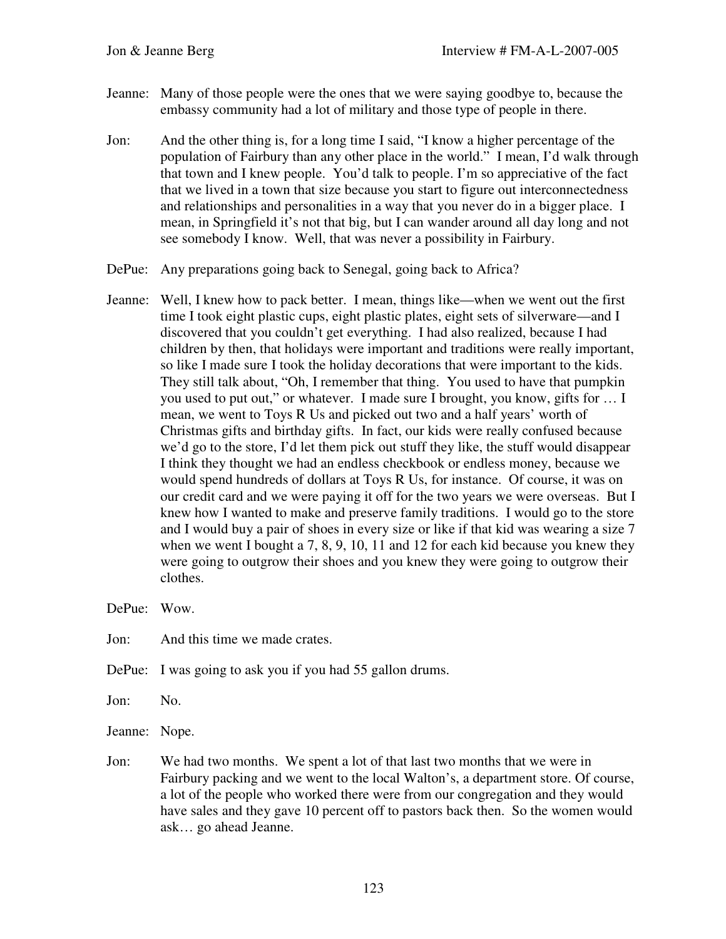- Jeanne: Many of those people were the ones that we were saying goodbye to, because the embassy community had a lot of military and those type of people in there.
- Jon: And the other thing is, for a long time I said, "I know a higher percentage of the population of Fairbury than any other place in the world." I mean, I'd walk through that town and I knew people. You'd talk to people. I'm so appreciative of the fact that we lived in a town that size because you start to figure out interconnectedness and relationships and personalities in a way that you never do in a bigger place. I mean, in Springfield it's not that big, but I can wander around all day long and not see somebody I know. Well, that was never a possibility in Fairbury.
- DePue: Any preparations going back to Senegal, going back to Africa?
- Jeanne: Well, I knew how to pack better. I mean, things like—when we went out the first time I took eight plastic cups, eight plastic plates, eight sets of silverware—and I discovered that you couldn't get everything. I had also realized, because I had children by then, that holidays were important and traditions were really important, so like I made sure I took the holiday decorations that were important to the kids. They still talk about, "Oh, I remember that thing. You used to have that pumpkin you used to put out," or whatever. I made sure I brought, you know, gifts for … I mean, we went to Toys R Us and picked out two and a half years' worth of Christmas gifts and birthday gifts. In fact, our kids were really confused because we'd go to the store, I'd let them pick out stuff they like, the stuff would disappear I think they thought we had an endless checkbook or endless money, because we would spend hundreds of dollars at Toys R Us, for instance. Of course, it was on our credit card and we were paying it off for the two years we were overseas. But I knew how I wanted to make and preserve family traditions. I would go to the store and I would buy a pair of shoes in every size or like if that kid was wearing a size 7 when we went I bought a 7, 8, 9, 10, 11 and 12 for each kid because you knew they were going to outgrow their shoes and you knew they were going to outgrow their clothes.

DePue: Wow.

Jon: And this time we made crates.

DePue: I was going to ask you if you had 55 gallon drums.

Jon: No.

Jeanne: Nope.

Jon: We had two months. We spent a lot of that last two months that we were in Fairbury packing and we went to the local Walton's, a department store. Of course, a lot of the people who worked there were from our congregation and they would have sales and they gave 10 percent off to pastors back then. So the women would ask… go ahead Jeanne.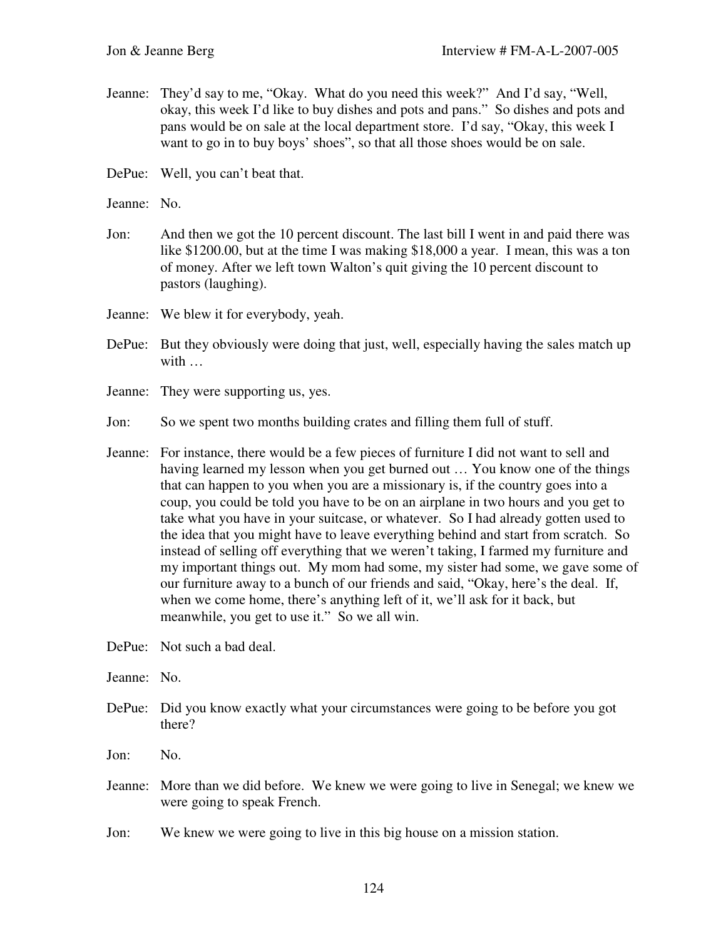- Jeanne: They'd say to me, "Okay. What do you need this week?" And I'd say, "Well, okay, this week I'd like to buy dishes and pots and pans." So dishes and pots and pans would be on sale at the local department store. I'd say, "Okay, this week I want to go in to buy boys' shoes", so that all those shoes would be on sale.
- DePue: Well, you can't beat that.
- Jeanne: No.
- Jon: And then we got the 10 percent discount. The last bill I went in and paid there was like \$1200.00, but at the time I was making \$18,000 a year. I mean, this was a ton of money. After we left town Walton's quit giving the 10 percent discount to pastors (laughing).
- Jeanne: We blew it for everybody, yeah.
- DePue: But they obviously were doing that just, well, especially having the sales match up with …
- Jeanne: They were supporting us, yes.
- Jon: So we spent two months building crates and filling them full of stuff.
- Jeanne: For instance, there would be a few pieces of furniture I did not want to sell and having learned my lesson when you get burned out … You know one of the things that can happen to you when you are a missionary is, if the country goes into a coup, you could be told you have to be on an airplane in two hours and you get to take what you have in your suitcase, or whatever. So I had already gotten used to the idea that you might have to leave everything behind and start from scratch. So instead of selling off everything that we weren't taking, I farmed my furniture and my important things out. My mom had some, my sister had some, we gave some of our furniture away to a bunch of our friends and said, "Okay, here's the deal. If, when we come home, there's anything left of it, we'll ask for it back, but meanwhile, you get to use it." So we all win.
- DePue: Not such a bad deal.
- Jeanne: No.
- DePue: Did you know exactly what your circumstances were going to be before you got there?
- Jon: No.
- Jeanne: More than we did before. We knew we were going to live in Senegal; we knew we were going to speak French.
- Jon: We knew we were going to live in this big house on a mission station.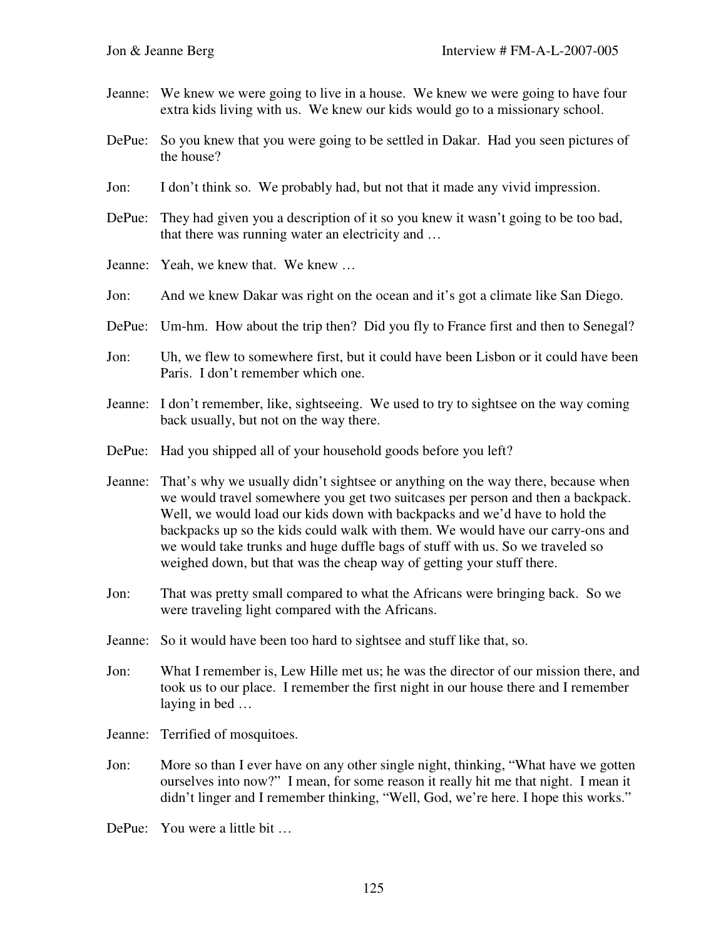- Jeanne: We knew we were going to live in a house. We knew we were going to have four extra kids living with us. We knew our kids would go to a missionary school.
- DePue: So you knew that you were going to be settled in Dakar. Had you seen pictures of the house?
- Jon: I don't think so. We probably had, but not that it made any vivid impression.
- DePue: They had given you a description of it so you knew it wasn't going to be too bad, that there was running water an electricity and …
- Jeanne: Yeah, we knew that. We knew …
- Jon: And we knew Dakar was right on the ocean and it's got a climate like San Diego.
- DePue: Um-hm. How about the trip then? Did you fly to France first and then to Senegal?
- Jon: Uh, we flew to somewhere first, but it could have been Lisbon or it could have been Paris. I don't remember which one.
- Jeanne: I don't remember, like, sightseeing. We used to try to sightsee on the way coming back usually, but not on the way there.
- DePue: Had you shipped all of your household goods before you left?
- Jeanne: That's why we usually didn't sightsee or anything on the way there, because when we would travel somewhere you get two suitcases per person and then a backpack. Well, we would load our kids down with backpacks and we'd have to hold the backpacks up so the kids could walk with them. We would have our carry-ons and we would take trunks and huge duffle bags of stuff with us. So we traveled so weighed down, but that was the cheap way of getting your stuff there.
- Jon: That was pretty small compared to what the Africans were bringing back. So we were traveling light compared with the Africans.
- Jeanne: So it would have been too hard to sightsee and stuff like that, so.
- Jon: What I remember is, Lew Hille met us; he was the director of our mission there, and took us to our place. I remember the first night in our house there and I remember laying in bed …
- Jeanne: Terrified of mosquitoes.
- Jon: More so than I ever have on any other single night, thinking, "What have we gotten ourselves into now?" I mean, for some reason it really hit me that night. I mean it didn't linger and I remember thinking, "Well, God, we're here. I hope this works."
- DePue: You were a little bit …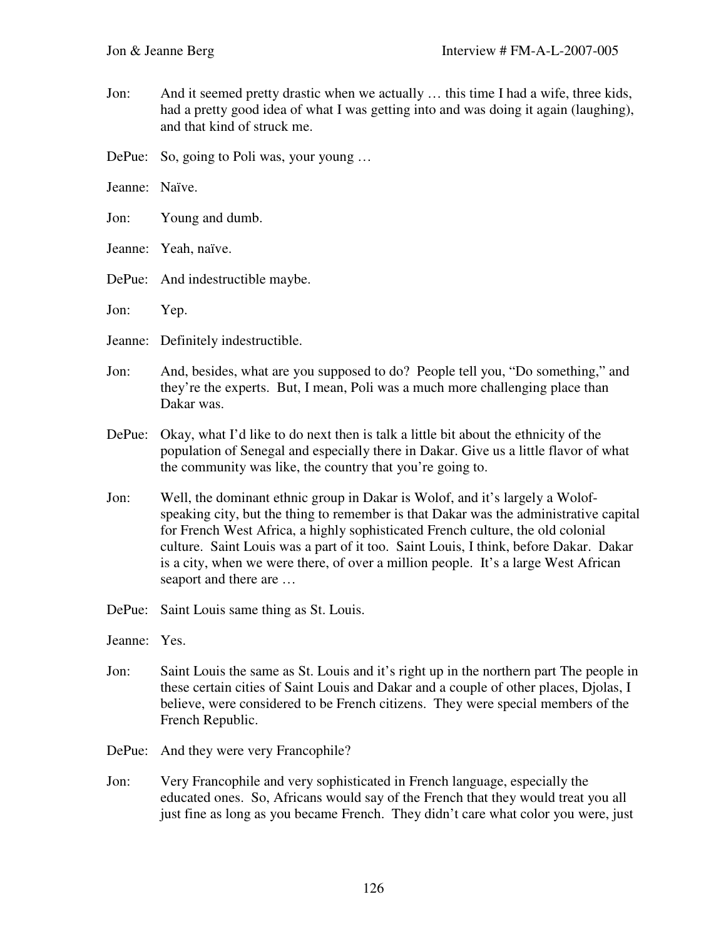- Jon: And it seemed pretty drastic when we actually … this time I had a wife, three kids, had a pretty good idea of what I was getting into and was doing it again (laughing), and that kind of struck me.
- DePue: So, going to Poli was, your young ...
- Jeanne: Naïve.
- Jon: Young and dumb.
- Jeanne: Yeah, naïve.
- DePue: And indestructible maybe.
- Jon: Yep.
- Jeanne: Definitely indestructible.
- Jon: And, besides, what are you supposed to do? People tell you, "Do something," and they're the experts. But, I mean, Poli was a much more challenging place than Dakar was.
- DePue: Okay, what I'd like to do next then is talk a little bit about the ethnicity of the population of Senegal and especially there in Dakar. Give us a little flavor of what the community was like, the country that you're going to.
- Jon: Well, the dominant ethnic group in Dakar is Wolof, and it's largely a Wolofspeaking city, but the thing to remember is that Dakar was the administrative capital for French West Africa, a highly sophisticated French culture, the old colonial culture. Saint Louis was a part of it too. Saint Louis, I think, before Dakar. Dakar is a city, when we were there, of over a million people. It's a large West African seaport and there are …
- DePue: Saint Louis same thing as St. Louis.
- Jeanne: Yes.
- Jon: Saint Louis the same as St. Louis and it's right up in the northern part The people in these certain cities of Saint Louis and Dakar and a couple of other places, Djolas, I believe, were considered to be French citizens. They were special members of the French Republic.
- DePue: And they were very Francophile?
- Jon: Very Francophile and very sophisticated in French language, especially the educated ones. So, Africans would say of the French that they would treat you all just fine as long as you became French. They didn't care what color you were, just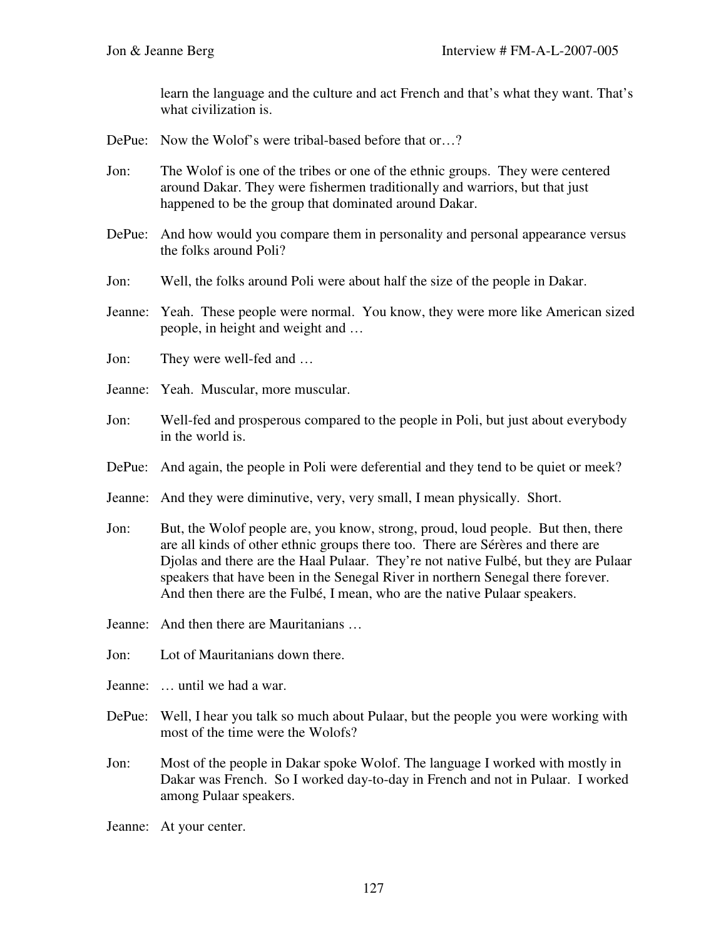learn the language and the culture and act French and that's what they want. That's what civilization is.

- DePue: Now the Wolof's were tribal-based before that or...?
- Jon: The Wolof is one of the tribes or one of the ethnic groups. They were centered around Dakar. They were fishermen traditionally and warriors, but that just happened to be the group that dominated around Dakar.
- DePue: And how would you compare them in personality and personal appearance versus the folks around Poli?
- Jon: Well, the folks around Poli were about half the size of the people in Dakar.
- Jeanne: Yeah. These people were normal. You know, they were more like American sized people, in height and weight and …
- Jon: They were well-fed and …
- Jeanne: Yeah. Muscular, more muscular.
- Jon: Well-fed and prosperous compared to the people in Poli, but just about everybody in the world is.
- DePue: And again, the people in Poli were deferential and they tend to be quiet or meek?
- Jeanne: And they were diminutive, very, very small, I mean physically. Short.
- Jon: But, the Wolof people are, you know, strong, proud, loud people. But then, there are all kinds of other ethnic groups there too. There are Sérères and there are Djolas and there are the Haal Pulaar. They're not native Fulbé, but they are Pulaar speakers that have been in the Senegal River in northern Senegal there forever. And then there are the Fulbé, I mean, who are the native Pulaar speakers.
- Jeanne: And then there are Mauritanians …
- Jon: Lot of Mauritanians down there.
- Jeanne: … until we had a war.
- DePue: Well, I hear you talk so much about Pulaar, but the people you were working with most of the time were the Wolofs?
- Jon: Most of the people in Dakar spoke Wolof. The language I worked with mostly in Dakar was French. So I worked day-to-day in French and not in Pulaar. I worked among Pulaar speakers.
- Jeanne: At your center.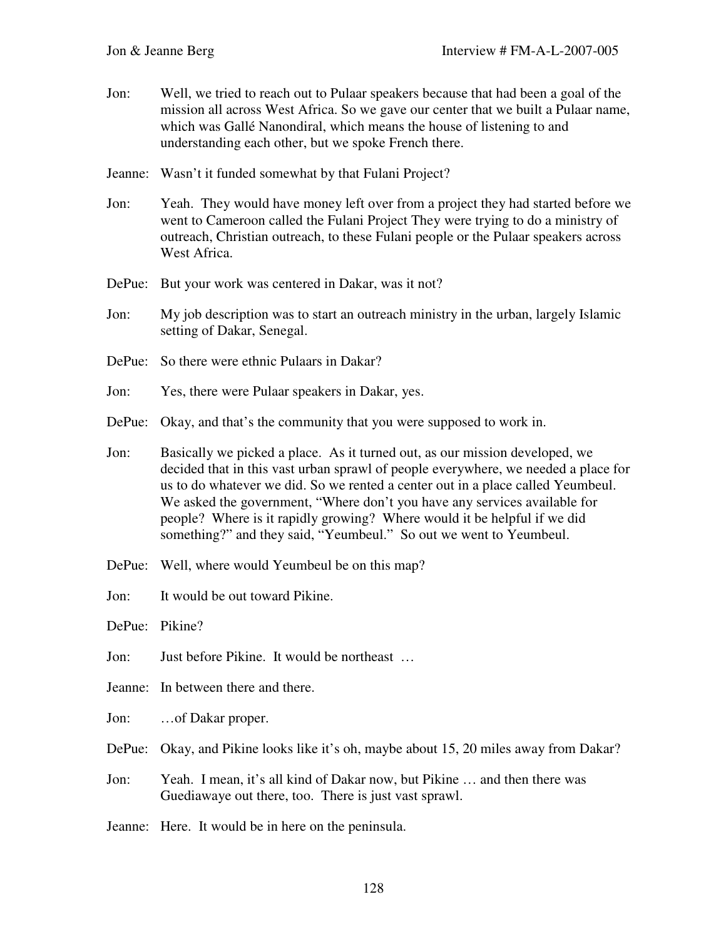- Jon: Well, we tried to reach out to Pulaar speakers because that had been a goal of the mission all across West Africa. So we gave our center that we built a Pulaar name, which was Gallé Nanondiral, which means the house of listening to and understanding each other, but we spoke French there.
- Jeanne: Wasn't it funded somewhat by that Fulani Project?
- Jon: Yeah. They would have money left over from a project they had started before we went to Cameroon called the Fulani Project They were trying to do a ministry of outreach, Christian outreach, to these Fulani people or the Pulaar speakers across West Africa.
- DePue: But your work was centered in Dakar, was it not?
- Jon: My job description was to start an outreach ministry in the urban, largely Islamic setting of Dakar, Senegal.
- DePue: So there were ethnic Pulaars in Dakar?
- Jon: Yes, there were Pulaar speakers in Dakar, yes.
- DePue: Okay, and that's the community that you were supposed to work in.
- Jon: Basically we picked a place. As it turned out, as our mission developed, we decided that in this vast urban sprawl of people everywhere, we needed a place for us to do whatever we did. So we rented a center out in a place called Yeumbeul. We asked the government, "Where don't you have any services available for people? Where is it rapidly growing? Where would it be helpful if we did something?" and they said, "Yeumbeul." So out we went to Yeumbeul.
- DePue: Well, where would Yeumbeul be on this map?
- Jon: It would be out toward Pikine.
- DePue: Pikine?
- Jon: Just before Pikine. It would be northeast …
- Jeanne: In between there and there.
- Jon: …of Dakar proper.
- DePue: Okay, and Pikine looks like it's oh, maybe about 15, 20 miles away from Dakar?
- Jon: Yeah. I mean, it's all kind of Dakar now, but Pikine … and then there was Guediawaye out there, too. There is just vast sprawl.
- Jeanne: Here. It would be in here on the peninsula.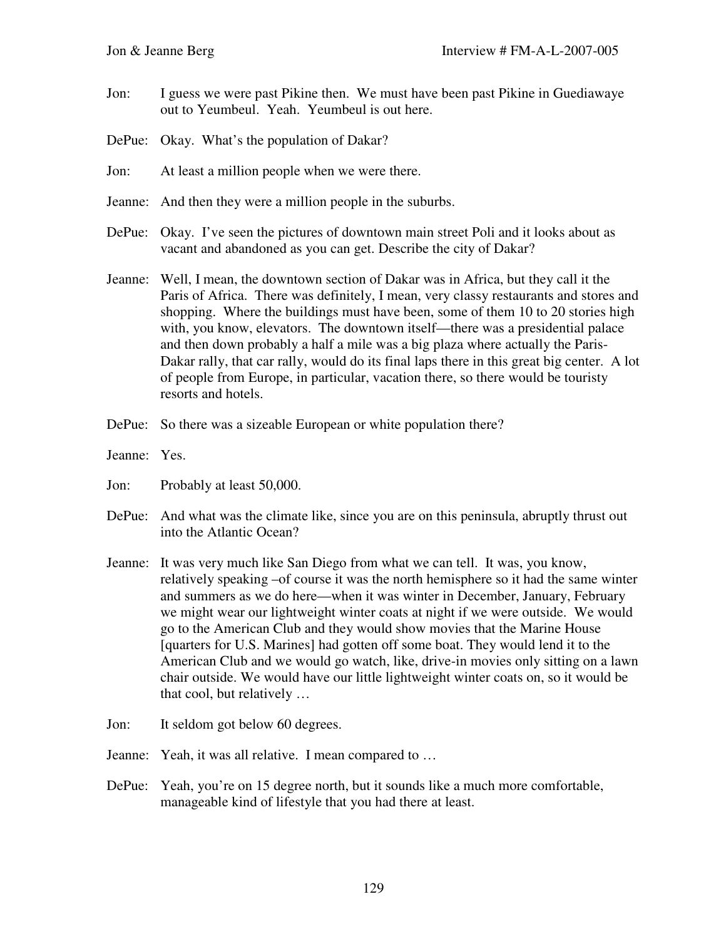- Jon: I guess we were past Pikine then. We must have been past Pikine in Guediawaye out to Yeumbeul. Yeah. Yeumbeul is out here.
- DePue: Okay. What's the population of Dakar?
- Jon: At least a million people when we were there.
- Jeanne: And then they were a million people in the suburbs.
- DePue: Okay. I've seen the pictures of downtown main street Poli and it looks about as vacant and abandoned as you can get. Describe the city of Dakar?
- Jeanne: Well, I mean, the downtown section of Dakar was in Africa, but they call it the Paris of Africa. There was definitely, I mean, very classy restaurants and stores and shopping. Where the buildings must have been, some of them 10 to 20 stories high with, you know, elevators. The downtown itself—there was a presidential palace and then down probably a half a mile was a big plaza where actually the Paris-Dakar rally, that car rally, would do its final laps there in this great big center. A lot of people from Europe, in particular, vacation there, so there would be touristy resorts and hotels.
- DePue: So there was a sizeable European or white population there?
- Jeanne: Yes.
- Jon: Probably at least 50,000.
- DePue: And what was the climate like, since you are on this peninsula, abruptly thrust out into the Atlantic Ocean?
- Jeanne: It was very much like San Diego from what we can tell. It was, you know, relatively speaking –of course it was the north hemisphere so it had the same winter and summers as we do here—when it was winter in December, January, February we might wear our lightweight winter coats at night if we were outside. We would go to the American Club and they would show movies that the Marine House [quarters for U.S. Marines] had gotten off some boat. They would lend it to the American Club and we would go watch, like, drive-in movies only sitting on a lawn chair outside. We would have our little lightweight winter coats on, so it would be that cool, but relatively …
- Jon: It seldom got below 60 degrees.
- Jeanne: Yeah, it was all relative. I mean compared to …
- DePue: Yeah, you're on 15 degree north, but it sounds like a much more comfortable, manageable kind of lifestyle that you had there at least.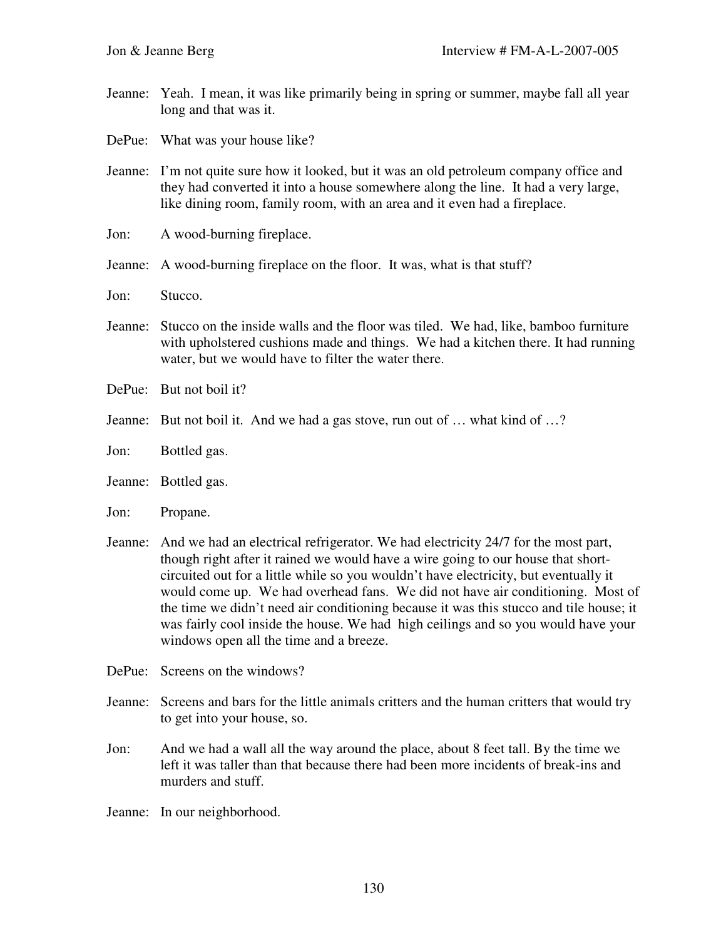- Jeanne: Yeah. I mean, it was like primarily being in spring or summer, maybe fall all year long and that was it.
- DePue: What was your house like?
- Jeanne: I'm not quite sure how it looked, but it was an old petroleum company office and they had converted it into a house somewhere along the line. It had a very large, like dining room, family room, with an area and it even had a fireplace.
- Jon: A wood-burning fireplace.
- Jeanne: A wood-burning fireplace on the floor. It was, what is that stuff?
- Jon: Stucco.
- Jeanne: Stucco on the inside walls and the floor was tiled. We had, like, bamboo furniture with upholstered cushions made and things. We had a kitchen there. It had running water, but we would have to filter the water there.
- DePue: But not boil it?
- Jeanne: But not boil it. And we had a gas stove, run out of … what kind of …?
- Jon: Bottled gas.
- Jeanne: Bottled gas.
- Jon: Propane.
- Jeanne: And we had an electrical refrigerator. We had electricity 24/7 for the most part, though right after it rained we would have a wire going to our house that shortcircuited out for a little while so you wouldn't have electricity, but eventually it would come up. We had overhead fans. We did not have air conditioning. Most of the time we didn't need air conditioning because it was this stucco and tile house; it was fairly cool inside the house. We had high ceilings and so you would have your windows open all the time and a breeze.
- DePue: Screens on the windows?
- Jeanne: Screens and bars for the little animals critters and the human critters that would try to get into your house, so.
- Jon: And we had a wall all the way around the place, about 8 feet tall. By the time we left it was taller than that because there had been more incidents of break-ins and murders and stuff.
- Jeanne: In our neighborhood.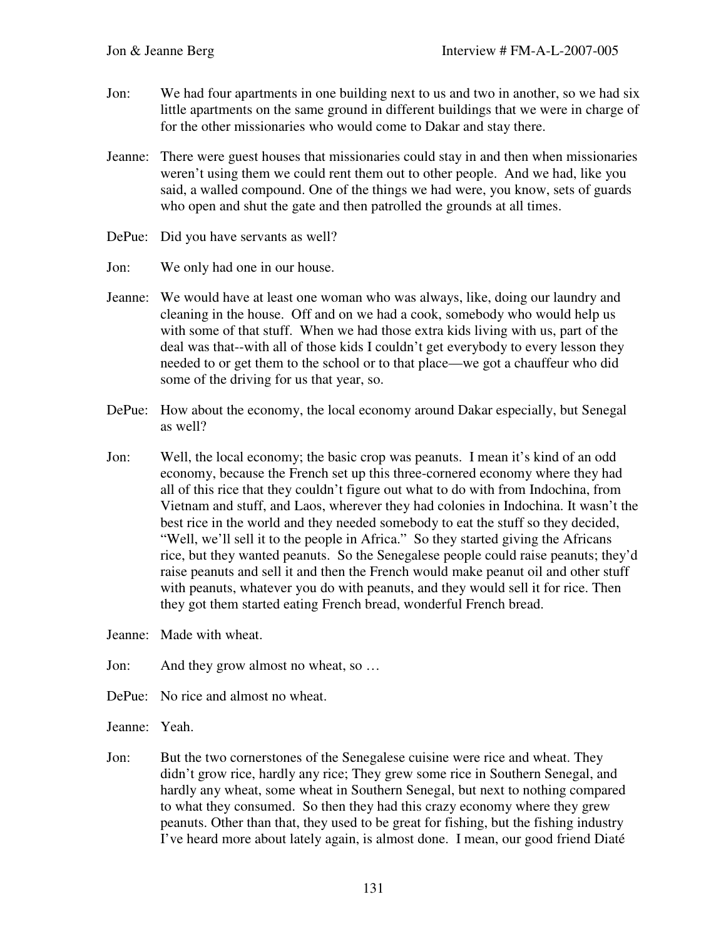- Jon: We had four apartments in one building next to us and two in another, so we had six little apartments on the same ground in different buildings that we were in charge of for the other missionaries who would come to Dakar and stay there.
- Jeanne: There were guest houses that missionaries could stay in and then when missionaries weren't using them we could rent them out to other people. And we had, like you said, a walled compound. One of the things we had were, you know, sets of guards who open and shut the gate and then patrolled the grounds at all times.
- DePue: Did you have servants as well?
- Jon: We only had one in our house.
- Jeanne: We would have at least one woman who was always, like, doing our laundry and cleaning in the house. Off and on we had a cook, somebody who would help us with some of that stuff. When we had those extra kids living with us, part of the deal was that--with all of those kids I couldn't get everybody to every lesson they needed to or get them to the school or to that place—we got a chauffeur who did some of the driving for us that year, so.
- DePue: How about the economy, the local economy around Dakar especially, but Senegal as well?
- Jon: Well, the local economy; the basic crop was peanuts. I mean it's kind of an odd economy, because the French set up this three-cornered economy where they had all of this rice that they couldn't figure out what to do with from Indochina, from Vietnam and stuff, and Laos, wherever they had colonies in Indochina. It wasn't the best rice in the world and they needed somebody to eat the stuff so they decided, "Well, we'll sell it to the people in Africa." So they started giving the Africans rice, but they wanted peanuts. So the Senegalese people could raise peanuts; they'd raise peanuts and sell it and then the French would make peanut oil and other stuff with peanuts, whatever you do with peanuts, and they would sell it for rice. Then they got them started eating French bread, wonderful French bread.
- Jeanne: Made with wheat.
- Jon: And they grow almost no wheat, so …
- DePue: No rice and almost no wheat.
- Jeanne: Yeah.
- Jon: But the two cornerstones of the Senegalese cuisine were rice and wheat. They didn't grow rice, hardly any rice; They grew some rice in Southern Senegal, and hardly any wheat, some wheat in Southern Senegal, but next to nothing compared to what they consumed. So then they had this crazy economy where they grew peanuts. Other than that, they used to be great for fishing, but the fishing industry I've heard more about lately again, is almost done. I mean, our good friend Diaté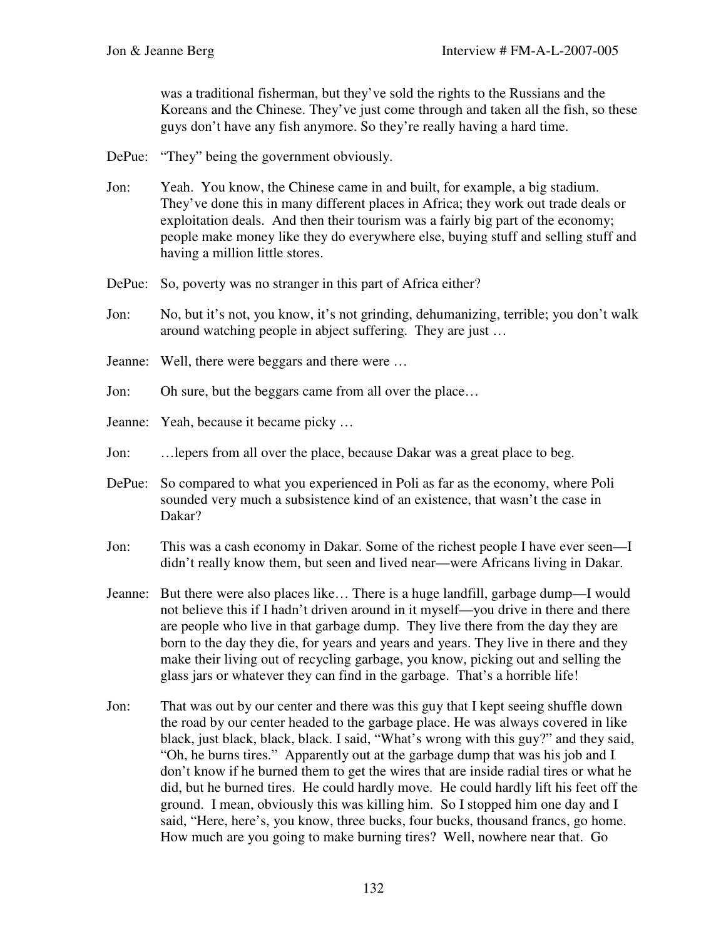was a traditional fisherman, but they've sold the rights to the Russians and the Koreans and the Chinese. They've just come through and taken all the fish, so these guys don't have any fish anymore. So they're really having a hard time.

- DePue: "They" being the government obviously.
- Jon: Yeah. You know, the Chinese came in and built, for example, a big stadium. They've done this in many different places in Africa; they work out trade deals or exploitation deals. And then their tourism was a fairly big part of the economy; people make money like they do everywhere else, buying stuff and selling stuff and having a million little stores.
- DePue: So, poverty was no stranger in this part of Africa either?
- Jon: No, but it's not, you know, it's not grinding, dehumanizing, terrible; you don't walk around watching people in abject suffering. They are just …
- Jeanne: Well, there were beggars and there were …
- Jon: Oh sure, but the beggars came from all over the place…
- Jeanne: Yeah, because it became picky …
- Jon: …lepers from all over the place, because Dakar was a great place to beg.
- DePue: So compared to what you experienced in Poli as far as the economy, where Poli sounded very much a subsistence kind of an existence, that wasn't the case in Dakar?
- Jon: This was a cash economy in Dakar. Some of the richest people I have ever seen—I didn't really know them, but seen and lived near—were Africans living in Dakar.
- Jeanne: But there were also places like… There is a huge landfill, garbage dump—I would not believe this if I hadn't driven around in it myself—you drive in there and there are people who live in that garbage dump. They live there from the day they are born to the day they die, for years and years and years. They live in there and they make their living out of recycling garbage, you know, picking out and selling the glass jars or whatever they can find in the garbage. That's a horrible life!
- Jon: That was out by our center and there was this guy that I kept seeing shuffle down the road by our center headed to the garbage place. He was always covered in like black, just black, black, black. I said, "What's wrong with this guy?" and they said, "Oh, he burns tires." Apparently out at the garbage dump that was his job and I don't know if he burned them to get the wires that are inside radial tires or what he did, but he burned tires. He could hardly move. He could hardly lift his feet off the ground. I mean, obviously this was killing him. So I stopped him one day and I said, "Here, here's, you know, three bucks, four bucks, thousand francs, go home. How much are you going to make burning tires? Well, nowhere near that. Go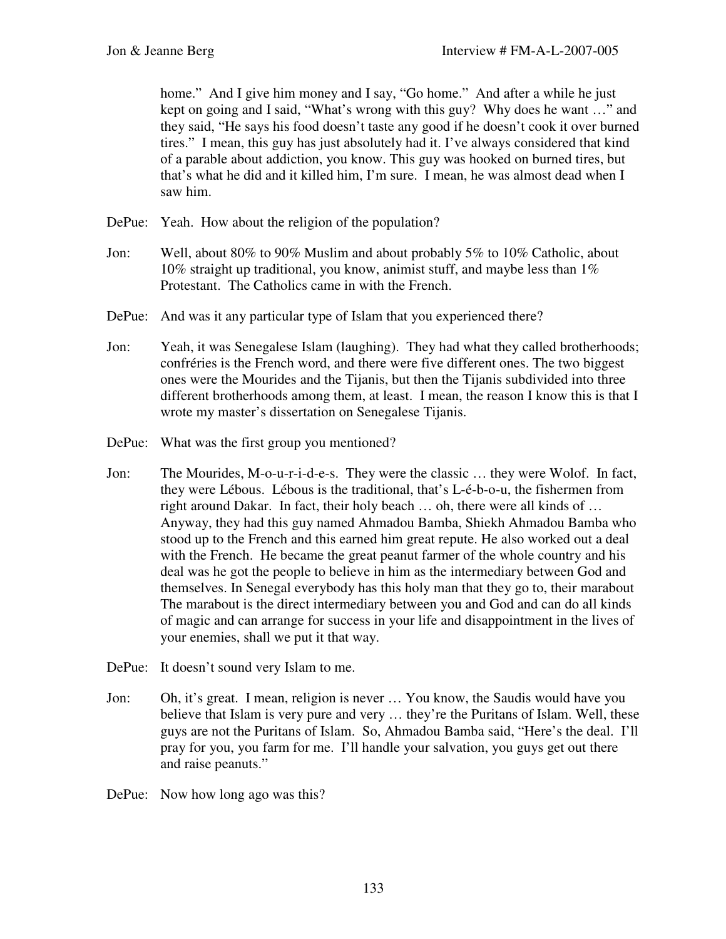home." And I give him money and I say, "Go home." And after a while he just kept on going and I said, "What's wrong with this guy? Why does he want …" and they said, "He says his food doesn't taste any good if he doesn't cook it over burned tires." I mean, this guy has just absolutely had it. I've always considered that kind of a parable about addiction, you know. This guy was hooked on burned tires, but that's what he did and it killed him, I'm sure. I mean, he was almost dead when I saw him.

- DePue: Yeah. How about the religion of the population?
- Jon: Well, about 80% to 90% Muslim and about probably 5% to 10% Catholic, about 10% straight up traditional, you know, animist stuff, and maybe less than 1% Protestant. The Catholics came in with the French.
- DePue: And was it any particular type of Islam that you experienced there?
- Jon: Yeah, it was Senegalese Islam (laughing). They had what they called brotherhoods; confréries is the French word, and there were five different ones. The two biggest ones were the Mourides and the Tijanis, but then the Tijanis subdivided into three different brotherhoods among them, at least. I mean, the reason I know this is that I wrote my master's dissertation on Senegalese Tijanis.
- DePue: What was the first group you mentioned?
- Jon: The Mourides, M-o-u-r-i-d-e-s. They were the classic … they were Wolof. In fact, they were Lébous. Lébous is the traditional, that's L-é-b-o-u, the fishermen from right around Dakar. In fact, their holy beach … oh, there were all kinds of … Anyway, they had this guy named Ahmadou Bamba, Shiekh Ahmadou Bamba who stood up to the French and this earned him great repute. He also worked out a deal with the French. He became the great peanut farmer of the whole country and his deal was he got the people to believe in him as the intermediary between God and themselves. In Senegal everybody has this holy man that they go to, their marabout The marabout is the direct intermediary between you and God and can do all kinds of magic and can arrange for success in your life and disappointment in the lives of your enemies, shall we put it that way.
- DePue: It doesn't sound very Islam to me.
- Jon: Oh, it's great. I mean, religion is never … You know, the Saudis would have you believe that Islam is very pure and very … they're the Puritans of Islam. Well, these guys are not the Puritans of Islam. So, Ahmadou Bamba said, "Here's the deal. I'll pray for you, you farm for me. I'll handle your salvation, you guys get out there and raise peanuts."
- DePue: Now how long ago was this?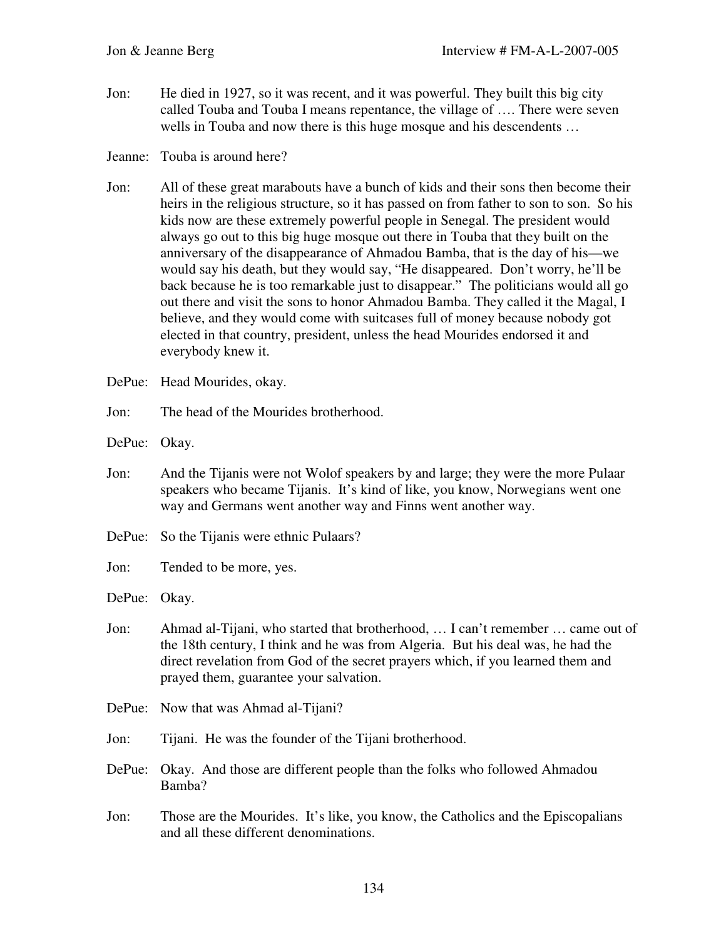- Jon: He died in 1927, so it was recent, and it was powerful. They built this big city called Touba and Touba I means repentance, the village of …. There were seven wells in Touba and now there is this huge mosque and his descendents …
- Jeanne: Touba is around here?
- Jon: All of these great marabouts have a bunch of kids and their sons then become their heirs in the religious structure, so it has passed on from father to son to son. So his kids now are these extremely powerful people in Senegal. The president would always go out to this big huge mosque out there in Touba that they built on the anniversary of the disappearance of Ahmadou Bamba, that is the day of his—we would say his death, but they would say, "He disappeared. Don't worry, he'll be back because he is too remarkable just to disappear." The politicians would all go out there and visit the sons to honor Ahmadou Bamba. They called it the Magal, I believe, and they would come with suitcases full of money because nobody got elected in that country, president, unless the head Mourides endorsed it and everybody knew it.
- DePue: Head Mourides, okay.
- Jon: The head of the Mourides brotherhood.

DePue: Okay.

- Jon: And the Tijanis were not Wolof speakers by and large; they were the more Pulaar speakers who became Tijanis. It's kind of like, you know, Norwegians went one way and Germans went another way and Finns went another way.
- DePue: So the Tijanis were ethnic Pulaars?
- Jon: Tended to be more, yes.

DePue: Okay.

- Jon: Ahmad al-Tijani, who started that brotherhood, … I can't remember … came out of the 18th century, I think and he was from Algeria. But his deal was, he had the direct revelation from God of the secret prayers which, if you learned them and prayed them, guarantee your salvation.
- DePue: Now that was Ahmad al-Tijani?
- Jon: Tijani. He was the founder of the Tijani brotherhood.
- DePue: Okay. And those are different people than the folks who followed Ahmadou Bamba?
- Jon: Those are the Mourides. It's like, you know, the Catholics and the Episcopalians and all these different denominations.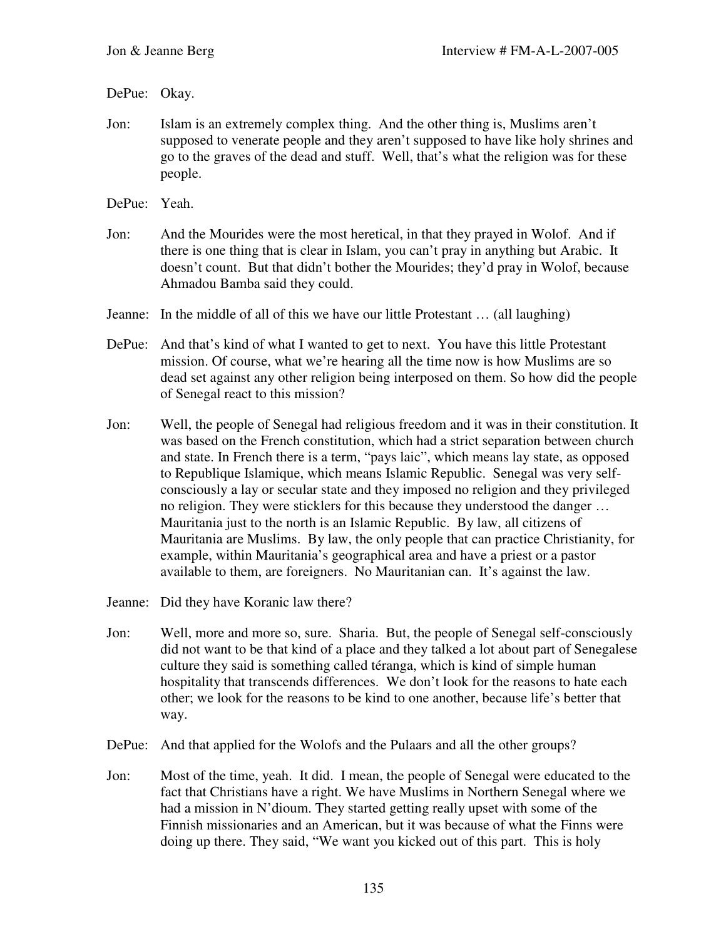## DePue: Okay.

- Jon: Islam is an extremely complex thing. And the other thing is, Muslims aren't supposed to venerate people and they aren't supposed to have like holy shrines and go to the graves of the dead and stuff. Well, that's what the religion was for these people.
- DePue: Yeah.
- Jon: And the Mourides were the most heretical, in that they prayed in Wolof. And if there is one thing that is clear in Islam, you can't pray in anything but Arabic. It doesn't count. But that didn't bother the Mourides; they'd pray in Wolof, because Ahmadou Bamba said they could.
- Jeanne: In the middle of all of this we have our little Protestant … (all laughing)
- DePue: And that's kind of what I wanted to get to next. You have this little Protestant mission. Of course, what we're hearing all the time now is how Muslims are so dead set against any other religion being interposed on them. So how did the people of Senegal react to this mission?
- Jon: Well, the people of Senegal had religious freedom and it was in their constitution. It was based on the French constitution, which had a strict separation between church and state. In French there is a term, "pays laic", which means lay state, as opposed to Republique Islamique, which means Islamic Republic. Senegal was very selfconsciously a lay or secular state and they imposed no religion and they privileged no religion. They were sticklers for this because they understood the danger … Mauritania just to the north is an Islamic Republic. By law, all citizens of Mauritania are Muslims. By law, the only people that can practice Christianity, for example, within Mauritania's geographical area and have a priest or a pastor available to them, are foreigners. No Mauritanian can. It's against the law.
- Jeanne: Did they have Koranic law there?
- Jon: Well, more and more so, sure. Sharia. But, the people of Senegal self-consciously did not want to be that kind of a place and they talked a lot about part of Senegalese culture they said is something called téranga, which is kind of simple human hospitality that transcends differences. We don't look for the reasons to hate each other; we look for the reasons to be kind to one another, because life's better that way.
- DePue: And that applied for the Wolofs and the Pulaars and all the other groups?
- Jon: Most of the time, yeah. It did. I mean, the people of Senegal were educated to the fact that Christians have a right. We have Muslims in Northern Senegal where we had a mission in N'dioum. They started getting really upset with some of the Finnish missionaries and an American, but it was because of what the Finns were doing up there. They said, "We want you kicked out of this part. This is holy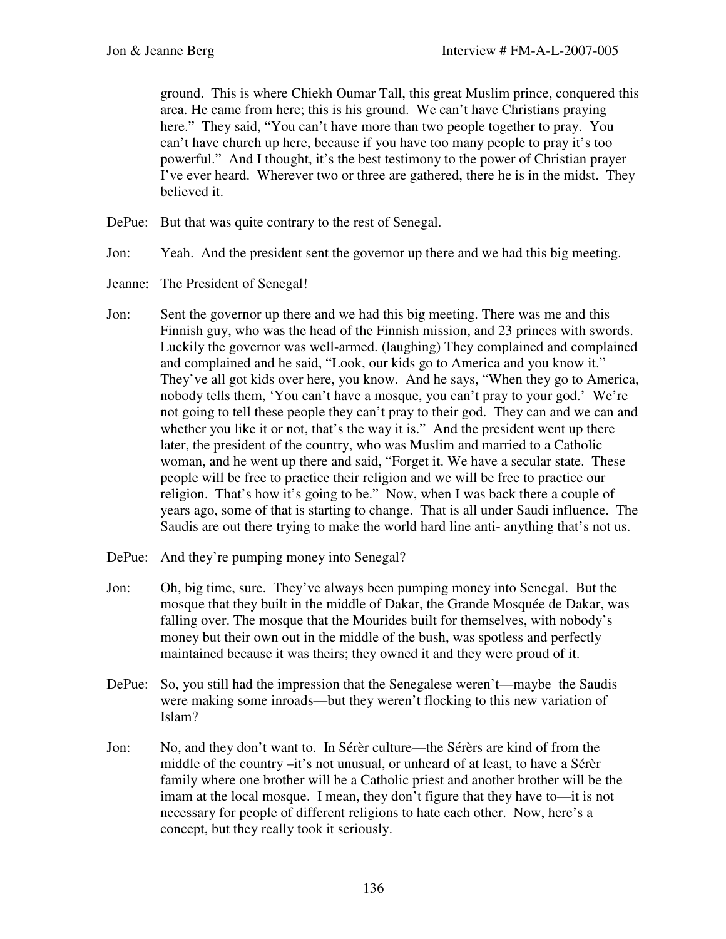ground. This is where Chiekh Oumar Tall, this great Muslim prince, conquered this area. He came from here; this is his ground. We can't have Christians praying here." They said, "You can't have more than two people together to pray. You can't have church up here, because if you have too many people to pray it's too powerful." And I thought, it's the best testimony to the power of Christian prayer I've ever heard. Wherever two or three are gathered, there he is in the midst. They believed it.

- DePue: But that was quite contrary to the rest of Senegal.
- Jon: Yeah. And the president sent the governor up there and we had this big meeting.
- Jeanne: The President of Senegal!
- Jon: Sent the governor up there and we had this big meeting. There was me and this Finnish guy, who was the head of the Finnish mission, and 23 princes with swords. Luckily the governor was well-armed. (laughing) They complained and complained and complained and he said, "Look, our kids go to America and you know it." They've all got kids over here, you know. And he says, "When they go to America, nobody tells them, 'You can't have a mosque, you can't pray to your god.' We're not going to tell these people they can't pray to their god. They can and we can and whether you like it or not, that's the way it is." And the president went up there later, the president of the country, who was Muslim and married to a Catholic woman, and he went up there and said, "Forget it. We have a secular state. These people will be free to practice their religion and we will be free to practice our religion. That's how it's going to be." Now, when I was back there a couple of years ago, some of that is starting to change. That is all under Saudi influence. The Saudis are out there trying to make the world hard line anti- anything that's not us.
- DePue: And they're pumping money into Senegal?
- Jon: Oh, big time, sure. They've always been pumping money into Senegal. But the mosque that they built in the middle of Dakar, the Grande Mosquée de Dakar, was falling over. The mosque that the Mourides built for themselves, with nobody's money but their own out in the middle of the bush, was spotless and perfectly maintained because it was theirs; they owned it and they were proud of it.
- DePue: So, you still had the impression that the Senegalese weren't—maybe the Saudis were making some inroads—but they weren't flocking to this new variation of Islam?
- Jon: No, and they don't want to. In Sérèr culture—the Sérèrs are kind of from the middle of the country –it's not unusual, or unheard of at least, to have a Sérèr family where one brother will be a Catholic priest and another brother will be the imam at the local mosque. I mean, they don't figure that they have to—it is not necessary for people of different religions to hate each other. Now, here's a concept, but they really took it seriously.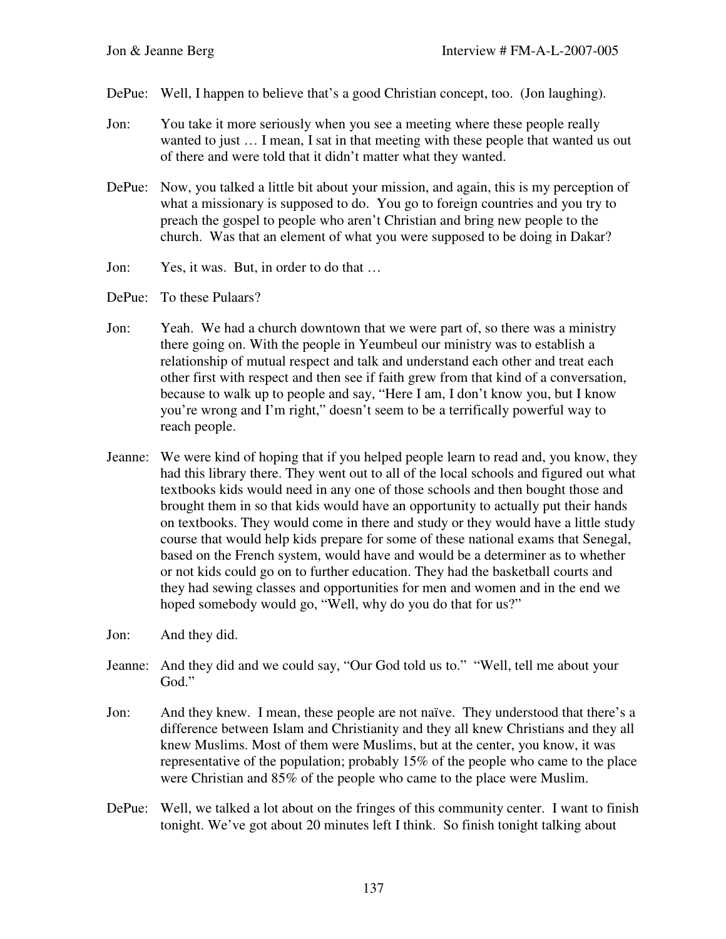- DePue: Well, I happen to believe that's a good Christian concept, too. (Jon laughing).
- Jon: You take it more seriously when you see a meeting where these people really wanted to just … I mean, I sat in that meeting with these people that wanted us out of there and were told that it didn't matter what they wanted.
- DePue: Now, you talked a little bit about your mission, and again, this is my perception of what a missionary is supposed to do. You go to foreign countries and you try to preach the gospel to people who aren't Christian and bring new people to the church. Was that an element of what you were supposed to be doing in Dakar?
- Jon: Yes, it was. But, in order to do that …
- DePue: To these Pulaars?
- Jon: Yeah. We had a church downtown that we were part of, so there was a ministry there going on. With the people in Yeumbeul our ministry was to establish a relationship of mutual respect and talk and understand each other and treat each other first with respect and then see if faith grew from that kind of a conversation, because to walk up to people and say, "Here I am, I don't know you, but I know you're wrong and I'm right," doesn't seem to be a terrifically powerful way to reach people.
- Jeanne: We were kind of hoping that if you helped people learn to read and, you know, they had this library there. They went out to all of the local schools and figured out what textbooks kids would need in any one of those schools and then bought those and brought them in so that kids would have an opportunity to actually put their hands on textbooks. They would come in there and study or they would have a little study course that would help kids prepare for some of these national exams that Senegal, based on the French system, would have and would be a determiner as to whether or not kids could go on to further education. They had the basketball courts and they had sewing classes and opportunities for men and women and in the end we hoped somebody would go, "Well, why do you do that for us?"
- Jon: And they did.
- Jeanne: And they did and we could say, "Our God told us to." "Well, tell me about your God."
- Jon: And they knew. I mean, these people are not naïve. They understood that there's a difference between Islam and Christianity and they all knew Christians and they all knew Muslims. Most of them were Muslims, but at the center, you know, it was representative of the population; probably 15% of the people who came to the place were Christian and 85% of the people who came to the place were Muslim.
- DePue: Well, we talked a lot about on the fringes of this community center. I want to finish tonight. We've got about 20 minutes left I think. So finish tonight talking about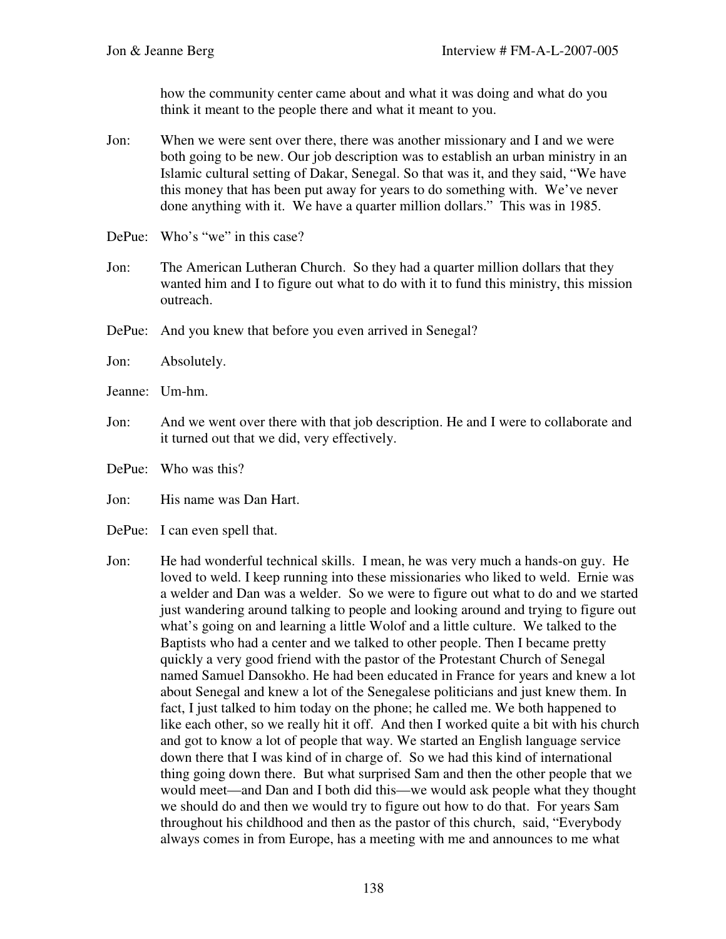how the community center came about and what it was doing and what do you think it meant to the people there and what it meant to you.

- Jon: When we were sent over there, there was another missionary and I and we were both going to be new. Our job description was to establish an urban ministry in an Islamic cultural setting of Dakar, Senegal. So that was it, and they said, "We have this money that has been put away for years to do something with. We've never done anything with it. We have a quarter million dollars." This was in 1985.
- DePue: Who's "we" in this case?
- Jon: The American Lutheran Church. So they had a quarter million dollars that they wanted him and I to figure out what to do with it to fund this ministry, this mission outreach.
- DePue: And you knew that before you even arrived in Senegal?
- Jon: Absolutely.
- Jeanne: Um-hm.
- Jon: And we went over there with that job description. He and I were to collaborate and it turned out that we did, very effectively.
- DePue: Who was this?
- Jon: His name was Dan Hart.
- DePue: I can even spell that.
- Jon: He had wonderful technical skills. I mean, he was very much a hands-on guy. He loved to weld. I keep running into these missionaries who liked to weld. Ernie was a welder and Dan was a welder. So we were to figure out what to do and we started just wandering around talking to people and looking around and trying to figure out what's going on and learning a little Wolof and a little culture. We talked to the Baptists who had a center and we talked to other people. Then I became pretty quickly a very good friend with the pastor of the Protestant Church of Senegal named Samuel Dansokho. He had been educated in France for years and knew a lot about Senegal and knew a lot of the Senegalese politicians and just knew them. In fact, I just talked to him today on the phone; he called me. We both happened to like each other, so we really hit it off. And then I worked quite a bit with his church and got to know a lot of people that way. We started an English language service down there that I was kind of in charge of. So we had this kind of international thing going down there. But what surprised Sam and then the other people that we would meet—and Dan and I both did this—we would ask people what they thought we should do and then we would try to figure out how to do that. For years Sam throughout his childhood and then as the pastor of this church, said, "Everybody always comes in from Europe, has a meeting with me and announces to me what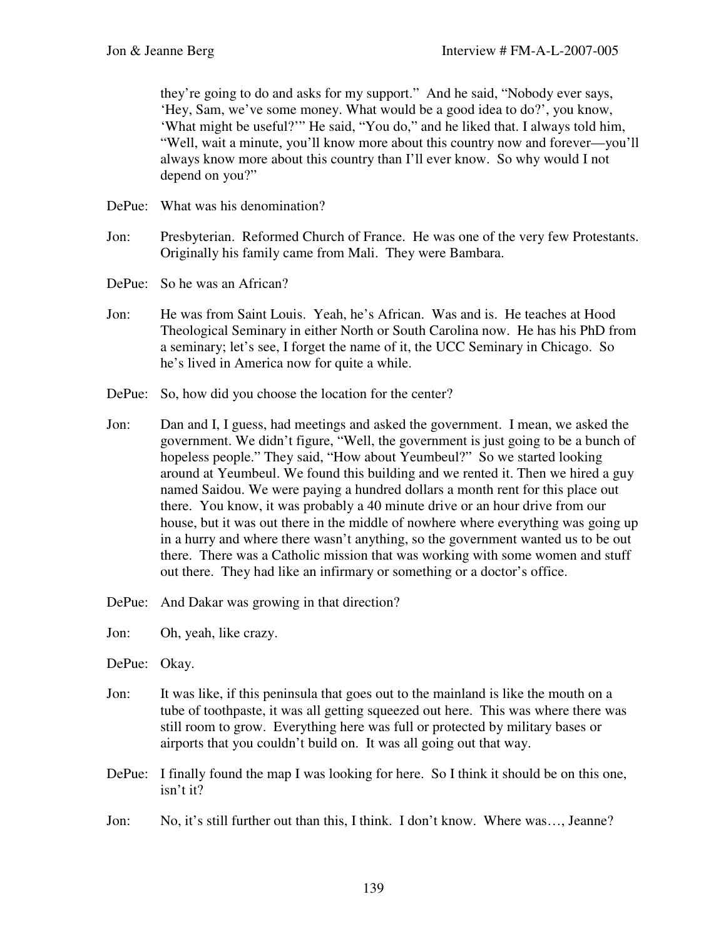they're going to do and asks for my support." And he said, "Nobody ever says, 'Hey, Sam, we've some money. What would be a good idea to do?', you know, 'What might be useful?'" He said, "You do," and he liked that. I always told him, "Well, wait a minute, you'll know more about this country now and forever—you'll always know more about this country than I'll ever know. So why would I not depend on you?"

- DePue: What was his denomination?
- Jon: Presbyterian. Reformed Church of France. He was one of the very few Protestants. Originally his family came from Mali. They were Bambara.
- DePue: So he was an African?
- Jon: He was from Saint Louis. Yeah, he's African. Was and is. He teaches at Hood Theological Seminary in either North or South Carolina now. He has his PhD from a seminary; let's see, I forget the name of it, the UCC Seminary in Chicago. So he's lived in America now for quite a while.
- DePue: So, how did you choose the location for the center?
- Jon: Dan and I, I guess, had meetings and asked the government. I mean, we asked the government. We didn't figure, "Well, the government is just going to be a bunch of hopeless people." They said, "How about Yeumbeul?" So we started looking around at Yeumbeul. We found this building and we rented it. Then we hired a guy named Saidou. We were paying a hundred dollars a month rent for this place out there. You know, it was probably a 40 minute drive or an hour drive from our house, but it was out there in the middle of nowhere where everything was going up in a hurry and where there wasn't anything, so the government wanted us to be out there. There was a Catholic mission that was working with some women and stuff out there. They had like an infirmary or something or a doctor's office.
- DePue: And Dakar was growing in that direction?
- Jon: Oh, yeah, like crazy.
- DePue: Okay.
- Jon: It was like, if this peninsula that goes out to the mainland is like the mouth on a tube of toothpaste, it was all getting squeezed out here. This was where there was still room to grow. Everything here was full or protected by military bases or airports that you couldn't build on. It was all going out that way.
- DePue: I finally found the map I was looking for here. So I think it should be on this one, isn't it?
- Jon: No, it's still further out than this, I think. I don't know. Where was…, Jeanne?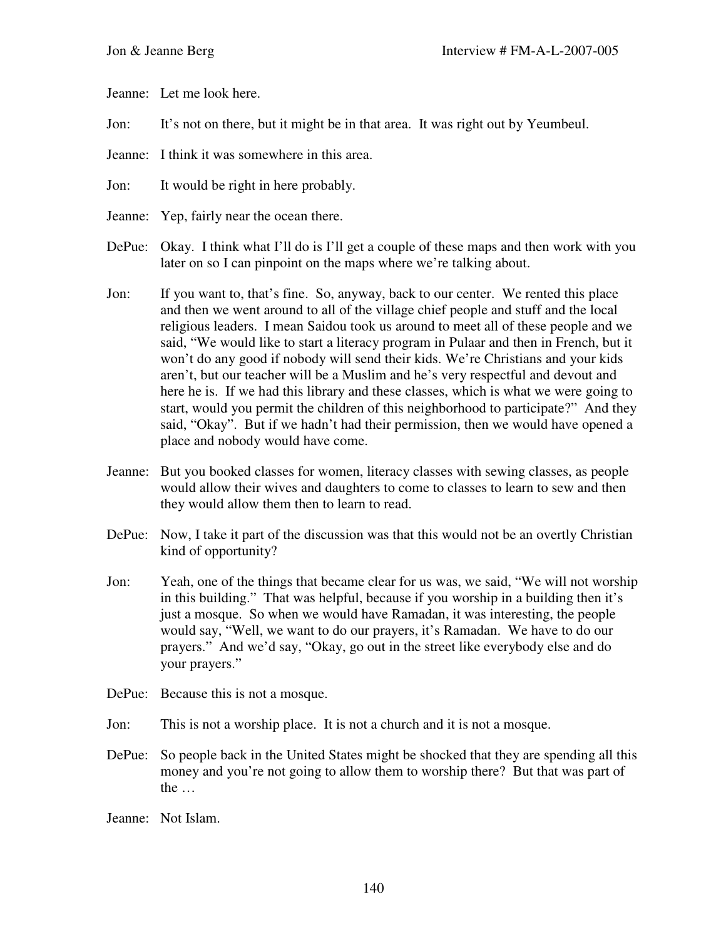Jeanne: Let me look here.

- Jon: It's not on there, but it might be in that area. It was right out by Yeumbeul.
- Jeanne: I think it was somewhere in this area.
- Jon: It would be right in here probably.
- Jeanne: Yep, fairly near the ocean there.
- DePue: Okay. I think what I'll do is I'll get a couple of these maps and then work with you later on so I can pinpoint on the maps where we're talking about.
- Jon: If you want to, that's fine. So, anyway, back to our center. We rented this place and then we went around to all of the village chief people and stuff and the local religious leaders. I mean Saidou took us around to meet all of these people and we said, "We would like to start a literacy program in Pulaar and then in French, but it won't do any good if nobody will send their kids. We're Christians and your kids aren't, but our teacher will be a Muslim and he's very respectful and devout and here he is. If we had this library and these classes, which is what we were going to start, would you permit the children of this neighborhood to participate?" And they said, "Okay". But if we hadn't had their permission, then we would have opened a place and nobody would have come.
- Jeanne: But you booked classes for women, literacy classes with sewing classes, as people would allow their wives and daughters to come to classes to learn to sew and then they would allow them then to learn to read.
- DePue: Now, I take it part of the discussion was that this would not be an overtly Christian kind of opportunity?
- Jon: Yeah, one of the things that became clear for us was, we said, "We will not worship in this building." That was helpful, because if you worship in a building then it's just a mosque. So when we would have Ramadan, it was interesting, the people would say, "Well, we want to do our prayers, it's Ramadan. We have to do our prayers." And we'd say, "Okay, go out in the street like everybody else and do your prayers."
- DePue: Because this is not a mosque.
- Jon: This is not a worship place. It is not a church and it is not a mosque.
- DePue: So people back in the United States might be shocked that they are spending all this money and you're not going to allow them to worship there? But that was part of the …
- Jeanne: Not Islam.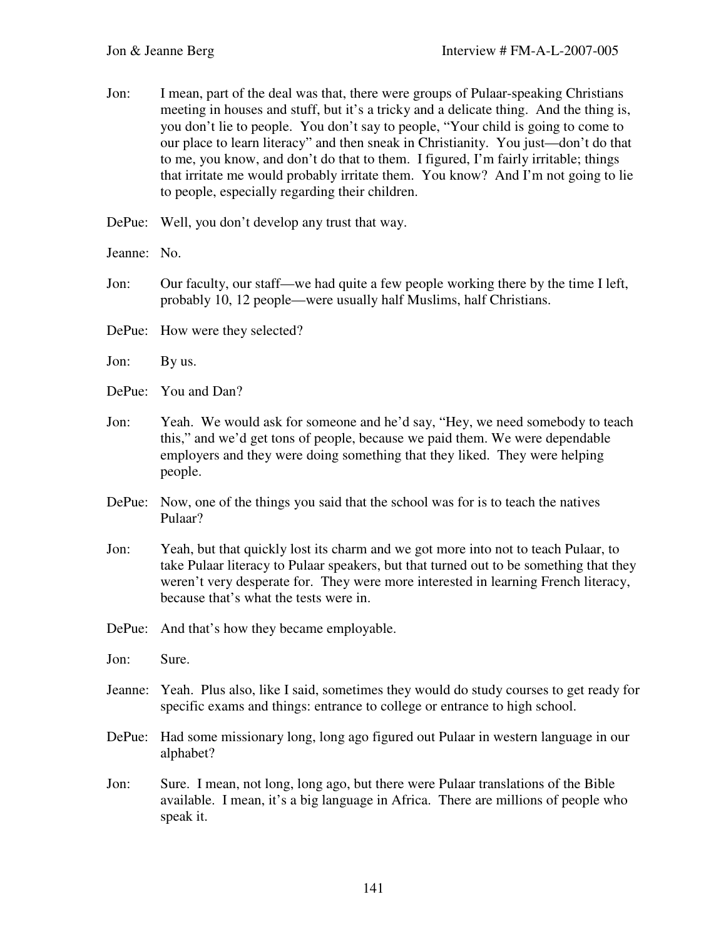| Jon:        | I mean, part of the deal was that, there were groups of Pulaar-speaking Christians<br>meeting in houses and stuff, but it's a tricky and a delicate thing. And the thing is,<br>you don't lie to people. You don't say to people, "Your child is going to come to<br>our place to learn literacy" and then sneak in Christianity. You just—don't do that<br>to me, you know, and don't do that to them. I figured, I'm fairly irritable; things<br>that irritate me would probably irritate them. You know? And I'm not going to lie<br>to people, especially regarding their children. |
|-------------|-----------------------------------------------------------------------------------------------------------------------------------------------------------------------------------------------------------------------------------------------------------------------------------------------------------------------------------------------------------------------------------------------------------------------------------------------------------------------------------------------------------------------------------------------------------------------------------------|
|             | DePue: Well, you don't develop any trust that way.                                                                                                                                                                                                                                                                                                                                                                                                                                                                                                                                      |
| Jeanne: No. |                                                                                                                                                                                                                                                                                                                                                                                                                                                                                                                                                                                         |
| Jon:        | Our faculty, our staff—we had quite a few people working there by the time I left,<br>probably 10, 12 people—were usually half Muslims, half Christians.                                                                                                                                                                                                                                                                                                                                                                                                                                |
|             | DePue: How were they selected?                                                                                                                                                                                                                                                                                                                                                                                                                                                                                                                                                          |
| Jon:        | By us.                                                                                                                                                                                                                                                                                                                                                                                                                                                                                                                                                                                  |
|             | DePue: You and Dan?                                                                                                                                                                                                                                                                                                                                                                                                                                                                                                                                                                     |
| Jon:        | Yeah. We would ask for someone and he'd say, "Hey, we need somebody to teach<br>this," and we'd get tons of people, because we paid them. We were dependable<br>employers and they were doing something that they liked. They were helping<br>people.                                                                                                                                                                                                                                                                                                                                   |
| DePue:      | Now, one of the things you said that the school was for is to teach the natives<br>Pulaar?                                                                                                                                                                                                                                                                                                                                                                                                                                                                                              |
| Jon:        | Yeah, but that quickly lost its charm and we got more into not to teach Pulaar, to<br>take Pulaar literacy to Pulaar speakers, but that turned out to be something that they<br>weren't very desperate for. They were more interested in learning French literacy,<br>because that's what the tests were in.                                                                                                                                                                                                                                                                            |
|             | DePue: And that's how they became employable.                                                                                                                                                                                                                                                                                                                                                                                                                                                                                                                                           |
| Jon:        | Sure.                                                                                                                                                                                                                                                                                                                                                                                                                                                                                                                                                                                   |
| Jeanne:     | Yeah. Plus also, like I said, sometimes they would do study courses to get ready for<br>specific exams and things: entrance to college or entrance to high school.                                                                                                                                                                                                                                                                                                                                                                                                                      |
| DePue:      | Had some missionary long, long ago figured out Pulaar in western language in our<br>alphabet?                                                                                                                                                                                                                                                                                                                                                                                                                                                                                           |
| Jon:        | Sure. I mean, not long, long ago, but there were Pulaar translations of the Bible<br>available. I mean, it's a big language in Africa. There are millions of people who<br>speak it.                                                                                                                                                                                                                                                                                                                                                                                                    |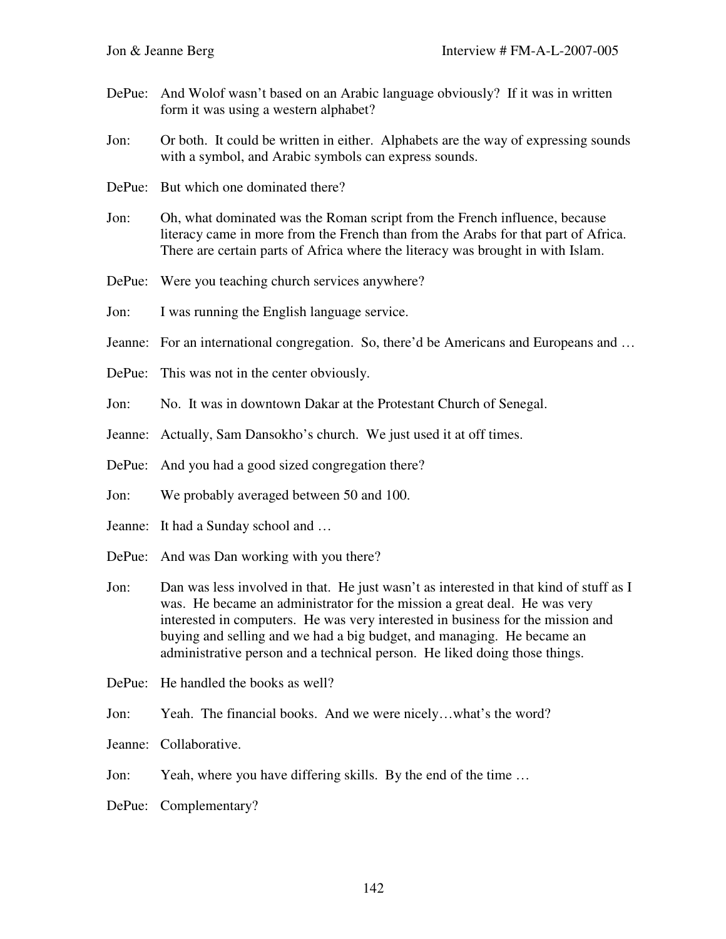- DePue: And Wolof wasn't based on an Arabic language obviously? If it was in written form it was using a western alphabet?
- Jon: Or both. It could be written in either. Alphabets are the way of expressing sounds with a symbol, and Arabic symbols can express sounds.
- DePue: But which one dominated there?
- Jon: Oh, what dominated was the Roman script from the French influence, because literacy came in more from the French than from the Arabs for that part of Africa. There are certain parts of Africa where the literacy was brought in with Islam.
- DePue: Were you teaching church services anywhere?
- Jon: I was running the English language service.
- Jeanne: For an international congregation. So, there'd be Americans and Europeans and ...
- DePue: This was not in the center obviously.
- Jon: No. It was in downtown Dakar at the Protestant Church of Senegal.
- Jeanne: Actually, Sam Dansokho's church. We just used it at off times.
- DePue: And you had a good sized congregation there?
- Jon: We probably averaged between 50 and 100.
- Jeanne: It had a Sunday school and …
- DePue: And was Dan working with you there?
- Jon: Dan was less involved in that. He just wasn't as interested in that kind of stuff as I was. He became an administrator for the mission a great deal. He was very interested in computers. He was very interested in business for the mission and buying and selling and we had a big budget, and managing. He became an administrative person and a technical person. He liked doing those things.
- DePue: He handled the books as well?
- Jon: Yeah. The financial books. And we were nicely…what's the word?
- Jeanne: Collaborative.
- Jon: Yeah, where you have differing skills. By the end of the time …
- DePue: Complementary?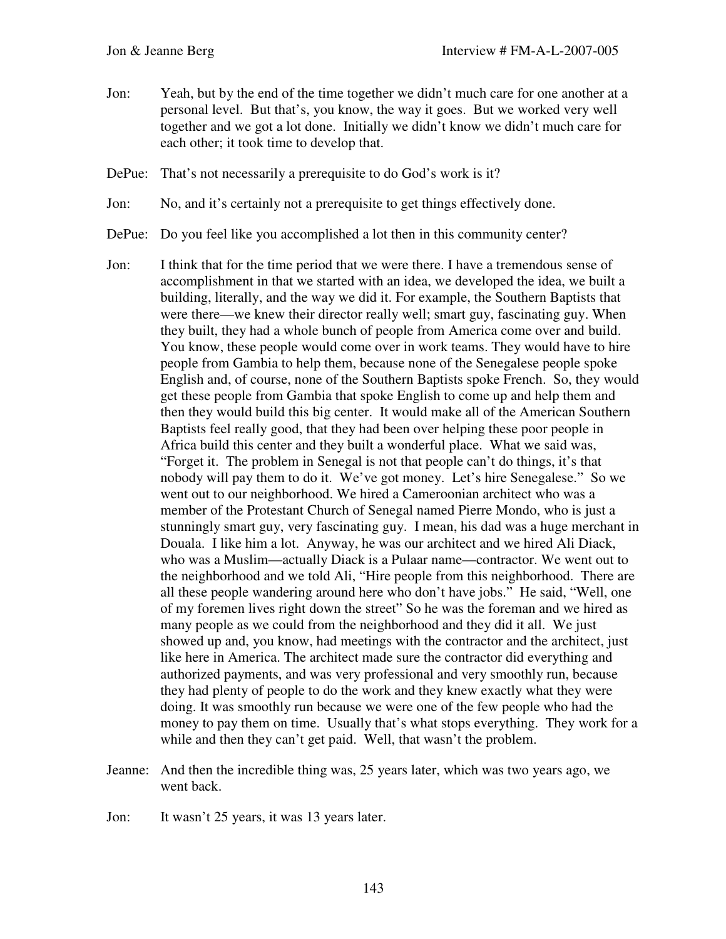Jon: Yeah, but by the end of the time together we didn't much care for one another at a personal level. But that's, you know, the way it goes. But we worked very well together and we got a lot done. Initially we didn't know we didn't much care for each other; it took time to develop that.

DePue: That's not necessarily a prerequisite to do God's work is it?

Jon: No, and it's certainly not a prerequisite to get things effectively done.

DePue: Do you feel like you accomplished a lot then in this community center?

- Jon: I think that for the time period that we were there. I have a tremendous sense of accomplishment in that we started with an idea, we developed the idea, we built a building, literally, and the way we did it. For example, the Southern Baptists that were there—we knew their director really well; smart guy, fascinating guy. When they built, they had a whole bunch of people from America come over and build. You know, these people would come over in work teams. They would have to hire people from Gambia to help them, because none of the Senegalese people spoke English and, of course, none of the Southern Baptists spoke French. So, they would get these people from Gambia that spoke English to come up and help them and then they would build this big center. It would make all of the American Southern Baptists feel really good, that they had been over helping these poor people in Africa build this center and they built a wonderful place. What we said was, "Forget it. The problem in Senegal is not that people can't do things, it's that nobody will pay them to do it. We've got money. Let's hire Senegalese." So we went out to our neighborhood. We hired a Cameroonian architect who was a member of the Protestant Church of Senegal named Pierre Mondo, who is just a stunningly smart guy, very fascinating guy. I mean, his dad was a huge merchant in Douala. I like him a lot. Anyway, he was our architect and we hired Ali Diack, who was a Muslim—actually Diack is a Pulaar name—contractor. We went out to the neighborhood and we told Ali, "Hire people from this neighborhood. There are all these people wandering around here who don't have jobs." He said, "Well, one of my foremen lives right down the street" So he was the foreman and we hired as many people as we could from the neighborhood and they did it all. We just showed up and, you know, had meetings with the contractor and the architect, just like here in America. The architect made sure the contractor did everything and authorized payments, and was very professional and very smoothly run, because they had plenty of people to do the work and they knew exactly what they were doing. It was smoothly run because we were one of the few people who had the money to pay them on time. Usually that's what stops everything. They work for a while and then they can't get paid. Well, that wasn't the problem.
- Jeanne: And then the incredible thing was, 25 years later, which was two years ago, we went back.

Jon: It wasn't 25 years, it was 13 years later.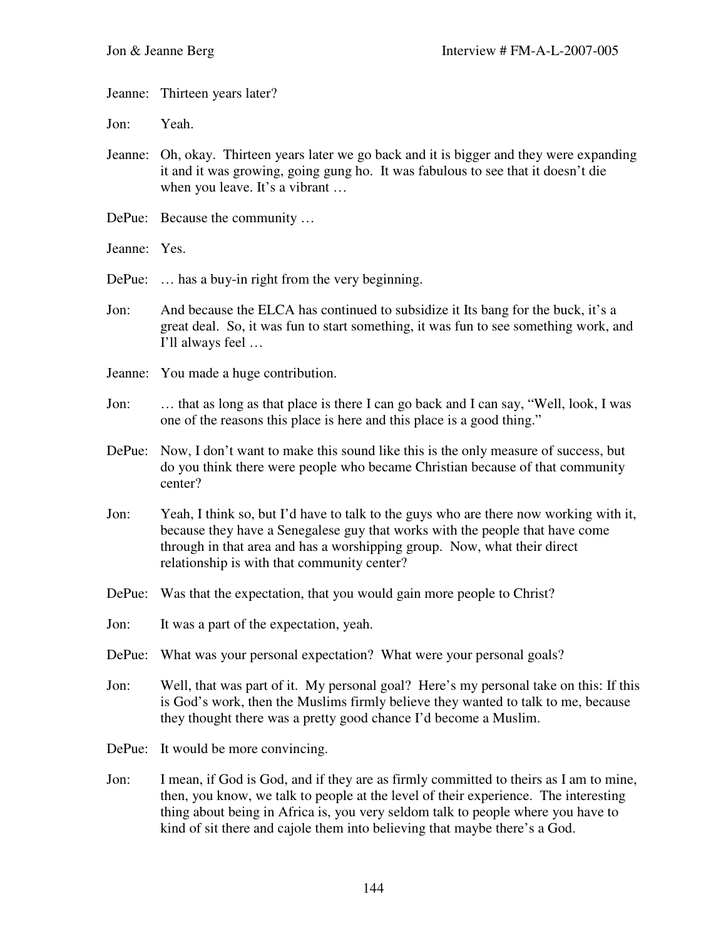Jeanne: Thirteen years later?

Jon: Yeah.

- Jeanne: Oh, okay. Thirteen years later we go back and it is bigger and they were expanding it and it was growing, going gung ho. It was fabulous to see that it doesn't die when you leave. It's a vibrant …
- DePue: Because the community …
- Jeanne: Yes.

DePue: ... has a buy-in right from the very beginning.

- Jon: And because the ELCA has continued to subsidize it Its bang for the buck, it's a great deal. So, it was fun to start something, it was fun to see something work, and I'll always feel …
- Jeanne: You made a huge contribution.
- Jon: … that as long as that place is there I can go back and I can say, "Well, look, I was one of the reasons this place is here and this place is a good thing."
- DePue: Now, I don't want to make this sound like this is the only measure of success, but do you think there were people who became Christian because of that community center?
- Jon: Yeah, I think so, but I'd have to talk to the guys who are there now working with it, because they have a Senegalese guy that works with the people that have come through in that area and has a worshipping group. Now, what their direct relationship is with that community center?
- DePue: Was that the expectation, that you would gain more people to Christ?
- Jon: It was a part of the expectation, yeah.
- DePue: What was your personal expectation? What were your personal goals?
- Jon: Well, that was part of it. My personal goal? Here's my personal take on this: If this is God's work, then the Muslims firmly believe they wanted to talk to me, because they thought there was a pretty good chance I'd become a Muslim.
- DePue: It would be more convincing.
- Jon: I mean, if God is God, and if they are as firmly committed to theirs as I am to mine, then, you know, we talk to people at the level of their experience. The interesting thing about being in Africa is, you very seldom talk to people where you have to kind of sit there and cajole them into believing that maybe there's a God.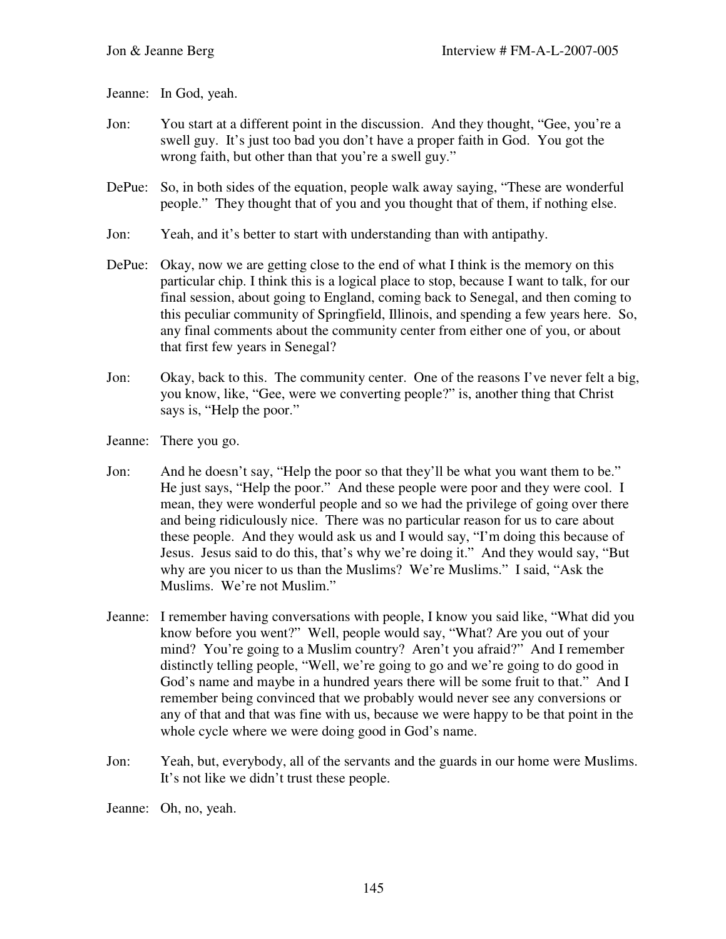Jeanne: In God, yeah.

- Jon: You start at a different point in the discussion. And they thought, "Gee, you're a swell guy. It's just too bad you don't have a proper faith in God. You got the wrong faith, but other than that you're a swell guy."
- DePue: So, in both sides of the equation, people walk away saying, "These are wonderful people." They thought that of you and you thought that of them, if nothing else.
- Jon: Yeah, and it's better to start with understanding than with antipathy.
- DePue: Okay, now we are getting close to the end of what I think is the memory on this particular chip. I think this is a logical place to stop, because I want to talk, for our final session, about going to England, coming back to Senegal, and then coming to this peculiar community of Springfield, Illinois, and spending a few years here. So, any final comments about the community center from either one of you, or about that first few years in Senegal?
- Jon: Okay, back to this. The community center. One of the reasons I've never felt a big, you know, like, "Gee, were we converting people?" is, another thing that Christ says is, "Help the poor."
- Jeanne: There you go.
- Jon: And he doesn't say, "Help the poor so that they'll be what you want them to be." He just says, "Help the poor." And these people were poor and they were cool. I mean, they were wonderful people and so we had the privilege of going over there and being ridiculously nice. There was no particular reason for us to care about these people. And they would ask us and I would say, "I'm doing this because of Jesus. Jesus said to do this, that's why we're doing it." And they would say, "But why are you nicer to us than the Muslims? We're Muslims." I said, "Ask the Muslims. We're not Muslim."
- Jeanne: I remember having conversations with people, I know you said like, "What did you know before you went?" Well, people would say, "What? Are you out of your mind? You're going to a Muslim country? Aren't you afraid?" And I remember distinctly telling people, "Well, we're going to go and we're going to do good in God's name and maybe in a hundred years there will be some fruit to that." And I remember being convinced that we probably would never see any conversions or any of that and that was fine with us, because we were happy to be that point in the whole cycle where we were doing good in God's name.
- Jon: Yeah, but, everybody, all of the servants and the guards in our home were Muslims. It's not like we didn't trust these people.

Jeanne: Oh, no, yeah.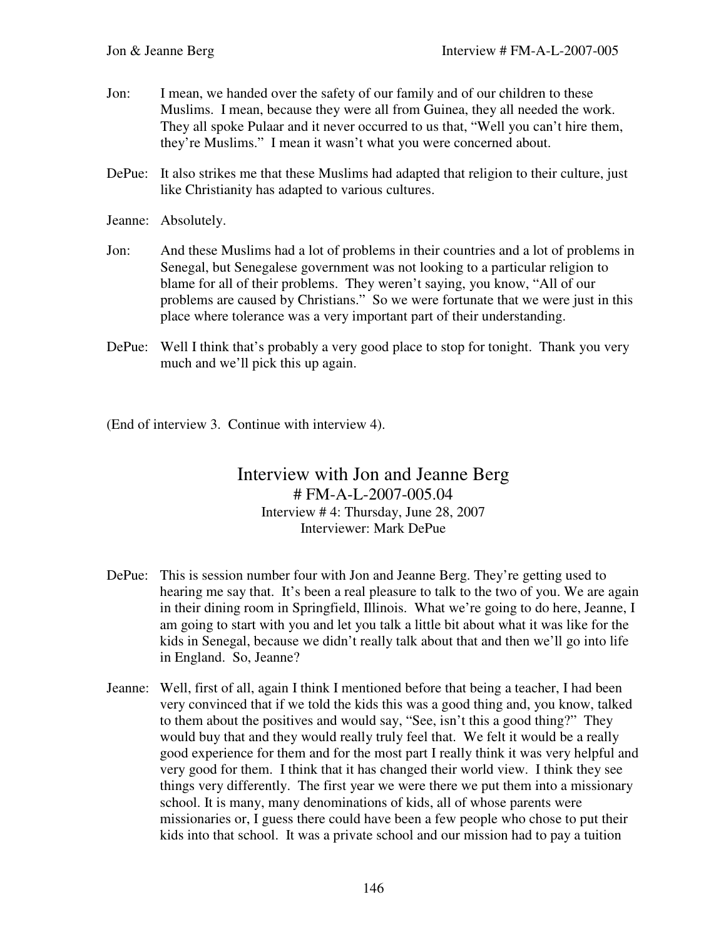- Jon: I mean, we handed over the safety of our family and of our children to these Muslims. I mean, because they were all from Guinea, they all needed the work. They all spoke Pulaar and it never occurred to us that, "Well you can't hire them, they're Muslims." I mean it wasn't what you were concerned about.
- DePue: It also strikes me that these Muslims had adapted that religion to their culture, just like Christianity has adapted to various cultures.
- Jeanne: Absolutely.
- Jon: And these Muslims had a lot of problems in their countries and a lot of problems in Senegal, but Senegalese government was not looking to a particular religion to blame for all of their problems. They weren't saying, you know, "All of our problems are caused by Christians." So we were fortunate that we were just in this place where tolerance was a very important part of their understanding.
- DePue: Well I think that's probably a very good place to stop for tonight. Thank you very much and we'll pick this up again.

(End of interview 3. Continue with interview 4).

## Interview with Jon and Jeanne Berg # FM-A-L-2007-005.04 Interview # 4: Thursday, June 28, 2007 Interviewer: Mark DePue

- DePue: This is session number four with Jon and Jeanne Berg. They're getting used to hearing me say that. It's been a real pleasure to talk to the two of you. We are again in their dining room in Springfield, Illinois. What we're going to do here, Jeanne, I am going to start with you and let you talk a little bit about what it was like for the kids in Senegal, because we didn't really talk about that and then we'll go into life in England. So, Jeanne?
- Jeanne: Well, first of all, again I think I mentioned before that being a teacher, I had been very convinced that if we told the kids this was a good thing and, you know, talked to them about the positives and would say, "See, isn't this a good thing?" They would buy that and they would really truly feel that. We felt it would be a really good experience for them and for the most part I really think it was very helpful and very good for them. I think that it has changed their world view. I think they see things very differently. The first year we were there we put them into a missionary school. It is many, many denominations of kids, all of whose parents were missionaries or, I guess there could have been a few people who chose to put their kids into that school. It was a private school and our mission had to pay a tuition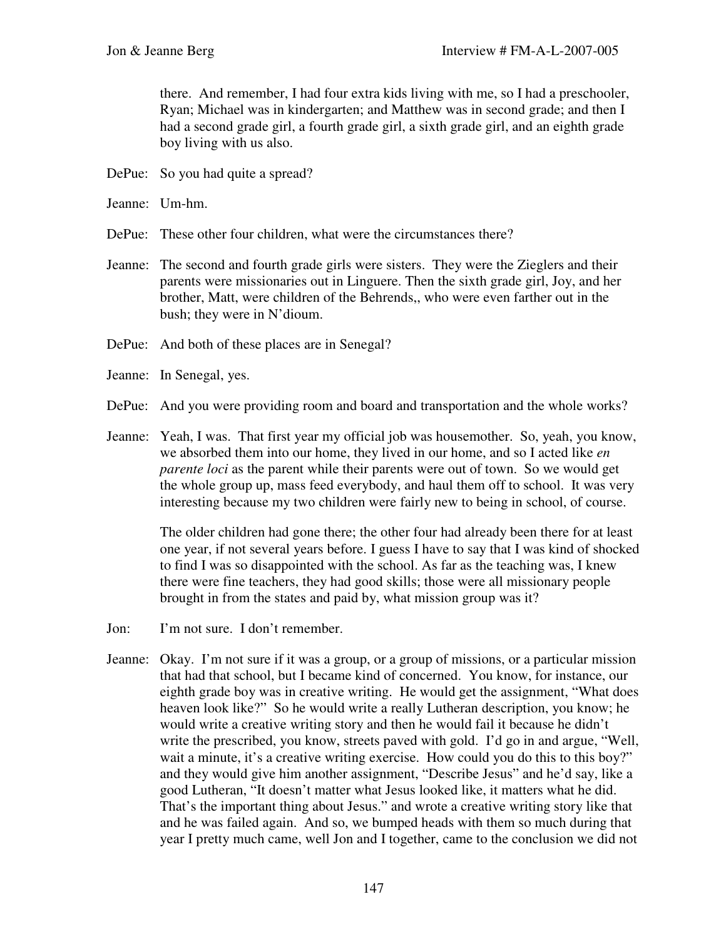there. And remember, I had four extra kids living with me, so I had a preschooler, Ryan; Michael was in kindergarten; and Matthew was in second grade; and then I had a second grade girl, a fourth grade girl, a sixth grade girl, and an eighth grade boy living with us also.

- DePue: So you had quite a spread?
- Jeanne: Um-hm.
- DePue: These other four children, what were the circumstances there?
- Jeanne: The second and fourth grade girls were sisters. They were the Zieglers and their parents were missionaries out in Linguere. Then the sixth grade girl, Joy, and her brother, Matt, were children of the Behrends,, who were even farther out in the bush; they were in N'dioum.
- DePue: And both of these places are in Senegal?
- Jeanne: In Senegal, yes.
- DePue: And you were providing room and board and transportation and the whole works?
- Jeanne: Yeah, I was. That first year my official job was housemother. So, yeah, you know, we absorbed them into our home, they lived in our home, and so I acted like *en parente loci* as the parent while their parents were out of town. So we would get the whole group up, mass feed everybody, and haul them off to school. It was very interesting because my two children were fairly new to being in school, of course.

The older children had gone there; the other four had already been there for at least one year, if not several years before. I guess I have to say that I was kind of shocked to find I was so disappointed with the school. As far as the teaching was, I knew there were fine teachers, they had good skills; those were all missionary people brought in from the states and paid by, what mission group was it?

- Jon: I'm not sure. I don't remember.
- Jeanne: Okay. I'm not sure if it was a group, or a group of missions, or a particular mission that had that school, but I became kind of concerned. You know, for instance, our eighth grade boy was in creative writing. He would get the assignment, "What does heaven look like?" So he would write a really Lutheran description, you know; he would write a creative writing story and then he would fail it because he didn't write the prescribed, you know, streets paved with gold. I'd go in and argue, "Well, wait a minute, it's a creative writing exercise. How could you do this to this boy?" and they would give him another assignment, "Describe Jesus" and he'd say, like a good Lutheran, "It doesn't matter what Jesus looked like, it matters what he did. That's the important thing about Jesus." and wrote a creative writing story like that and he was failed again. And so, we bumped heads with them so much during that year I pretty much came, well Jon and I together, came to the conclusion we did not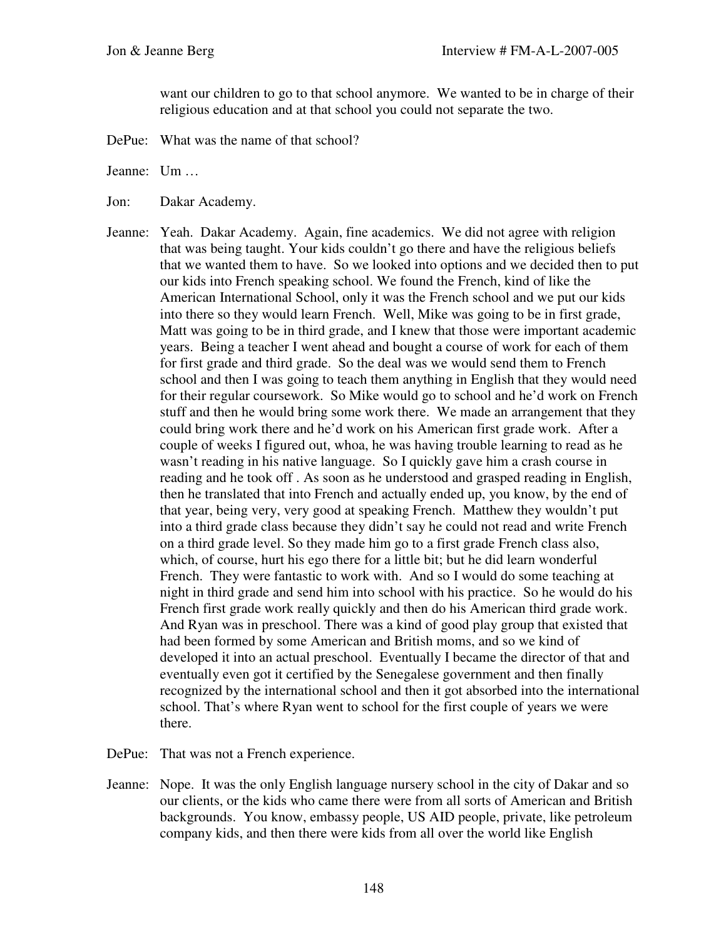want our children to go to that school anymore. We wanted to be in charge of their religious education and at that school you could not separate the two.

DePue: What was the name of that school?

Jeanne: Um …

- Jon: Dakar Academy.
- Jeanne: Yeah. Dakar Academy. Again, fine academics. We did not agree with religion that was being taught. Your kids couldn't go there and have the religious beliefs that we wanted them to have. So we looked into options and we decided then to put our kids into French speaking school. We found the French, kind of like the American International School, only it was the French school and we put our kids into there so they would learn French. Well, Mike was going to be in first grade, Matt was going to be in third grade, and I knew that those were important academic years. Being a teacher I went ahead and bought a course of work for each of them for first grade and third grade. So the deal was we would send them to French school and then I was going to teach them anything in English that they would need for their regular coursework. So Mike would go to school and he'd work on French stuff and then he would bring some work there. We made an arrangement that they could bring work there and he'd work on his American first grade work. After a couple of weeks I figured out, whoa, he was having trouble learning to read as he wasn't reading in his native language. So I quickly gave him a crash course in reading and he took off . As soon as he understood and grasped reading in English, then he translated that into French and actually ended up, you know, by the end of that year, being very, very good at speaking French. Matthew they wouldn't put into a third grade class because they didn't say he could not read and write French on a third grade level. So they made him go to a first grade French class also, which, of course, hurt his ego there for a little bit; but he did learn wonderful French. They were fantastic to work with. And so I would do some teaching at night in third grade and send him into school with his practice. So he would do his French first grade work really quickly and then do his American third grade work. And Ryan was in preschool. There was a kind of good play group that existed that had been formed by some American and British moms, and so we kind of developed it into an actual preschool. Eventually I became the director of that and eventually even got it certified by the Senegalese government and then finally recognized by the international school and then it got absorbed into the international school. That's where Ryan went to school for the first couple of years we were there.
- DePue: That was not a French experience.
- Jeanne: Nope. It was the only English language nursery school in the city of Dakar and so our clients, or the kids who came there were from all sorts of American and British backgrounds. You know, embassy people, US AID people, private, like petroleum company kids, and then there were kids from all over the world like English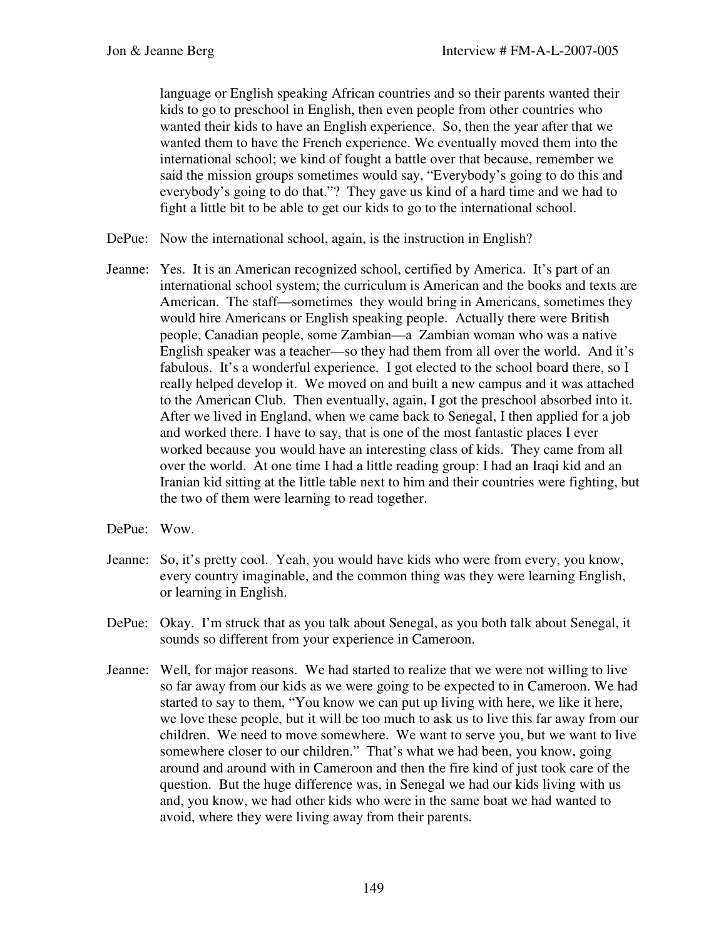language or English speaking African countries and so their parents wanted their kids to go to preschool in English, then even people from other countries who wanted their kids to have an English experience. So, then the year after that we wanted them to have the French experience. We eventually moved them into the international school; we kind of fought a battle over that because, remember we said the mission groups sometimes would say, "Everybody's going to do this and everybody's going to do that."? They gave us kind of a hard time and we had to fight a little bit to be able to get our kids to go to the international school.

- DePue: Now the international school, again, is the instruction in English?
- Jeanne: Yes. It is an American recognized school, certified by America. It's part of an international school system; the curriculum is American and the books and texts are American. The staff—sometimes they would bring in Americans, sometimes they would hire Americans or English speaking people. Actually there were British people, Canadian people, some Zambian—a Zambian woman who was a native English speaker was a teacher—so they had them from all over the world. And it's fabulous. It's a wonderful experience. I got elected to the school board there, so I really helped develop it. We moved on and built a new campus and it was attached to the American Club. Then eventually, again, I got the preschool absorbed into it. After we lived in England, when we came back to Senegal, I then applied for a job and worked there. I have to say, that is one of the most fantastic places I ever worked because you would have an interesting class of kids. They came from all over the world. At one time I had a little reading group: I had an Iraqi kid and an Iranian kid sitting at the little table next to him and their countries were fighting, but the two of them were learning to read together.
- DePue: Wow.
- Jeanne: So, it's pretty cool. Yeah, you would have kids who were from every, you know, every country imaginable, and the common thing was they were learning English, or learning in English.
- DePue: Okay. I'm struck that as you talk about Senegal, as you both talk about Senegal, it sounds so different from your experience in Cameroon.
- Jeanne: Well, for major reasons. We had started to realize that we were not willing to live so far away from our kids as we were going to be expected to in Cameroon. We had started to say to them, "You know we can put up living with here, we like it here, we love these people, but it will be too much to ask us to live this far away from our children. We need to move somewhere. We want to serve you, but we want to live somewhere closer to our children." That's what we had been, you know, going around and around with in Cameroon and then the fire kind of just took care of the question. But the huge difference was, in Senegal we had our kids living with us and, you know, we had other kids who were in the same boat we had wanted to avoid, where they were living away from their parents.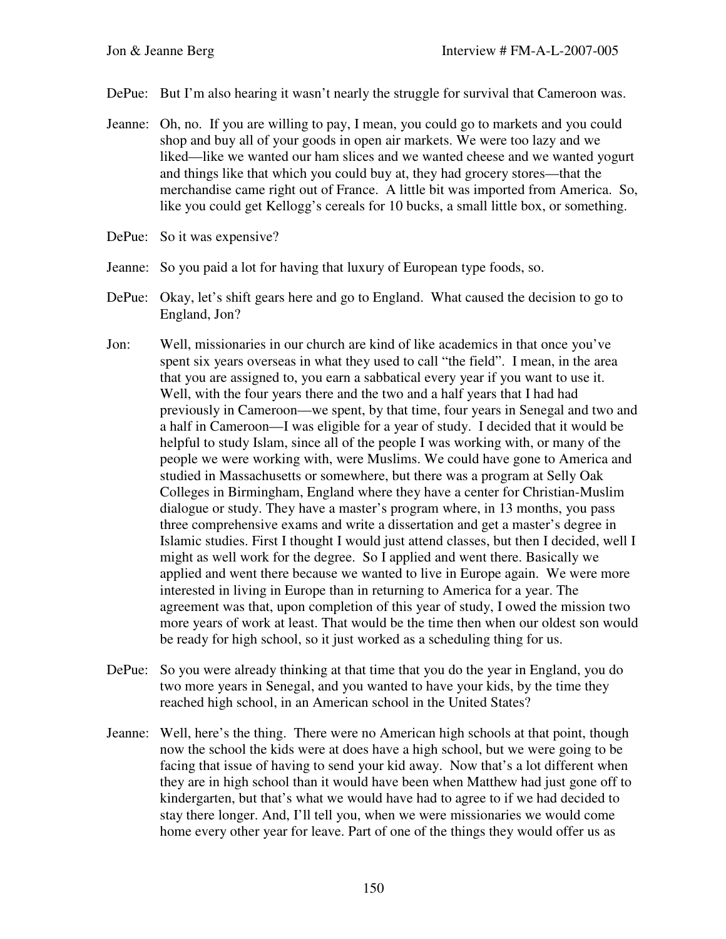- DePue: But I'm also hearing it wasn't nearly the struggle for survival that Cameroon was.
- Jeanne: Oh, no. If you are willing to pay, I mean, you could go to markets and you could shop and buy all of your goods in open air markets. We were too lazy and we liked—like we wanted our ham slices and we wanted cheese and we wanted yogurt and things like that which you could buy at, they had grocery stores—that the merchandise came right out of France. A little bit was imported from America. So, like you could get Kellogg's cereals for 10 bucks, a small little box, or something.
- DePue: So it was expensive?
- Jeanne: So you paid a lot for having that luxury of European type foods, so.
- DePue: Okay, let's shift gears here and go to England. What caused the decision to go to England, Jon?
- Jon: Well, missionaries in our church are kind of like academics in that once you've spent six years overseas in what they used to call "the field". I mean, in the area that you are assigned to, you earn a sabbatical every year if you want to use it. Well, with the four years there and the two and a half years that I had had previously in Cameroon—we spent, by that time, four years in Senegal and two and a half in Cameroon—I was eligible for a year of study. I decided that it would be helpful to study Islam, since all of the people I was working with, or many of the people we were working with, were Muslims. We could have gone to America and studied in Massachusetts or somewhere, but there was a program at Selly Oak Colleges in Birmingham, England where they have a center for Christian-Muslim dialogue or study. They have a master's program where, in 13 months, you pass three comprehensive exams and write a dissertation and get a master's degree in Islamic studies. First I thought I would just attend classes, but then I decided, well I might as well work for the degree. So I applied and went there. Basically we applied and went there because we wanted to live in Europe again. We were more interested in living in Europe than in returning to America for a year. The agreement was that, upon completion of this year of study, I owed the mission two more years of work at least. That would be the time then when our oldest son would be ready for high school, so it just worked as a scheduling thing for us.
- DePue: So you were already thinking at that time that you do the year in England, you do two more years in Senegal, and you wanted to have your kids, by the time they reached high school, in an American school in the United States?
- Jeanne: Well, here's the thing. There were no American high schools at that point, though now the school the kids were at does have a high school, but we were going to be facing that issue of having to send your kid away. Now that's a lot different when they are in high school than it would have been when Matthew had just gone off to kindergarten, but that's what we would have had to agree to if we had decided to stay there longer. And, I'll tell you, when we were missionaries we would come home every other year for leave. Part of one of the things they would offer us as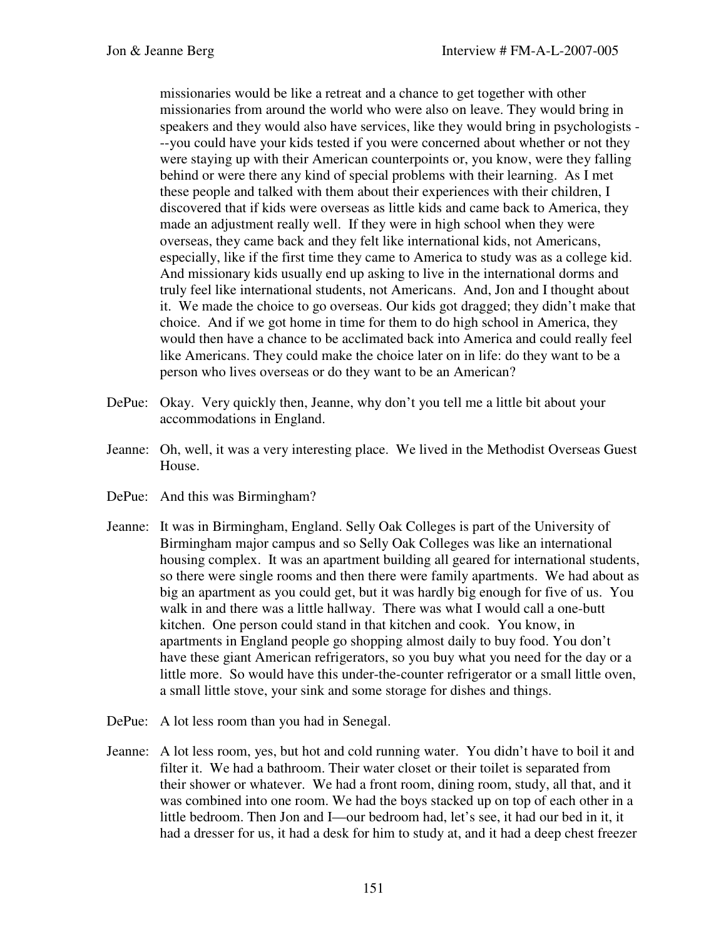missionaries would be like a retreat and a chance to get together with other missionaries from around the world who were also on leave. They would bring in speakers and they would also have services, like they would bring in psychologists - --you could have your kids tested if you were concerned about whether or not they were staying up with their American counterpoints or, you know, were they falling behind or were there any kind of special problems with their learning. As I met these people and talked with them about their experiences with their children, I discovered that if kids were overseas as little kids and came back to America, they made an adjustment really well. If they were in high school when they were overseas, they came back and they felt like international kids, not Americans, especially, like if the first time they came to America to study was as a college kid. And missionary kids usually end up asking to live in the international dorms and truly feel like international students, not Americans. And, Jon and I thought about it. We made the choice to go overseas. Our kids got dragged; they didn't make that choice. And if we got home in time for them to do high school in America, they would then have a chance to be acclimated back into America and could really feel like Americans. They could make the choice later on in life: do they want to be a person who lives overseas or do they want to be an American?

- DePue: Okay. Very quickly then, Jeanne, why don't you tell me a little bit about your accommodations in England.
- Jeanne: Oh, well, it was a very interesting place. We lived in the Methodist Overseas Guest House.
- DePue: And this was Birmingham?
- Jeanne: It was in Birmingham, England. Selly Oak Colleges is part of the University of Birmingham major campus and so Selly Oak Colleges was like an international housing complex. It was an apartment building all geared for international students, so there were single rooms and then there were family apartments. We had about as big an apartment as you could get, but it was hardly big enough for five of us. You walk in and there was a little hallway. There was what I would call a one-butt kitchen. One person could stand in that kitchen and cook. You know, in apartments in England people go shopping almost daily to buy food. You don't have these giant American refrigerators, so you buy what you need for the day or a little more. So would have this under-the-counter refrigerator or a small little oven, a small little stove, your sink and some storage for dishes and things.
- DePue: A lot less room than you had in Senegal.
- Jeanne: A lot less room, yes, but hot and cold running water. You didn't have to boil it and filter it. We had a bathroom. Their water closet or their toilet is separated from their shower or whatever. We had a front room, dining room, study, all that, and it was combined into one room. We had the boys stacked up on top of each other in a little bedroom. Then Jon and I—our bedroom had, let's see, it had our bed in it, it had a dresser for us, it had a desk for him to study at, and it had a deep chest freezer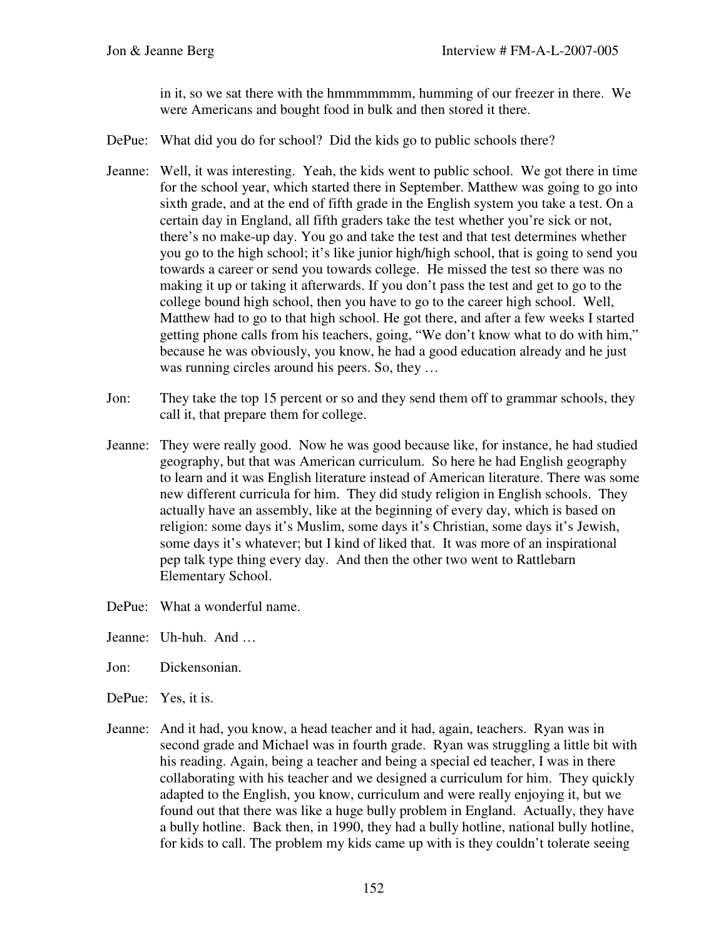in it, so we sat there with the hmmmmmmm, humming of our freezer in there. We were Americans and bought food in bulk and then stored it there.

- DePue: What did you do for school? Did the kids go to public schools there?
- Jeanne: Well, it was interesting. Yeah, the kids went to public school. We got there in time for the school year, which started there in September. Matthew was going to go into sixth grade, and at the end of fifth grade in the English system you take a test. On a certain day in England, all fifth graders take the test whether you're sick or not, there's no make-up day. You go and take the test and that test determines whether you go to the high school; it's like junior high/high school, that is going to send you towards a career or send you towards college. He missed the test so there was no making it up or taking it afterwards. If you don't pass the test and get to go to the college bound high school, then you have to go to the career high school. Well, Matthew had to go to that high school. He got there, and after a few weeks I started getting phone calls from his teachers, going, "We don't know what to do with him," because he was obviously, you know, he had a good education already and he just was running circles around his peers. So, they ...
- Jon: They take the top 15 percent or so and they send them off to grammar schools, they call it, that prepare them for college.
- Jeanne: They were really good. Now he was good because like, for instance, he had studied geography, but that was American curriculum. So here he had English geography to learn and it was English literature instead of American literature. There was some new different curricula for him. They did study religion in English schools. They actually have an assembly, like at the beginning of every day, which is based on religion: some days it's Muslim, some days it's Christian, some days it's Jewish, some days it's whatever; but I kind of liked that. It was more of an inspirational pep talk type thing every day. And then the other two went to Rattlebarn Elementary School.
- DePue: What a wonderful name.
- Jeanne: Uh-huh. And …
- Jon: Dickensonian.
- DePue: Yes, it is.
- Jeanne: And it had, you know, a head teacher and it had, again, teachers. Ryan was in second grade and Michael was in fourth grade. Ryan was struggling a little bit with his reading. Again, being a teacher and being a special ed teacher, I was in there collaborating with his teacher and we designed a curriculum for him. They quickly adapted to the English, you know, curriculum and were really enjoying it, but we found out that there was like a huge bully problem in England. Actually, they have a bully hotline. Back then, in 1990, they had a bully hotline, national bully hotline, for kids to call. The problem my kids came up with is they couldn't tolerate seeing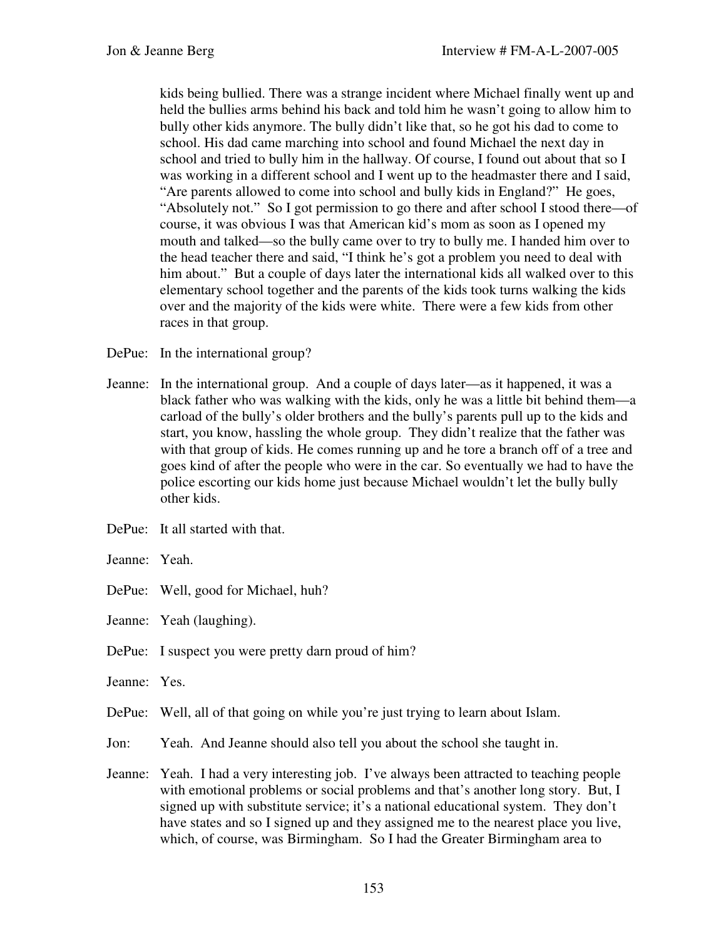kids being bullied. There was a strange incident where Michael finally went up and held the bullies arms behind his back and told him he wasn't going to allow him to bully other kids anymore. The bully didn't like that, so he got his dad to come to school. His dad came marching into school and found Michael the next day in school and tried to bully him in the hallway. Of course, I found out about that so I was working in a different school and I went up to the headmaster there and I said, "Are parents allowed to come into school and bully kids in England?" He goes, "Absolutely not." So I got permission to go there and after school I stood there—of course, it was obvious I was that American kid's mom as soon as I opened my mouth and talked—so the bully came over to try to bully me. I handed him over to the head teacher there and said, "I think he's got a problem you need to deal with him about." But a couple of days later the international kids all walked over to this elementary school together and the parents of the kids took turns walking the kids over and the majority of the kids were white. There were a few kids from other races in that group.

DePue: In the international group?

- Jeanne: In the international group. And a couple of days later—as it happened, it was a black father who was walking with the kids, only he was a little bit behind them—a carload of the bully's older brothers and the bully's parents pull up to the kids and start, you know, hassling the whole group. They didn't realize that the father was with that group of kids. He comes running up and he tore a branch off of a tree and goes kind of after the people who were in the car. So eventually we had to have the police escorting our kids home just because Michael wouldn't let the bully bully other kids.
- DePue: It all started with that.
- Jeanne: Yeah.
- DePue: Well, good for Michael, huh?
- Jeanne: Yeah (laughing).
- DePue: I suspect you were pretty darn proud of him?
- Jeanne: Yes.
- DePue: Well, all of that going on while you're just trying to learn about Islam.
- Jon: Yeah. And Jeanne should also tell you about the school she taught in.
- Jeanne: Yeah. I had a very interesting job. I've always been attracted to teaching people with emotional problems or social problems and that's another long story. But, I signed up with substitute service; it's a national educational system. They don't have states and so I signed up and they assigned me to the nearest place you live, which, of course, was Birmingham. So I had the Greater Birmingham area to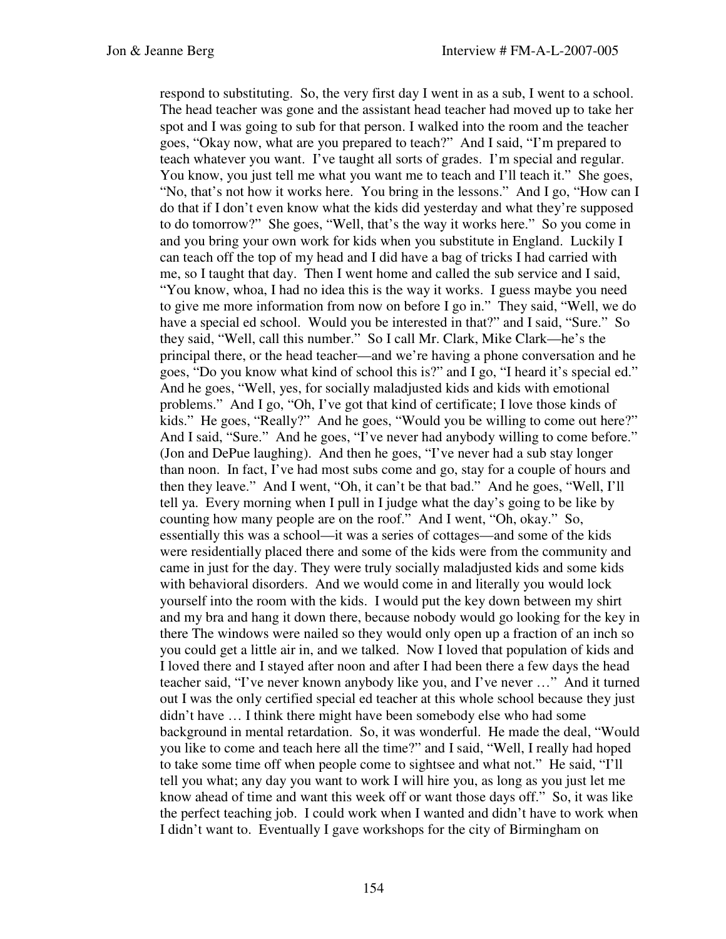respond to substituting. So, the very first day I went in as a sub, I went to a school. The head teacher was gone and the assistant head teacher had moved up to take her spot and I was going to sub for that person. I walked into the room and the teacher goes, "Okay now, what are you prepared to teach?" And I said, "I'm prepared to teach whatever you want. I've taught all sorts of grades. I'm special and regular. You know, you just tell me what you want me to teach and I'll teach it." She goes, "No, that's not how it works here. You bring in the lessons." And I go, "How can I do that if I don't even know what the kids did yesterday and what they're supposed to do tomorrow?" She goes, "Well, that's the way it works here." So you come in and you bring your own work for kids when you substitute in England. Luckily I can teach off the top of my head and I did have a bag of tricks I had carried with me, so I taught that day. Then I went home and called the sub service and I said, "You know, whoa, I had no idea this is the way it works. I guess maybe you need to give me more information from now on before I go in." They said, "Well, we do have a special ed school. Would you be interested in that?" and I said, "Sure." So they said, "Well, call this number." So I call Mr. Clark, Mike Clark—he's the principal there, or the head teacher—and we're having a phone conversation and he goes, "Do you know what kind of school this is?" and I go, "I heard it's special ed." And he goes, "Well, yes, for socially maladjusted kids and kids with emotional problems." And I go, "Oh, I've got that kind of certificate; I love those kinds of kids." He goes, "Really?" And he goes, "Would you be willing to come out here?" And I said, "Sure." And he goes, "I've never had anybody willing to come before." (Jon and DePue laughing). And then he goes, "I've never had a sub stay longer than noon. In fact, I've had most subs come and go, stay for a couple of hours and then they leave." And I went, "Oh, it can't be that bad." And he goes, "Well, I'll tell ya. Every morning when I pull in I judge what the day's going to be like by counting how many people are on the roof." And I went, "Oh, okay." So, essentially this was a school—it was a series of cottages—and some of the kids were residentially placed there and some of the kids were from the community and came in just for the day. They were truly socially maladjusted kids and some kids with behavioral disorders. And we would come in and literally you would lock yourself into the room with the kids. I would put the key down between my shirt and my bra and hang it down there, because nobody would go looking for the key in there The windows were nailed so they would only open up a fraction of an inch so you could get a little air in, and we talked. Now I loved that population of kids and I loved there and I stayed after noon and after I had been there a few days the head teacher said, "I've never known anybody like you, and I've never …" And it turned out I was the only certified special ed teacher at this whole school because they just didn't have … I think there might have been somebody else who had some background in mental retardation. So, it was wonderful. He made the deal, "Would you like to come and teach here all the time?" and I said, "Well, I really had hoped to take some time off when people come to sightsee and what not." He said, "I'll tell you what; any day you want to work I will hire you, as long as you just let me know ahead of time and want this week off or want those days off." So, it was like the perfect teaching job. I could work when I wanted and didn't have to work when I didn't want to. Eventually I gave workshops for the city of Birmingham on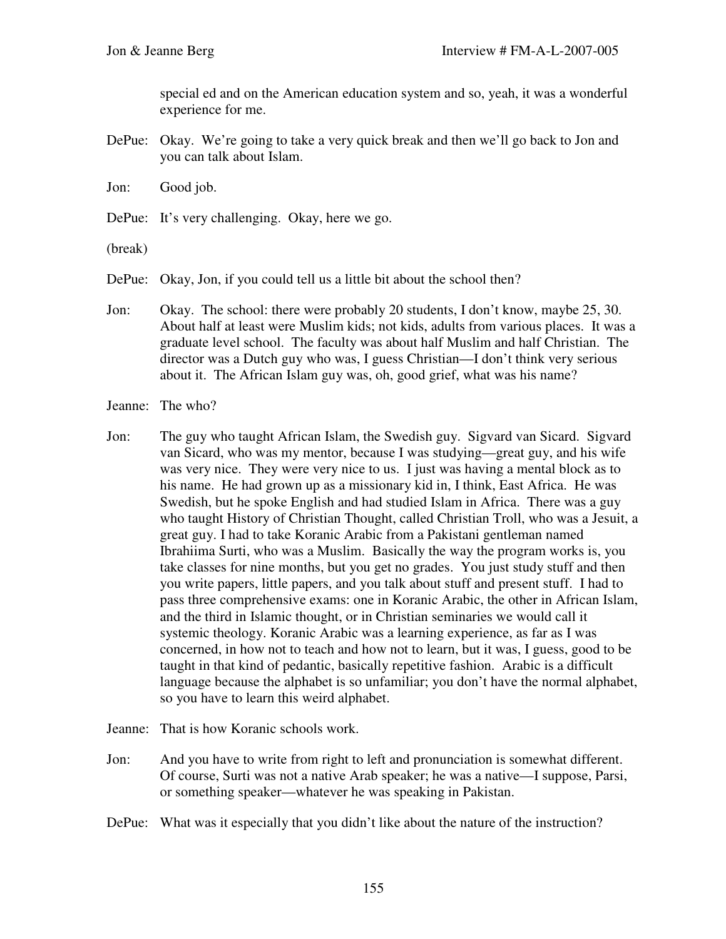special ed and on the American education system and so, yeah, it was a wonderful experience for me.

- DePue: Okay. We're going to take a very quick break and then we'll go back to Jon and you can talk about Islam.
- Jon: Good job.
- DePue: It's very challenging. Okay, here we go.

(break)

- DePue: Okay, Jon, if you could tell us a little bit about the school then?
- Jon: Okay. The school: there were probably 20 students, I don't know, maybe 25, 30. About half at least were Muslim kids; not kids, adults from various places. It was a graduate level school. The faculty was about half Muslim and half Christian. The director was a Dutch guy who was, I guess Christian—I don't think very serious about it. The African Islam guy was, oh, good grief, what was his name?
- Jeanne: The who?
- Jon: The guy who taught African Islam, the Swedish guy. Sigvard van Sicard. Sigvard van Sicard, who was my mentor, because I was studying—great guy, and his wife was very nice. They were very nice to us. I just was having a mental block as to his name. He had grown up as a missionary kid in, I think, East Africa. He was Swedish, but he spoke English and had studied Islam in Africa. There was a guy who taught History of Christian Thought, called Christian Troll, who was a Jesuit, a great guy. I had to take Koranic Arabic from a Pakistani gentleman named Ibrahiima Surti, who was a Muslim. Basically the way the program works is, you take classes for nine months, but you get no grades. You just study stuff and then you write papers, little papers, and you talk about stuff and present stuff. I had to pass three comprehensive exams: one in Koranic Arabic, the other in African Islam, and the third in Islamic thought, or in Christian seminaries we would call it systemic theology. Koranic Arabic was a learning experience, as far as I was concerned, in how not to teach and how not to learn, but it was, I guess, good to be taught in that kind of pedantic, basically repetitive fashion. Arabic is a difficult language because the alphabet is so unfamiliar; you don't have the normal alphabet, so you have to learn this weird alphabet.
- Jeanne: That is how Koranic schools work.
- Jon: And you have to write from right to left and pronunciation is somewhat different. Of course, Surti was not a native Arab speaker; he was a native—I suppose, Parsi, or something speaker—whatever he was speaking in Pakistan.
- DePue: What was it especially that you didn't like about the nature of the instruction?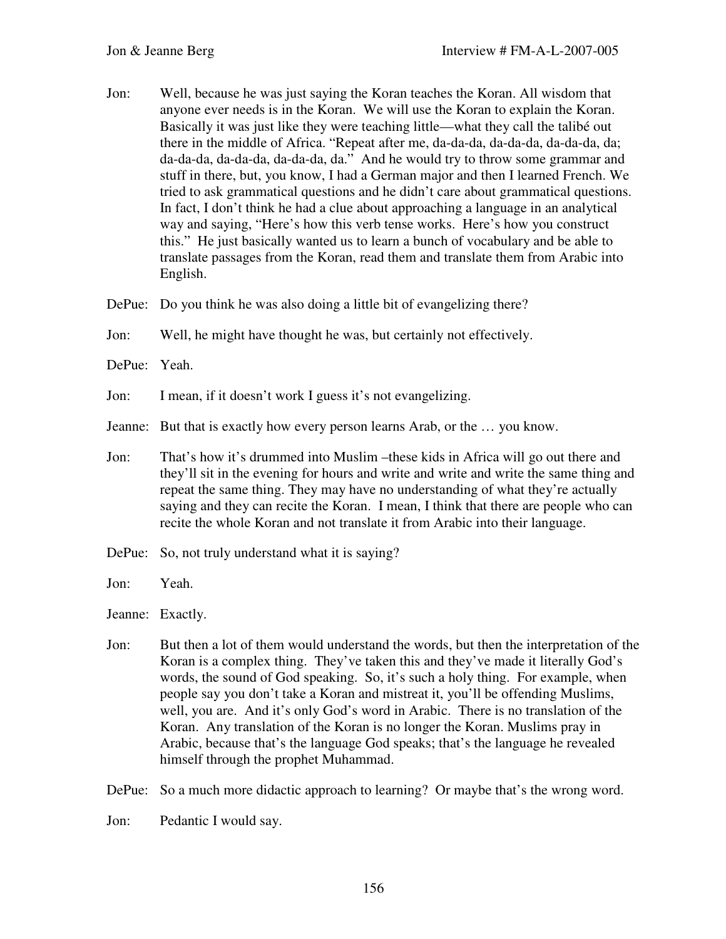- Jon: Well, because he was just saying the Koran teaches the Koran. All wisdom that anyone ever needs is in the Koran. We will use the Koran to explain the Koran. Basically it was just like they were teaching little—what they call the talibé out there in the middle of Africa. "Repeat after me, da-da-da, da-da-da, da-da-da, da; da-da-da, da-da-da, da-da-da, da." And he would try to throw some grammar and stuff in there, but, you know, I had a German major and then I learned French. We tried to ask grammatical questions and he didn't care about grammatical questions. In fact, I don't think he had a clue about approaching a language in an analytical way and saying, "Here's how this verb tense works. Here's how you construct this." He just basically wanted us to learn a bunch of vocabulary and be able to translate passages from the Koran, read them and translate them from Arabic into English.
- DePue: Do you think he was also doing a little bit of evangelizing there?
- Jon: Well, he might have thought he was, but certainly not effectively.
- DePue: Yeah.
- Jon: I mean, if it doesn't work I guess it's not evangelizing.
- Jeanne: But that is exactly how every person learns Arab, or the … you know.
- Jon: That's how it's drummed into Muslim –these kids in Africa will go out there and they'll sit in the evening for hours and write and write and write the same thing and repeat the same thing. They may have no understanding of what they're actually saying and they can recite the Koran. I mean, I think that there are people who can recite the whole Koran and not translate it from Arabic into their language.
- DePue: So, not truly understand what it is saying?
- Jon: Yeah.

Jeanne: Exactly.

Jon: But then a lot of them would understand the words, but then the interpretation of the Koran is a complex thing. They've taken this and they've made it literally God's words, the sound of God speaking. So, it's such a holy thing. For example, when people say you don't take a Koran and mistreat it, you'll be offending Muslims, well, you are. And it's only God's word in Arabic. There is no translation of the Koran. Any translation of the Koran is no longer the Koran. Muslims pray in Arabic, because that's the language God speaks; that's the language he revealed himself through the prophet Muhammad.

DePue: So a much more didactic approach to learning? Or maybe that's the wrong word.

Jon: Pedantic I would say.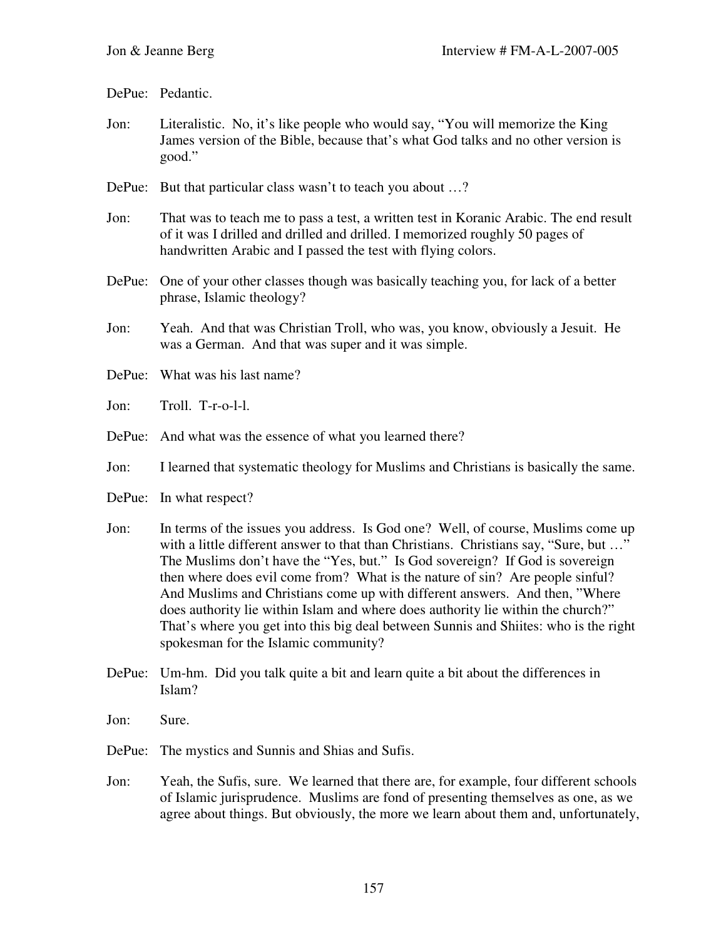DePue: Pedantic.

- Jon: Literalistic. No, it's like people who would say, "You will memorize the King James version of the Bible, because that's what God talks and no other version is good."
- DePue: But that particular class wasn't to teach you about ...?
- Jon: That was to teach me to pass a test, a written test in Koranic Arabic. The end result of it was I drilled and drilled and drilled. I memorized roughly 50 pages of handwritten Arabic and I passed the test with flying colors.
- DePue: One of your other classes though was basically teaching you, for lack of a better phrase, Islamic theology?
- Jon: Yeah. And that was Christian Troll, who was, you know, obviously a Jesuit. He was a German. And that was super and it was simple.
- DePue: What was his last name?
- Jon: Troll. T-r-o-l-l.
- DePue: And what was the essence of what you learned there?
- Jon: I learned that systematic theology for Muslims and Christians is basically the same.
- DePue: In what respect?
- Jon: In terms of the issues you address. Is God one? Well, of course, Muslims come up with a little different answer to that than Christians. Christians say, "Sure, but ..." The Muslims don't have the "Yes, but." Is God sovereign? If God is sovereign then where does evil come from? What is the nature of sin? Are people sinful? And Muslims and Christians come up with different answers. And then, "Where does authority lie within Islam and where does authority lie within the church?" That's where you get into this big deal between Sunnis and Shiites: who is the right spokesman for the Islamic community?
- DePue: Um-hm. Did you talk quite a bit and learn quite a bit about the differences in Islam?
- Jon: Sure.
- DePue: The mystics and Sunnis and Shias and Sufis.
- Jon: Yeah, the Sufis, sure. We learned that there are, for example, four different schools of Islamic jurisprudence. Muslims are fond of presenting themselves as one, as we agree about things. But obviously, the more we learn about them and, unfortunately,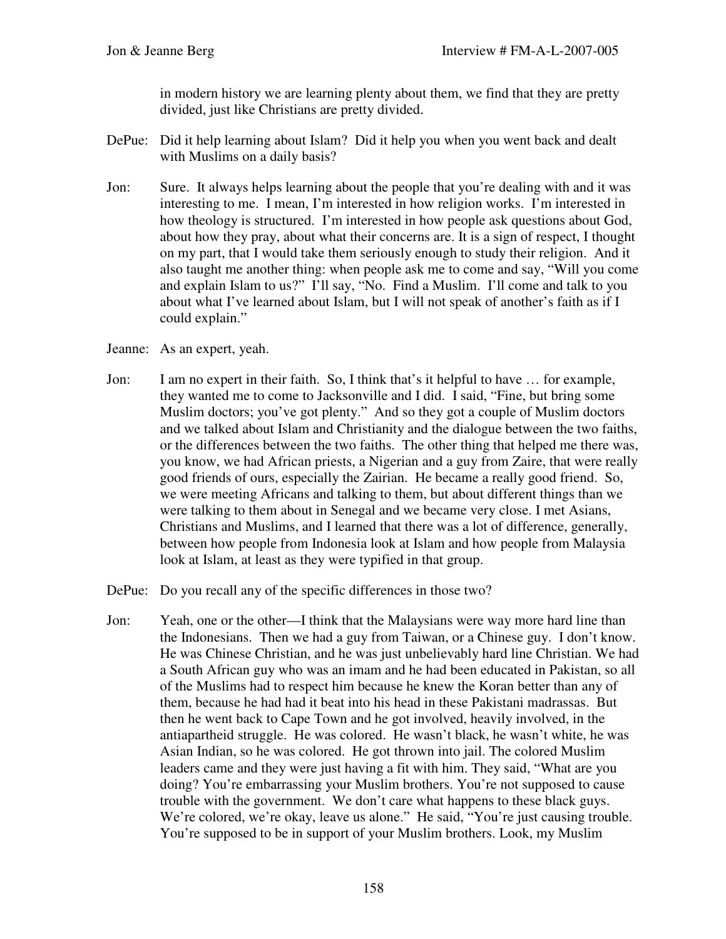in modern history we are learning plenty about them, we find that they are pretty divided, just like Christians are pretty divided.

- DePue: Did it help learning about Islam? Did it help you when you went back and dealt with Muslims on a daily basis?
- Jon: Sure. It always helps learning about the people that you're dealing with and it was interesting to me. I mean, I'm interested in how religion works. I'm interested in how theology is structured. I'm interested in how people ask questions about God, about how they pray, about what their concerns are. It is a sign of respect, I thought on my part, that I would take them seriously enough to study their religion. And it also taught me another thing: when people ask me to come and say, "Will you come and explain Islam to us?" I'll say, "No. Find a Muslim. I'll come and talk to you about what I've learned about Islam, but I will not speak of another's faith as if I could explain."

Jeanne: As an expert, yeah.

- Jon: I am no expert in their faith. So, I think that's it helpful to have … for example, they wanted me to come to Jacksonville and I did. I said, "Fine, but bring some Muslim doctors; you've got plenty." And so they got a couple of Muslim doctors and we talked about Islam and Christianity and the dialogue between the two faiths, or the differences between the two faiths. The other thing that helped me there was, you know, we had African priests, a Nigerian and a guy from Zaire, that were really good friends of ours, especially the Zairian. He became a really good friend. So, we were meeting Africans and talking to them, but about different things than we were talking to them about in Senegal and we became very close. I met Asians, Christians and Muslims, and I learned that there was a lot of difference, generally, between how people from Indonesia look at Islam and how people from Malaysia look at Islam, at least as they were typified in that group.
- DePue: Do you recall any of the specific differences in those two?
- Jon: Yeah, one or the other—I think that the Malaysians were way more hard line than the Indonesians. Then we had a guy from Taiwan, or a Chinese guy. I don't know. He was Chinese Christian, and he was just unbelievably hard line Christian. We had a South African guy who was an imam and he had been educated in Pakistan, so all of the Muslims had to respect him because he knew the Koran better than any of them, because he had had it beat into his head in these Pakistani madrassas. But then he went back to Cape Town and he got involved, heavily involved, in the antiapartheid struggle. He was colored. He wasn't black, he wasn't white, he was Asian Indian, so he was colored. He got thrown into jail. The colored Muslim leaders came and they were just having a fit with him. They said, "What are you doing? You're embarrassing your Muslim brothers. You're not supposed to cause trouble with the government. We don't care what happens to these black guys. We're colored, we're okay, leave us alone." He said, "You're just causing trouble. You're supposed to be in support of your Muslim brothers. Look, my Muslim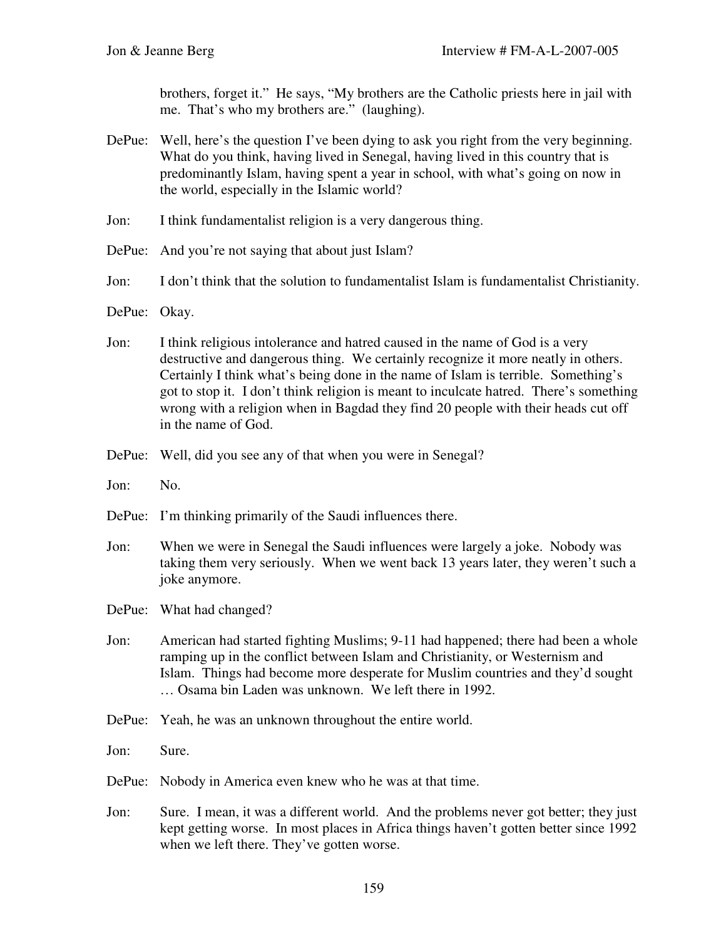brothers, forget it." He says, "My brothers are the Catholic priests here in jail with me. That's who my brothers are." (laughing).

- DePue: Well, here's the question I've been dying to ask you right from the very beginning. What do you think, having lived in Senegal, having lived in this country that is predominantly Islam, having spent a year in school, with what's going on now in the world, especially in the Islamic world?
- Jon: I think fundamentalist religion is a very dangerous thing.
- DePue: And you're not saying that about just Islam?
- Jon: I don't think that the solution to fundamentalist Islam is fundamentalist Christianity.
- DePue: Okay.
- Jon: I think religious intolerance and hatred caused in the name of God is a very destructive and dangerous thing. We certainly recognize it more neatly in others. Certainly I think what's being done in the name of Islam is terrible. Something's got to stop it. I don't think religion is meant to inculcate hatred. There's something wrong with a religion when in Bagdad they find 20 people with their heads cut off in the name of God.
- DePue: Well, did you see any of that when you were in Senegal?
- Jon: No.
- DePue: I'm thinking primarily of the Saudi influences there.
- Jon: When we were in Senegal the Saudi influences were largely a joke. Nobody was taking them very seriously. When we went back 13 years later, they weren't such a joke anymore.
- DePue: What had changed?
- Jon: American had started fighting Muslims; 9-11 had happened; there had been a whole ramping up in the conflict between Islam and Christianity, or Westernism and Islam. Things had become more desperate for Muslim countries and they'd sought … Osama bin Laden was unknown. We left there in 1992.
- DePue: Yeah, he was an unknown throughout the entire world.
- Jon: Sure.
- DePue: Nobody in America even knew who he was at that time.
- Jon: Sure. I mean, it was a different world. And the problems never got better; they just kept getting worse. In most places in Africa things haven't gotten better since 1992 when we left there. They've gotten worse.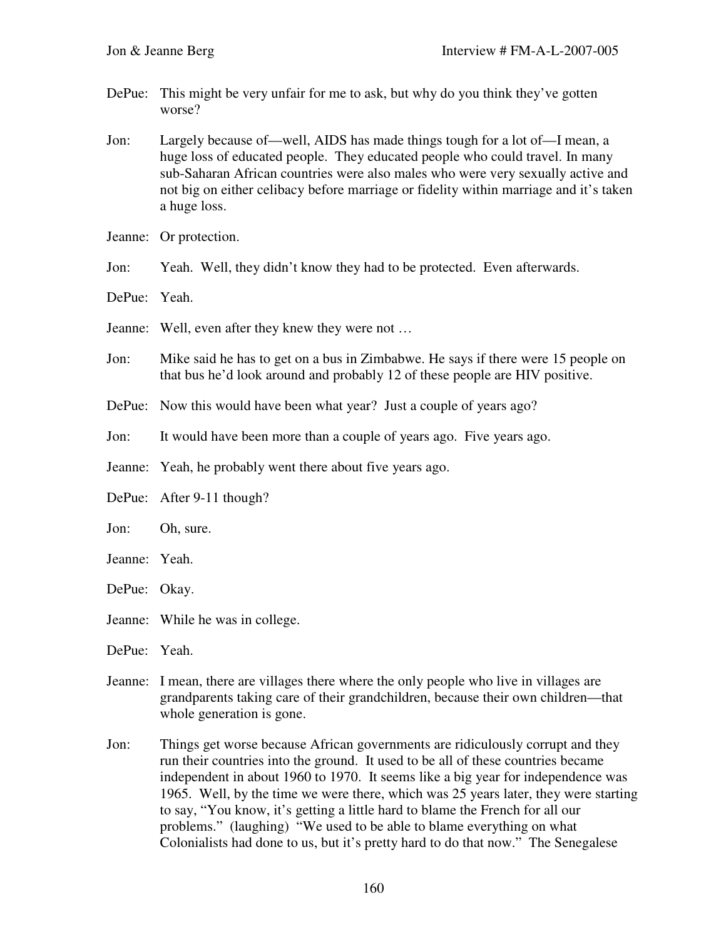- DePue: This might be very unfair for me to ask, but why do you think they've gotten worse?
- Jon: Largely because of—well, AIDS has made things tough for a lot of—I mean, a huge loss of educated people. They educated people who could travel. In many sub-Saharan African countries were also males who were very sexually active and not big on either celibacy before marriage or fidelity within marriage and it's taken a huge loss.
- Jeanne: Or protection.
- Jon: Yeah. Well, they didn't know they had to be protected. Even afterwards.
- DePue: Yeah.
- Jeanne: Well, even after they knew they were not …
- Jon: Mike said he has to get on a bus in Zimbabwe. He says if there were 15 people on that bus he'd look around and probably 12 of these people are HIV positive.
- DePue: Now this would have been what year? Just a couple of years ago?
- Jon: It would have been more than a couple of years ago. Five years ago.
- Jeanne: Yeah, he probably went there about five years ago.
- DePue: After 9-11 though?
- Jon: Oh, sure.
- Jeanne: Yeah.
- DePue: Okay.
- Jeanne: While he was in college.
- DePue: Yeah.
- Jeanne: I mean, there are villages there where the only people who live in villages are grandparents taking care of their grandchildren, because their own children—that whole generation is gone.
- Jon: Things get worse because African governments are ridiculously corrupt and they run their countries into the ground. It used to be all of these countries became independent in about 1960 to 1970. It seems like a big year for independence was 1965. Well, by the time we were there, which was 25 years later, they were starting to say, "You know, it's getting a little hard to blame the French for all our problems." (laughing) "We used to be able to blame everything on what Colonialists had done to us, but it's pretty hard to do that now." The Senegalese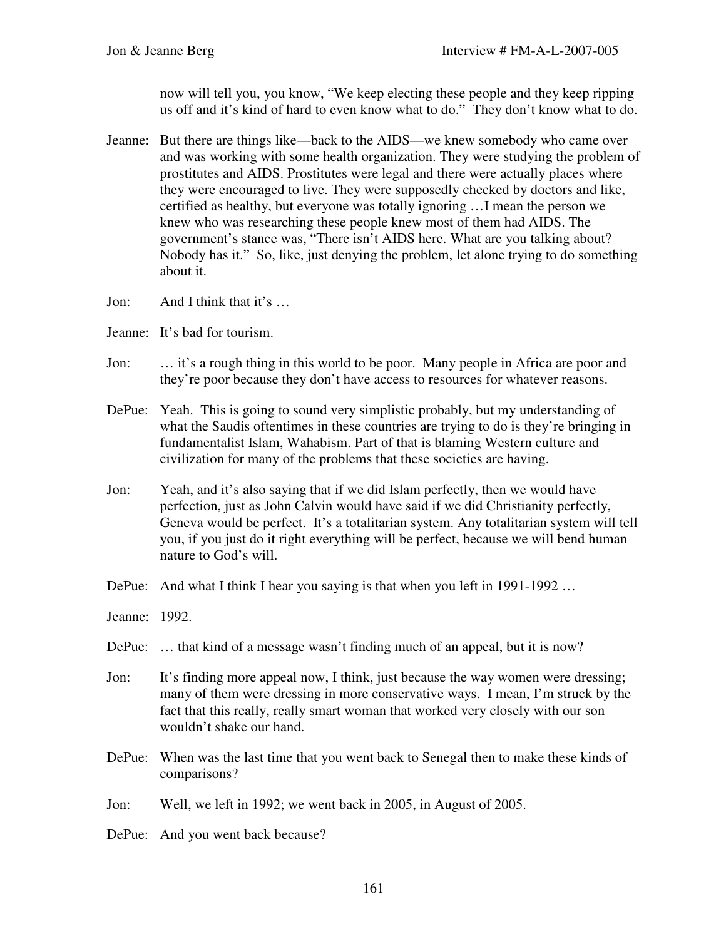now will tell you, you know, "We keep electing these people and they keep ripping us off and it's kind of hard to even know what to do." They don't know what to do.

- Jeanne: But there are things like—back to the AIDS—we knew somebody who came over and was working with some health organization. They were studying the problem of prostitutes and AIDS. Prostitutes were legal and there were actually places where they were encouraged to live. They were supposedly checked by doctors and like, certified as healthy, but everyone was totally ignoring …I mean the person we knew who was researching these people knew most of them had AIDS. The government's stance was, "There isn't AIDS here. What are you talking about? Nobody has it." So, like, just denying the problem, let alone trying to do something about it.
- Jon: And I think that it's …
- Jeanne: It's bad for tourism.
- Jon: … it's a rough thing in this world to be poor. Many people in Africa are poor and they're poor because they don't have access to resources for whatever reasons.
- DePue: Yeah. This is going to sound very simplistic probably, but my understanding of what the Saudis oftentimes in these countries are trying to do is they're bringing in fundamentalist Islam, Wahabism. Part of that is blaming Western culture and civilization for many of the problems that these societies are having.
- Jon: Yeah, and it's also saying that if we did Islam perfectly, then we would have perfection, just as John Calvin would have said if we did Christianity perfectly, Geneva would be perfect. It's a totalitarian system. Any totalitarian system will tell you, if you just do it right everything will be perfect, because we will bend human nature to God's will.
- DePue: And what I think I hear you saying is that when you left in 1991-1992 ...
- Jeanne: 1992.
- DePue: ... that kind of a message wasn't finding much of an appeal, but it is now?
- Jon: It's finding more appeal now, I think, just because the way women were dressing; many of them were dressing in more conservative ways. I mean, I'm struck by the fact that this really, really smart woman that worked very closely with our son wouldn't shake our hand.
- DePue: When was the last time that you went back to Senegal then to make these kinds of comparisons?

Jon: Well, we left in 1992; we went back in 2005, in August of 2005.

DePue: And you went back because?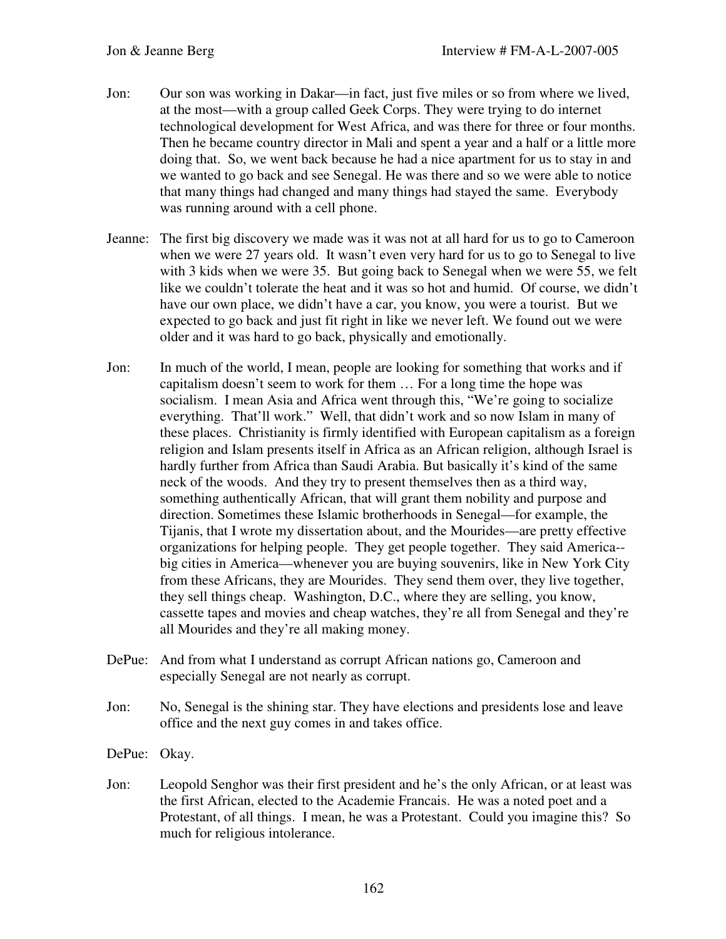- Jon: Our son was working in Dakar—in fact, just five miles or so from where we lived, at the most—with a group called Geek Corps. They were trying to do internet technological development for West Africa, and was there for three or four months. Then he became country director in Mali and spent a year and a half or a little more doing that. So, we went back because he had a nice apartment for us to stay in and we wanted to go back and see Senegal. He was there and so we were able to notice that many things had changed and many things had stayed the same. Everybody was running around with a cell phone.
- Jeanne: The first big discovery we made was it was not at all hard for us to go to Cameroon when we were 27 years old. It wasn't even very hard for us to go to Senegal to live with 3 kids when we were 35. But going back to Senegal when we were 55, we felt like we couldn't tolerate the heat and it was so hot and humid. Of course, we didn't have our own place, we didn't have a car, you know, you were a tourist. But we expected to go back and just fit right in like we never left. We found out we were older and it was hard to go back, physically and emotionally.
- Jon: In much of the world, I mean, people are looking for something that works and if capitalism doesn't seem to work for them … For a long time the hope was socialism. I mean Asia and Africa went through this, "We're going to socialize everything. That'll work." Well, that didn't work and so now Islam in many of these places. Christianity is firmly identified with European capitalism as a foreign religion and Islam presents itself in Africa as an African religion, although Israel is hardly further from Africa than Saudi Arabia. But basically it's kind of the same neck of the woods. And they try to present themselves then as a third way, something authentically African, that will grant them nobility and purpose and direction. Sometimes these Islamic brotherhoods in Senegal—for example, the Tijanis, that I wrote my dissertation about, and the Mourides—are pretty effective organizations for helping people. They get people together. They said America- big cities in America—whenever you are buying souvenirs, like in New York City from these Africans, they are Mourides. They send them over, they live together, they sell things cheap. Washington, D.C., where they are selling, you know, cassette tapes and movies and cheap watches, they're all from Senegal and they're all Mourides and they're all making money.
- DePue: And from what I understand as corrupt African nations go, Cameroon and especially Senegal are not nearly as corrupt.
- Jon: No, Senegal is the shining star. They have elections and presidents lose and leave office and the next guy comes in and takes office.
- DePue: Okay.
- Jon: Leopold Senghor was their first president and he's the only African, or at least was the first African, elected to the Academie Francais. He was a noted poet and a Protestant, of all things. I mean, he was a Protestant. Could you imagine this? So much for religious intolerance.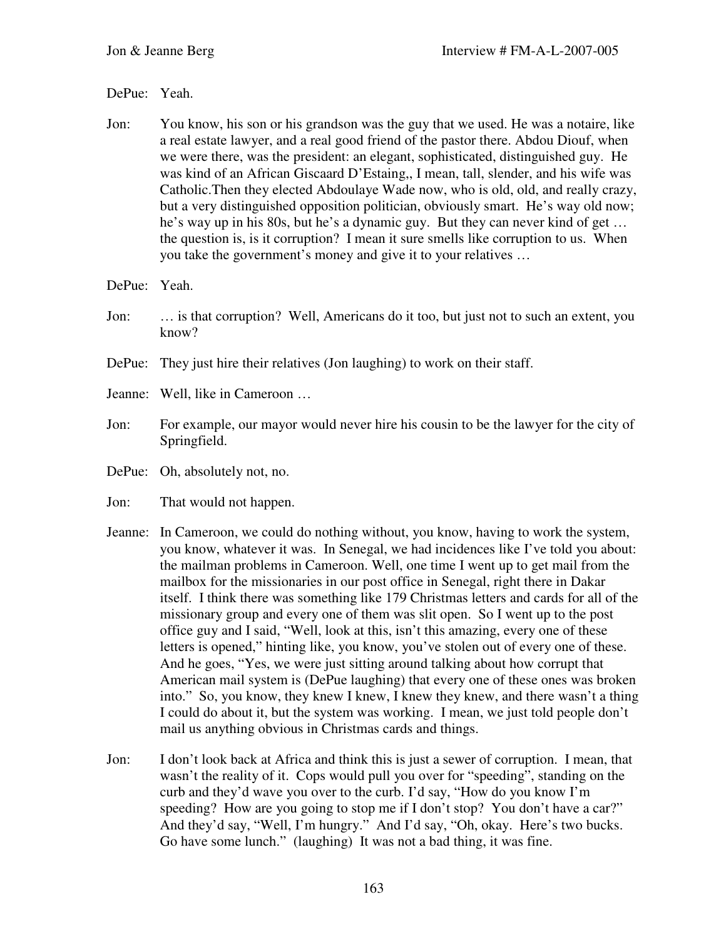## DePue: Yeah.

Jon: You know, his son or his grandson was the guy that we used. He was a notaire, like a real estate lawyer, and a real good friend of the pastor there. Abdou Diouf, when we were there, was the president: an elegant, sophisticated, distinguished guy. He was kind of an African Giscaard D'Estaing,, I mean, tall, slender, and his wife was Catholic.Then they elected Abdoulaye Wade now, who is old, old, and really crazy, but a very distinguished opposition politician, obviously smart. He's way old now; he's way up in his 80s, but he's a dynamic guy. But they can never kind of get … the question is, is it corruption? I mean it sure smells like corruption to us. When you take the government's money and give it to your relatives …

## DePue: Yeah.

- Jon: … is that corruption? Well, Americans do it too, but just not to such an extent, you know?
- DePue: They just hire their relatives (Jon laughing) to work on their staff.
- Jeanne: Well, like in Cameroon …
- Jon: For example, our mayor would never hire his cousin to be the lawyer for the city of Springfield.
- DePue: Oh, absolutely not, no.
- Jon: That would not happen.
- Jeanne: In Cameroon, we could do nothing without, you know, having to work the system, you know, whatever it was. In Senegal, we had incidences like I've told you about: the mailman problems in Cameroon. Well, one time I went up to get mail from the mailbox for the missionaries in our post office in Senegal, right there in Dakar itself. I think there was something like 179 Christmas letters and cards for all of the missionary group and every one of them was slit open. So I went up to the post office guy and I said, "Well, look at this, isn't this amazing, every one of these letters is opened," hinting like, you know, you've stolen out of every one of these. And he goes, "Yes, we were just sitting around talking about how corrupt that American mail system is (DePue laughing) that every one of these ones was broken into." So, you know, they knew I knew, I knew they knew, and there wasn't a thing I could do about it, but the system was working. I mean, we just told people don't mail us anything obvious in Christmas cards and things.
- Jon: I don't look back at Africa and think this is just a sewer of corruption. I mean, that wasn't the reality of it. Cops would pull you over for "speeding", standing on the curb and they'd wave you over to the curb. I'd say, "How do you know I'm speeding? How are you going to stop me if I don't stop? You don't have a car?" And they'd say, "Well, I'm hungry." And I'd say, "Oh, okay. Here's two bucks. Go have some lunch." (laughing) It was not a bad thing, it was fine.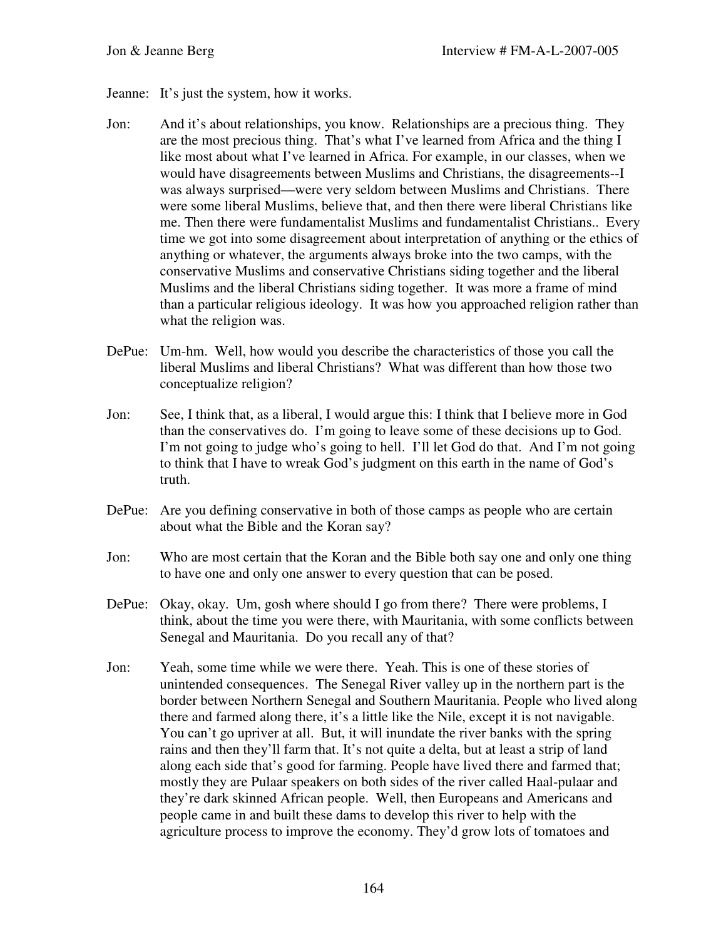- Jeanne: It's just the system, how it works.
- Jon: And it's about relationships, you know. Relationships are a precious thing. They are the most precious thing. That's what I've learned from Africa and the thing I like most about what I've learned in Africa. For example, in our classes, when we would have disagreements between Muslims and Christians, the disagreements--I was always surprised—were very seldom between Muslims and Christians. There were some liberal Muslims, believe that, and then there were liberal Christians like me. Then there were fundamentalist Muslims and fundamentalist Christians.. Every time we got into some disagreement about interpretation of anything or the ethics of anything or whatever, the arguments always broke into the two camps, with the conservative Muslims and conservative Christians siding together and the liberal Muslims and the liberal Christians siding together. It was more a frame of mind than a particular religious ideology. It was how you approached religion rather than what the religion was.
- DePue: Um-hm. Well, how would you describe the characteristics of those you call the liberal Muslims and liberal Christians? What was different than how those two conceptualize religion?
- Jon: See, I think that, as a liberal, I would argue this: I think that I believe more in God than the conservatives do. I'm going to leave some of these decisions up to God. I'm not going to judge who's going to hell. I'll let God do that. And I'm not going to think that I have to wreak God's judgment on this earth in the name of God's truth.
- DePue: Are you defining conservative in both of those camps as people who are certain about what the Bible and the Koran say?
- Jon: Who are most certain that the Koran and the Bible both say one and only one thing to have one and only one answer to every question that can be posed.
- DePue: Okay, okay. Um, gosh where should I go from there? There were problems, I think, about the time you were there, with Mauritania, with some conflicts between Senegal and Mauritania. Do you recall any of that?
- Jon: Yeah, some time while we were there. Yeah. This is one of these stories of unintended consequences. The Senegal River valley up in the northern part is the border between Northern Senegal and Southern Mauritania. People who lived along there and farmed along there, it's a little like the Nile, except it is not navigable. You can't go upriver at all. But, it will inundate the river banks with the spring rains and then they'll farm that. It's not quite a delta, but at least a strip of land along each side that's good for farming. People have lived there and farmed that; mostly they are Pulaar speakers on both sides of the river called Haal-pulaar and they're dark skinned African people. Well, then Europeans and Americans and people came in and built these dams to develop this river to help with the agriculture process to improve the economy. They'd grow lots of tomatoes and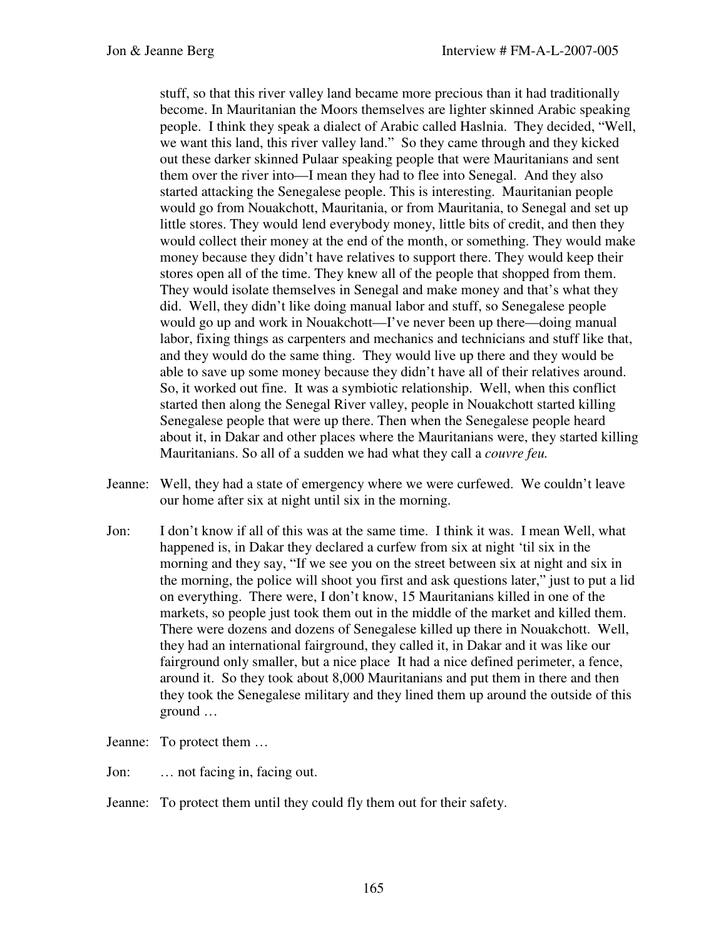stuff, so that this river valley land became more precious than it had traditionally become. In Mauritanian the Moors themselves are lighter skinned Arabic speaking people. I think they speak a dialect of Arabic called Haslnia. They decided, "Well, we want this land, this river valley land." So they came through and they kicked out these darker skinned Pulaar speaking people that were Mauritanians and sent them over the river into—I mean they had to flee into Senegal. And they also started attacking the Senegalese people. This is interesting. Mauritanian people would go from Nouakchott, Mauritania, or from Mauritania, to Senegal and set up little stores. They would lend everybody money, little bits of credit, and then they would collect their money at the end of the month, or something. They would make money because they didn't have relatives to support there. They would keep their stores open all of the time. They knew all of the people that shopped from them. They would isolate themselves in Senegal and make money and that's what they did. Well, they didn't like doing manual labor and stuff, so Senegalese people would go up and work in Nouakchott—I've never been up there—doing manual labor, fixing things as carpenters and mechanics and technicians and stuff like that, and they would do the same thing. They would live up there and they would be able to save up some money because they didn't have all of their relatives around. So, it worked out fine. It was a symbiotic relationship. Well, when this conflict started then along the Senegal River valley, people in Nouakchott started killing Senegalese people that were up there. Then when the Senegalese people heard about it, in Dakar and other places where the Mauritanians were, they started killing Mauritanians. So all of a sudden we had what they call a *couvre feu.* 

- Jeanne: Well, they had a state of emergency where we were curfewed. We couldn't leave our home after six at night until six in the morning.
- Jon: I don't know if all of this was at the same time. I think it was. I mean Well, what happened is, in Dakar they declared a curfew from six at night 'til six in the morning and they say, "If we see you on the street between six at night and six in the morning, the police will shoot you first and ask questions later," just to put a lid on everything. There were, I don't know, 15 Mauritanians killed in one of the markets, so people just took them out in the middle of the market and killed them. There were dozens and dozens of Senegalese killed up there in Nouakchott. Well, they had an international fairground, they called it, in Dakar and it was like our fairground only smaller, but a nice place It had a nice defined perimeter, a fence, around it. So they took about 8,000 Mauritanians and put them in there and then they took the Senegalese military and they lined them up around the outside of this ground …

Jeanne: To protect them …

Jon: … not facing in, facing out.

Jeanne: To protect them until they could fly them out for their safety.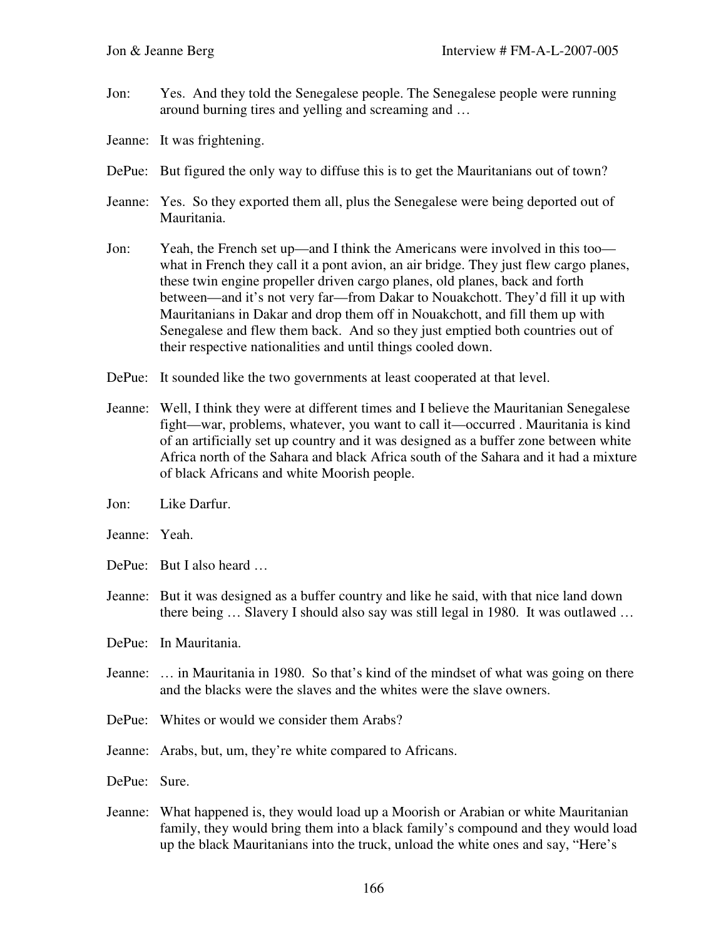Jon: Yes. And they told the Senegalese people. The Senegalese people were running around burning tires and yelling and screaming and …

Jeanne: It was frightening.

- DePue: But figured the only way to diffuse this is to get the Mauritanians out of town?
- Jeanne: Yes. So they exported them all, plus the Senegalese were being deported out of Mauritania.
- Jon: Yeah, the French set up—and I think the Americans were involved in this too what in French they call it a pont avion, an air bridge. They just flew cargo planes, these twin engine propeller driven cargo planes, old planes, back and forth between—and it's not very far—from Dakar to Nouakchott. They'd fill it up with Mauritanians in Dakar and drop them off in Nouakchott, and fill them up with Senegalese and flew them back. And so they just emptied both countries out of their respective nationalities and until things cooled down.
- DePue: It sounded like the two governments at least cooperated at that level.
- Jeanne: Well, I think they were at different times and I believe the Mauritanian Senegalese fight—war, problems, whatever, you want to call it—occurred . Mauritania is kind of an artificially set up country and it was designed as a buffer zone between white Africa north of the Sahara and black Africa south of the Sahara and it had a mixture of black Africans and white Moorish people.
- Jon: Like Darfur.
- Jeanne: Yeah.
- DePue: But I also heard …
- Jeanne: But it was designed as a buffer country and like he said, with that nice land down there being … Slavery I should also say was still legal in 1980. It was outlawed …
- DePue: In Mauritania.
- Jeanne: … in Mauritania in 1980. So that's kind of the mindset of what was going on there and the blacks were the slaves and the whites were the slave owners.
- DePue: Whites or would we consider them Arabs?
- Jeanne: Arabs, but, um, they're white compared to Africans.
- DePue: Sure.
- Jeanne: What happened is, they would load up a Moorish or Arabian or white Mauritanian family, they would bring them into a black family's compound and they would load up the black Mauritanians into the truck, unload the white ones and say, "Here's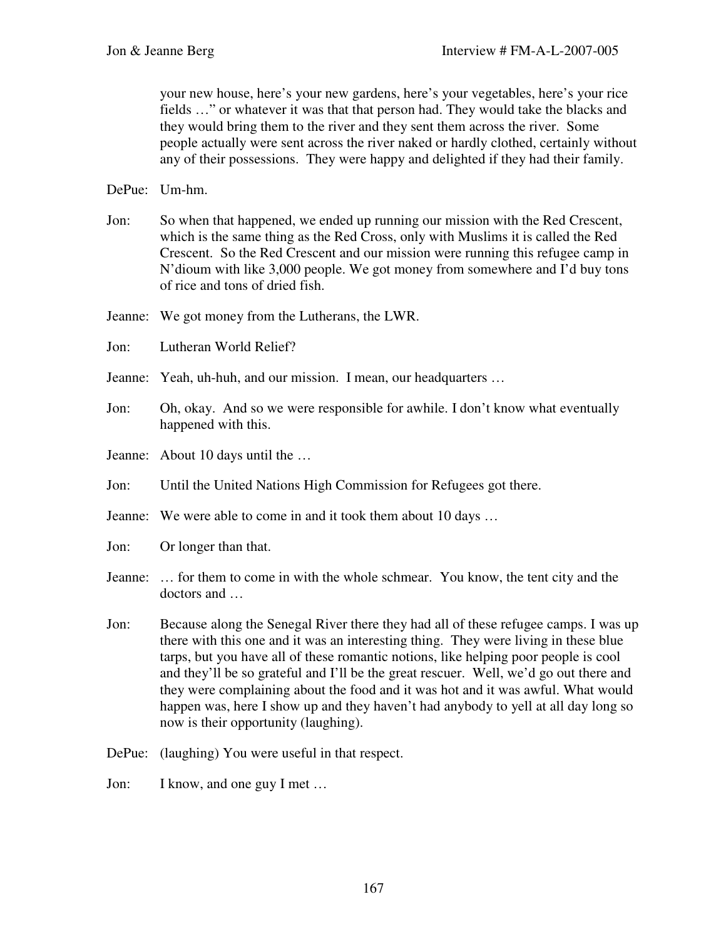your new house, here's your new gardens, here's your vegetables, here's your rice fields …" or whatever it was that that person had. They would take the blacks and they would bring them to the river and they sent them across the river. Some people actually were sent across the river naked or hardly clothed, certainly without any of their possessions. They were happy and delighted if they had their family.

DePue: Um-hm.

- Jon: So when that happened, we ended up running our mission with the Red Crescent, which is the same thing as the Red Cross, only with Muslims it is called the Red Crescent. So the Red Crescent and our mission were running this refugee camp in N'dioum with like 3,000 people. We got money from somewhere and I'd buy tons of rice and tons of dried fish.
- Jeanne: We got money from the Lutherans, the LWR.
- Jon: Lutheran World Relief?
- Jeanne: Yeah, uh-huh, and our mission. I mean, our headquarters …
- Jon: Oh, okay. And so we were responsible for awhile. I don't know what eventually happened with this.
- Jeanne: About 10 days until the …
- Jon: Until the United Nations High Commission for Refugees got there.
- Jeanne: We were able to come in and it took them about 10 days …
- Jon: Or longer than that.
- Jeanne: … for them to come in with the whole schmear. You know, the tent city and the doctors and …
- Jon: Because along the Senegal River there they had all of these refugee camps. I was up there with this one and it was an interesting thing. They were living in these blue tarps, but you have all of these romantic notions, like helping poor people is cool and they'll be so grateful and I'll be the great rescuer. Well, we'd go out there and they were complaining about the food and it was hot and it was awful. What would happen was, here I show up and they haven't had anybody to yell at all day long so now is their opportunity (laughing).
- DePue: (laughing) You were useful in that respect.
- Jon: I know, and one guy I met …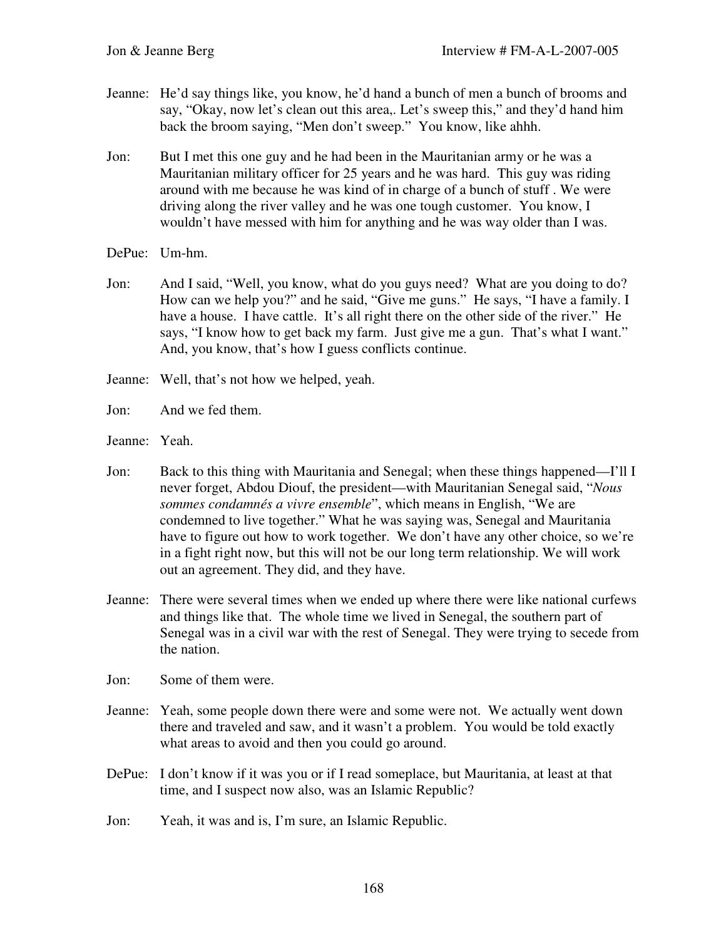- Jeanne: He'd say things like, you know, he'd hand a bunch of men a bunch of brooms and say, "Okay, now let's clean out this area,. Let's sweep this," and they'd hand him back the broom saying, "Men don't sweep." You know, like ahhh.
- Jon: But I met this one guy and he had been in the Mauritanian army or he was a Mauritanian military officer for 25 years and he was hard. This guy was riding around with me because he was kind of in charge of a bunch of stuff . We were driving along the river valley and he was one tough customer. You know, I wouldn't have messed with him for anything and he was way older than I was.
- DePue: Um-hm.
- Jon: And I said, "Well, you know, what do you guys need? What are you doing to do? How can we help you?" and he said, "Give me guns." He says, "I have a family. I have a house. I have cattle. It's all right there on the other side of the river." He says, "I know how to get back my farm. Just give me a gun. That's what I want." And, you know, that's how I guess conflicts continue.
- Jeanne: Well, that's not how we helped, yeah.
- Jon: And we fed them.

Jeanne: Yeah.

- Jon: Back to this thing with Mauritania and Senegal; when these things happened—I'll I never forget, Abdou Diouf, the president—with Mauritanian Senegal said, "*Nous sommes condamnés a vivre ensemble*", which means in English, "We are condemned to live together." What he was saying was, Senegal and Mauritania have to figure out how to work together. We don't have any other choice, so we're in a fight right now, but this will not be our long term relationship. We will work out an agreement. They did, and they have.
- Jeanne: There were several times when we ended up where there were like national curfews and things like that. The whole time we lived in Senegal, the southern part of Senegal was in a civil war with the rest of Senegal. They were trying to secede from the nation.

Jon: Some of them were.

- Jeanne: Yeah, some people down there were and some were not. We actually went down there and traveled and saw, and it wasn't a problem. You would be told exactly what areas to avoid and then you could go around.
- DePue: I don't know if it was you or if I read someplace, but Mauritania, at least at that time, and I suspect now also, was an Islamic Republic?
- Jon: Yeah, it was and is, I'm sure, an Islamic Republic.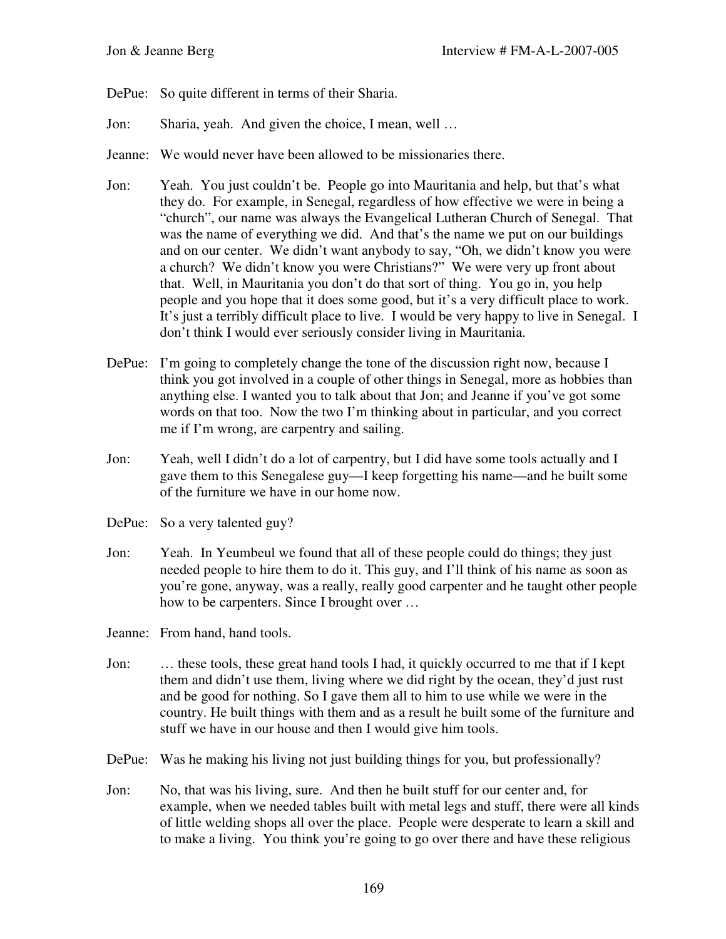- DePue: So quite different in terms of their Sharia.
- Jon: Sharia, yeah. And given the choice, I mean, well …
- Jeanne: We would never have been allowed to be missionaries there.
- Jon: Yeah. You just couldn't be. People go into Mauritania and help, but that's what they do. For example, in Senegal, regardless of how effective we were in being a "church", our name was always the Evangelical Lutheran Church of Senegal. That was the name of everything we did. And that's the name we put on our buildings and on our center. We didn't want anybody to say, "Oh, we didn't know you were a church? We didn't know you were Christians?" We were very up front about that. Well, in Mauritania you don't do that sort of thing. You go in, you help people and you hope that it does some good, but it's a very difficult place to work. It's just a terribly difficult place to live. I would be very happy to live in Senegal. I don't think I would ever seriously consider living in Mauritania.
- DePue: I'm going to completely change the tone of the discussion right now, because I think you got involved in a couple of other things in Senegal, more as hobbies than anything else. I wanted you to talk about that Jon; and Jeanne if you've got some words on that too. Now the two I'm thinking about in particular, and you correct me if I'm wrong, are carpentry and sailing.
- Jon: Yeah, well I didn't do a lot of carpentry, but I did have some tools actually and I gave them to this Senegalese guy—I keep forgetting his name—and he built some of the furniture we have in our home now.
- DePue: So a very talented guy?
- Jon: Yeah. In Yeumbeul we found that all of these people could do things; they just needed people to hire them to do it. This guy, and I'll think of his name as soon as you're gone, anyway, was a really, really good carpenter and he taught other people how to be carpenters. Since I brought over …
- Jeanne: From hand, hand tools.
- Jon: … these tools, these great hand tools I had, it quickly occurred to me that if I kept them and didn't use them, living where we did right by the ocean, they'd just rust and be good for nothing. So I gave them all to him to use while we were in the country. He built things with them and as a result he built some of the furniture and stuff we have in our house and then I would give him tools.
- DePue: Was he making his living not just building things for you, but professionally?
- Jon: No, that was his living, sure. And then he built stuff for our center and, for example, when we needed tables built with metal legs and stuff, there were all kinds of little welding shops all over the place. People were desperate to learn a skill and to make a living. You think you're going to go over there and have these religious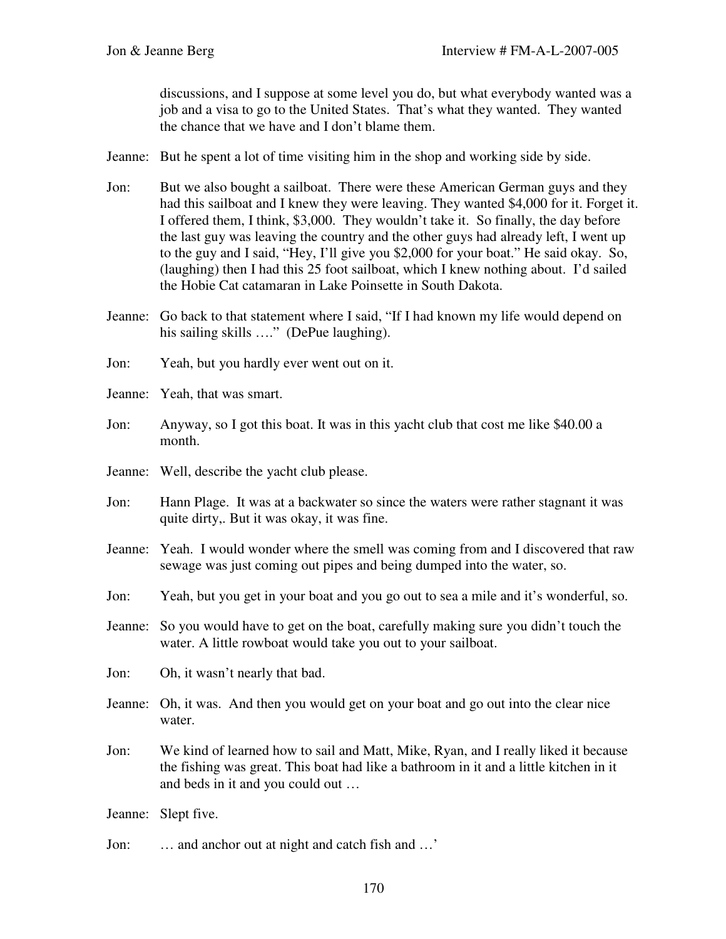discussions, and I suppose at some level you do, but what everybody wanted was a job and a visa to go to the United States. That's what they wanted. They wanted the chance that we have and I don't blame them.

- Jeanne: But he spent a lot of time visiting him in the shop and working side by side.
- Jon: But we also bought a sailboat. There were these American German guys and they had this sailboat and I knew they were leaving. They wanted \$4,000 for it. Forget it. I offered them, I think, \$3,000. They wouldn't take it. So finally, the day before the last guy was leaving the country and the other guys had already left, I went up to the guy and I said, "Hey, I'll give you \$2,000 for your boat." He said okay. So, (laughing) then I had this 25 foot sailboat, which I knew nothing about. I'd sailed the Hobie Cat catamaran in Lake Poinsette in South Dakota.
- Jeanne: Go back to that statement where I said, "If I had known my life would depend on his sailing skills ...." (DePue laughing).
- Jon: Yeah, but you hardly ever went out on it.
- Jeanne: Yeah, that was smart.
- Jon: Anyway, so I got this boat. It was in this yacht club that cost me like \$40.00 a month.
- Jeanne: Well, describe the yacht club please.
- Jon: Hann Plage. It was at a backwater so since the waters were rather stagnant it was quite dirty,. But it was okay, it was fine.
- Jeanne: Yeah. I would wonder where the smell was coming from and I discovered that raw sewage was just coming out pipes and being dumped into the water, so.
- Jon: Yeah, but you get in your boat and you go out to sea a mile and it's wonderful, so.
- Jeanne: So you would have to get on the boat, carefully making sure you didn't touch the water. A little rowboat would take you out to your sailboat.
- Jon: Oh, it wasn't nearly that bad.
- Jeanne: Oh, it was. And then you would get on your boat and go out into the clear nice water.
- Jon: We kind of learned how to sail and Matt, Mike, Ryan, and I really liked it because the fishing was great. This boat had like a bathroom in it and a little kitchen in it and beds in it and you could out …
- Jeanne: Slept five.
- Jon: … and anchor out at night and catch fish and …'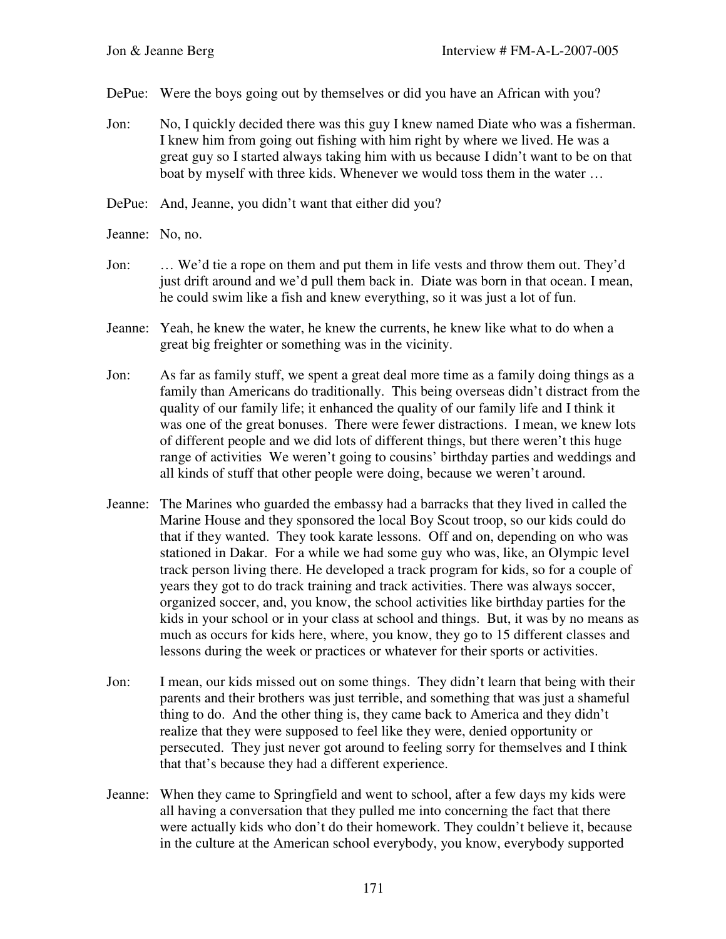- DePue: Were the boys going out by themselves or did you have an African with you?
- Jon: No, I quickly decided there was this guy I knew named Diate who was a fisherman. I knew him from going out fishing with him right by where we lived. He was a great guy so I started always taking him with us because I didn't want to be on that boat by myself with three kids. Whenever we would toss them in the water …
- DePue: And, Jeanne, you didn't want that either did you?
- Jeanne: No, no.
- Jon: … We'd tie a rope on them and put them in life vests and throw them out. They'd just drift around and we'd pull them back in. Diate was born in that ocean. I mean, he could swim like a fish and knew everything, so it was just a lot of fun.
- Jeanne: Yeah, he knew the water, he knew the currents, he knew like what to do when a great big freighter or something was in the vicinity.
- Jon: As far as family stuff, we spent a great deal more time as a family doing things as a family than Americans do traditionally. This being overseas didn't distract from the quality of our family life; it enhanced the quality of our family life and I think it was one of the great bonuses. There were fewer distractions. I mean, we knew lots of different people and we did lots of different things, but there weren't this huge range of activities We weren't going to cousins' birthday parties and weddings and all kinds of stuff that other people were doing, because we weren't around.
- Jeanne: The Marines who guarded the embassy had a barracks that they lived in called the Marine House and they sponsored the local Boy Scout troop, so our kids could do that if they wanted. They took karate lessons. Off and on, depending on who was stationed in Dakar. For a while we had some guy who was, like, an Olympic level track person living there. He developed a track program for kids, so for a couple of years they got to do track training and track activities. There was always soccer, organized soccer, and, you know, the school activities like birthday parties for the kids in your school or in your class at school and things. But, it was by no means as much as occurs for kids here, where, you know, they go to 15 different classes and lessons during the week or practices or whatever for their sports or activities.
- Jon: I mean, our kids missed out on some things. They didn't learn that being with their parents and their brothers was just terrible, and something that was just a shameful thing to do. And the other thing is, they came back to America and they didn't realize that they were supposed to feel like they were, denied opportunity or persecuted. They just never got around to feeling sorry for themselves and I think that that's because they had a different experience.
- Jeanne: When they came to Springfield and went to school, after a few days my kids were all having a conversation that they pulled me into concerning the fact that there were actually kids who don't do their homework. They couldn't believe it, because in the culture at the American school everybody, you know, everybody supported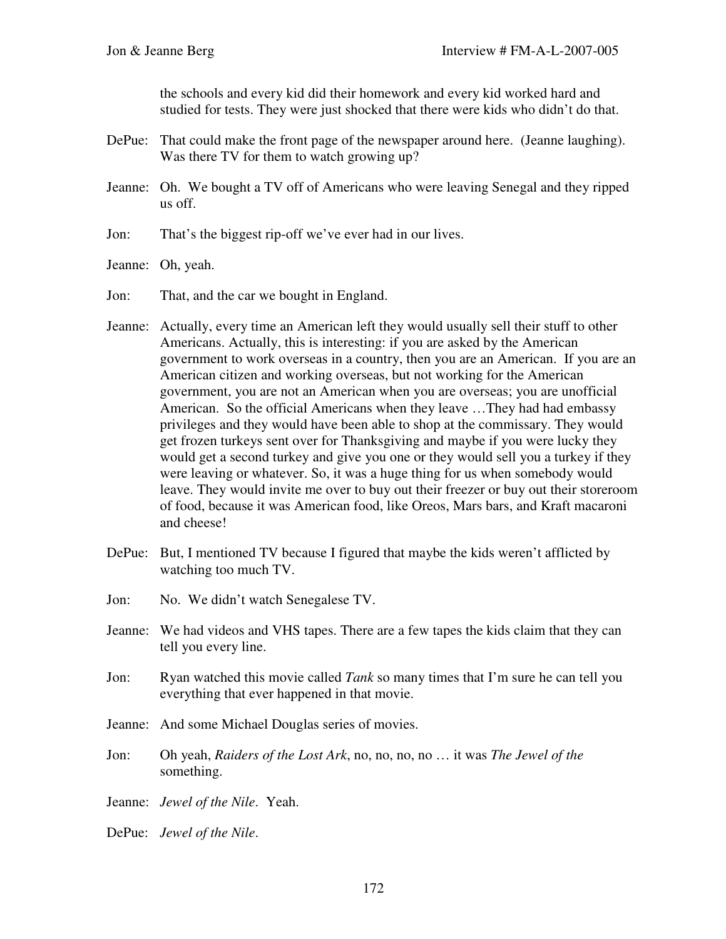the schools and every kid did their homework and every kid worked hard and studied for tests. They were just shocked that there were kids who didn't do that.

- DePue: That could make the front page of the newspaper around here. (Jeanne laughing). Was there TV for them to watch growing up?
- Jeanne: Oh. We bought a TV off of Americans who were leaving Senegal and they ripped us off.
- Jon: That's the biggest rip-off we've ever had in our lives.
- Jeanne: Oh, yeah.
- Jon: That, and the car we bought in England.
- Jeanne: Actually, every time an American left they would usually sell their stuff to other Americans. Actually, this is interesting: if you are asked by the American government to work overseas in a country, then you are an American. If you are an American citizen and working overseas, but not working for the American government, you are not an American when you are overseas; you are unofficial American. So the official Americans when they leave …They had had embassy privileges and they would have been able to shop at the commissary. They would get frozen turkeys sent over for Thanksgiving and maybe if you were lucky they would get a second turkey and give you one or they would sell you a turkey if they were leaving or whatever. So, it was a huge thing for us when somebody would leave. They would invite me over to buy out their freezer or buy out their storeroom of food, because it was American food, like Oreos, Mars bars, and Kraft macaroni and cheese!
- DePue: But, I mentioned TV because I figured that maybe the kids weren't afflicted by watching too much TV.
- Jon: No. We didn't watch Senegalese TV.
- Jeanne: We had videos and VHS tapes. There are a few tapes the kids claim that they can tell you every line.
- Jon: Ryan watched this movie called *Tank* so many times that I'm sure he can tell you everything that ever happened in that movie.
- Jeanne: And some Michael Douglas series of movies.
- Jon: Oh yeah, *Raiders of the Lost Ark*, no, no, no, no … it was *The Jewel of the* something.
- Jeanne: *Jewel of the Nile*. Yeah.
- DePue: *Jewel of the Nile*.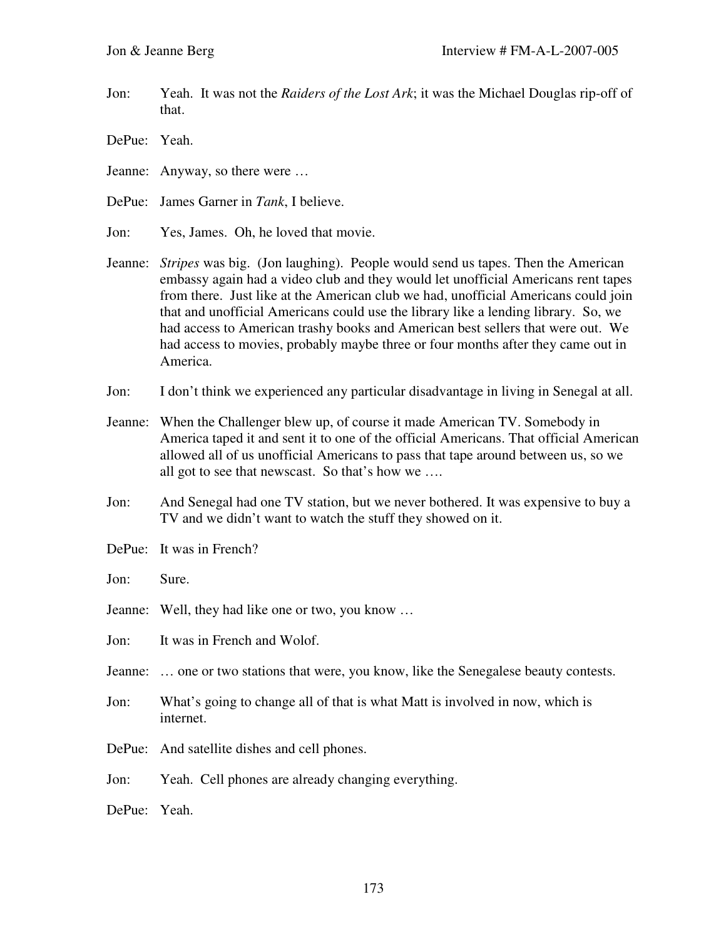Jon: Yeah. It was not the *Raiders of the Lost Ark*; it was the Michael Douglas rip-off of that.

DePue: Yeah.

Jeanne: Anyway, so there were …

DePue: James Garner in *Tank*, I believe.

- Jon: Yes, James. Oh, he loved that movie.
- Jeanne: *Stripes* was big. (Jon laughing). People would send us tapes. Then the American embassy again had a video club and they would let unofficial Americans rent tapes from there. Just like at the American club we had, unofficial Americans could join that and unofficial Americans could use the library like a lending library. So, we had access to American trashy books and American best sellers that were out. We had access to movies, probably maybe three or four months after they came out in America.
- Jon: I don't think we experienced any particular disadvantage in living in Senegal at all.
- Jeanne: When the Challenger blew up, of course it made American TV. Somebody in America taped it and sent it to one of the official Americans. That official American allowed all of us unofficial Americans to pass that tape around between us, so we all got to see that newscast. So that's how we ….
- Jon: And Senegal had one TV station, but we never bothered. It was expensive to buy a TV and we didn't want to watch the stuff they showed on it.
- DePue: It was in French?
- Jon: Sure.
- Jeanne: Well, they had like one or two, you know …

Jon: It was in French and Wolof.

- Jeanne: … one or two stations that were, you know, like the Senegalese beauty contests.
- Jon: What's going to change all of that is what Matt is involved in now, which is internet.
- DePue: And satellite dishes and cell phones.
- Jon: Yeah. Cell phones are already changing everything.

DePue: Yeah.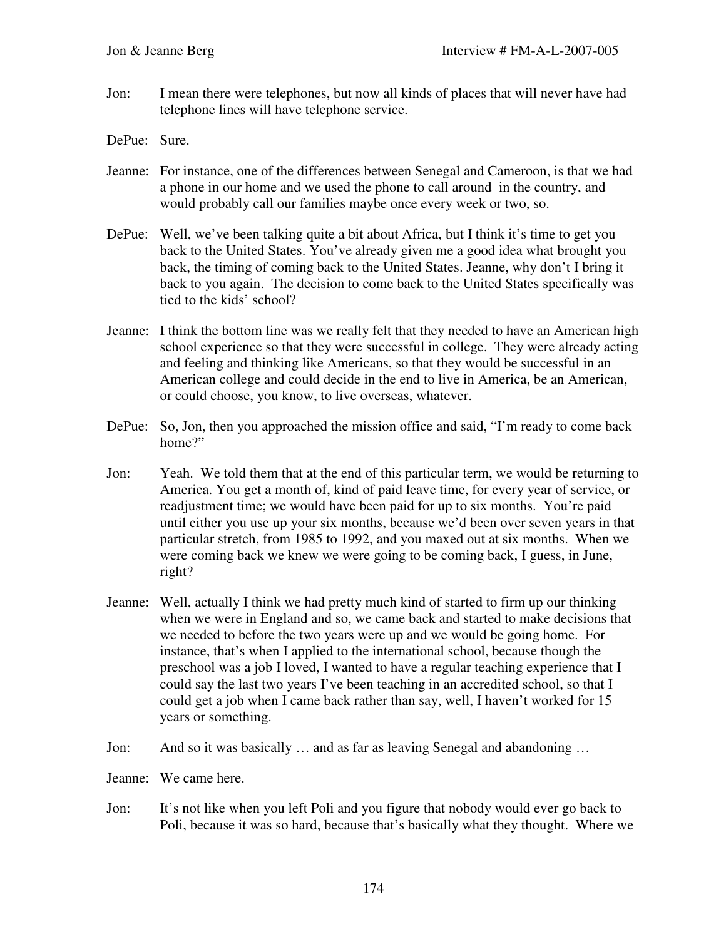Jon: I mean there were telephones, but now all kinds of places that will never have had telephone lines will have telephone service.

DePue: Sure.

- Jeanne: For instance, one of the differences between Senegal and Cameroon, is that we had a phone in our home and we used the phone to call around in the country, and would probably call our families maybe once every week or two, so.
- DePue: Well, we've been talking quite a bit about Africa, but I think it's time to get you back to the United States. You've already given me a good idea what brought you back, the timing of coming back to the United States. Jeanne, why don't I bring it back to you again. The decision to come back to the United States specifically was tied to the kids' school?
- Jeanne: I think the bottom line was we really felt that they needed to have an American high school experience so that they were successful in college. They were already acting and feeling and thinking like Americans, so that they would be successful in an American college and could decide in the end to live in America, be an American, or could choose, you know, to live overseas, whatever.
- DePue: So, Jon, then you approached the mission office and said, "I'm ready to come back home?"
- Jon: Yeah. We told them that at the end of this particular term, we would be returning to America. You get a month of, kind of paid leave time, for every year of service, or readjustment time; we would have been paid for up to six months. You're paid until either you use up your six months, because we'd been over seven years in that particular stretch, from 1985 to 1992, and you maxed out at six months. When we were coming back we knew we were going to be coming back, I guess, in June, right?
- Jeanne: Well, actually I think we had pretty much kind of started to firm up our thinking when we were in England and so, we came back and started to make decisions that we needed to before the two years were up and we would be going home. For instance, that's when I applied to the international school, because though the preschool was a job I loved, I wanted to have a regular teaching experience that I could say the last two years I've been teaching in an accredited school, so that I could get a job when I came back rather than say, well, I haven't worked for 15 years or something.
- Jon: And so it was basically … and as far as leaving Senegal and abandoning …

Jeanne: We came here.

Jon: It's not like when you left Poli and you figure that nobody would ever go back to Poli, because it was so hard, because that's basically what they thought. Where we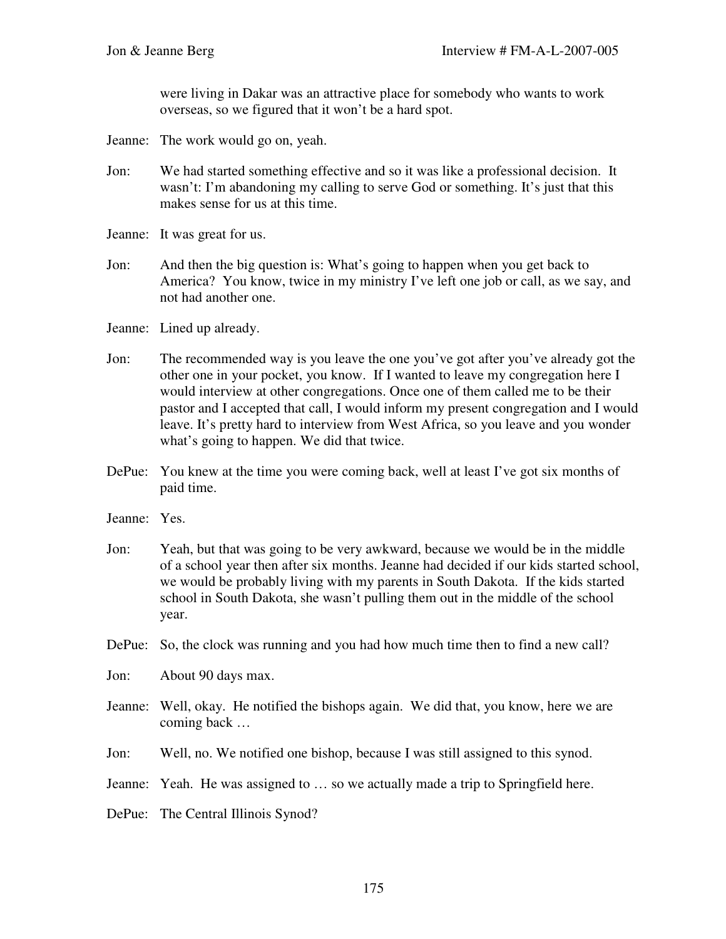were living in Dakar was an attractive place for somebody who wants to work overseas, so we figured that it won't be a hard spot.

- Jeanne: The work would go on, yeah.
- Jon: We had started something effective and so it was like a professional decision. It wasn't: I'm abandoning my calling to serve God or something. It's just that this makes sense for us at this time.
- Jeanne: It was great for us.
- Jon: And then the big question is: What's going to happen when you get back to America? You know, twice in my ministry I've left one job or call, as we say, and not had another one.

Jeanne: Lined up already.

- Jon: The recommended way is you leave the one you've got after you've already got the other one in your pocket, you know. If I wanted to leave my congregation here I would interview at other congregations. Once one of them called me to be their pastor and I accepted that call, I would inform my present congregation and I would leave. It's pretty hard to interview from West Africa, so you leave and you wonder what's going to happen. We did that twice.
- DePue: You knew at the time you were coming back, well at least I've got six months of paid time.
- Jeanne: Yes.
- Jon: Yeah, but that was going to be very awkward, because we would be in the middle of a school year then after six months. Jeanne had decided if our kids started school, we would be probably living with my parents in South Dakota. If the kids started school in South Dakota, she wasn't pulling them out in the middle of the school year.
- DePue: So, the clock was running and you had how much time then to find a new call?
- Jon: About 90 days max.
- Jeanne: Well, okay. He notified the bishops again. We did that, you know, here we are coming back …
- Jon: Well, no. We notified one bishop, because I was still assigned to this synod.
- Jeanne: Yeah. He was assigned to … so we actually made a trip to Springfield here.
- DePue: The Central Illinois Synod?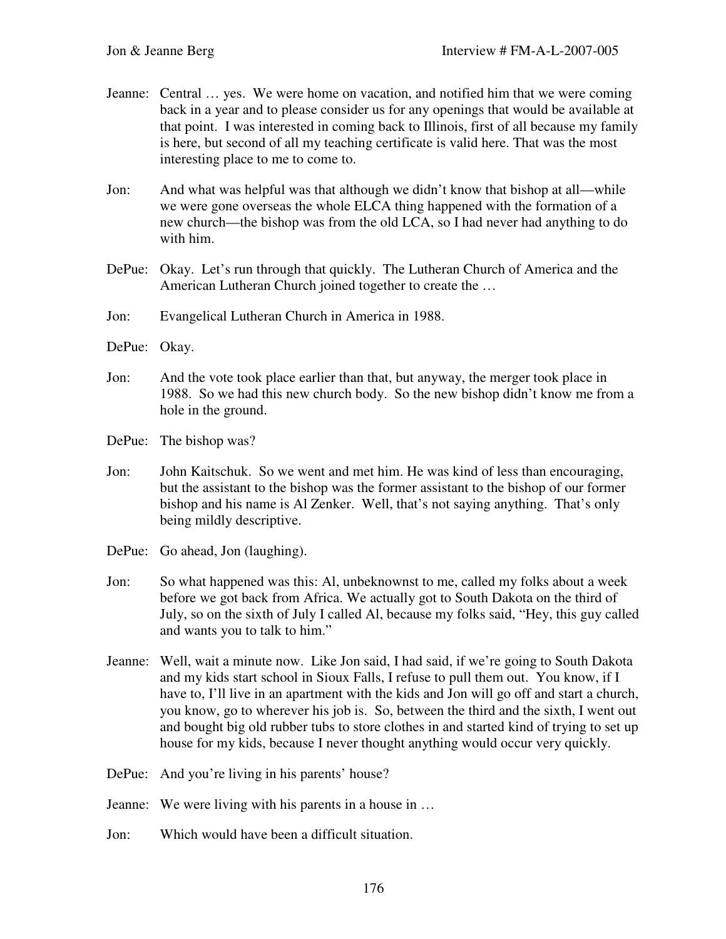- Jeanne: Central … yes. We were home on vacation, and notified him that we were coming back in a year and to please consider us for any openings that would be available at that point. I was interested in coming back to Illinois, first of all because my family is here, but second of all my teaching certificate is valid here. That was the most interesting place to me to come to.
- Jon: And what was helpful was that although we didn't know that bishop at all—while we were gone overseas the whole ELCA thing happened with the formation of a new church—the bishop was from the old LCA, so I had never had anything to do with him.
- DePue: Okay. Let's run through that quickly. The Lutheran Church of America and the American Lutheran Church joined together to create the …
- Jon: Evangelical Lutheran Church in America in 1988.
- DePue: Okay.
- Jon: And the vote took place earlier than that, but anyway, the merger took place in 1988. So we had this new church body. So the new bishop didn't know me from a hole in the ground.
- DePue: The bishop was?
- Jon: John Kaitschuk. So we went and met him. He was kind of less than encouraging, but the assistant to the bishop was the former assistant to the bishop of our former bishop and his name is Al Zenker. Well, that's not saying anything. That's only being mildly descriptive.
- DePue: Go ahead, Jon (laughing).
- Jon: So what happened was this: Al, unbeknownst to me, called my folks about a week before we got back from Africa. We actually got to South Dakota on the third of July, so on the sixth of July I called Al, because my folks said, "Hey, this guy called and wants you to talk to him."
- Jeanne: Well, wait a minute now. Like Jon said, I had said, if we're going to South Dakota and my kids start school in Sioux Falls, I refuse to pull them out. You know, if I have to, I'll live in an apartment with the kids and Jon will go off and start a church, you know, go to wherever his job is. So, between the third and the sixth, I went out and bought big old rubber tubs to store clothes in and started kind of trying to set up house for my kids, because I never thought anything would occur very quickly.
- DePue: And you're living in his parents' house?
- Jeanne: We were living with his parents in a house in …
- Jon: Which would have been a difficult situation.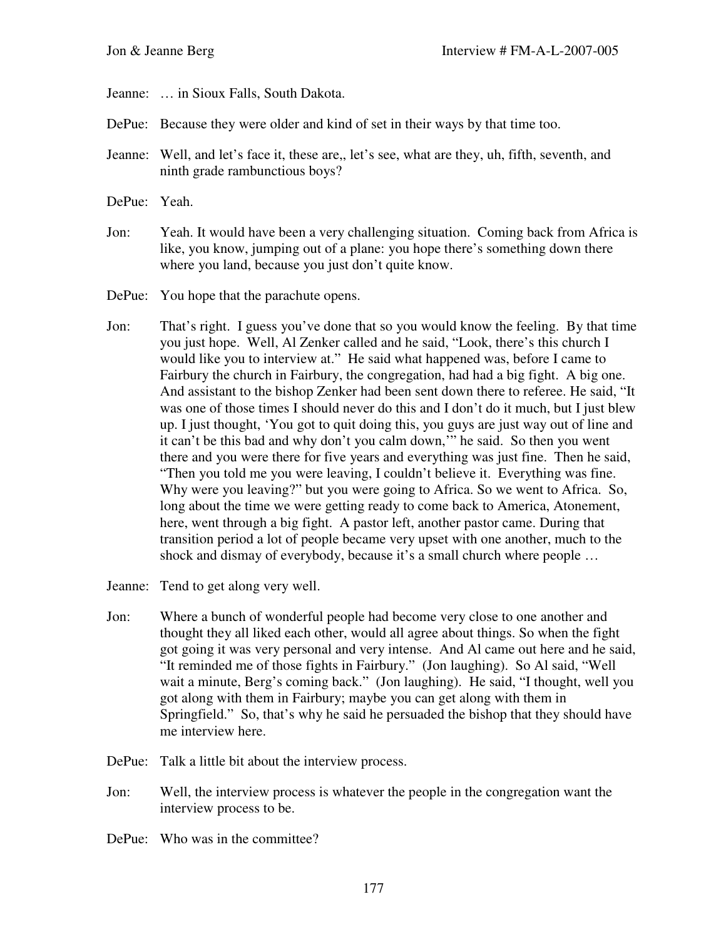Jeanne: … in Sioux Falls, South Dakota.

- DePue: Because they were older and kind of set in their ways by that time too.
- Jeanne: Well, and let's face it, these are,, let's see, what are they, uh, fifth, seventh, and ninth grade rambunctious boys?
- DePue: Yeah.
- Jon: Yeah. It would have been a very challenging situation. Coming back from Africa is like, you know, jumping out of a plane: you hope there's something down there where you land, because you just don't quite know.
- DePue: You hope that the parachute opens.
- Jon: That's right. I guess you've done that so you would know the feeling. By that time you just hope. Well, Al Zenker called and he said, "Look, there's this church I would like you to interview at." He said what happened was, before I came to Fairbury the church in Fairbury, the congregation, had had a big fight. A big one. And assistant to the bishop Zenker had been sent down there to referee. He said, "It was one of those times I should never do this and I don't do it much, but I just blew up. I just thought, 'You got to quit doing this, you guys are just way out of line and it can't be this bad and why don't you calm down,'" he said. So then you went there and you were there for five years and everything was just fine. Then he said, "Then you told me you were leaving, I couldn't believe it. Everything was fine. Why were you leaving?" but you were going to Africa. So we went to Africa. So, long about the time we were getting ready to come back to America, Atonement, here, went through a big fight. A pastor left, another pastor came. During that transition period a lot of people became very upset with one another, much to the shock and dismay of everybody, because it's a small church where people …
- Jeanne: Tend to get along very well.
- Jon: Where a bunch of wonderful people had become very close to one another and thought they all liked each other, would all agree about things. So when the fight got going it was very personal and very intense. And Al came out here and he said, "It reminded me of those fights in Fairbury." (Jon laughing). So Al said, "Well wait a minute, Berg's coming back." (Jon laughing). He said, "I thought, well you got along with them in Fairbury; maybe you can get along with them in Springfield." So, that's why he said he persuaded the bishop that they should have me interview here.
- DePue: Talk a little bit about the interview process.
- Jon: Well, the interview process is whatever the people in the congregation want the interview process to be.
- DePue: Who was in the committee?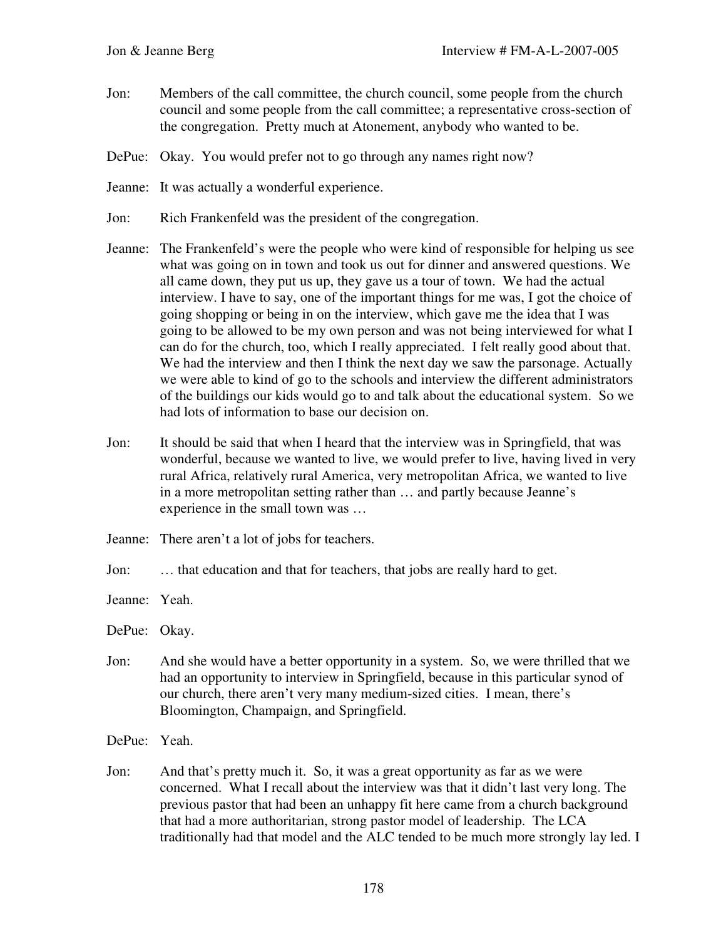- Jon: Members of the call committee, the church council, some people from the church council and some people from the call committee; a representative cross-section of the congregation. Pretty much at Atonement, anybody who wanted to be.
- DePue: Okay. You would prefer not to go through any names right now?
- Jeanne: It was actually a wonderful experience.
- Jon: Rich Frankenfeld was the president of the congregation.
- Jeanne: The Frankenfeld's were the people who were kind of responsible for helping us see what was going on in town and took us out for dinner and answered questions. We all came down, they put us up, they gave us a tour of town. We had the actual interview. I have to say, one of the important things for me was, I got the choice of going shopping or being in on the interview, which gave me the idea that I was going to be allowed to be my own person and was not being interviewed for what I can do for the church, too, which I really appreciated. I felt really good about that. We had the interview and then I think the next day we saw the parsonage. Actually we were able to kind of go to the schools and interview the different administrators of the buildings our kids would go to and talk about the educational system. So we had lots of information to base our decision on.
- Jon: It should be said that when I heard that the interview was in Springfield, that was wonderful, because we wanted to live, we would prefer to live, having lived in very rural Africa, relatively rural America, very metropolitan Africa, we wanted to live in a more metropolitan setting rather than … and partly because Jeanne's experience in the small town was …
- Jeanne: There aren't a lot of jobs for teachers.
- Jon: … that education and that for teachers, that jobs are really hard to get.
- Jeanne: Yeah.
- DePue: Okay.
- Jon: And she would have a better opportunity in a system. So, we were thrilled that we had an opportunity to interview in Springfield, because in this particular synod of our church, there aren't very many medium-sized cities. I mean, there's Bloomington, Champaign, and Springfield.
- DePue: Yeah.
- Jon: And that's pretty much it. So, it was a great opportunity as far as we were concerned. What I recall about the interview was that it didn't last very long. The previous pastor that had been an unhappy fit here came from a church background that had a more authoritarian, strong pastor model of leadership. The LCA traditionally had that model and the ALC tended to be much more strongly lay led. I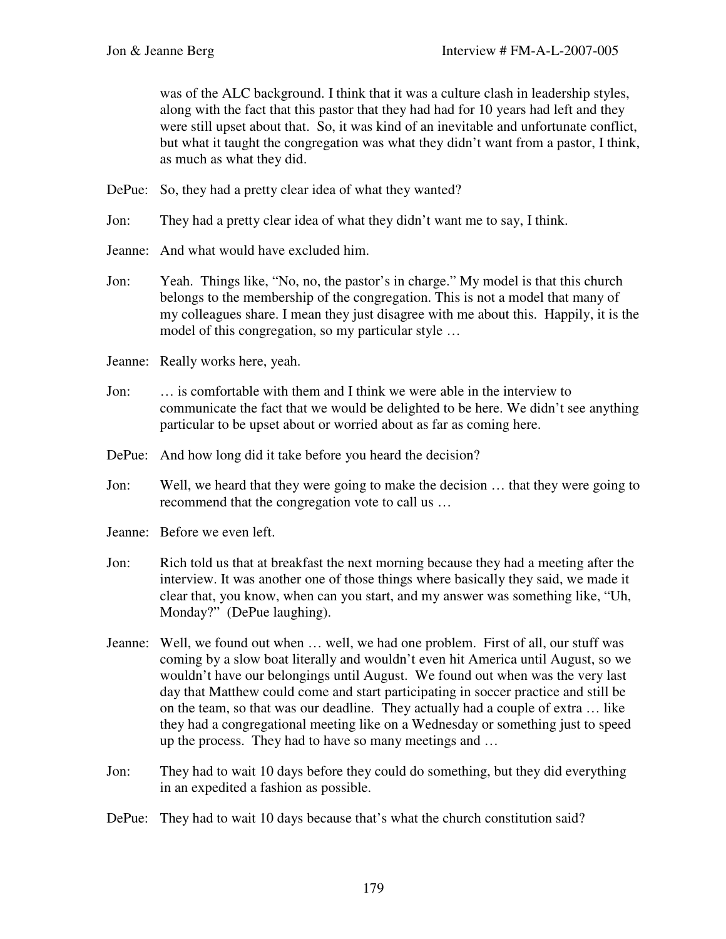was of the ALC background. I think that it was a culture clash in leadership styles, along with the fact that this pastor that they had had for 10 years had left and they were still upset about that. So, it was kind of an inevitable and unfortunate conflict, but what it taught the congregation was what they didn't want from a pastor, I think, as much as what they did.

- DePue: So, they had a pretty clear idea of what they wanted?
- Jon: They had a pretty clear idea of what they didn't want me to say, I think.
- Jeanne: And what would have excluded him.
- Jon: Yeah. Things like, "No, no, the pastor's in charge." My model is that this church belongs to the membership of the congregation. This is not a model that many of my colleagues share. I mean they just disagree with me about this. Happily, it is the model of this congregation, so my particular style …
- Jeanne: Really works here, yeah.
- Jon: … is comfortable with them and I think we were able in the interview to communicate the fact that we would be delighted to be here. We didn't see anything particular to be upset about or worried about as far as coming here.
- DePue: And how long did it take before you heard the decision?
- Jon: Well, we heard that they were going to make the decision … that they were going to recommend that the congregation vote to call us …
- Jeanne: Before we even left.
- Jon: Rich told us that at breakfast the next morning because they had a meeting after the interview. It was another one of those things where basically they said, we made it clear that, you know, when can you start, and my answer was something like, "Uh, Monday?" (DePue laughing).
- Jeanne: Well, we found out when … well, we had one problem. First of all, our stuff was coming by a slow boat literally and wouldn't even hit America until August, so we wouldn't have our belongings until August. We found out when was the very last day that Matthew could come and start participating in soccer practice and still be on the team, so that was our deadline. They actually had a couple of extra … like they had a congregational meeting like on a Wednesday or something just to speed up the process. They had to have so many meetings and …
- Jon: They had to wait 10 days before they could do something, but they did everything in an expedited a fashion as possible.
- DePue: They had to wait 10 days because that's what the church constitution said?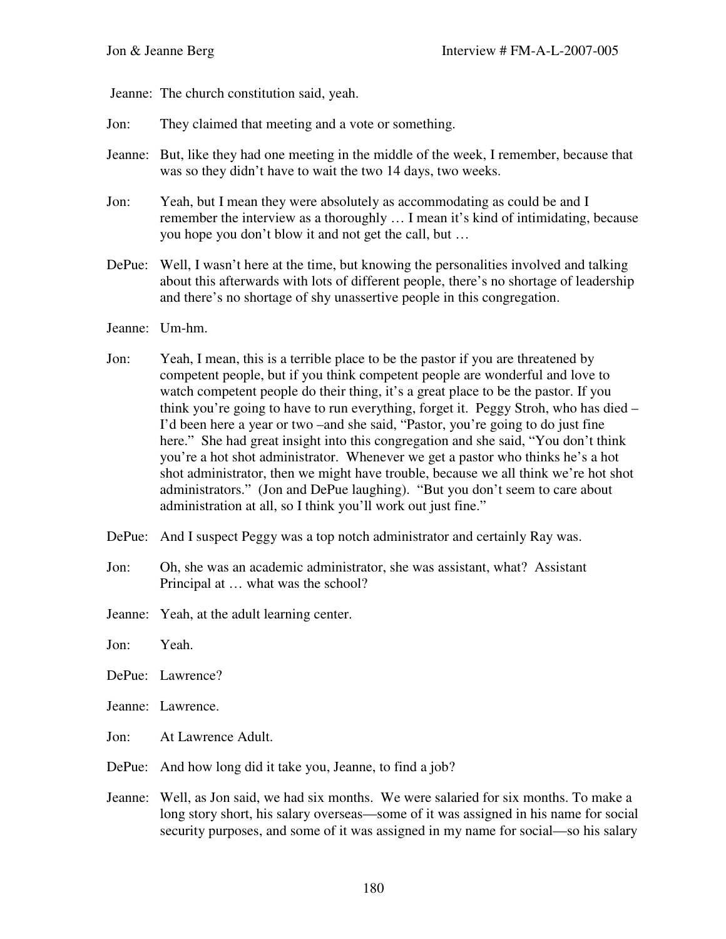Jeanne: The church constitution said, yeah.

- Jon: They claimed that meeting and a vote or something.
- Jeanne: But, like they had one meeting in the middle of the week, I remember, because that was so they didn't have to wait the two 14 days, two weeks.
- Jon: Yeah, but I mean they were absolutely as accommodating as could be and I remember the interview as a thoroughly … I mean it's kind of intimidating, because you hope you don't blow it and not get the call, but …
- DePue: Well, I wasn't here at the time, but knowing the personalities involved and talking about this afterwards with lots of different people, there's no shortage of leadership and there's no shortage of shy unassertive people in this congregation.
- Jeanne: Um-hm.
- Jon: Yeah, I mean, this is a terrible place to be the pastor if you are threatened by competent people, but if you think competent people are wonderful and love to watch competent people do their thing, it's a great place to be the pastor. If you think you're going to have to run everything, forget it. Peggy Stroh, who has died – I'd been here a year or two –and she said, "Pastor, you're going to do just fine here." She had great insight into this congregation and she said, "You don't think you're a hot shot administrator. Whenever we get a pastor who thinks he's a hot shot administrator, then we might have trouble, because we all think we're hot shot administrators." (Jon and DePue laughing). "But you don't seem to care about administration at all, so I think you'll work out just fine."
- DePue: And I suspect Peggy was a top notch administrator and certainly Ray was.
- Jon: Oh, she was an academic administrator, she was assistant, what? Assistant Principal at … what was the school?
- Jeanne: Yeah, at the adult learning center.
- Jon: Yeah.
- DePue: Lawrence?
- Jeanne: Lawrence.
- Jon: At Lawrence Adult.
- DePue: And how long did it take you, Jeanne, to find a job?
- Jeanne: Well, as Jon said, we had six months. We were salaried for six months. To make a long story short, his salary overseas—some of it was assigned in his name for social security purposes, and some of it was assigned in my name for social—so his salary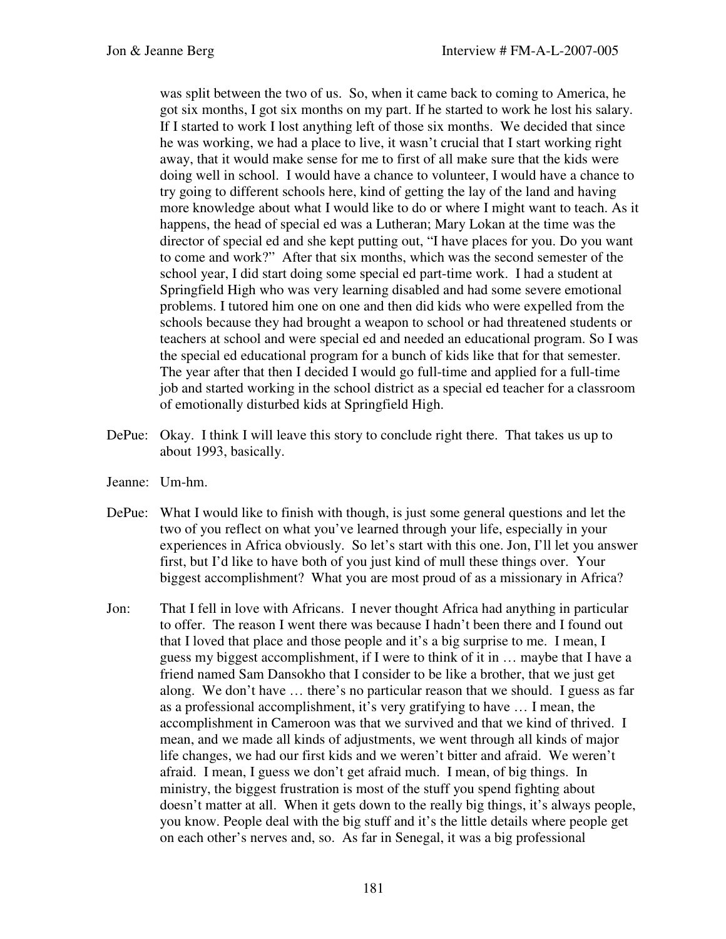was split between the two of us. So, when it came back to coming to America, he got six months, I got six months on my part. If he started to work he lost his salary. If I started to work I lost anything left of those six months. We decided that since he was working, we had a place to live, it wasn't crucial that I start working right away, that it would make sense for me to first of all make sure that the kids were doing well in school. I would have a chance to volunteer, I would have a chance to try going to different schools here, kind of getting the lay of the land and having more knowledge about what I would like to do or where I might want to teach. As it happens, the head of special ed was a Lutheran; Mary Lokan at the time was the director of special ed and she kept putting out, "I have places for you. Do you want to come and work?" After that six months, which was the second semester of the school year, I did start doing some special ed part-time work. I had a student at Springfield High who was very learning disabled and had some severe emotional problems. I tutored him one on one and then did kids who were expelled from the schools because they had brought a weapon to school or had threatened students or teachers at school and were special ed and needed an educational program. So I was the special ed educational program for a bunch of kids like that for that semester. The year after that then I decided I would go full-time and applied for a full-time job and started working in the school district as a special ed teacher for a classroom of emotionally disturbed kids at Springfield High.

- DePue: Okay. I think I will leave this story to conclude right there. That takes us up to about 1993, basically.
- Jeanne: Um-hm.
- DePue: What I would like to finish with though, is just some general questions and let the two of you reflect on what you've learned through your life, especially in your experiences in Africa obviously. So let's start with this one. Jon, I'll let you answer first, but I'd like to have both of you just kind of mull these things over. Your biggest accomplishment? What you are most proud of as a missionary in Africa?
- Jon: That I fell in love with Africans. I never thought Africa had anything in particular to offer. The reason I went there was because I hadn't been there and I found out that I loved that place and those people and it's a big surprise to me. I mean, I guess my biggest accomplishment, if I were to think of it in … maybe that I have a friend named Sam Dansokho that I consider to be like a brother, that we just get along. We don't have … there's no particular reason that we should. I guess as far as a professional accomplishment, it's very gratifying to have … I mean, the accomplishment in Cameroon was that we survived and that we kind of thrived. I mean, and we made all kinds of adjustments, we went through all kinds of major life changes, we had our first kids and we weren't bitter and afraid. We weren't afraid. I mean, I guess we don't get afraid much. I mean, of big things. In ministry, the biggest frustration is most of the stuff you spend fighting about doesn't matter at all. When it gets down to the really big things, it's always people, you know. People deal with the big stuff and it's the little details where people get on each other's nerves and, so. As far in Senegal, it was a big professional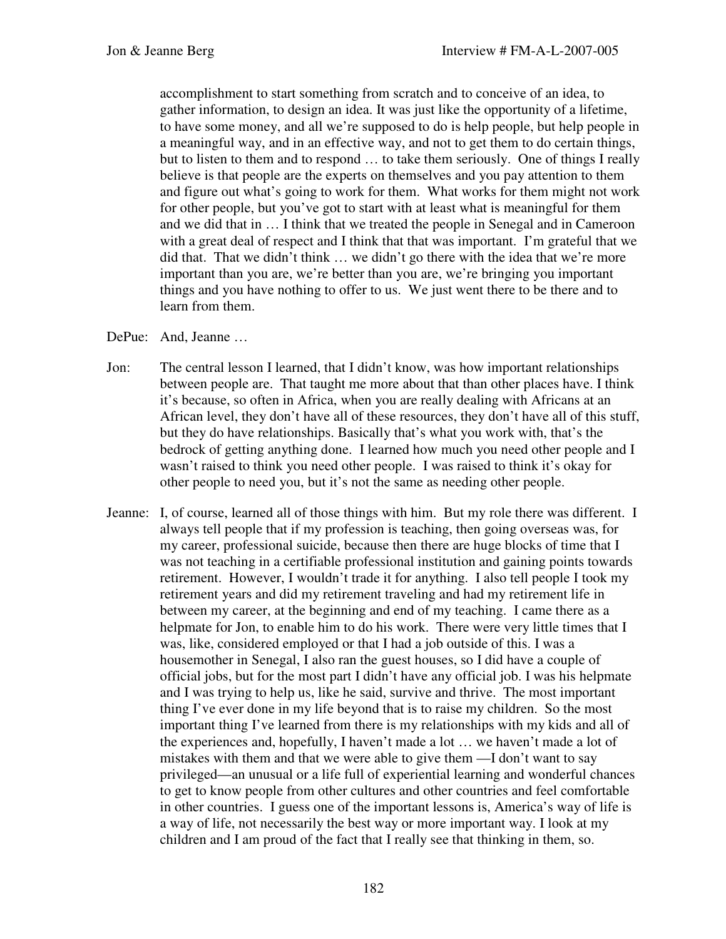accomplishment to start something from scratch and to conceive of an idea, to gather information, to design an idea. It was just like the opportunity of a lifetime, to have some money, and all we're supposed to do is help people, but help people in a meaningful way, and in an effective way, and not to get them to do certain things, but to listen to them and to respond … to take them seriously. One of things I really believe is that people are the experts on themselves and you pay attention to them and figure out what's going to work for them. What works for them might not work for other people, but you've got to start with at least what is meaningful for them and we did that in … I think that we treated the people in Senegal and in Cameroon with a great deal of respect and I think that that was important. I'm grateful that we did that. That we didn't think … we didn't go there with the idea that we're more important than you are, we're better than you are, we're bringing you important things and you have nothing to offer to us. We just went there to be there and to learn from them.

- DePue: And, Jeanne …
- Jon: The central lesson I learned, that I didn't know, was how important relationships between people are. That taught me more about that than other places have. I think it's because, so often in Africa, when you are really dealing with Africans at an African level, they don't have all of these resources, they don't have all of this stuff, but they do have relationships. Basically that's what you work with, that's the bedrock of getting anything done. I learned how much you need other people and I wasn't raised to think you need other people. I was raised to think it's okay for other people to need you, but it's not the same as needing other people.
- Jeanne: I, of course, learned all of those things with him. But my role there was different. I always tell people that if my profession is teaching, then going overseas was, for my career, professional suicide, because then there are huge blocks of time that I was not teaching in a certifiable professional institution and gaining points towards retirement. However, I wouldn't trade it for anything. I also tell people I took my retirement years and did my retirement traveling and had my retirement life in between my career, at the beginning and end of my teaching. I came there as a helpmate for Jon, to enable him to do his work. There were very little times that I was, like, considered employed or that I had a job outside of this. I was a housemother in Senegal, I also ran the guest houses, so I did have a couple of official jobs, but for the most part I didn't have any official job. I was his helpmate and I was trying to help us, like he said, survive and thrive. The most important thing I've ever done in my life beyond that is to raise my children. So the most important thing I've learned from there is my relationships with my kids and all of the experiences and, hopefully, I haven't made a lot … we haven't made a lot of mistakes with them and that we were able to give them —I don't want to say privileged—an unusual or a life full of experiential learning and wonderful chances to get to know people from other cultures and other countries and feel comfortable in other countries. I guess one of the important lessons is, America's way of life is a way of life, not necessarily the best way or more important way. I look at my children and I am proud of the fact that I really see that thinking in them, so.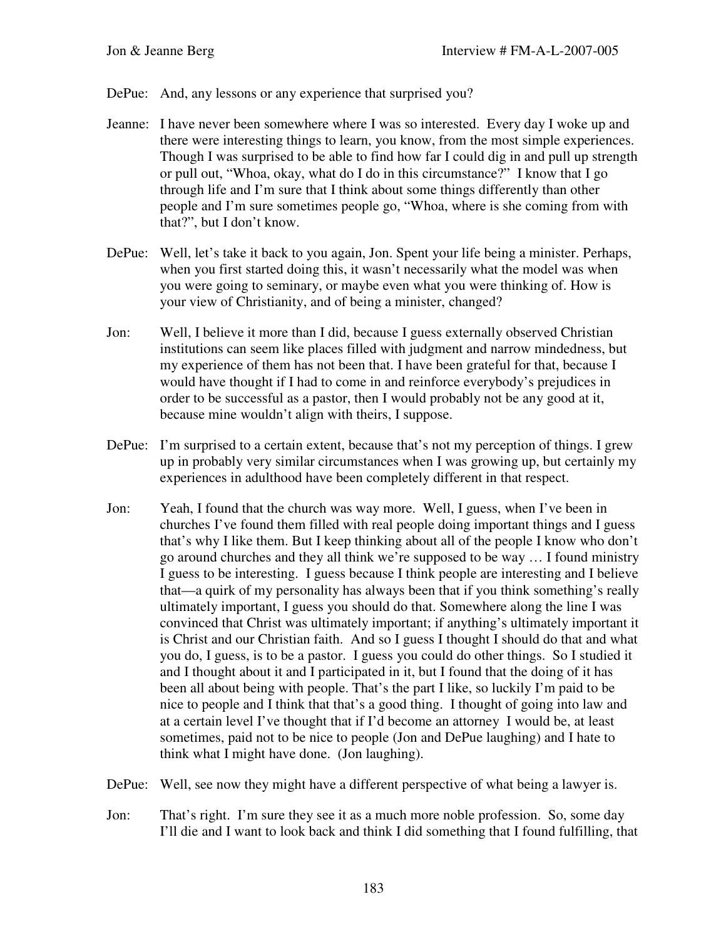DePue: And, any lessons or any experience that surprised you?

- Jeanne: I have never been somewhere where I was so interested. Every day I woke up and there were interesting things to learn, you know, from the most simple experiences. Though I was surprised to be able to find how far I could dig in and pull up strength or pull out, "Whoa, okay, what do I do in this circumstance?" I know that I go through life and I'm sure that I think about some things differently than other people and I'm sure sometimes people go, "Whoa, where is she coming from with that?", but I don't know.
- DePue: Well, let's take it back to you again, Jon. Spent your life being a minister. Perhaps, when you first started doing this, it wasn't necessarily what the model was when you were going to seminary, or maybe even what you were thinking of. How is your view of Christianity, and of being a minister, changed?
- Jon: Well, I believe it more than I did, because I guess externally observed Christian institutions can seem like places filled with judgment and narrow mindedness, but my experience of them has not been that. I have been grateful for that, because I would have thought if I had to come in and reinforce everybody's prejudices in order to be successful as a pastor, then I would probably not be any good at it, because mine wouldn't align with theirs, I suppose.
- DePue: I'm surprised to a certain extent, because that's not my perception of things. I grew up in probably very similar circumstances when I was growing up, but certainly my experiences in adulthood have been completely different in that respect.
- Jon: Yeah, I found that the church was way more. Well, I guess, when I've been in churches I've found them filled with real people doing important things and I guess that's why I like them. But I keep thinking about all of the people I know who don't go around churches and they all think we're supposed to be way … I found ministry I guess to be interesting. I guess because I think people are interesting and I believe that—a quirk of my personality has always been that if you think something's really ultimately important, I guess you should do that. Somewhere along the line I was convinced that Christ was ultimately important; if anything's ultimately important it is Christ and our Christian faith. And so I guess I thought I should do that and what you do, I guess, is to be a pastor. I guess you could do other things. So I studied it and I thought about it and I participated in it, but I found that the doing of it has been all about being with people. That's the part I like, so luckily I'm paid to be nice to people and I think that that's a good thing. I thought of going into law and at a certain level I've thought that if I'd become an attorney I would be, at least sometimes, paid not to be nice to people (Jon and DePue laughing) and I hate to think what I might have done. (Jon laughing).
- DePue: Well, see now they might have a different perspective of what being a lawyer is.
- Jon: That's right. I'm sure they see it as a much more noble profession. So, some day I'll die and I want to look back and think I did something that I found fulfilling, that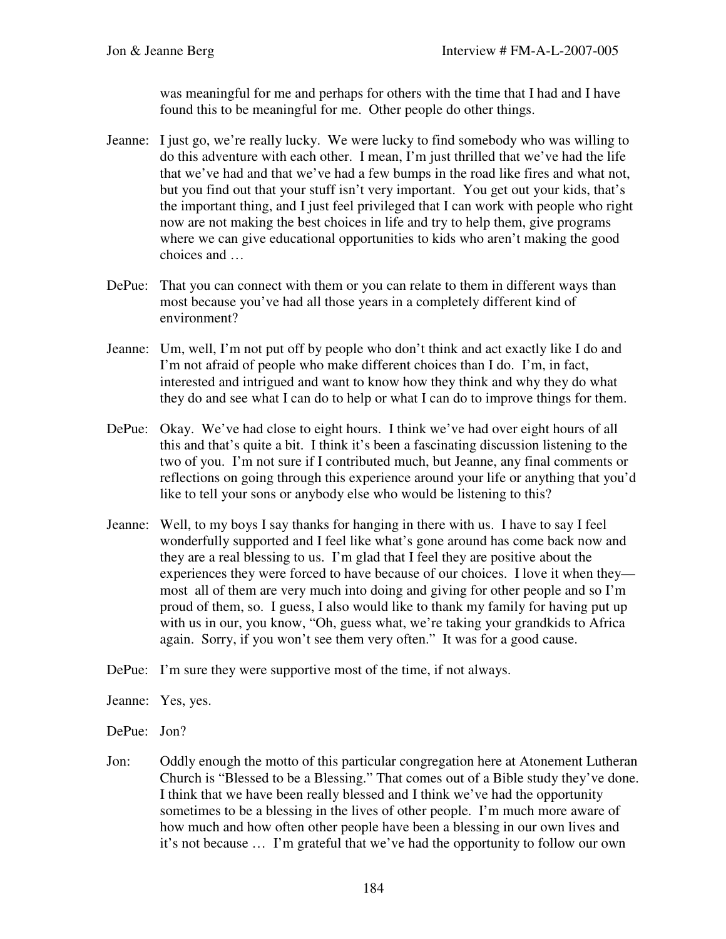was meaningful for me and perhaps for others with the time that I had and I have found this to be meaningful for me. Other people do other things.

- Jeanne: I just go, we're really lucky. We were lucky to find somebody who was willing to do this adventure with each other. I mean, I'm just thrilled that we've had the life that we've had and that we've had a few bumps in the road like fires and what not, but you find out that your stuff isn't very important. You get out your kids, that's the important thing, and I just feel privileged that I can work with people who right now are not making the best choices in life and try to help them, give programs where we can give educational opportunities to kids who aren't making the good choices and …
- DePue: That you can connect with them or you can relate to them in different ways than most because you've had all those years in a completely different kind of environment?
- Jeanne: Um, well, I'm not put off by people who don't think and act exactly like I do and I'm not afraid of people who make different choices than I do. I'm, in fact, interested and intrigued and want to know how they think and why they do what they do and see what I can do to help or what I can do to improve things for them.
- DePue: Okay. We've had close to eight hours. I think we've had over eight hours of all this and that's quite a bit. I think it's been a fascinating discussion listening to the two of you. I'm not sure if I contributed much, but Jeanne, any final comments or reflections on going through this experience around your life or anything that you'd like to tell your sons or anybody else who would be listening to this?
- Jeanne: Well, to my boys I say thanks for hanging in there with us. I have to say I feel wonderfully supported and I feel like what's gone around has come back now and they are a real blessing to us. I'm glad that I feel they are positive about the experiences they were forced to have because of our choices. I love it when they most all of them are very much into doing and giving for other people and so I'm proud of them, so. I guess, I also would like to thank my family for having put up with us in our, you know, "Oh, guess what, we're taking your grandkids to Africa again. Sorry, if you won't see them very often." It was for a good cause.
- DePue: I'm sure they were supportive most of the time, if not always.
- Jeanne: Yes, yes.
- DePue: Jon?
- Jon: Oddly enough the motto of this particular congregation here at Atonement Lutheran Church is "Blessed to be a Blessing." That comes out of a Bible study they've done. I think that we have been really blessed and I think we've had the opportunity sometimes to be a blessing in the lives of other people. I'm much more aware of how much and how often other people have been a blessing in our own lives and it's not because … I'm grateful that we've had the opportunity to follow our own